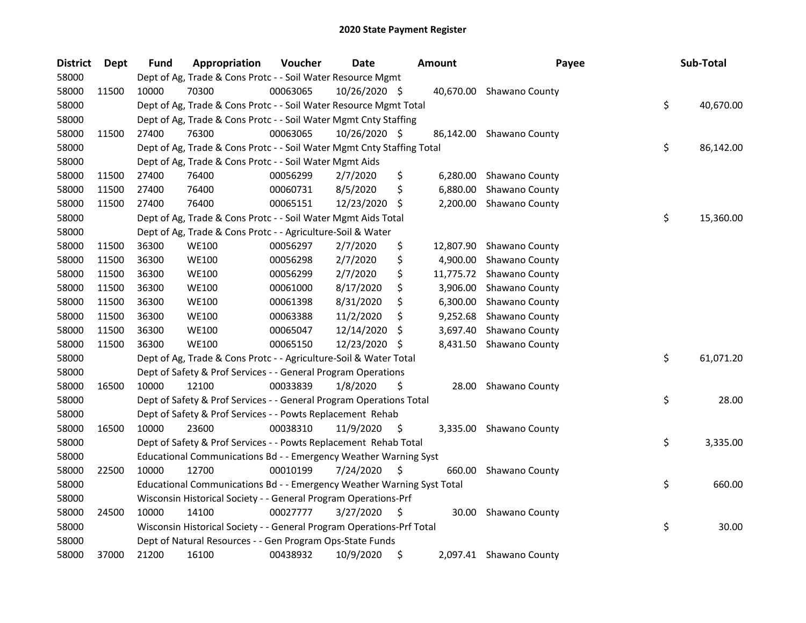| <b>District</b> | Dept  | Fund  | Appropriation                                                          | Voucher  | <b>Date</b>   |     | <b>Amount</b> | Payee                    | Sub-Total       |
|-----------------|-------|-------|------------------------------------------------------------------------|----------|---------------|-----|---------------|--------------------------|-----------------|
| 58000           |       |       | Dept of Ag, Trade & Cons Protc - - Soil Water Resource Mgmt            |          |               |     |               |                          |                 |
| 58000           | 11500 | 10000 | 70300                                                                  | 00063065 | 10/26/2020 \$ |     |               | 40,670.00 Shawano County |                 |
| 58000           |       |       | Dept of Ag, Trade & Cons Protc - - Soil Water Resource Mgmt Total      |          |               |     |               |                          | \$<br>40,670.00 |
| 58000           |       |       | Dept of Ag, Trade & Cons Protc - - Soil Water Mgmt Cnty Staffing       |          |               |     |               |                          |                 |
| 58000           | 11500 | 27400 | 76300                                                                  | 00063065 | 10/26/2020 \$ |     | 86,142.00     | <b>Shawano County</b>    |                 |
| 58000           |       |       | Dept of Ag, Trade & Cons Protc - - Soil Water Mgmt Cnty Staffing Total |          |               |     |               |                          | \$<br>86,142.00 |
| 58000           |       |       | Dept of Ag, Trade & Cons Protc - - Soil Water Mgmt Aids                |          |               |     |               |                          |                 |
| 58000           | 11500 | 27400 | 76400                                                                  | 00056299 | 2/7/2020      | \$  | 6,280.00      | Shawano County           |                 |
| 58000           | 11500 | 27400 | 76400                                                                  | 00060731 | 8/5/2020      | \$  | 6,880.00      | Shawano County           |                 |
| 58000           | 11500 | 27400 | 76400                                                                  | 00065151 | 12/23/2020    | \$. | 2,200.00      | Shawano County           |                 |
| 58000           |       |       | Dept of Ag, Trade & Cons Protc - - Soil Water Mgmt Aids Total          |          |               |     |               |                          | \$<br>15,360.00 |
| 58000           |       |       | Dept of Ag, Trade & Cons Protc - - Agriculture-Soil & Water            |          |               |     |               |                          |                 |
| 58000           | 11500 | 36300 | <b>WE100</b>                                                           | 00056297 | 2/7/2020      | \$  | 12,807.90     | Shawano County           |                 |
| 58000           | 11500 | 36300 | <b>WE100</b>                                                           | 00056298 | 2/7/2020      | \$  | 4,900.00      | Shawano County           |                 |
| 58000           | 11500 | 36300 | <b>WE100</b>                                                           | 00056299 | 2/7/2020      | \$  | 11,775.72     | Shawano County           |                 |
| 58000           | 11500 | 36300 | <b>WE100</b>                                                           | 00061000 | 8/17/2020     | \$  | 3,906.00      | Shawano County           |                 |
| 58000           | 11500 | 36300 | <b>WE100</b>                                                           | 00061398 | 8/31/2020     |     | 6,300.00      | Shawano County           |                 |
| 58000           | 11500 | 36300 | <b>WE100</b>                                                           | 00063388 | 11/2/2020     | \$  | 9,252.68      | Shawano County           |                 |
| 58000           | 11500 | 36300 | <b>WE100</b>                                                           | 00065047 | 12/14/2020    | \$  | 3,697.40      | Shawano County           |                 |
| 58000           | 11500 | 36300 | <b>WE100</b>                                                           | 00065150 | 12/23/2020    | \$. | 8,431.50      | Shawano County           |                 |
| 58000           |       |       | Dept of Ag, Trade & Cons Protc - - Agriculture-Soil & Water Total      |          |               |     |               |                          | \$<br>61,071.20 |
| 58000           |       |       | Dept of Safety & Prof Services - - General Program Operations          |          |               |     |               |                          |                 |
| 58000           | 16500 | 10000 | 12100                                                                  | 00033839 | 1/8/2020      | \$  | 28.00         | Shawano County           |                 |
| 58000           |       |       | Dept of Safety & Prof Services - - General Program Operations Total    |          |               |     |               |                          | \$<br>28.00     |
| 58000           |       |       | Dept of Safety & Prof Services - - Powts Replacement Rehab             |          |               |     |               |                          |                 |
| 58000           | 16500 | 10000 | 23600                                                                  | 00038310 | 11/9/2020     | \$. | 3,335.00      | <b>Shawano County</b>    |                 |
| 58000           |       |       | Dept of Safety & Prof Services - - Powts Replacement Rehab Total       |          |               |     |               |                          | \$<br>3,335.00  |
| 58000           |       |       | Educational Communications Bd - - Emergency Weather Warning Syst       |          |               |     |               |                          |                 |
| 58000           | 22500 | 10000 | 12700                                                                  | 00010199 | 7/24/2020     | \$  | 660.00        | Shawano County           |                 |
| 58000           |       |       | Educational Communications Bd - - Emergency Weather Warning Syst Total |          |               |     |               |                          | \$<br>660.00    |
| 58000           |       |       | Wisconsin Historical Society - - General Program Operations-Prf        |          |               |     |               |                          |                 |
| 58000           | 24500 | 10000 | 14100                                                                  | 00027777 | 3/27/2020     | \$  | 30.00         | Shawano County           |                 |
| 58000           |       |       | Wisconsin Historical Society - - General Program Operations-Prf Total  |          |               |     |               |                          | \$<br>30.00     |
| 58000           |       |       | Dept of Natural Resources - - Gen Program Ops-State Funds              |          |               |     |               |                          |                 |
| 58000           | 37000 | 21200 | 16100                                                                  | 00438932 | 10/9/2020     | \$  |               | 2,097.41 Shawano County  |                 |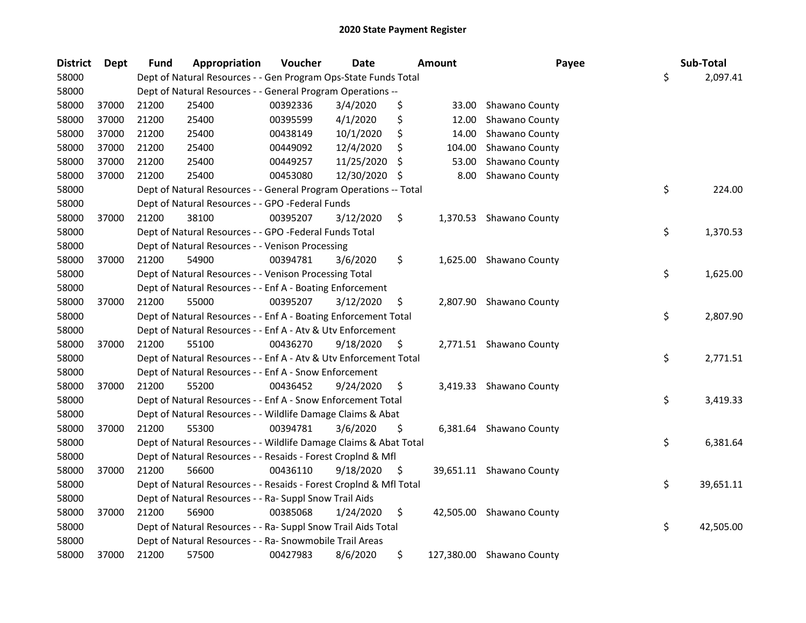| <b>District</b> | <b>Dept</b> | <b>Fund</b> | Appropriation                                                      | Voucher  | <b>Date</b> |     | <b>Amount</b> | Payee                     | Sub-Total       |
|-----------------|-------------|-------------|--------------------------------------------------------------------|----------|-------------|-----|---------------|---------------------------|-----------------|
| 58000           |             |             | Dept of Natural Resources - - Gen Program Ops-State Funds Total    |          |             |     |               |                           | \$<br>2,097.41  |
| 58000           |             |             | Dept of Natural Resources - - General Program Operations --        |          |             |     |               |                           |                 |
| 58000           | 37000       | 21200       | 25400                                                              | 00392336 | 3/4/2020    | \$  | 33.00         | Shawano County            |                 |
| 58000           | 37000       | 21200       | 25400                                                              | 00395599 | 4/1/2020    | \$  | 12.00         | Shawano County            |                 |
| 58000           | 37000       | 21200       | 25400                                                              | 00438149 | 10/1/2020   | \$  | 14.00         | Shawano County            |                 |
| 58000           | 37000       | 21200       | 25400                                                              | 00449092 | 12/4/2020   | \$  | 104.00        | Shawano County            |                 |
| 58000           | 37000       | 21200       | 25400                                                              | 00449257 | 11/25/2020  | S   | 53.00         | Shawano County            |                 |
| 58000           | 37000       | 21200       | 25400                                                              | 00453080 | 12/30/2020  | \$. | 8.00          | Shawano County            |                 |
| 58000           |             |             | Dept of Natural Resources - - General Program Operations -- Total  |          |             |     |               |                           | \$<br>224.00    |
| 58000           |             |             | Dept of Natural Resources - - GPO -Federal Funds                   |          |             |     |               |                           |                 |
| 58000           | 37000       | 21200       | 38100                                                              | 00395207 | 3/12/2020   | \$  |               | 1,370.53 Shawano County   |                 |
| 58000           |             |             | Dept of Natural Resources - - GPO -Federal Funds Total             |          |             |     |               |                           | \$<br>1,370.53  |
| 58000           |             |             | Dept of Natural Resources - - Venison Processing                   |          |             |     |               |                           |                 |
| 58000           | 37000       | 21200       | 54900                                                              | 00394781 | 3/6/2020    | \$  |               | 1,625.00 Shawano County   |                 |
| 58000           |             |             | Dept of Natural Resources - - Venison Processing Total             |          |             |     |               |                           | \$<br>1,625.00  |
| 58000           |             |             | Dept of Natural Resources - - Enf A - Boating Enforcement          |          |             |     |               |                           |                 |
| 58000           | 37000       | 21200       | 55000                                                              | 00395207 | 3/12/2020   | \$  |               | 2,807.90 Shawano County   |                 |
| 58000           |             |             | Dept of Natural Resources - - Enf A - Boating Enforcement Total    |          |             |     |               |                           | \$<br>2,807.90  |
| 58000           |             |             | Dept of Natural Resources - - Enf A - Atv & Utv Enforcement        |          |             |     |               |                           |                 |
| 58000           | 37000       | 21200       | 55100                                                              | 00436270 | 9/18/2020   | \$  |               | 2,771.51 Shawano County   |                 |
| 58000           |             |             | Dept of Natural Resources - - Enf A - Atv & Utv Enforcement Total  |          |             |     |               |                           | \$<br>2,771.51  |
| 58000           |             |             | Dept of Natural Resources - - Enf A - Snow Enforcement             |          |             |     |               |                           |                 |
| 58000           | 37000       | 21200       | 55200                                                              | 00436452 | 9/24/2020   | \$  |               | 3,419.33 Shawano County   |                 |
| 58000           |             |             | Dept of Natural Resources - - Enf A - Snow Enforcement Total       |          |             |     |               |                           | \$<br>3,419.33  |
| 58000           |             |             | Dept of Natural Resources - - Wildlife Damage Claims & Abat        |          |             |     |               |                           |                 |
| 58000           | 37000       | 21200       | 55300                                                              | 00394781 | 3/6/2020    | \$  |               | 6,381.64 Shawano County   |                 |
| 58000           |             |             | Dept of Natural Resources - - Wildlife Damage Claims & Abat Total  |          |             |     |               |                           | \$<br>6,381.64  |
| 58000           |             |             | Dept of Natural Resources - - Resaids - Forest Croplnd & Mfl       |          |             |     |               |                           |                 |
| 58000           | 37000       | 21200       | 56600                                                              | 00436110 | 9/18/2020   | \$  |               | 39,651.11 Shawano County  |                 |
| 58000           |             |             | Dept of Natural Resources - - Resaids - Forest CropInd & Mfl Total |          |             |     |               |                           | \$<br>39,651.11 |
| 58000           |             |             | Dept of Natural Resources - - Ra- Suppl Snow Trail Aids            |          |             |     |               |                           |                 |
| 58000           | 37000       | 21200       | 56900                                                              | 00385068 | 1/24/2020   | \$  |               | 42,505.00 Shawano County  |                 |
| 58000           |             |             | Dept of Natural Resources - - Ra- Suppl Snow Trail Aids Total      |          |             |     |               |                           | \$<br>42,505.00 |
| 58000           |             |             | Dept of Natural Resources - - Ra- Snowmobile Trail Areas           |          |             |     |               |                           |                 |
| 58000           | 37000       | 21200       | 57500                                                              | 00427983 | 8/6/2020    | \$  |               | 127,380.00 Shawano County |                 |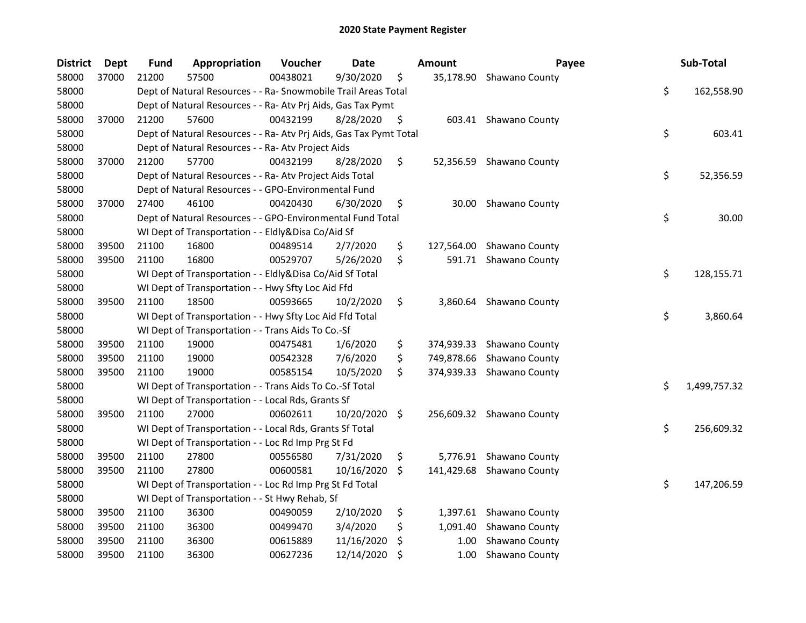| <b>District</b> | Dept  | <b>Fund</b> | Appropriation                                                      | Voucher  | Date       |         | <b>Amount</b> | Payee                     | Sub-Total          |
|-----------------|-------|-------------|--------------------------------------------------------------------|----------|------------|---------|---------------|---------------------------|--------------------|
| 58000           | 37000 | 21200       | 57500                                                              | 00438021 | 9/30/2020  | \$      |               | 35,178.90 Shawano County  |                    |
| 58000           |       |             | Dept of Natural Resources - - Ra- Snowmobile Trail Areas Total     |          |            |         |               |                           | \$<br>162,558.90   |
| 58000           |       |             | Dept of Natural Resources - - Ra- Atv Prj Aids, Gas Tax Pymt       |          |            |         |               |                           |                    |
| 58000           | 37000 | 21200       | 57600                                                              | 00432199 | 8/28/2020  | \$      |               | 603.41 Shawano County     |                    |
| 58000           |       |             | Dept of Natural Resources - - Ra- Atv Prj Aids, Gas Tax Pymt Total |          |            |         |               |                           | \$<br>603.41       |
| 58000           |       |             | Dept of Natural Resources - - Ra- Atv Project Aids                 |          |            |         |               |                           |                    |
| 58000           | 37000 | 21200       | 57700                                                              | 00432199 | 8/28/2020  | \$      |               | 52,356.59 Shawano County  |                    |
| 58000           |       |             | Dept of Natural Resources - - Ra- Atv Project Aids Total           |          |            |         |               |                           | \$<br>52,356.59    |
| 58000           |       |             | Dept of Natural Resources - - GPO-Environmental Fund               |          |            |         |               |                           |                    |
| 58000           | 37000 | 27400       | 46100                                                              | 00420430 | 6/30/2020  | \$      |               | 30.00 Shawano County      |                    |
| 58000           |       |             | Dept of Natural Resources - - GPO-Environmental Fund Total         |          |            |         |               |                           | \$<br>30.00        |
| 58000           |       |             | WI Dept of Transportation - - Eldly&Disa Co/Aid Sf                 |          |            |         |               |                           |                    |
| 58000           | 39500 | 21100       | 16800                                                              | 00489514 | 2/7/2020   | \$      | 127,564.00    | Shawano County            |                    |
| 58000           | 39500 | 21100       | 16800                                                              | 00529707 | 5/26/2020  | \$      |               | 591.71 Shawano County     |                    |
| 58000           |       |             | WI Dept of Transportation - - Eldly&Disa Co/Aid Sf Total           |          |            |         |               |                           | \$<br>128,155.71   |
| 58000           |       |             | WI Dept of Transportation - - Hwy Sfty Loc Aid Ffd                 |          |            |         |               |                           |                    |
| 58000           | 39500 | 21100       | 18500                                                              | 00593665 | 10/2/2020  | \$      | 3,860.64      | Shawano County            |                    |
| 58000           |       |             | WI Dept of Transportation - - Hwy Sfty Loc Aid Ffd Total           |          |            |         |               |                           | \$<br>3,860.64     |
| 58000           |       |             | WI Dept of Transportation - - Trans Aids To Co.-Sf                 |          |            |         |               |                           |                    |
| 58000           | 39500 | 21100       | 19000                                                              | 00475481 | 1/6/2020   | \$      | 374,939.33    | Shawano County            |                    |
| 58000           | 39500 | 21100       | 19000                                                              | 00542328 | 7/6/2020   | \$      |               | 749,878.66 Shawano County |                    |
| 58000           | 39500 | 21100       | 19000                                                              | 00585154 | 10/5/2020  | \$      |               | 374,939.33 Shawano County |                    |
| 58000           |       |             | WI Dept of Transportation - - Trans Aids To Co.-Sf Total           |          |            |         |               |                           | \$<br>1,499,757.32 |
| 58000           |       |             | WI Dept of Transportation - - Local Rds, Grants Sf                 |          |            |         |               |                           |                    |
| 58000           | 39500 | 21100       | 27000                                                              | 00602611 | 10/20/2020 | $\zeta$ |               | 256,609.32 Shawano County |                    |
| 58000           |       |             | WI Dept of Transportation - - Local Rds, Grants Sf Total           |          |            |         |               |                           | \$<br>256,609.32   |
| 58000           |       |             | WI Dept of Transportation - - Loc Rd Imp Prg St Fd                 |          |            |         |               |                           |                    |
| 58000           | 39500 | 21100       | 27800                                                              | 00556580 | 7/31/2020  | \$      |               | 5,776.91 Shawano County   |                    |
| 58000           | 39500 | 21100       | 27800                                                              | 00600581 | 10/16/2020 | \$.     |               | 141,429.68 Shawano County |                    |
| 58000           |       |             | WI Dept of Transportation - - Loc Rd Imp Prg St Fd Total           |          |            |         |               |                           | \$<br>147,206.59   |
| 58000           |       |             | WI Dept of Transportation - - St Hwy Rehab, Sf                     |          |            |         |               |                           |                    |
| 58000           | 39500 | 21100       | 36300                                                              | 00490059 | 2/10/2020  | \$      |               | 1,397.61 Shawano County   |                    |
| 58000           | 39500 | 21100       | 36300                                                              | 00499470 | 3/4/2020   | \$.     | 1,091.40      | Shawano County            |                    |
| 58000           | 39500 | 21100       | 36300                                                              | 00615889 | 11/16/2020 | \$      | 1.00          | Shawano County            |                    |
| 58000           | 39500 | 21100       | 36300                                                              | 00627236 | 12/14/2020 | \$      |               | 1.00 Shawano County       |                    |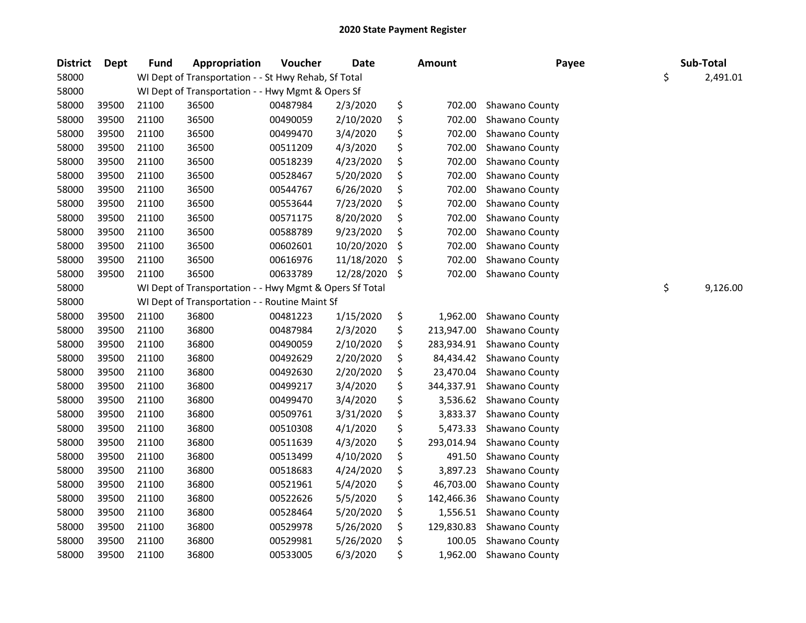| <b>District</b> | <b>Dept</b> | <b>Fund</b> | <b>Appropriation</b>                                    | Voucher  | <b>Date</b> | <b>Amount</b>    | Payee          | Sub-Total      |
|-----------------|-------------|-------------|---------------------------------------------------------|----------|-------------|------------------|----------------|----------------|
| 58000           |             |             | WI Dept of Transportation - - St Hwy Rehab, Sf Total    |          |             |                  |                | \$<br>2,491.01 |
| 58000           |             |             | WI Dept of Transportation - - Hwy Mgmt & Opers Sf       |          |             |                  |                |                |
| 58000           | 39500       | 21100       | 36500                                                   | 00487984 | 2/3/2020    | \$<br>702.00     | Shawano County |                |
| 58000           | 39500       | 21100       | 36500                                                   | 00490059 | 2/10/2020   | \$<br>702.00     | Shawano County |                |
| 58000           | 39500       | 21100       | 36500                                                   | 00499470 | 3/4/2020    | \$<br>702.00     | Shawano County |                |
| 58000           | 39500       | 21100       | 36500                                                   | 00511209 | 4/3/2020    | \$<br>702.00     | Shawano County |                |
| 58000           | 39500       | 21100       | 36500                                                   | 00518239 | 4/23/2020   | \$<br>702.00     | Shawano County |                |
| 58000           | 39500       | 21100       | 36500                                                   | 00528467 | 5/20/2020   | \$<br>702.00     | Shawano County |                |
| 58000           | 39500       | 21100       | 36500                                                   | 00544767 | 6/26/2020   | \$<br>702.00     | Shawano County |                |
| 58000           | 39500       | 21100       | 36500                                                   | 00553644 | 7/23/2020   | \$<br>702.00     | Shawano County |                |
| 58000           | 39500       | 21100       | 36500                                                   | 00571175 | 8/20/2020   | \$<br>702.00     | Shawano County |                |
| 58000           | 39500       | 21100       | 36500                                                   | 00588789 | 9/23/2020   | \$<br>702.00     | Shawano County |                |
| 58000           | 39500       | 21100       | 36500                                                   | 00602601 | 10/20/2020  | \$<br>702.00     | Shawano County |                |
| 58000           | 39500       | 21100       | 36500                                                   | 00616976 | 11/18/2020  | \$<br>702.00     | Shawano County |                |
| 58000           | 39500       | 21100       | 36500                                                   | 00633789 | 12/28/2020  | \$<br>702.00     | Shawano County |                |
| 58000           |             |             | WI Dept of Transportation - - Hwy Mgmt & Opers Sf Total |          |             |                  |                | \$<br>9,126.00 |
| 58000           |             |             | WI Dept of Transportation - - Routine Maint Sf          |          |             |                  |                |                |
| 58000           | 39500       | 21100       | 36800                                                   | 00481223 | 1/15/2020   | \$<br>1,962.00   | Shawano County |                |
| 58000           | 39500       | 21100       | 36800                                                   | 00487984 | 2/3/2020    | \$<br>213,947.00 | Shawano County |                |
| 58000           | 39500       | 21100       | 36800                                                   | 00490059 | 2/10/2020   | \$<br>283,934.91 | Shawano County |                |
| 58000           | 39500       | 21100       | 36800                                                   | 00492629 | 2/20/2020   | \$<br>84,434.42  | Shawano County |                |
| 58000           | 39500       | 21100       | 36800                                                   | 00492630 | 2/20/2020   | \$<br>23,470.04  | Shawano County |                |
| 58000           | 39500       | 21100       | 36800                                                   | 00499217 | 3/4/2020    | \$<br>344,337.91 | Shawano County |                |
| 58000           | 39500       | 21100       | 36800                                                   | 00499470 | 3/4/2020    | \$<br>3,536.62   | Shawano County |                |
| 58000           | 39500       | 21100       | 36800                                                   | 00509761 | 3/31/2020   | \$<br>3,833.37   | Shawano County |                |
| 58000           | 39500       | 21100       | 36800                                                   | 00510308 | 4/1/2020    | \$<br>5,473.33   | Shawano County |                |
| 58000           | 39500       | 21100       | 36800                                                   | 00511639 | 4/3/2020    | \$<br>293,014.94 | Shawano County |                |
| 58000           | 39500       | 21100       | 36800                                                   | 00513499 | 4/10/2020   | \$<br>491.50     | Shawano County |                |
| 58000           | 39500       | 21100       | 36800                                                   | 00518683 | 4/24/2020   | \$<br>3,897.23   | Shawano County |                |
| 58000           | 39500       | 21100       | 36800                                                   | 00521961 | 5/4/2020    | \$<br>46,703.00  | Shawano County |                |
| 58000           | 39500       | 21100       | 36800                                                   | 00522626 | 5/5/2020    | \$<br>142,466.36 | Shawano County |                |
| 58000           | 39500       | 21100       | 36800                                                   | 00528464 | 5/20/2020   | \$<br>1,556.51   | Shawano County |                |
| 58000           | 39500       | 21100       | 36800                                                   | 00529978 | 5/26/2020   | \$<br>129,830.83 | Shawano County |                |
| 58000           | 39500       | 21100       | 36800                                                   | 00529981 | 5/26/2020   | \$<br>100.05     | Shawano County |                |
| 58000           | 39500       | 21100       | 36800                                                   | 00533005 | 6/3/2020    | \$<br>1,962.00   | Shawano County |                |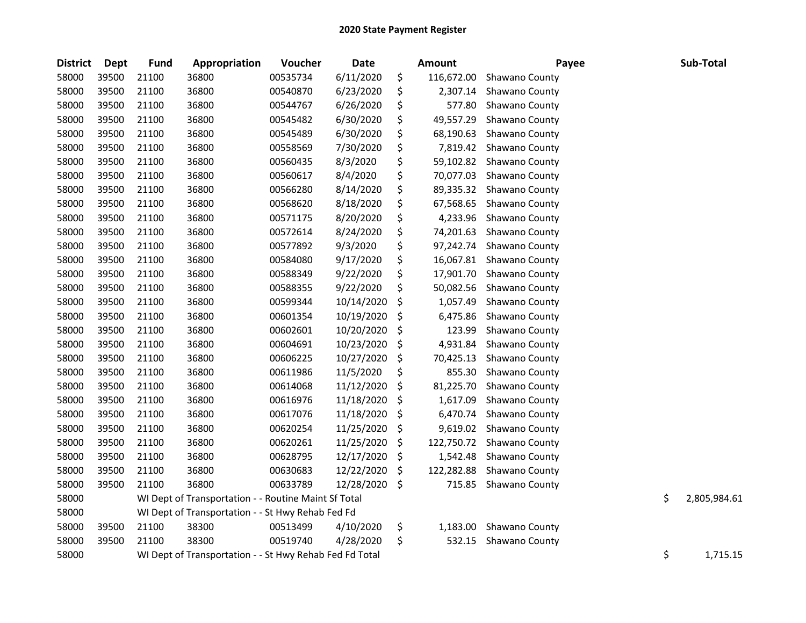| <b>District</b> | Dept  | Fund  | Appropriation                                           | Voucher  | <b>Date</b> | Amount           | Payee          | Sub-Total          |
|-----------------|-------|-------|---------------------------------------------------------|----------|-------------|------------------|----------------|--------------------|
| 58000           | 39500 | 21100 | 36800                                                   | 00535734 | 6/11/2020   | \$<br>116,672.00 | Shawano County |                    |
| 58000           | 39500 | 21100 | 36800                                                   | 00540870 | 6/23/2020   | \$<br>2,307.14   | Shawano County |                    |
| 58000           | 39500 | 21100 | 36800                                                   | 00544767 | 6/26/2020   | \$<br>577.80     | Shawano County |                    |
| 58000           | 39500 | 21100 | 36800                                                   | 00545482 | 6/30/2020   | \$<br>49,557.29  | Shawano County |                    |
| 58000           | 39500 | 21100 | 36800                                                   | 00545489 | 6/30/2020   | \$<br>68,190.63  | Shawano County |                    |
| 58000           | 39500 | 21100 | 36800                                                   | 00558569 | 7/30/2020   | \$<br>7,819.42   | Shawano County |                    |
| 58000           | 39500 | 21100 | 36800                                                   | 00560435 | 8/3/2020    | \$<br>59,102.82  | Shawano County |                    |
| 58000           | 39500 | 21100 | 36800                                                   | 00560617 | 8/4/2020    | \$<br>70,077.03  | Shawano County |                    |
| 58000           | 39500 | 21100 | 36800                                                   | 00566280 | 8/14/2020   | \$<br>89,335.32  | Shawano County |                    |
| 58000           | 39500 | 21100 | 36800                                                   | 00568620 | 8/18/2020   | \$<br>67,568.65  | Shawano County |                    |
| 58000           | 39500 | 21100 | 36800                                                   | 00571175 | 8/20/2020   | \$<br>4,233.96   | Shawano County |                    |
| 58000           | 39500 | 21100 | 36800                                                   | 00572614 | 8/24/2020   | \$<br>74,201.63  | Shawano County |                    |
| 58000           | 39500 | 21100 | 36800                                                   | 00577892 | 9/3/2020    | \$<br>97,242.74  | Shawano County |                    |
| 58000           | 39500 | 21100 | 36800                                                   | 00584080 | 9/17/2020   | \$<br>16,067.81  | Shawano County |                    |
| 58000           | 39500 | 21100 | 36800                                                   | 00588349 | 9/22/2020   | \$<br>17,901.70  | Shawano County |                    |
| 58000           | 39500 | 21100 | 36800                                                   | 00588355 | 9/22/2020   | \$<br>50,082.56  | Shawano County |                    |
| 58000           | 39500 | 21100 | 36800                                                   | 00599344 | 10/14/2020  | \$<br>1,057.49   | Shawano County |                    |
| 58000           | 39500 | 21100 | 36800                                                   | 00601354 | 10/19/2020  | \$<br>6,475.86   | Shawano County |                    |
| 58000           | 39500 | 21100 | 36800                                                   | 00602601 | 10/20/2020  | \$<br>123.99     | Shawano County |                    |
| 58000           | 39500 | 21100 | 36800                                                   | 00604691 | 10/23/2020  | \$<br>4,931.84   | Shawano County |                    |
| 58000           | 39500 | 21100 | 36800                                                   | 00606225 | 10/27/2020  | \$<br>70,425.13  | Shawano County |                    |
| 58000           | 39500 | 21100 | 36800                                                   | 00611986 | 11/5/2020   | \$<br>855.30     | Shawano County |                    |
| 58000           | 39500 | 21100 | 36800                                                   | 00614068 | 11/12/2020  | \$<br>81,225.70  | Shawano County |                    |
| 58000           | 39500 | 21100 | 36800                                                   | 00616976 | 11/18/2020  | \$<br>1,617.09   | Shawano County |                    |
| 58000           | 39500 | 21100 | 36800                                                   | 00617076 | 11/18/2020  | \$<br>6,470.74   | Shawano County |                    |
| 58000           | 39500 | 21100 | 36800                                                   | 00620254 | 11/25/2020  | \$<br>9,619.02   | Shawano County |                    |
| 58000           | 39500 | 21100 | 36800                                                   | 00620261 | 11/25/2020  | \$<br>122,750.72 | Shawano County |                    |
| 58000           | 39500 | 21100 | 36800                                                   | 00628795 | 12/17/2020  | \$<br>1,542.48   | Shawano County |                    |
| 58000           | 39500 | 21100 | 36800                                                   | 00630683 | 12/22/2020  | \$<br>122,282.88 | Shawano County |                    |
| 58000           | 39500 | 21100 | 36800                                                   | 00633789 | 12/28/2020  | \$<br>715.85     | Shawano County |                    |
| 58000           |       |       | WI Dept of Transportation - - Routine Maint Sf Total    |          |             |                  |                | \$<br>2,805,984.61 |
| 58000           |       |       | WI Dept of Transportation - - St Hwy Rehab Fed Fd       |          |             |                  |                |                    |
| 58000           | 39500 | 21100 | 38300                                                   | 00513499 | 4/10/2020   | \$<br>1,183.00   | Shawano County |                    |
| 58000           | 39500 | 21100 | 38300                                                   | 00519740 | 4/28/2020   | \$<br>532.15     | Shawano County |                    |
| 58000           |       |       | WI Dept of Transportation - - St Hwy Rehab Fed Fd Total |          |             |                  |                | \$<br>1,715.15     |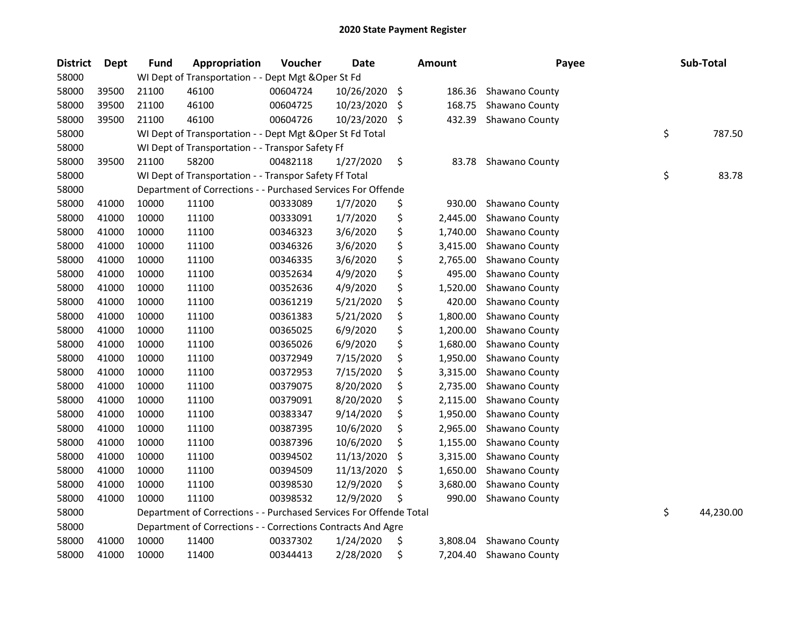| <b>District</b> | <b>Dept</b> | <b>Fund</b> | <b>Appropriation</b>                                               | Voucher  | <b>Date</b> |     | <b>Amount</b> | Payee          | Sub-Total       |
|-----------------|-------------|-------------|--------------------------------------------------------------------|----------|-------------|-----|---------------|----------------|-----------------|
| 58000           |             |             | WI Dept of Transportation - - Dept Mgt & Oper St Fd                |          |             |     |               |                |                 |
| 58000           | 39500       | 21100       | 46100                                                              | 00604724 | 10/26/2020  | \$  | 186.36        | Shawano County |                 |
| 58000           | 39500       | 21100       | 46100                                                              | 00604725 | 10/23/2020  | \$. | 168.75        | Shawano County |                 |
| 58000           | 39500       | 21100       | 46100                                                              | 00604726 | 10/23/2020  | \$  | 432.39        | Shawano County |                 |
| 58000           |             |             | WI Dept of Transportation - - Dept Mgt & Oper St Fd Total          |          |             |     |               |                | \$<br>787.50    |
| 58000           |             |             | WI Dept of Transportation - - Transpor Safety Ff                   |          |             |     |               |                |                 |
| 58000           | 39500       | 21100       | 58200                                                              | 00482118 | 1/27/2020   | \$  | 83.78         | Shawano County |                 |
| 58000           |             |             | WI Dept of Transportation - - Transpor Safety Ff Total             |          |             |     |               |                | \$<br>83.78     |
| 58000           |             |             | Department of Corrections - - Purchased Services For Offende       |          |             |     |               |                |                 |
| 58000           | 41000       | 10000       | 11100                                                              | 00333089 | 1/7/2020    | \$  | 930.00        | Shawano County |                 |
| 58000           | 41000       | 10000       | 11100                                                              | 00333091 | 1/7/2020    | \$  | 2,445.00      | Shawano County |                 |
| 58000           | 41000       | 10000       | 11100                                                              | 00346323 | 3/6/2020    | \$  | 1,740.00      | Shawano County |                 |
| 58000           | 41000       | 10000       | 11100                                                              | 00346326 | 3/6/2020    | \$  | 3,415.00      | Shawano County |                 |
| 58000           | 41000       | 10000       | 11100                                                              | 00346335 | 3/6/2020    | \$  | 2,765.00      | Shawano County |                 |
| 58000           | 41000       | 10000       | 11100                                                              | 00352634 | 4/9/2020    | \$  | 495.00        | Shawano County |                 |
| 58000           | 41000       | 10000       | 11100                                                              | 00352636 | 4/9/2020    | \$  | 1,520.00      | Shawano County |                 |
| 58000           | 41000       | 10000       | 11100                                                              | 00361219 | 5/21/2020   | \$  | 420.00        | Shawano County |                 |
| 58000           | 41000       | 10000       | 11100                                                              | 00361383 | 5/21/2020   | \$  | 1,800.00      | Shawano County |                 |
| 58000           | 41000       | 10000       | 11100                                                              | 00365025 | 6/9/2020    | \$  | 1,200.00      | Shawano County |                 |
| 58000           | 41000       | 10000       | 11100                                                              | 00365026 | 6/9/2020    | \$  | 1,680.00      | Shawano County |                 |
| 58000           | 41000       | 10000       | 11100                                                              | 00372949 | 7/15/2020   | \$  | 1,950.00      | Shawano County |                 |
| 58000           | 41000       | 10000       | 11100                                                              | 00372953 | 7/15/2020   | \$  | 3,315.00      | Shawano County |                 |
| 58000           | 41000       | 10000       | 11100                                                              | 00379075 | 8/20/2020   | \$  | 2,735.00      | Shawano County |                 |
| 58000           | 41000       | 10000       | 11100                                                              | 00379091 | 8/20/2020   | \$  | 2,115.00      | Shawano County |                 |
| 58000           | 41000       | 10000       | 11100                                                              | 00383347 | 9/14/2020   | \$  | 1,950.00      | Shawano County |                 |
| 58000           | 41000       | 10000       | 11100                                                              | 00387395 | 10/6/2020   | \$  | 2,965.00      | Shawano County |                 |
| 58000           | 41000       | 10000       | 11100                                                              | 00387396 | 10/6/2020   | \$  | 1,155.00      | Shawano County |                 |
| 58000           | 41000       | 10000       | 11100                                                              | 00394502 | 11/13/2020  | \$  | 3,315.00      | Shawano County |                 |
| 58000           | 41000       | 10000       | 11100                                                              | 00394509 | 11/13/2020  | \$  | 1,650.00      | Shawano County |                 |
| 58000           | 41000       | 10000       | 11100                                                              | 00398530 | 12/9/2020   | \$  | 3,680.00      | Shawano County |                 |
| 58000           | 41000       | 10000       | 11100                                                              | 00398532 | 12/9/2020   | \$  | 990.00        | Shawano County |                 |
| 58000           |             |             | Department of Corrections - - Purchased Services For Offende Total |          |             |     |               |                | \$<br>44,230.00 |
| 58000           |             |             | Department of Corrections - - Corrections Contracts And Agre       |          |             |     |               |                |                 |
| 58000           | 41000       | 10000       | 11400                                                              | 00337302 | 1/24/2020   | \$  | 3,808.04      | Shawano County |                 |
| 58000           | 41000       | 10000       | 11400                                                              | 00344413 | 2/28/2020   | \$  | 7,204.40      | Shawano County |                 |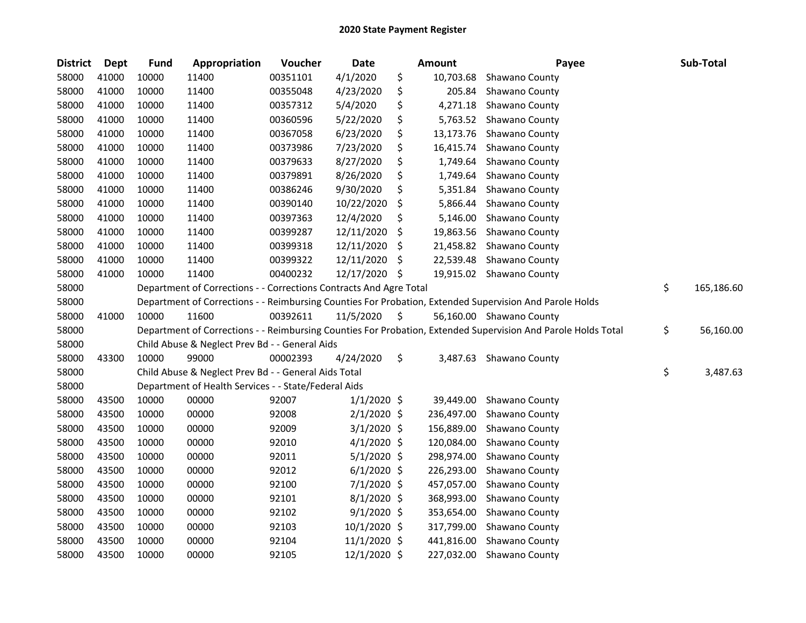| <b>District</b> | Dept  | <b>Fund</b> | Appropriation                                                      | Voucher  | Date          |     | Amount     | Payee                                                                                                         | Sub-Total        |
|-----------------|-------|-------------|--------------------------------------------------------------------|----------|---------------|-----|------------|---------------------------------------------------------------------------------------------------------------|------------------|
| 58000           | 41000 | 10000       | 11400                                                              | 00351101 | 4/1/2020      | \$  | 10,703.68  | Shawano County                                                                                                |                  |
| 58000           | 41000 | 10000       | 11400                                                              | 00355048 | 4/23/2020     | \$  | 205.84     | Shawano County                                                                                                |                  |
| 58000           | 41000 | 10000       | 11400                                                              | 00357312 | 5/4/2020      | \$  | 4,271.18   | Shawano County                                                                                                |                  |
| 58000           | 41000 | 10000       | 11400                                                              | 00360596 | 5/22/2020     | \$  | 5,763.52   | Shawano County                                                                                                |                  |
| 58000           | 41000 | 10000       | 11400                                                              | 00367058 | 6/23/2020     | \$  | 13,173.76  | Shawano County                                                                                                |                  |
| 58000           | 41000 | 10000       | 11400                                                              | 00373986 | 7/23/2020     | \$  | 16,415.74  | Shawano County                                                                                                |                  |
| 58000           | 41000 | 10000       | 11400                                                              | 00379633 | 8/27/2020     | \$  | 1,749.64   | Shawano County                                                                                                |                  |
| 58000           | 41000 | 10000       | 11400                                                              | 00379891 | 8/26/2020     | \$  | 1,749.64   | Shawano County                                                                                                |                  |
| 58000           | 41000 | 10000       | 11400                                                              | 00386246 | 9/30/2020     | \$  | 5,351.84   | Shawano County                                                                                                |                  |
| 58000           | 41000 | 10000       | 11400                                                              | 00390140 | 10/22/2020    | \$  | 5,866.44   | Shawano County                                                                                                |                  |
| 58000           | 41000 | 10000       | 11400                                                              | 00397363 | 12/4/2020     | \$  | 5,146.00   | Shawano County                                                                                                |                  |
| 58000           | 41000 | 10000       | 11400                                                              | 00399287 | 12/11/2020    | \$  | 19,863.56  | Shawano County                                                                                                |                  |
| 58000           | 41000 | 10000       | 11400                                                              | 00399318 | 12/11/2020    | \$  | 21,458.82  | Shawano County                                                                                                |                  |
| 58000           | 41000 | 10000       | 11400                                                              | 00399322 | 12/11/2020    | \$. | 22,539.48  | Shawano County                                                                                                |                  |
| 58000           | 41000 | 10000       | 11400                                                              | 00400232 | 12/17/2020    | \$  |            | 19,915.02 Shawano County                                                                                      |                  |
| 58000           |       |             | Department of Corrections - - Corrections Contracts And Agre Total |          |               |     |            |                                                                                                               | \$<br>165,186.60 |
| 58000           |       |             |                                                                    |          |               |     |            | Department of Corrections - - Reimbursing Counties For Probation, Extended Supervision And Parole Holds       |                  |
| 58000           | 41000 | 10000       | 11600                                                              | 00392611 | 11/5/2020     | \$  |            | 56,160.00 Shawano County                                                                                      |                  |
| 58000           |       |             |                                                                    |          |               |     |            | Department of Corrections - - Reimbursing Counties For Probation, Extended Supervision And Parole Holds Total | \$<br>56,160.00  |
| 58000           |       |             | Child Abuse & Neglect Prev Bd - - General Aids                     |          |               |     |            |                                                                                                               |                  |
| 58000           | 43300 | 10000       | 99000                                                              | 00002393 | 4/24/2020     | \$  | 3,487.63   | Shawano County                                                                                                |                  |
| 58000           |       |             | Child Abuse & Neglect Prev Bd - - General Aids Total               |          |               |     |            |                                                                                                               | \$<br>3,487.63   |
| 58000           |       |             | Department of Health Services - - State/Federal Aids               |          |               |     |            |                                                                                                               |                  |
| 58000           | 43500 | 10000       | 00000                                                              | 92007    | $1/1/2020$ \$ |     | 39,449.00  | Shawano County                                                                                                |                  |
| 58000           | 43500 | 10000       | 00000                                                              | 92008    | $2/1/2020$ \$ |     | 236,497.00 | Shawano County                                                                                                |                  |
| 58000           | 43500 | 10000       | 00000                                                              | 92009    | $3/1/2020$ \$ |     | 156,889.00 | Shawano County                                                                                                |                  |
| 58000           | 43500 | 10000       | 00000                                                              | 92010    | $4/1/2020$ \$ |     | 120,084.00 | Shawano County                                                                                                |                  |
| 58000           | 43500 | 10000       | 00000                                                              | 92011    | $5/1/2020$ \$ |     | 298,974.00 | Shawano County                                                                                                |                  |
| 58000           | 43500 | 10000       | 00000                                                              | 92012    | $6/1/2020$ \$ |     | 226,293.00 | Shawano County                                                                                                |                  |
| 58000           | 43500 | 10000       | 00000                                                              | 92100    | 7/1/2020 \$   |     | 457,057.00 | Shawano County                                                                                                |                  |
| 58000           | 43500 | 10000       | 00000                                                              | 92101    | $8/1/2020$ \$ |     | 368,993.00 | Shawano County                                                                                                |                  |
| 58000           | 43500 | 10000       | 00000                                                              | 92102    | $9/1/2020$ \$ |     | 353,654.00 | Shawano County                                                                                                |                  |
| 58000           | 43500 | 10000       | 00000                                                              | 92103    | 10/1/2020 \$  |     | 317,799.00 | Shawano County                                                                                                |                  |
| 58000           | 43500 | 10000       | 00000                                                              | 92104    | 11/1/2020 \$  |     | 441,816.00 | Shawano County                                                                                                |                  |
| 58000           | 43500 | 10000       | 00000                                                              | 92105    | 12/1/2020 \$  |     | 227,032.00 | Shawano County                                                                                                |                  |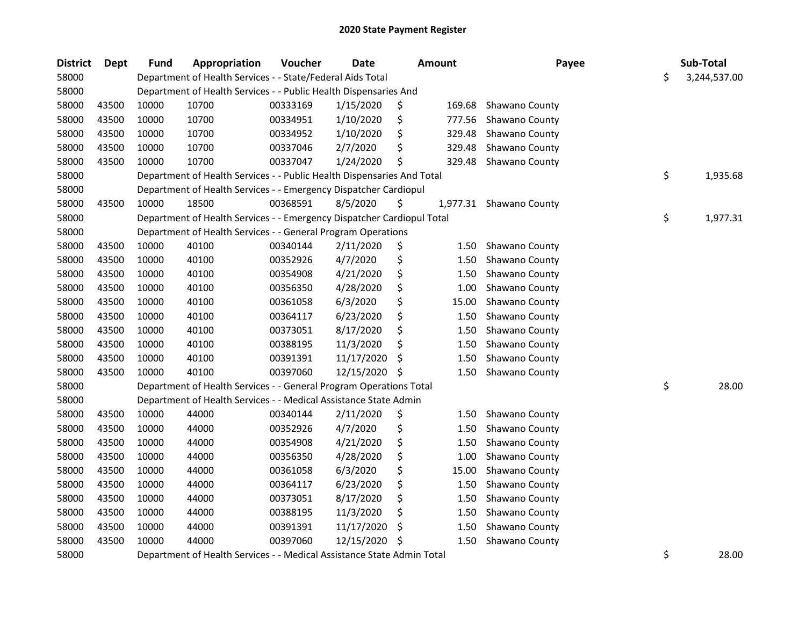| <b>District</b> | <b>Dept</b> | <b>Fund</b> | Appropriation                                                          | Voucher  | <b>Date</b> |     | <b>Amount</b> | Payee                   | Sub-Total          |
|-----------------|-------------|-------------|------------------------------------------------------------------------|----------|-------------|-----|---------------|-------------------------|--------------------|
| 58000           |             |             | Department of Health Services - - State/Federal Aids Total             |          |             |     |               |                         | \$<br>3,244,537.00 |
| 58000           |             |             | Department of Health Services - - Public Health Dispensaries And       |          |             |     |               |                         |                    |
| 58000           | 43500       | 10000       | 10700                                                                  | 00333169 | 1/15/2020   | \$  | 169.68        | Shawano County          |                    |
| 58000           | 43500       | 10000       | 10700                                                                  | 00334951 | 1/10/2020   | \$  | 777.56        | Shawano County          |                    |
| 58000           | 43500       | 10000       | 10700                                                                  | 00334952 | 1/10/2020   | \$  | 329.48        | Shawano County          |                    |
| 58000           | 43500       | 10000       | 10700                                                                  | 00337046 | 2/7/2020    | \$  | 329.48        | Shawano County          |                    |
| 58000           | 43500       | 10000       | 10700                                                                  | 00337047 | 1/24/2020   | \$  | 329.48        | Shawano County          |                    |
| 58000           |             |             | Department of Health Services - - Public Health Dispensaries And Total |          |             |     |               |                         | \$<br>1,935.68     |
| 58000           |             |             | Department of Health Services - - Emergency Dispatcher Cardiopul       |          |             |     |               |                         |                    |
| 58000           | 43500       | 10000       | 18500                                                                  | 00368591 | 8/5/2020    | \$  |               | 1,977.31 Shawano County |                    |
| 58000           |             |             | Department of Health Services - - Emergency Dispatcher Cardiopul Total |          |             |     |               |                         | \$<br>1,977.31     |
| 58000           |             |             | Department of Health Services - - General Program Operations           |          |             |     |               |                         |                    |
| 58000           | 43500       | 10000       | 40100                                                                  | 00340144 | 2/11/2020   | \$  | 1.50          | Shawano County          |                    |
| 58000           | 43500       | 10000       | 40100                                                                  | 00352926 | 4/7/2020    | \$  | 1.50          | Shawano County          |                    |
| 58000           | 43500       | 10000       | 40100                                                                  | 00354908 | 4/21/2020   | \$  | 1.50          | Shawano County          |                    |
| 58000           | 43500       | 10000       | 40100                                                                  | 00356350 | 4/28/2020   | \$  | 1.00          | Shawano County          |                    |
| 58000           | 43500       | 10000       | 40100                                                                  | 00361058 | 6/3/2020    | \$  | 15.00         | Shawano County          |                    |
| 58000           | 43500       | 10000       | 40100                                                                  | 00364117 | 6/23/2020   | \$  | 1.50          | Shawano County          |                    |
| 58000           | 43500       | 10000       | 40100                                                                  | 00373051 | 8/17/2020   | \$  | 1.50          | Shawano County          |                    |
| 58000           | 43500       | 10000       | 40100                                                                  | 00388195 | 11/3/2020   | \$  | 1.50          | Shawano County          |                    |
| 58000           | 43500       | 10000       | 40100                                                                  | 00391391 | 11/17/2020  | \$, | 1.50          | Shawano County          |                    |
| 58000           | 43500       | 10000       | 40100                                                                  | 00397060 | 12/15/2020  | \$  | 1.50          | Shawano County          |                    |
| 58000           |             |             | Department of Health Services - - General Program Operations Total     |          |             |     |               |                         | \$<br>28.00        |
| 58000           |             |             | Department of Health Services - - Medical Assistance State Admin       |          |             |     |               |                         |                    |
| 58000           | 43500       | 10000       | 44000                                                                  | 00340144 | 2/11/2020   | \$  | 1.50          | Shawano County          |                    |
| 58000           | 43500       | 10000       | 44000                                                                  | 00352926 | 4/7/2020    | \$  | 1.50          | Shawano County          |                    |
| 58000           | 43500       | 10000       | 44000                                                                  | 00354908 | 4/21/2020   | \$  | 1.50          | Shawano County          |                    |
| 58000           | 43500       | 10000       | 44000                                                                  | 00356350 | 4/28/2020   | \$  | 1.00          | Shawano County          |                    |
| 58000           | 43500       | 10000       | 44000                                                                  | 00361058 | 6/3/2020    | \$  | 15.00         | Shawano County          |                    |
| 58000           | 43500       | 10000       | 44000                                                                  | 00364117 | 6/23/2020   | \$  | 1.50          | Shawano County          |                    |
| 58000           | 43500       | 10000       | 44000                                                                  | 00373051 | 8/17/2020   | \$  | 1.50          | Shawano County          |                    |
| 58000           | 43500       | 10000       | 44000                                                                  | 00388195 | 11/3/2020   | \$  | 1.50          | Shawano County          |                    |
| 58000           | 43500       | 10000       | 44000                                                                  | 00391391 | 11/17/2020  | \$  | 1.50          | Shawano County          |                    |
| 58000           | 43500       | 10000       | 44000                                                                  | 00397060 | 12/15/2020  | \$  | 1.50          | Shawano County          |                    |
| 58000           |             |             | Department of Health Services - - Medical Assistance State Admin Total |          |             |     |               |                         | \$<br>28.00        |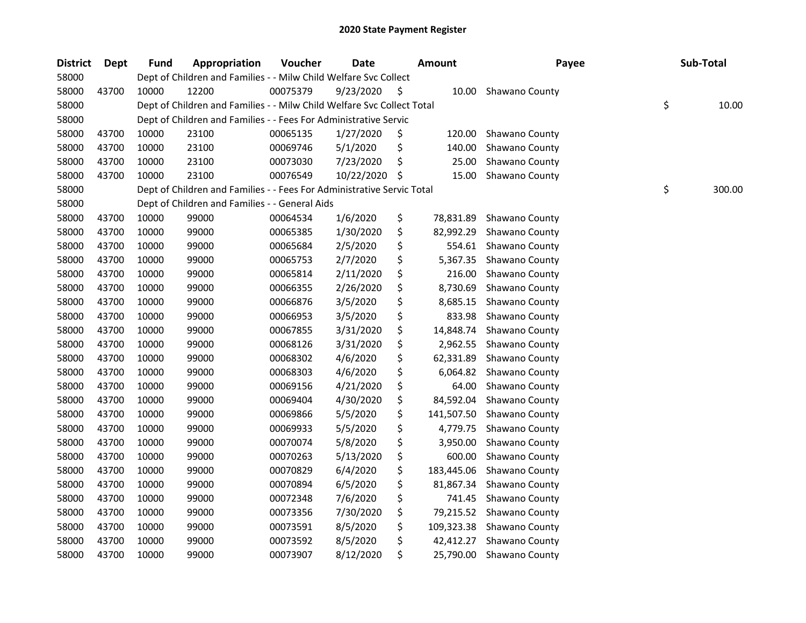| <b>District</b> | Dept  | Fund  | Appropriation                                                          | Voucher  | <b>Date</b> | <b>Amount</b>    | Payee                 | Sub-Total    |
|-----------------|-------|-------|------------------------------------------------------------------------|----------|-------------|------------------|-----------------------|--------------|
| 58000           |       |       | Dept of Children and Families - - Milw Child Welfare Svc Collect       |          |             |                  |                       |              |
| 58000           | 43700 | 10000 | 12200                                                                  | 00075379 | 9/23/2020   | \$<br>10.00      | Shawano County        |              |
| 58000           |       |       | Dept of Children and Families - - Milw Child Welfare Svc Collect Total |          |             |                  |                       | \$<br>10.00  |
| 58000           |       |       | Dept of Children and Families - - Fees For Administrative Servic       |          |             |                  |                       |              |
| 58000           | 43700 | 10000 | 23100                                                                  | 00065135 | 1/27/2020   | \$<br>120.00     | Shawano County        |              |
| 58000           | 43700 | 10000 | 23100                                                                  | 00069746 | 5/1/2020    | \$<br>140.00     | Shawano County        |              |
| 58000           | 43700 | 10000 | 23100                                                                  | 00073030 | 7/23/2020   | \$<br>25.00      | Shawano County        |              |
| 58000           | 43700 | 10000 | 23100                                                                  | 00076549 | 10/22/2020  | \$<br>15.00      | Shawano County        |              |
| 58000           |       |       | Dept of Children and Families - - Fees For Administrative Servic Total |          |             |                  |                       | \$<br>300.00 |
| 58000           |       |       | Dept of Children and Families - - General Aids                         |          |             |                  |                       |              |
| 58000           | 43700 | 10000 | 99000                                                                  | 00064534 | 1/6/2020    | \$<br>78,831.89  | <b>Shawano County</b> |              |
| 58000           | 43700 | 10000 | 99000                                                                  | 00065385 | 1/30/2020   | \$<br>82,992.29  | Shawano County        |              |
| 58000           | 43700 | 10000 | 99000                                                                  | 00065684 | 2/5/2020    | \$<br>554.61     | Shawano County        |              |
| 58000           | 43700 | 10000 | 99000                                                                  | 00065753 | 2/7/2020    | \$<br>5,367.35   | Shawano County        |              |
| 58000           | 43700 | 10000 | 99000                                                                  | 00065814 | 2/11/2020   | \$<br>216.00     | Shawano County        |              |
| 58000           | 43700 | 10000 | 99000                                                                  | 00066355 | 2/26/2020   | \$<br>8,730.69   | Shawano County        |              |
| 58000           | 43700 | 10000 | 99000                                                                  | 00066876 | 3/5/2020    | \$<br>8,685.15   | Shawano County        |              |
| 58000           | 43700 | 10000 | 99000                                                                  | 00066953 | 3/5/2020    | \$<br>833.98     | Shawano County        |              |
| 58000           | 43700 | 10000 | 99000                                                                  | 00067855 | 3/31/2020   | \$<br>14,848.74  | Shawano County        |              |
| 58000           | 43700 | 10000 | 99000                                                                  | 00068126 | 3/31/2020   | \$<br>2,962.55   | Shawano County        |              |
| 58000           | 43700 | 10000 | 99000                                                                  | 00068302 | 4/6/2020    | \$<br>62,331.89  | Shawano County        |              |
| 58000           | 43700 | 10000 | 99000                                                                  | 00068303 | 4/6/2020    | \$<br>6,064.82   | Shawano County        |              |
| 58000           | 43700 | 10000 | 99000                                                                  | 00069156 | 4/21/2020   | \$<br>64.00      | Shawano County        |              |
| 58000           | 43700 | 10000 | 99000                                                                  | 00069404 | 4/30/2020   | \$<br>84,592.04  | Shawano County        |              |
| 58000           | 43700 | 10000 | 99000                                                                  | 00069866 | 5/5/2020    | \$<br>141,507.50 | Shawano County        |              |
| 58000           | 43700 | 10000 | 99000                                                                  | 00069933 | 5/5/2020    | \$<br>4,779.75   | Shawano County        |              |
| 58000           | 43700 | 10000 | 99000                                                                  | 00070074 | 5/8/2020    | \$<br>3,950.00   | Shawano County        |              |
| 58000           | 43700 | 10000 | 99000                                                                  | 00070263 | 5/13/2020   | \$<br>600.00     | Shawano County        |              |
| 58000           | 43700 | 10000 | 99000                                                                  | 00070829 | 6/4/2020    | \$<br>183,445.06 | Shawano County        |              |
| 58000           | 43700 | 10000 | 99000                                                                  | 00070894 | 6/5/2020    | \$<br>81,867.34  | Shawano County        |              |
| 58000           | 43700 | 10000 | 99000                                                                  | 00072348 | 7/6/2020    | \$<br>741.45     | Shawano County        |              |
| 58000           | 43700 | 10000 | 99000                                                                  | 00073356 | 7/30/2020   | \$<br>79,215.52  | Shawano County        |              |
| 58000           | 43700 | 10000 | 99000                                                                  | 00073591 | 8/5/2020    | \$<br>109,323.38 | Shawano County        |              |
| 58000           | 43700 | 10000 | 99000                                                                  | 00073592 | 8/5/2020    | \$<br>42,412.27  | Shawano County        |              |
| 58000           | 43700 | 10000 | 99000                                                                  | 00073907 | 8/12/2020   | \$<br>25,790.00  | Shawano County        |              |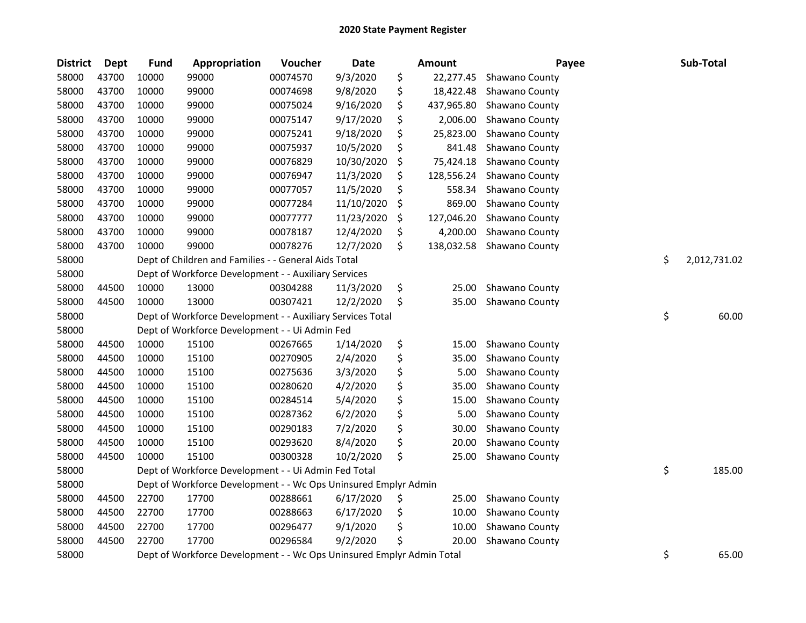| <b>District</b> | <b>Dept</b> | <b>Fund</b> | Appropriation                                                         | Voucher  | Date       | <b>Amount</b>    | Payee          | Sub-Total          |
|-----------------|-------------|-------------|-----------------------------------------------------------------------|----------|------------|------------------|----------------|--------------------|
| 58000           | 43700       | 10000       | 99000                                                                 | 00074570 | 9/3/2020   | \$<br>22,277.45  | Shawano County |                    |
| 58000           | 43700       | 10000       | 99000                                                                 | 00074698 | 9/8/2020   | \$<br>18,422.48  | Shawano County |                    |
| 58000           | 43700       | 10000       | 99000                                                                 | 00075024 | 9/16/2020  | \$<br>437,965.80 | Shawano County |                    |
| 58000           | 43700       | 10000       | 99000                                                                 | 00075147 | 9/17/2020  | \$<br>2,006.00   | Shawano County |                    |
| 58000           | 43700       | 10000       | 99000                                                                 | 00075241 | 9/18/2020  | \$<br>25,823.00  | Shawano County |                    |
| 58000           | 43700       | 10000       | 99000                                                                 | 00075937 | 10/5/2020  | \$<br>841.48     | Shawano County |                    |
| 58000           | 43700       | 10000       | 99000                                                                 | 00076829 | 10/30/2020 | \$<br>75,424.18  | Shawano County |                    |
| 58000           | 43700       | 10000       | 99000                                                                 | 00076947 | 11/3/2020  | \$<br>128,556.24 | Shawano County |                    |
| 58000           | 43700       | 10000       | 99000                                                                 | 00077057 | 11/5/2020  | \$<br>558.34     | Shawano County |                    |
| 58000           | 43700       | 10000       | 99000                                                                 | 00077284 | 11/10/2020 | \$<br>869.00     | Shawano County |                    |
| 58000           | 43700       | 10000       | 99000                                                                 | 00077777 | 11/23/2020 | \$<br>127,046.20 | Shawano County |                    |
| 58000           | 43700       | 10000       | 99000                                                                 | 00078187 | 12/4/2020  | \$<br>4,200.00   | Shawano County |                    |
| 58000           | 43700       | 10000       | 99000                                                                 | 00078276 | 12/7/2020  | \$<br>138,032.58 | Shawano County |                    |
| 58000           |             |             | Dept of Children and Families - - General Aids Total                  |          |            |                  |                | \$<br>2,012,731.02 |
| 58000           |             |             | Dept of Workforce Development - - Auxiliary Services                  |          |            |                  |                |                    |
| 58000           | 44500       | 10000       | 13000                                                                 | 00304288 | 11/3/2020  | \$<br>25.00      | Shawano County |                    |
| 58000           | 44500       | 10000       | 13000                                                                 | 00307421 | 12/2/2020  | \$<br>35.00      | Shawano County |                    |
| 58000           |             |             | Dept of Workforce Development - - Auxiliary Services Total            |          |            |                  |                | \$<br>60.00        |
| 58000           |             |             | Dept of Workforce Development - - Ui Admin Fed                        |          |            |                  |                |                    |
| 58000           | 44500       | 10000       | 15100                                                                 | 00267665 | 1/14/2020  | \$<br>15.00      | Shawano County |                    |
| 58000           | 44500       | 10000       | 15100                                                                 | 00270905 | 2/4/2020   | \$<br>35.00      | Shawano County |                    |
| 58000           | 44500       | 10000       | 15100                                                                 | 00275636 | 3/3/2020   | \$<br>5.00       | Shawano County |                    |
| 58000           | 44500       | 10000       | 15100                                                                 | 00280620 | 4/2/2020   | \$<br>35.00      | Shawano County |                    |
| 58000           | 44500       | 10000       | 15100                                                                 | 00284514 | 5/4/2020   | \$<br>15.00      | Shawano County |                    |
| 58000           | 44500       | 10000       | 15100                                                                 | 00287362 | 6/2/2020   | \$<br>5.00       | Shawano County |                    |
| 58000           | 44500       | 10000       | 15100                                                                 | 00290183 | 7/2/2020   | \$<br>30.00      | Shawano County |                    |
| 58000           | 44500       | 10000       | 15100                                                                 | 00293620 | 8/4/2020   | \$<br>20.00      | Shawano County |                    |
| 58000           | 44500       | 10000       | 15100                                                                 | 00300328 | 10/2/2020  | \$<br>25.00      | Shawano County |                    |
| 58000           |             |             | Dept of Workforce Development - - Ui Admin Fed Total                  |          |            |                  |                | \$<br>185.00       |
| 58000           |             |             | Dept of Workforce Development - - Wc Ops Uninsured Emplyr Admin       |          |            |                  |                |                    |
| 58000           | 44500       | 22700       | 17700                                                                 | 00288661 | 6/17/2020  | \$<br>25.00      | Shawano County |                    |
| 58000           | 44500       | 22700       | 17700                                                                 | 00288663 | 6/17/2020  | \$<br>10.00      | Shawano County |                    |
| 58000           | 44500       | 22700       | 17700                                                                 | 00296477 | 9/1/2020   | \$<br>10.00      | Shawano County |                    |
| 58000           | 44500       | 22700       | 17700                                                                 | 00296584 | 9/2/2020   | \$<br>20.00      | Shawano County |                    |
| 58000           |             |             | Dept of Workforce Development - - Wc Ops Uninsured Emplyr Admin Total |          |            |                  |                | \$<br>65.00        |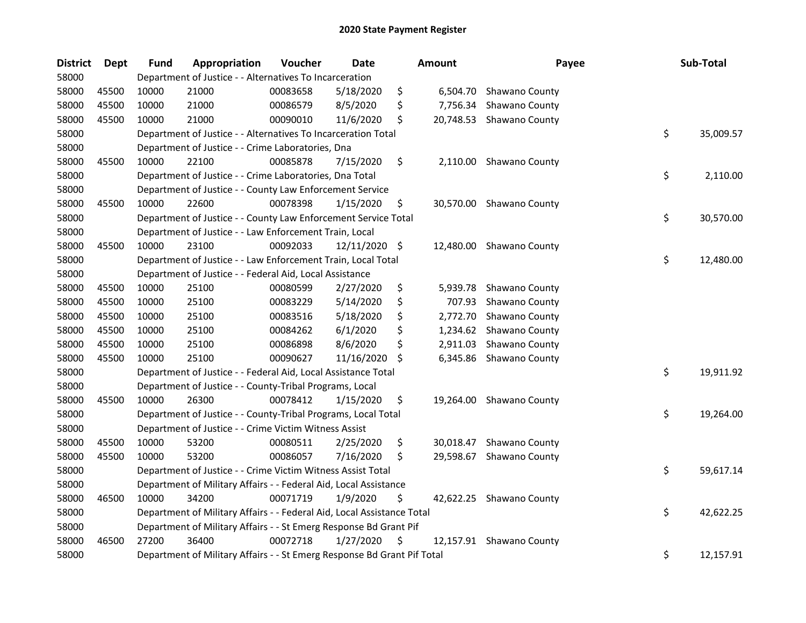| <b>District</b> | Dept  | <b>Fund</b> | Appropriation                                                           | Voucher  | <b>Date</b>   |    | Amount   | Payee                    | Sub-Total       |
|-----------------|-------|-------------|-------------------------------------------------------------------------|----------|---------------|----|----------|--------------------------|-----------------|
| 58000           |       |             | Department of Justice - - Alternatives To Incarceration                 |          |               |    |          |                          |                 |
| 58000           | 45500 | 10000       | 21000                                                                   | 00083658 | 5/18/2020     | \$ |          | 6,504.70 Shawano County  |                 |
| 58000           | 45500 | 10000       | 21000                                                                   | 00086579 | 8/5/2020      | \$ | 7,756.34 | Shawano County           |                 |
| 58000           | 45500 | 10000       | 21000                                                                   | 00090010 | 11/6/2020     | \$ |          | 20,748.53 Shawano County |                 |
| 58000           |       |             | Department of Justice - - Alternatives To Incarceration Total           |          |               |    |          |                          | \$<br>35,009.57 |
| 58000           |       |             | Department of Justice - - Crime Laboratories, Dna                       |          |               |    |          |                          |                 |
| 58000           | 45500 | 10000       | 22100                                                                   | 00085878 | 7/15/2020     | \$ |          | 2,110.00 Shawano County  |                 |
| 58000           |       |             | Department of Justice - - Crime Laboratories, Dna Total                 |          |               |    |          |                          | \$<br>2,110.00  |
| 58000           |       |             | Department of Justice - - County Law Enforcement Service                |          |               |    |          |                          |                 |
| 58000           | 45500 | 10000       | 22600                                                                   | 00078398 | 1/15/2020     | Ş  |          | 30,570.00 Shawano County |                 |
| 58000           |       |             | Department of Justice - - County Law Enforcement Service Total          |          |               |    |          |                          | \$<br>30,570.00 |
| 58000           |       |             | Department of Justice - - Law Enforcement Train, Local                  |          |               |    |          |                          |                 |
| 58000           | 45500 | 10000       | 23100                                                                   | 00092033 | 12/11/2020 \$ |    |          | 12,480.00 Shawano County |                 |
| 58000           |       |             | Department of Justice - - Law Enforcement Train, Local Total            |          |               |    |          |                          | \$<br>12,480.00 |
| 58000           |       |             | Department of Justice - - Federal Aid, Local Assistance                 |          |               |    |          |                          |                 |
| 58000           | 45500 | 10000       | 25100                                                                   | 00080599 | 2/27/2020     | \$ | 5,939.78 | Shawano County           |                 |
| 58000           | 45500 | 10000       | 25100                                                                   | 00083229 | 5/14/2020     | \$ | 707.93   | Shawano County           |                 |
| 58000           | 45500 | 10000       | 25100                                                                   | 00083516 | 5/18/2020     | \$ | 2,772.70 | Shawano County           |                 |
| 58000           | 45500 | 10000       | 25100                                                                   | 00084262 | 6/1/2020      | \$ | 1,234.62 | Shawano County           |                 |
| 58000           | 45500 | 10000       | 25100                                                                   | 00086898 | 8/6/2020      | \$ | 2,911.03 | Shawano County           |                 |
| 58000           | 45500 | 10000       | 25100                                                                   | 00090627 | 11/16/2020    | \$ | 6,345.86 | Shawano County           |                 |
| 58000           |       |             | Department of Justice - - Federal Aid, Local Assistance Total           |          |               |    |          |                          | \$<br>19,911.92 |
| 58000           |       |             | Department of Justice - - County-Tribal Programs, Local                 |          |               |    |          |                          |                 |
| 58000           | 45500 | 10000       | 26300                                                                   | 00078412 | 1/15/2020     | \$ |          | 19,264.00 Shawano County |                 |
| 58000           |       |             | Department of Justice - - County-Tribal Programs, Local Total           |          |               |    |          |                          | \$<br>19,264.00 |
| 58000           |       |             | Department of Justice - - Crime Victim Witness Assist                   |          |               |    |          |                          |                 |
| 58000           | 45500 | 10000       | 53200                                                                   | 00080511 | 2/25/2020     | \$ |          | 30,018.47 Shawano County |                 |
| 58000           | 45500 | 10000       | 53200                                                                   | 00086057 | 7/16/2020     | \$ |          | 29,598.67 Shawano County |                 |
| 58000           |       |             | Department of Justice - - Crime Victim Witness Assist Total             |          |               |    |          |                          | \$<br>59,617.14 |
| 58000           |       |             | Department of Military Affairs - - Federal Aid, Local Assistance        |          |               |    |          |                          |                 |
| 58000           | 46500 | 10000       | 34200                                                                   | 00071719 | 1/9/2020      | \$ |          | 42,622.25 Shawano County |                 |
| 58000           |       |             | Department of Military Affairs - - Federal Aid, Local Assistance Total  |          |               |    |          |                          | \$<br>42,622.25 |
| 58000           |       |             | Department of Military Affairs - - St Emerg Response Bd Grant Pif       |          |               |    |          |                          |                 |
| 58000           | 46500 | 27200       | 36400                                                                   | 00072718 | 1/27/2020     | \$ |          | 12,157.91 Shawano County |                 |
| 58000           |       |             | Department of Military Affairs - - St Emerg Response Bd Grant Pif Total |          |               |    |          |                          | \$<br>12,157.91 |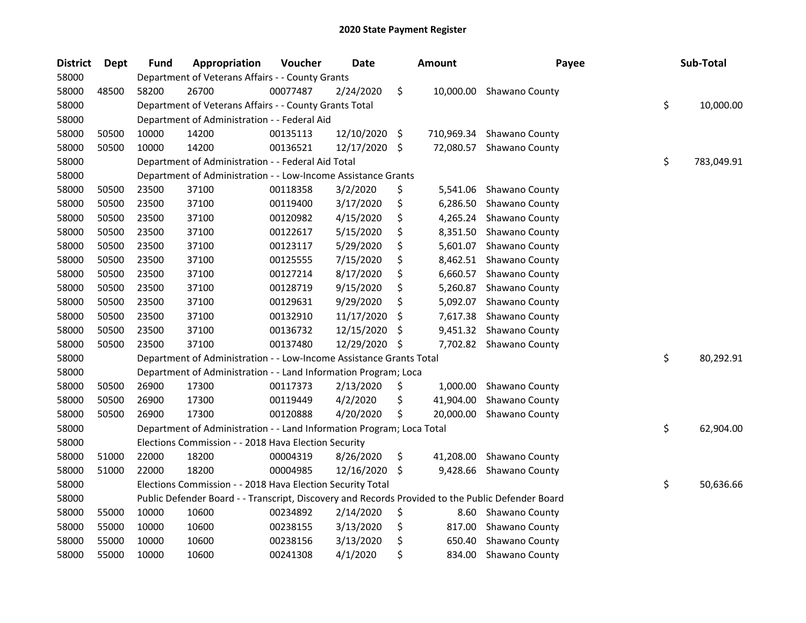| <b>District</b> | <b>Dept</b> | <b>Fund</b> | Appropriation                                                                                     | Voucher  | Date       | <b>Amount</b>    | Payee                    | Sub-Total        |
|-----------------|-------------|-------------|---------------------------------------------------------------------------------------------------|----------|------------|------------------|--------------------------|------------------|
| 58000           |             |             | Department of Veterans Affairs - - County Grants                                                  |          |            |                  |                          |                  |
| 58000           | 48500       | 58200       | 26700                                                                                             | 00077487 | 2/24/2020  | \$               | 10,000.00 Shawano County |                  |
| 58000           |             |             | Department of Veterans Affairs - - County Grants Total                                            |          |            |                  |                          | \$<br>10,000.00  |
| 58000           |             |             | Department of Administration - - Federal Aid                                                      |          |            |                  |                          |                  |
| 58000           | 50500       | 10000       | 14200                                                                                             | 00135113 | 12/10/2020 | \$<br>710,969.34 | Shawano County           |                  |
| 58000           | 50500       | 10000       | 14200                                                                                             | 00136521 | 12/17/2020 | \$<br>72,080.57  | Shawano County           |                  |
| 58000           |             |             | Department of Administration - - Federal Aid Total                                                |          |            |                  |                          | \$<br>783,049.91 |
| 58000           |             |             | Department of Administration - - Low-Income Assistance Grants                                     |          |            |                  |                          |                  |
| 58000           | 50500       | 23500       | 37100                                                                                             | 00118358 | 3/2/2020   | \$<br>5,541.06   | Shawano County           |                  |
| 58000           | 50500       | 23500       | 37100                                                                                             | 00119400 | 3/17/2020  | \$<br>6,286.50   | Shawano County           |                  |
| 58000           | 50500       | 23500       | 37100                                                                                             | 00120982 | 4/15/2020  | \$<br>4,265.24   | Shawano County           |                  |
| 58000           | 50500       | 23500       | 37100                                                                                             | 00122617 | 5/15/2020  | \$<br>8,351.50   | Shawano County           |                  |
| 58000           | 50500       | 23500       | 37100                                                                                             | 00123117 | 5/29/2020  | \$<br>5,601.07   | Shawano County           |                  |
| 58000           | 50500       | 23500       | 37100                                                                                             | 00125555 | 7/15/2020  | \$<br>8,462.51   | Shawano County           |                  |
| 58000           | 50500       | 23500       | 37100                                                                                             | 00127214 | 8/17/2020  | \$<br>6,660.57   | Shawano County           |                  |
| 58000           | 50500       | 23500       | 37100                                                                                             | 00128719 | 9/15/2020  | \$<br>5,260.87   | Shawano County           |                  |
| 58000           | 50500       | 23500       | 37100                                                                                             | 00129631 | 9/29/2020  | \$<br>5,092.07   | Shawano County           |                  |
| 58000           | 50500       | 23500       | 37100                                                                                             | 00132910 | 11/17/2020 | \$<br>7,617.38   | Shawano County           |                  |
| 58000           | 50500       | 23500       | 37100                                                                                             | 00136732 | 12/15/2020 | \$<br>9,451.32   | Shawano County           |                  |
| 58000           | 50500       | 23500       | 37100                                                                                             | 00137480 | 12/29/2020 | \$<br>7,702.82   | Shawano County           |                  |
| 58000           |             |             | Department of Administration - - Low-Income Assistance Grants Total                               |          |            |                  |                          | \$<br>80,292.91  |
| 58000           |             |             | Department of Administration - - Land Information Program; Loca                                   |          |            |                  |                          |                  |
| 58000           | 50500       | 26900       | 17300                                                                                             | 00117373 | 2/13/2020  | \$<br>1,000.00   | Shawano County           |                  |
| 58000           | 50500       | 26900       | 17300                                                                                             | 00119449 | 4/2/2020   | \$<br>41,904.00  | Shawano County           |                  |
| 58000           | 50500       | 26900       | 17300                                                                                             | 00120888 | 4/20/2020  | \$<br>20,000.00  | Shawano County           |                  |
| 58000           |             |             | Department of Administration - - Land Information Program; Loca Total                             |          |            |                  |                          | \$<br>62,904.00  |
| 58000           |             |             | Elections Commission - - 2018 Hava Election Security                                              |          |            |                  |                          |                  |
| 58000           | 51000       | 22000       | 18200                                                                                             | 00004319 | 8/26/2020  | \$<br>41,208.00  | Shawano County           |                  |
| 58000           | 51000       | 22000       | 18200                                                                                             | 00004985 | 12/16/2020 | \$<br>9,428.66   | Shawano County           |                  |
| 58000           |             |             | Elections Commission - - 2018 Hava Election Security Total                                        |          |            |                  |                          | \$<br>50,636.66  |
| 58000           |             |             | Public Defender Board - - Transcript, Discovery and Records Provided to the Public Defender Board |          |            |                  |                          |                  |
| 58000           | 55000       | 10000       | 10600                                                                                             | 00234892 | 2/14/2020  | \$<br>8.60       | Shawano County           |                  |
| 58000           | 55000       | 10000       | 10600                                                                                             | 00238155 | 3/13/2020  | \$<br>817.00     | Shawano County           |                  |
| 58000           | 55000       | 10000       | 10600                                                                                             | 00238156 | 3/13/2020  | \$<br>650.40     | Shawano County           |                  |
| 58000           | 55000       | 10000       | 10600                                                                                             | 00241308 | 4/1/2020   | \$<br>834.00     | Shawano County           |                  |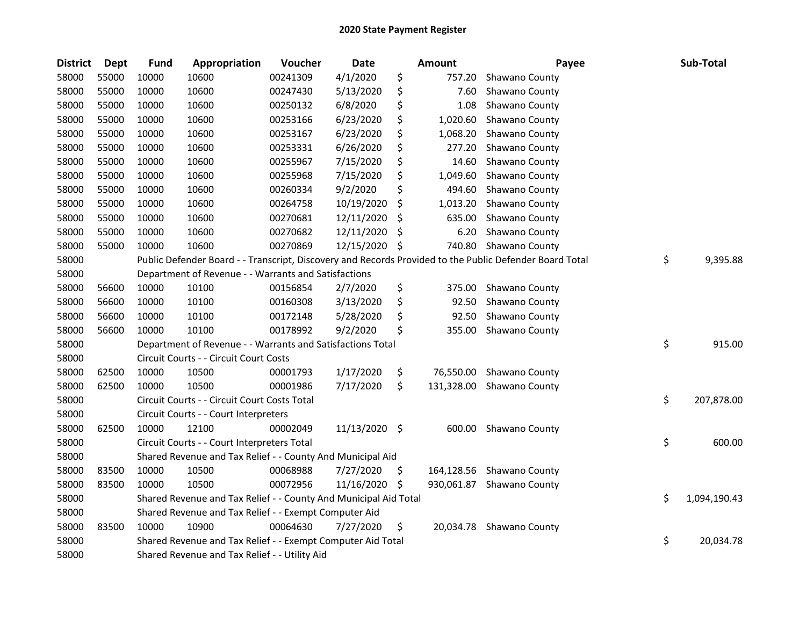| <b>District</b> | Dept  | <b>Fund</b> | Appropriation                                                    | Voucher  | Date          |     | Amount     | Payee                                                                                                   | Sub-Total          |
|-----------------|-------|-------------|------------------------------------------------------------------|----------|---------------|-----|------------|---------------------------------------------------------------------------------------------------------|--------------------|
| 58000           | 55000 | 10000       | 10600                                                            | 00241309 | 4/1/2020      | \$  | 757.20     | Shawano County                                                                                          |                    |
| 58000           | 55000 | 10000       | 10600                                                            | 00247430 | 5/13/2020     | \$  | 7.60       | Shawano County                                                                                          |                    |
| 58000           | 55000 | 10000       | 10600                                                            | 00250132 | 6/8/2020      | \$  | 1.08       | Shawano County                                                                                          |                    |
| 58000           | 55000 | 10000       | 10600                                                            | 00253166 | 6/23/2020     | \$  | 1,020.60   | Shawano County                                                                                          |                    |
| 58000           | 55000 | 10000       | 10600                                                            | 00253167 | 6/23/2020     | \$  | 1,068.20   | Shawano County                                                                                          |                    |
| 58000           | 55000 | 10000       | 10600                                                            | 00253331 | 6/26/2020     | \$  | 277.20     | Shawano County                                                                                          |                    |
| 58000           | 55000 | 10000       | 10600                                                            | 00255967 | 7/15/2020     | \$  | 14.60      | Shawano County                                                                                          |                    |
| 58000           | 55000 | 10000       | 10600                                                            | 00255968 | 7/15/2020     | \$  | 1,049.60   | Shawano County                                                                                          |                    |
| 58000           | 55000 | 10000       | 10600                                                            | 00260334 | 9/2/2020      | \$  | 494.60     | Shawano County                                                                                          |                    |
| 58000           | 55000 | 10000       | 10600                                                            | 00264758 | 10/19/2020    | \$  | 1,013.20   | Shawano County                                                                                          |                    |
| 58000           | 55000 | 10000       | 10600                                                            | 00270681 | 12/11/2020    | \$. | 635.00     | Shawano County                                                                                          |                    |
| 58000           | 55000 | 10000       | 10600                                                            | 00270682 | 12/11/2020    | \$  | 6.20       | Shawano County                                                                                          |                    |
| 58000           | 55000 | 10000       | 10600                                                            | 00270869 | 12/15/2020    | \$  | 740.80     | Shawano County                                                                                          |                    |
| 58000           |       |             |                                                                  |          |               |     |            | Public Defender Board - - Transcript, Discovery and Records Provided to the Public Defender Board Total | \$<br>9,395.88     |
| 58000           |       |             | Department of Revenue - - Warrants and Satisfactions             |          |               |     |            |                                                                                                         |                    |
| 58000           | 56600 | 10000       | 10100                                                            | 00156854 | 2/7/2020      | \$  | 375.00     | Shawano County                                                                                          |                    |
| 58000           | 56600 | 10000       | 10100                                                            | 00160308 | 3/13/2020     | \$  | 92.50      | Shawano County                                                                                          |                    |
| 58000           | 56600 | 10000       | 10100                                                            | 00172148 | 5/28/2020     | \$  | 92.50      | Shawano County                                                                                          |                    |
| 58000           | 56600 | 10000       | 10100                                                            | 00178992 | 9/2/2020      | \$  | 355.00     | Shawano County                                                                                          |                    |
| 58000           |       |             | Department of Revenue - - Warrants and Satisfactions Total       |          |               |     |            |                                                                                                         | \$<br>915.00       |
| 58000           |       |             | Circuit Courts - - Circuit Court Costs                           |          |               |     |            |                                                                                                         |                    |
| 58000           | 62500 | 10000       | 10500                                                            | 00001793 | 1/17/2020     | \$  | 76,550.00  | Shawano County                                                                                          |                    |
| 58000           | 62500 | 10000       | 10500                                                            | 00001986 | 7/17/2020     | \$  | 131,328.00 | Shawano County                                                                                          |                    |
| 58000           |       |             | Circuit Courts - - Circuit Court Costs Total                     |          |               |     |            |                                                                                                         | \$<br>207,878.00   |
| 58000           |       |             | Circuit Courts - - Court Interpreters                            |          |               |     |            |                                                                                                         |                    |
| 58000           | 62500 | 10000       | 12100                                                            | 00002049 | 11/13/2020 \$ |     | 600.00     | Shawano County                                                                                          |                    |
| 58000           |       |             | Circuit Courts - - Court Interpreters Total                      |          |               |     |            |                                                                                                         | \$<br>600.00       |
| 58000           |       |             | Shared Revenue and Tax Relief - - County And Municipal Aid       |          |               |     |            |                                                                                                         |                    |
| 58000           | 83500 | 10000       | 10500                                                            | 00068988 | 7/27/2020     | \$  | 164,128.56 | Shawano County                                                                                          |                    |
| 58000           | 83500 | 10000       | 10500                                                            | 00072956 | 11/16/2020    | \$. | 930,061.87 | Shawano County                                                                                          |                    |
| 58000           |       |             | Shared Revenue and Tax Relief - - County And Municipal Aid Total |          |               |     |            |                                                                                                         | \$<br>1,094,190.43 |
| 58000           |       |             | Shared Revenue and Tax Relief - - Exempt Computer Aid            |          |               |     |            |                                                                                                         |                    |
| 58000           | 83500 | 10000       | 10900                                                            | 00064630 | 7/27/2020     | \$  |            | 20,034.78 Shawano County                                                                                |                    |
| 58000           |       |             | Shared Revenue and Tax Relief - - Exempt Computer Aid Total      |          |               |     |            |                                                                                                         | \$<br>20,034.78    |
| 58000           |       |             | Shared Revenue and Tax Relief - - Utility Aid                    |          |               |     |            |                                                                                                         |                    |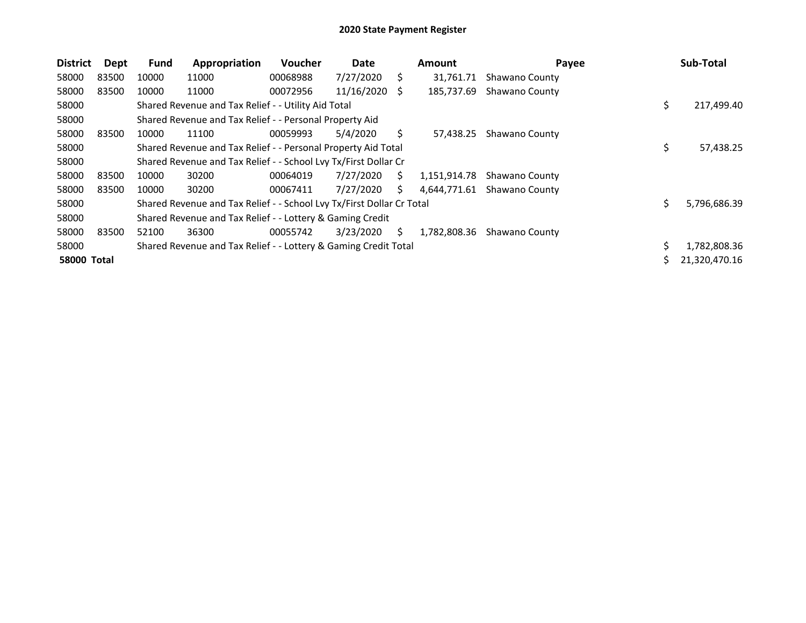| <b>District</b>    | Dept  | Fund  | Appropriation                                                         | Voucher  | Date       |    | <b>Amount</b> | Payee          |    | Sub-Total     |
|--------------------|-------|-------|-----------------------------------------------------------------------|----------|------------|----|---------------|----------------|----|---------------|
| 58000              | 83500 | 10000 | 11000                                                                 | 00068988 | 7/27/2020  | S  | 31,761.71     | Shawano County |    |               |
| 58000              | 83500 | 10000 | 11000                                                                 | 00072956 | 11/16/2020 | S. | 185,737.69    | Shawano County |    |               |
| 58000              |       |       | Shared Revenue and Tax Relief - - Utility Aid Total                   |          |            |    |               |                | \$ | 217,499.40    |
| 58000              |       |       | Shared Revenue and Tax Relief - - Personal Property Aid               |          |            |    |               |                |    |               |
| 58000              | 83500 | 10000 | 11100                                                                 | 00059993 | 5/4/2020   | S. | 57.438.25     | Shawano County |    |               |
| 58000              |       |       | Shared Revenue and Tax Relief - - Personal Property Aid Total         |          |            |    |               |                | Ş  | 57,438.25     |
| 58000              |       |       | Shared Revenue and Tax Relief - - School Lvy Tx/First Dollar Cr       |          |            |    |               |                |    |               |
| 58000              | 83500 | 10000 | 30200                                                                 | 00064019 | 7/27/2020  | S. | 1,151,914.78  | Shawano County |    |               |
| 58000              | 83500 | 10000 | 30200                                                                 | 00067411 | 7/27/2020  | S. | 4,644,771.61  | Shawano County |    |               |
| 58000              |       |       | Shared Revenue and Tax Relief - - School Lvy Tx/First Dollar Cr Total |          |            |    |               |                | Ś  | 5,796,686.39  |
| 58000              |       |       | Shared Revenue and Tax Relief - - Lottery & Gaming Credit             |          |            |    |               |                |    |               |
| 58000              | 83500 | 52100 | 36300                                                                 | 00055742 | 3/23/2020  | S. | 1,782,808.36  | Shawano County |    |               |
| 58000              |       |       | Shared Revenue and Tax Relief - - Lottery & Gaming Credit Total       |          |            |    |               |                |    | 1,782,808.36  |
| <b>58000 Total</b> |       |       |                                                                       |          |            |    |               |                |    | 21,320,470.16 |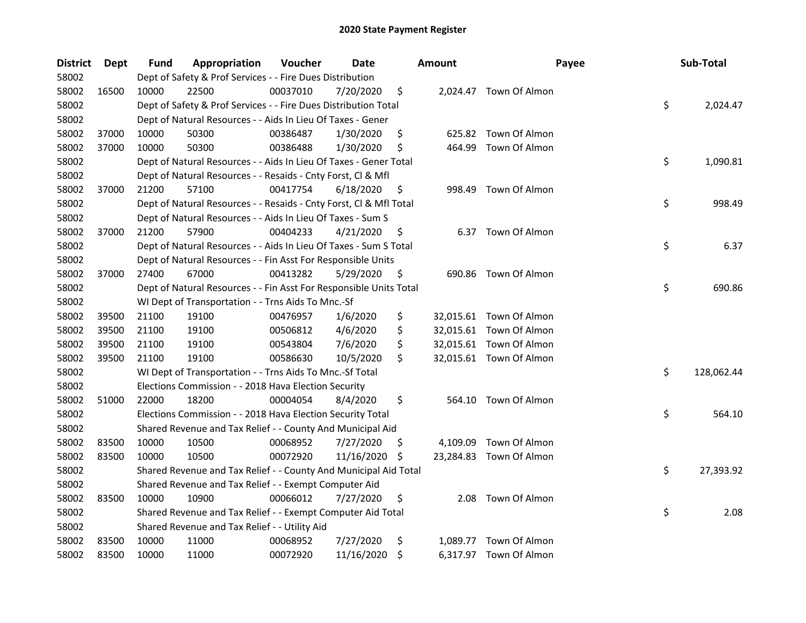| <b>District</b> | Dept  | Fund  | Appropriation                                                      | Voucher  | Date       |     | Amount | Payee                   | Sub-Total        |
|-----------------|-------|-------|--------------------------------------------------------------------|----------|------------|-----|--------|-------------------------|------------------|
| 58002           |       |       | Dept of Safety & Prof Services - - Fire Dues Distribution          |          |            |     |        |                         |                  |
| 58002           | 16500 | 10000 | 22500                                                              | 00037010 | 7/20/2020  | \$  |        | 2,024.47 Town Of Almon  |                  |
| 58002           |       |       | Dept of Safety & Prof Services - - Fire Dues Distribution Total    |          |            |     |        |                         | \$<br>2,024.47   |
| 58002           |       |       | Dept of Natural Resources - - Aids In Lieu Of Taxes - Gener        |          |            |     |        |                         |                  |
| 58002           | 37000 | 10000 | 50300                                                              | 00386487 | 1/30/2020  | \$  | 625.82 | Town Of Almon           |                  |
| 58002           | 37000 | 10000 | 50300                                                              | 00386488 | 1/30/2020  | \$  | 464.99 | Town Of Almon           |                  |
| 58002           |       |       | Dept of Natural Resources - - Aids In Lieu Of Taxes - Gener Total  |          |            |     |        |                         | \$<br>1,090.81   |
| 58002           |       |       | Dept of Natural Resources - - Resaids - Cnty Forst, Cl & Mfl       |          |            |     |        |                         |                  |
| 58002           | 37000 | 21200 | 57100                                                              | 00417754 | 6/18/2020  | \$  |        | 998.49 Town Of Almon    |                  |
| 58002           |       |       | Dept of Natural Resources - - Resaids - Cnty Forst, Cl & Mfl Total |          |            |     |        |                         | \$<br>998.49     |
| 58002           |       |       | Dept of Natural Resources - - Aids In Lieu Of Taxes - Sum S        |          |            |     |        |                         |                  |
| 58002           | 37000 | 21200 | 57900                                                              | 00404233 | 4/21/2020  | \$  |        | 6.37 Town Of Almon      |                  |
| 58002           |       |       | Dept of Natural Resources - - Aids In Lieu Of Taxes - Sum S Total  |          |            |     |        |                         | \$<br>6.37       |
| 58002           |       |       | Dept of Natural Resources - - Fin Asst For Responsible Units       |          |            |     |        |                         |                  |
| 58002           | 37000 | 27400 | 67000                                                              | 00413282 | 5/29/2020  | \$  |        | 690.86 Town Of Almon    |                  |
| 58002           |       |       | Dept of Natural Resources - - Fin Asst For Responsible Units Total |          |            |     |        |                         | \$<br>690.86     |
| 58002           |       |       | WI Dept of Transportation - - Trns Aids To Mnc.-Sf                 |          |            |     |        |                         |                  |
| 58002           | 39500 | 21100 | 19100                                                              | 00476957 | 1/6/2020   | \$  |        | 32,015.61 Town Of Almon |                  |
| 58002           | 39500 | 21100 | 19100                                                              | 00506812 | 4/6/2020   | \$  |        | 32,015.61 Town Of Almon |                  |
| 58002           | 39500 | 21100 | 19100                                                              | 00543804 | 7/6/2020   | \$  |        | 32,015.61 Town Of Almon |                  |
| 58002           | 39500 | 21100 | 19100                                                              | 00586630 | 10/5/2020  | \$  |        | 32,015.61 Town Of Almon |                  |
| 58002           |       |       | WI Dept of Transportation - - Trns Aids To Mnc.-Sf Total           |          |            |     |        |                         | \$<br>128,062.44 |
| 58002           |       |       | Elections Commission - - 2018 Hava Election Security               |          |            |     |        |                         |                  |
| 58002           | 51000 | 22000 | 18200                                                              | 00004054 | 8/4/2020   | \$  |        | 564.10 Town Of Almon    |                  |
| 58002           |       |       | Elections Commission - - 2018 Hava Election Security Total         |          |            |     |        |                         | \$<br>564.10     |
| 58002           |       |       | Shared Revenue and Tax Relief - - County And Municipal Aid         |          |            |     |        |                         |                  |
| 58002           | 83500 | 10000 | 10500                                                              | 00068952 | 7/27/2020  | \$. |        | 4,109.09 Town Of Almon  |                  |
| 58002           | 83500 | 10000 | 10500                                                              | 00072920 | 11/16/2020 | \$, |        | 23,284.83 Town Of Almon |                  |
| 58002           |       |       | Shared Revenue and Tax Relief - - County And Municipal Aid Total   |          |            |     |        |                         | \$<br>27,393.92  |
| 58002           |       |       | Shared Revenue and Tax Relief - - Exempt Computer Aid              |          |            |     |        |                         |                  |
| 58002           | 83500 | 10000 | 10900                                                              | 00066012 | 7/27/2020  | \$  | 2.08   | Town Of Almon           |                  |
| 58002           |       |       | Shared Revenue and Tax Relief - - Exempt Computer Aid Total        |          |            |     |        |                         | \$<br>2.08       |
| 58002           |       |       | Shared Revenue and Tax Relief - - Utility Aid                      |          |            |     |        |                         |                  |
| 58002           | 83500 | 10000 | 11000                                                              | 00068952 | 7/27/2020  | \$  |        | 1,089.77 Town Of Almon  |                  |
| 58002           | 83500 | 10000 | 11000                                                              | 00072920 | 11/16/2020 | \$  |        | 6,317.97 Town Of Almon  |                  |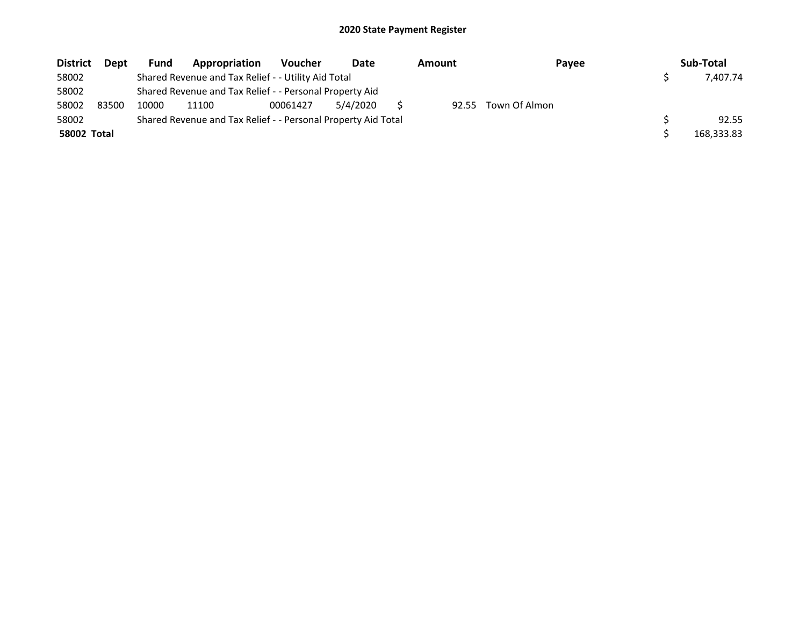| <b>District</b>    | Dept  | Fund  | Appropriation                                                 | <b>Voucher</b> | Date     | Amount | Payee         | Sub-Total  |
|--------------------|-------|-------|---------------------------------------------------------------|----------------|----------|--------|---------------|------------|
| 58002              |       |       | Shared Revenue and Tax Relief - - Utility Aid Total           |                |          |        |               | 7.407.74   |
| 58002              |       |       | Shared Revenue and Tax Relief - - Personal Property Aid       |                |          |        |               |            |
| 58002              | 83500 | 10000 | 11100                                                         | 00061427       | 5/4/2020 | 92.55  | Town Of Almon |            |
| 58002              |       |       | Shared Revenue and Tax Relief - - Personal Property Aid Total |                |          |        |               | 92.55      |
| <b>58002 Total</b> |       |       |                                                               |                |          |        |               | 168,333.83 |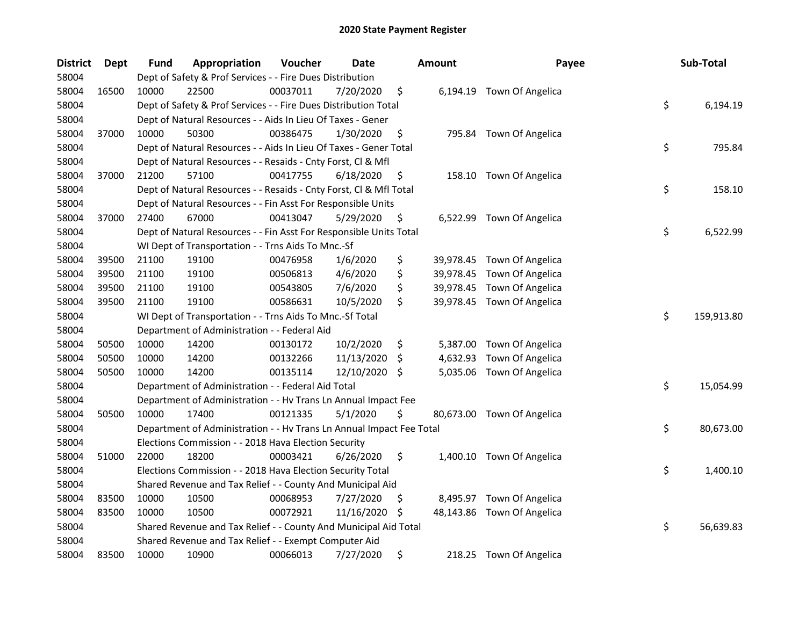| District | Dept  | Fund  | Appropriation                                                        | Voucher  | Date       |     | <b>Amount</b> | Payee                      | Sub-Total        |
|----------|-------|-------|----------------------------------------------------------------------|----------|------------|-----|---------------|----------------------------|------------------|
| 58004    |       |       | Dept of Safety & Prof Services - - Fire Dues Distribution            |          |            |     |               |                            |                  |
| 58004    | 16500 | 10000 | 22500                                                                | 00037011 | 7/20/2020  | \$  |               | 6,194.19 Town Of Angelica  |                  |
| 58004    |       |       | Dept of Safety & Prof Services - - Fire Dues Distribution Total      |          |            |     |               |                            | \$<br>6,194.19   |
| 58004    |       |       | Dept of Natural Resources - - Aids In Lieu Of Taxes - Gener          |          |            |     |               |                            |                  |
| 58004    | 37000 | 10000 | 50300                                                                | 00386475 | 1/30/2020  | \$  |               | 795.84 Town Of Angelica    |                  |
| 58004    |       |       | Dept of Natural Resources - - Aids In Lieu Of Taxes - Gener Total    |          |            |     |               |                            | \$<br>795.84     |
| 58004    |       |       | Dept of Natural Resources - - Resaids - Cnty Forst, Cl & Mfl         |          |            |     |               |                            |                  |
| 58004    | 37000 | 21200 | 57100                                                                | 00417755 | 6/18/2020  | \$  |               | 158.10 Town Of Angelica    |                  |
| 58004    |       |       | Dept of Natural Resources - - Resaids - Cnty Forst, Cl & Mfl Total   |          |            |     |               |                            | \$<br>158.10     |
| 58004    |       |       | Dept of Natural Resources - - Fin Asst For Responsible Units         |          |            |     |               |                            |                  |
| 58004    | 37000 | 27400 | 67000                                                                | 00413047 | 5/29/2020  | \$  |               | 6,522.99 Town Of Angelica  |                  |
| 58004    |       |       | Dept of Natural Resources - - Fin Asst For Responsible Units Total   |          |            |     |               |                            | \$<br>6,522.99   |
| 58004    |       |       | WI Dept of Transportation - - Trns Aids To Mnc.-Sf                   |          |            |     |               |                            |                  |
| 58004    | 39500 | 21100 | 19100                                                                | 00476958 | 1/6/2020   | \$  | 39,978.45     | Town Of Angelica           |                  |
| 58004    | 39500 | 21100 | 19100                                                                | 00506813 | 4/6/2020   | \$  | 39,978.45     | Town Of Angelica           |                  |
| 58004    | 39500 | 21100 | 19100                                                                | 00543805 | 7/6/2020   | \$  |               | 39,978.45 Town Of Angelica |                  |
| 58004    | 39500 | 21100 | 19100                                                                | 00586631 | 10/5/2020  | \$  |               | 39,978.45 Town Of Angelica |                  |
| 58004    |       |       | WI Dept of Transportation - - Trns Aids To Mnc.-Sf Total             |          |            |     |               |                            | \$<br>159,913.80 |
| 58004    |       |       | Department of Administration - - Federal Aid                         |          |            |     |               |                            |                  |
| 58004    | 50500 | 10000 | 14200                                                                | 00130172 | 10/2/2020  | \$  | 5,387.00      | Town Of Angelica           |                  |
| 58004    | 50500 | 10000 | 14200                                                                | 00132266 | 11/13/2020 | \$  | 4,632.93      | Town Of Angelica           |                  |
| 58004    | 50500 | 10000 | 14200                                                                | 00135114 | 12/10/2020 | \$  |               | 5,035.06 Town Of Angelica  |                  |
| 58004    |       |       | Department of Administration - - Federal Aid Total                   |          |            |     |               |                            | \$<br>15,054.99  |
| 58004    |       |       | Department of Administration - - Hv Trans Ln Annual Impact Fee       |          |            |     |               |                            |                  |
| 58004    | 50500 | 10000 | 17400                                                                | 00121335 | 5/1/2020   | \$  |               | 80,673.00 Town Of Angelica |                  |
| 58004    |       |       | Department of Administration - - Hv Trans Ln Annual Impact Fee Total |          |            |     |               |                            | \$<br>80,673.00  |
| 58004    |       |       | Elections Commission - - 2018 Hava Election Security                 |          |            |     |               |                            |                  |
| 58004    | 51000 | 22000 | 18200                                                                | 00003421 | 6/26/2020  | \$  |               | 1,400.10 Town Of Angelica  |                  |
| 58004    |       |       | Elections Commission - - 2018 Hava Election Security Total           |          |            |     |               |                            | \$<br>1,400.10   |
| 58004    |       |       | Shared Revenue and Tax Relief - - County And Municipal Aid           |          |            |     |               |                            |                  |
| 58004    | 83500 | 10000 | 10500                                                                | 00068953 | 7/27/2020  | \$  |               | 8,495.97 Town Of Angelica  |                  |
| 58004    | 83500 | 10000 | 10500                                                                | 00072921 | 11/16/2020 | \$, |               | 48,143.86 Town Of Angelica |                  |
| 58004    |       |       | Shared Revenue and Tax Relief - - County And Municipal Aid Total     |          |            |     |               |                            | \$<br>56,639.83  |
| 58004    |       |       | Shared Revenue and Tax Relief - - Exempt Computer Aid                |          |            |     |               |                            |                  |
| 58004    | 83500 | 10000 | 10900                                                                | 00066013 | 7/27/2020  | \$  |               | 218.25 Town Of Angelica    |                  |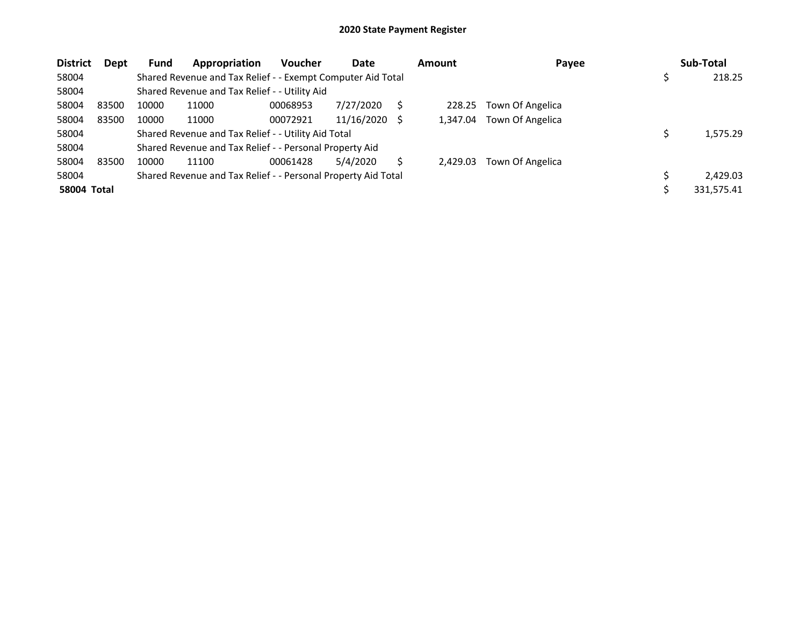| <b>District</b> | Dept  | <b>Fund</b> | Appropriation                                                 | <b>Voucher</b> | Date       |     | <b>Amount</b> | Payee            | Sub-Total    |
|-----------------|-------|-------------|---------------------------------------------------------------|----------------|------------|-----|---------------|------------------|--------------|
| 58004           |       |             | Shared Revenue and Tax Relief - - Exempt Computer Aid Total   |                |            |     |               |                  | \$<br>218.25 |
| 58004           |       |             | Shared Revenue and Tax Relief - - Utility Aid                 |                |            |     |               |                  |              |
| 58004           | 83500 | 10000       | 11000                                                         | 00068953       | 7/27/2020  |     | 228.25        | Town Of Angelica |              |
| 58004           | 83500 | 10000       | 11000                                                         | 00072921       | 11/16/2020 | - S | 1.347.04      | Town Of Angelica |              |
| 58004           |       |             | Shared Revenue and Tax Relief - - Utility Aid Total           |                |            |     |               |                  | 1,575.29     |
| 58004           |       |             | Shared Revenue and Tax Relief - - Personal Property Aid       |                |            |     |               |                  |              |
| 58004           | 83500 | 10000       | 11100                                                         | 00061428       | 5/4/2020   |     | 2.429.03      | Town Of Angelica |              |
| 58004           |       |             | Shared Revenue and Tax Relief - - Personal Property Aid Total |                |            |     |               |                  | 2.429.03     |
| 58004 Total     |       |             |                                                               |                |            |     |               |                  | 331,575.41   |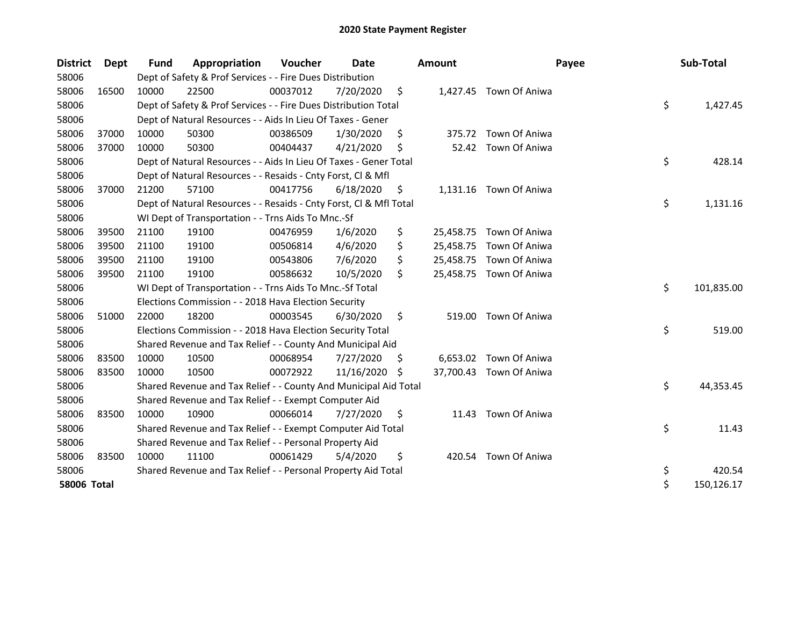| <b>District</b>    | <b>Dept</b> | <b>Fund</b> | Appropriation                                                      | Voucher  | Date       |     | <b>Amount</b> | Payee                   | Sub-Total        |
|--------------------|-------------|-------------|--------------------------------------------------------------------|----------|------------|-----|---------------|-------------------------|------------------|
| 58006              |             |             | Dept of Safety & Prof Services - - Fire Dues Distribution          |          |            |     |               |                         |                  |
| 58006              | 16500       | 10000       | 22500                                                              | 00037012 | 7/20/2020  | \$  |               | 1,427.45 Town Of Aniwa  |                  |
| 58006              |             |             | Dept of Safety & Prof Services - - Fire Dues Distribution Total    |          |            |     |               |                         | \$<br>1,427.45   |
| 58006              |             |             | Dept of Natural Resources - - Aids In Lieu Of Taxes - Gener        |          |            |     |               |                         |                  |
| 58006              | 37000       | 10000       | 50300                                                              | 00386509 | 1/30/2020  | \$  |               | 375.72 Town Of Aniwa    |                  |
| 58006              | 37000       | 10000       | 50300                                                              | 00404437 | 4/21/2020  | \$  |               | 52.42 Town Of Aniwa     |                  |
| 58006              |             |             | Dept of Natural Resources - - Aids In Lieu Of Taxes - Gener Total  |          |            |     |               |                         | \$<br>428.14     |
| 58006              |             |             | Dept of Natural Resources - - Resaids - Cnty Forst, Cl & Mfl       |          |            |     |               |                         |                  |
| 58006              | 37000       | 21200       | 57100                                                              | 00417756 | 6/18/2020  | \$  |               | 1,131.16 Town Of Aniwa  |                  |
| 58006              |             |             | Dept of Natural Resources - - Resaids - Cnty Forst, Cl & Mfl Total |          |            |     |               |                         | \$<br>1,131.16   |
| 58006              |             |             | WI Dept of Transportation - - Trns Aids To Mnc.-Sf                 |          |            |     |               |                         |                  |
| 58006              | 39500       | 21100       | 19100                                                              | 00476959 | 1/6/2020   | \$  |               | 25,458.75 Town Of Aniwa |                  |
| 58006              | 39500       | 21100       | 19100                                                              | 00506814 | 4/6/2020   | \$  |               | 25,458.75 Town Of Aniwa |                  |
| 58006              | 39500       | 21100       | 19100                                                              | 00543806 | 7/6/2020   | \$  |               | 25,458.75 Town Of Aniwa |                  |
| 58006              | 39500       | 21100       | 19100                                                              | 00586632 | 10/5/2020  | \$  |               | 25,458.75 Town Of Aniwa |                  |
| 58006              |             |             | WI Dept of Transportation - - Trns Aids To Mnc.-Sf Total           |          |            |     |               |                         | \$<br>101,835.00 |
| 58006              |             |             | Elections Commission - - 2018 Hava Election Security               |          |            |     |               |                         |                  |
| 58006              | 51000       | 22000       | 18200                                                              | 00003545 | 6/30/2020  | \$  | 519.00        | Town Of Aniwa           |                  |
| 58006              |             |             | Elections Commission - - 2018 Hava Election Security Total         |          |            |     |               |                         | \$<br>519.00     |
| 58006              |             |             | Shared Revenue and Tax Relief - - County And Municipal Aid         |          |            |     |               |                         |                  |
| 58006              | 83500       | 10000       | 10500                                                              | 00068954 | 7/27/2020  | \$. |               | 6,653.02 Town Of Aniwa  |                  |
| 58006              | 83500       | 10000       | 10500                                                              | 00072922 | 11/16/2020 | S.  |               | 37,700.43 Town Of Aniwa |                  |
| 58006              |             |             | Shared Revenue and Tax Relief - - County And Municipal Aid Total   |          |            |     |               |                         | \$<br>44,353.45  |
| 58006              |             |             | Shared Revenue and Tax Relief - - Exempt Computer Aid              |          |            |     |               |                         |                  |
| 58006              | 83500       | 10000       | 10900                                                              | 00066014 | 7/27/2020  | \$  | 11.43         | Town Of Aniwa           |                  |
| 58006              |             |             | Shared Revenue and Tax Relief - - Exempt Computer Aid Total        |          |            |     |               |                         | \$<br>11.43      |
| 58006              |             |             | Shared Revenue and Tax Relief - - Personal Property Aid            |          |            |     |               |                         |                  |
| 58006              | 83500       | 10000       | 11100                                                              | 00061429 | 5/4/2020   | \$  |               | 420.54 Town Of Aniwa    |                  |
| 58006              |             |             | Shared Revenue and Tax Relief - - Personal Property Aid Total      |          |            |     |               |                         | \$<br>420.54     |
| <b>58006 Total</b> |             |             |                                                                    |          |            |     |               |                         | \$<br>150,126.17 |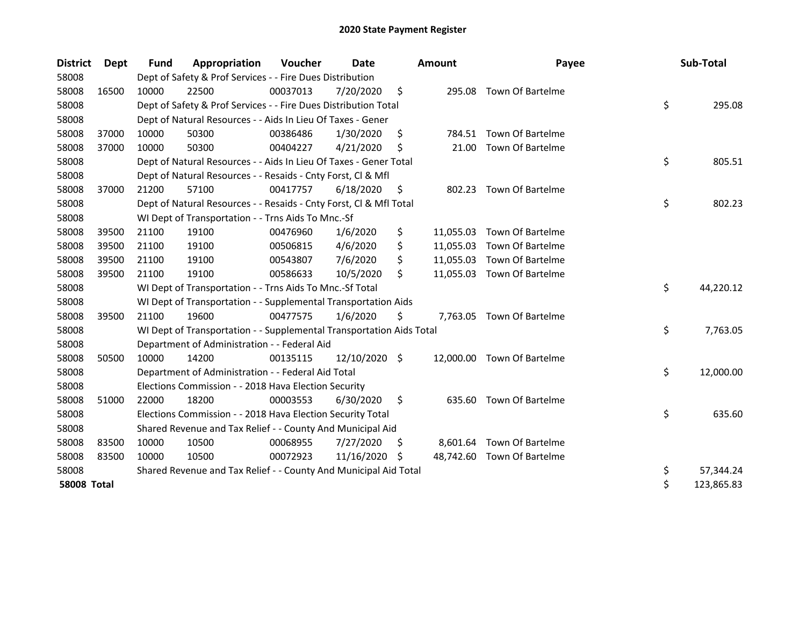| <b>District</b>    | Dept  | <b>Fund</b> | Appropriation                                                        | Voucher  | Date          |     | <b>Amount</b> | Payee                      | Sub-Total        |
|--------------------|-------|-------------|----------------------------------------------------------------------|----------|---------------|-----|---------------|----------------------------|------------------|
| 58008              |       |             | Dept of Safety & Prof Services - - Fire Dues Distribution            |          |               |     |               |                            |                  |
| 58008              | 16500 | 10000       | 22500                                                                | 00037013 | 7/20/2020     | \$  | 295.08        | Town Of Bartelme           |                  |
| 58008              |       |             | Dept of Safety & Prof Services - - Fire Dues Distribution Total      |          |               |     |               |                            | \$<br>295.08     |
| 58008              |       |             | Dept of Natural Resources - - Aids In Lieu Of Taxes - Gener          |          |               |     |               |                            |                  |
| 58008              | 37000 | 10000       | 50300                                                                | 00386486 | 1/30/2020     | \$  |               | 784.51 Town Of Bartelme    |                  |
| 58008              | 37000 | 10000       | 50300                                                                | 00404227 | 4/21/2020     | \$  | 21.00         | Town Of Bartelme           |                  |
| 58008              |       |             | Dept of Natural Resources - - Aids In Lieu Of Taxes - Gener Total    |          |               |     |               |                            | \$<br>805.51     |
| 58008              |       |             | Dept of Natural Resources - - Resaids - Cnty Forst, Cl & Mfl         |          |               |     |               |                            |                  |
| 58008              | 37000 | 21200       | 57100                                                                | 00417757 | 6/18/2020     | \$. |               | 802.23 Town Of Bartelme    |                  |
| 58008              |       |             | Dept of Natural Resources - - Resaids - Cnty Forst, Cl & Mfl Total   |          |               |     |               |                            | \$<br>802.23     |
| 58008              |       |             | WI Dept of Transportation - - Trns Aids To Mnc.-Sf                   |          |               |     |               |                            |                  |
| 58008              | 39500 | 21100       | 19100                                                                | 00476960 | 1/6/2020      | \$  | 11,055.03     | Town Of Bartelme           |                  |
| 58008              | 39500 | 21100       | 19100                                                                | 00506815 | 4/6/2020      | \$  |               | 11,055.03 Town Of Bartelme |                  |
| 58008              | 39500 | 21100       | 19100                                                                | 00543807 | 7/6/2020      | \$  |               | 11,055.03 Town Of Bartelme |                  |
| 58008              | 39500 | 21100       | 19100                                                                | 00586633 | 10/5/2020     | \$  |               | 11,055.03 Town Of Bartelme |                  |
| 58008              |       |             | WI Dept of Transportation - - Trns Aids To Mnc.-Sf Total             |          |               |     |               |                            | \$<br>44,220.12  |
| 58008              |       |             | WI Dept of Transportation - - Supplemental Transportation Aids       |          |               |     |               |                            |                  |
| 58008              | 39500 | 21100       | 19600                                                                | 00477575 | 1/6/2020      | \$  |               | 7,763.05 Town Of Bartelme  |                  |
| 58008              |       |             | WI Dept of Transportation - - Supplemental Transportation Aids Total |          |               |     |               |                            | \$<br>7,763.05   |
| 58008              |       |             | Department of Administration - - Federal Aid                         |          |               |     |               |                            |                  |
| 58008              | 50500 | 10000       | 14200                                                                | 00135115 | 12/10/2020 \$ |     |               | 12,000.00 Town Of Bartelme |                  |
| 58008              |       |             | Department of Administration - - Federal Aid Total                   |          |               |     |               |                            | \$<br>12,000.00  |
| 58008              |       |             | Elections Commission - - 2018 Hava Election Security                 |          |               |     |               |                            |                  |
| 58008              | 51000 | 22000       | 18200                                                                | 00003553 | 6/30/2020     | \$  |               | 635.60 Town Of Bartelme    |                  |
| 58008              |       |             | Elections Commission - - 2018 Hava Election Security Total           |          |               |     |               |                            | \$<br>635.60     |
| 58008              |       |             | Shared Revenue and Tax Relief - - County And Municipal Aid           |          |               |     |               |                            |                  |
| 58008              | 83500 | 10000       | 10500                                                                | 00068955 | 7/27/2020     | S.  |               | 8,601.64 Town Of Bartelme  |                  |
| 58008              | 83500 | 10000       | 10500                                                                | 00072923 | 11/16/2020 \$ |     |               | 48,742.60 Town Of Bartelme |                  |
| 58008              |       |             | Shared Revenue and Tax Relief - - County And Municipal Aid Total     |          |               |     |               |                            | \$<br>57,344.24  |
| <b>58008 Total</b> |       |             |                                                                      |          |               |     |               |                            | \$<br>123,865.83 |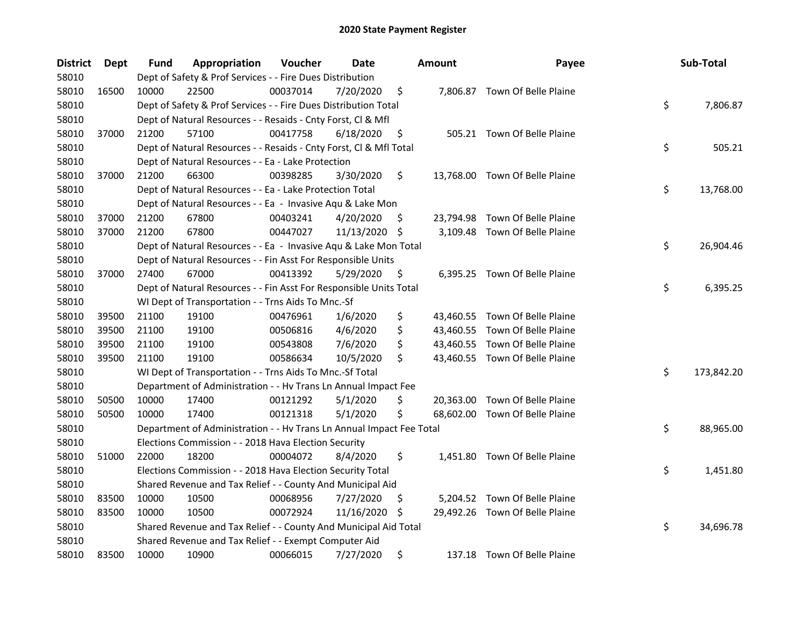| District | Dept  | Fund  | Appropriation                                                        | Voucher  | Date       |    | <b>Amount</b> | Payee                          | Sub-Total        |
|----------|-------|-------|----------------------------------------------------------------------|----------|------------|----|---------------|--------------------------------|------------------|
| 58010    |       |       | Dept of Safety & Prof Services - - Fire Dues Distribution            |          |            |    |               |                                |                  |
| 58010    | 16500 | 10000 | 22500                                                                | 00037014 | 7/20/2020  | \$ |               | 7,806.87 Town Of Belle Plaine  |                  |
| 58010    |       |       | Dept of Safety & Prof Services - - Fire Dues Distribution Total      |          |            |    |               |                                | \$<br>7,806.87   |
| 58010    |       |       | Dept of Natural Resources - - Resaids - Cnty Forst, Cl & Mfl         |          |            |    |               |                                |                  |
| 58010    | 37000 | 21200 | 57100                                                                | 00417758 | 6/18/2020  | \$ |               | 505.21 Town Of Belle Plaine    |                  |
| 58010    |       |       | Dept of Natural Resources - - Resaids - Cnty Forst, Cl & Mfl Total   |          |            |    |               |                                | \$<br>505.21     |
| 58010    |       |       | Dept of Natural Resources - - Ea - Lake Protection                   |          |            |    |               |                                |                  |
| 58010    | 37000 | 21200 | 66300                                                                | 00398285 | 3/30/2020  | \$ |               | 13,768.00 Town Of Belle Plaine |                  |
| 58010    |       |       | Dept of Natural Resources - - Ea - Lake Protection Total             |          |            |    |               |                                | \$<br>13,768.00  |
| 58010    |       |       | Dept of Natural Resources - - Ea - Invasive Aqu & Lake Mon           |          |            |    |               |                                |                  |
| 58010    | 37000 | 21200 | 67800                                                                | 00403241 | 4/20/2020  | \$ |               | 23,794.98 Town Of Belle Plaine |                  |
| 58010    | 37000 | 21200 | 67800                                                                | 00447027 | 11/13/2020 | \$ |               | 3,109.48 Town Of Belle Plaine  |                  |
| 58010    |       |       | Dept of Natural Resources - - Ea - Invasive Aqu & Lake Mon Total     |          |            |    |               |                                | \$<br>26,904.46  |
| 58010    |       |       | Dept of Natural Resources - - Fin Asst For Responsible Units         |          |            |    |               |                                |                  |
| 58010    | 37000 | 27400 | 67000                                                                | 00413392 | 5/29/2020  | \$ |               | 6,395.25 Town Of Belle Plaine  |                  |
| 58010    |       |       | Dept of Natural Resources - - Fin Asst For Responsible Units Total   |          |            |    |               |                                | \$<br>6,395.25   |
| 58010    |       |       | WI Dept of Transportation - - Trns Aids To Mnc.-Sf                   |          |            |    |               |                                |                  |
| 58010    | 39500 | 21100 | 19100                                                                | 00476961 | 1/6/2020   | \$ |               | 43,460.55 Town Of Belle Plaine |                  |
| 58010    | 39500 | 21100 | 19100                                                                | 00506816 | 4/6/2020   | \$ |               | 43,460.55 Town Of Belle Plaine |                  |
| 58010    | 39500 | 21100 | 19100                                                                | 00543808 | 7/6/2020   | \$ |               | 43,460.55 Town Of Belle Plaine |                  |
| 58010    | 39500 | 21100 | 19100                                                                | 00586634 | 10/5/2020  | \$ |               | 43,460.55 Town Of Belle Plaine |                  |
| 58010    |       |       | WI Dept of Transportation - - Trns Aids To Mnc.-Sf Total             |          |            |    |               |                                | \$<br>173,842.20 |
| 58010    |       |       | Department of Administration - - Hv Trans Ln Annual Impact Fee       |          |            |    |               |                                |                  |
| 58010    | 50500 | 10000 | 17400                                                                | 00121292 | 5/1/2020   | \$ |               | 20,363.00 Town Of Belle Plaine |                  |
| 58010    | 50500 | 10000 | 17400                                                                | 00121318 | 5/1/2020   | \$ |               | 68,602.00 Town Of Belle Plaine |                  |
| 58010    |       |       | Department of Administration - - Hv Trans Ln Annual Impact Fee Total |          |            |    |               |                                | \$<br>88,965.00  |
| 58010    |       |       | Elections Commission - - 2018 Hava Election Security                 |          |            |    |               |                                |                  |
| 58010    | 51000 | 22000 | 18200                                                                | 00004072 | 8/4/2020   | \$ |               | 1,451.80 Town Of Belle Plaine  |                  |
| 58010    |       |       | Elections Commission - - 2018 Hava Election Security Total           |          |            |    |               |                                | \$<br>1,451.80   |
| 58010    |       |       | Shared Revenue and Tax Relief - - County And Municipal Aid           |          |            |    |               |                                |                  |
| 58010    | 83500 | 10000 | 10500                                                                | 00068956 | 7/27/2020  | \$ |               | 5,204.52 Town Of Belle Plaine  |                  |
| 58010    | 83500 | 10000 | 10500                                                                | 00072924 | 11/16/2020 | S  |               | 29,492.26 Town Of Belle Plaine |                  |
| 58010    |       |       | Shared Revenue and Tax Relief - - County And Municipal Aid Total     |          |            |    |               |                                | \$<br>34,696.78  |
| 58010    |       |       | Shared Revenue and Tax Relief - - Exempt Computer Aid                |          |            |    |               |                                |                  |
| 58010    | 83500 | 10000 | 10900                                                                | 00066015 | 7/27/2020  | \$ |               | 137.18 Town Of Belle Plaine    |                  |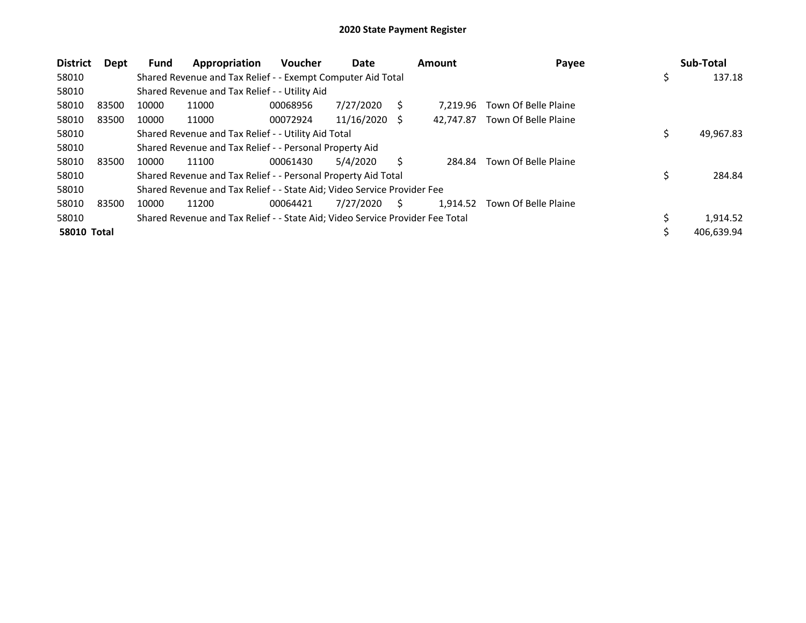| <b>District</b>    | Dept  | <b>Fund</b> | Appropriation                                                                 | <b>Voucher</b> | Date       |     | <b>Amount</b> | Payee                | Sub-Total    |
|--------------------|-------|-------------|-------------------------------------------------------------------------------|----------------|------------|-----|---------------|----------------------|--------------|
| 58010              |       |             | Shared Revenue and Tax Relief - - Exempt Computer Aid Total                   |                |            |     |               |                      | \$<br>137.18 |
| 58010              |       |             | Shared Revenue and Tax Relief - - Utility Aid                                 |                |            |     |               |                      |              |
| 58010              | 83500 | 10000       | 11000                                                                         | 00068956       | 7/27/2020  |     | 7.219.96      | Town Of Belle Plaine |              |
| 58010              | 83500 | 10000       | 11000                                                                         | 00072924       | 11/16/2020 | - S | 42.747.87     | Town Of Belle Plaine |              |
| 58010              |       |             | Shared Revenue and Tax Relief - - Utility Aid Total                           |                |            |     |               |                      | 49,967.83    |
| 58010              |       |             | Shared Revenue and Tax Relief - - Personal Property Aid                       |                |            |     |               |                      |              |
| 58010              | 83500 | 10000       | 11100                                                                         | 00061430       | 5/4/2020   |     | 284.84        | Town Of Belle Plaine |              |
| 58010              |       |             | Shared Revenue and Tax Relief - - Personal Property Aid Total                 |                |            |     |               |                      | 284.84       |
| 58010              |       |             | Shared Revenue and Tax Relief - - State Aid; Video Service Provider Fee       |                |            |     |               |                      |              |
| 58010              | 83500 | 10000       | 11200                                                                         | 00064421       | 7/27/2020  | S.  | 1,914.52      | Town Of Belle Plaine |              |
| 58010              |       |             | Shared Revenue and Tax Relief - - State Aid; Video Service Provider Fee Total |                |            |     |               |                      | 1,914.52     |
| <b>58010 Total</b> |       |             |                                                                               |                |            |     |               |                      | 406,639.94   |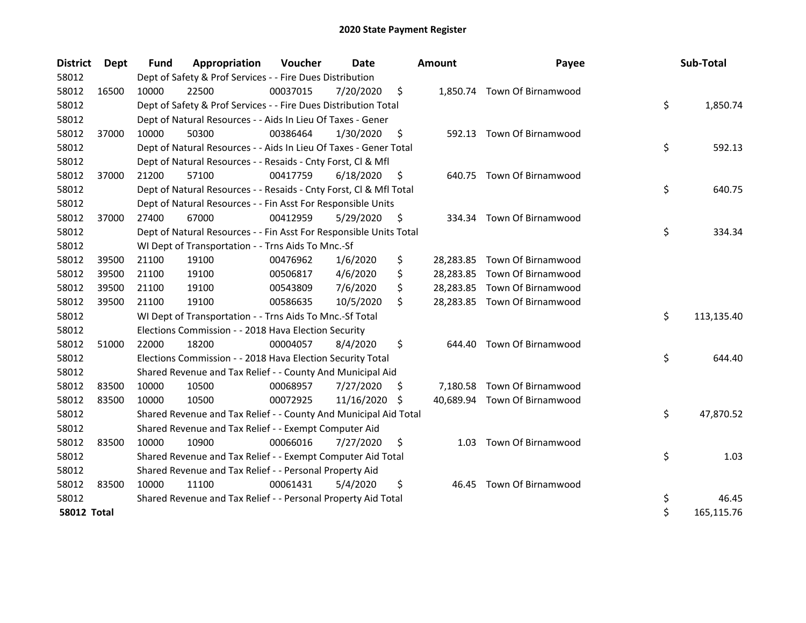| <b>District</b>    | <b>Dept</b> | Fund  | Appropriation                                                      | Voucher  | Date       |     | <b>Amount</b> | Payee                        | Sub-Total        |
|--------------------|-------------|-------|--------------------------------------------------------------------|----------|------------|-----|---------------|------------------------------|------------------|
| 58012              |             |       | Dept of Safety & Prof Services - - Fire Dues Distribution          |          |            |     |               |                              |                  |
| 58012              | 16500       | 10000 | 22500                                                              | 00037015 | 7/20/2020  | \$  |               | 1,850.74 Town Of Birnamwood  |                  |
| 58012              |             |       | Dept of Safety & Prof Services - - Fire Dues Distribution Total    |          |            |     |               |                              | \$<br>1,850.74   |
| 58012              |             |       | Dept of Natural Resources - - Aids In Lieu Of Taxes - Gener        |          |            |     |               |                              |                  |
| 58012              | 37000       | 10000 | 50300                                                              | 00386464 | 1/30/2020  | \$  |               | 592.13 Town Of Birnamwood    |                  |
| 58012              |             |       | Dept of Natural Resources - - Aids In Lieu Of Taxes - Gener Total  |          |            |     |               |                              | \$<br>592.13     |
| 58012              |             |       | Dept of Natural Resources - - Resaids - Cnty Forst, Cl & Mfl       |          |            |     |               |                              |                  |
| 58012              | 37000       | 21200 | 57100                                                              | 00417759 | 6/18/2020  | \$  | 640.75        | Town Of Birnamwood           |                  |
| 58012              |             |       | Dept of Natural Resources - - Resaids - Cnty Forst, Cl & Mfl Total |          |            |     |               |                              | \$<br>640.75     |
| 58012              |             |       | Dept of Natural Resources - - Fin Asst For Responsible Units       |          |            |     |               |                              |                  |
| 58012              | 37000       | 27400 | 67000                                                              | 00412959 | 5/29/2020  | \$. |               | 334.34 Town Of Birnamwood    |                  |
| 58012              |             |       | Dept of Natural Resources - - Fin Asst For Responsible Units Total |          |            |     |               |                              | \$<br>334.34     |
| 58012              |             |       | WI Dept of Transportation - - Trns Aids To Mnc.-Sf                 |          |            |     |               |                              |                  |
| 58012              | 39500       | 21100 | 19100                                                              | 00476962 | 1/6/2020   | \$  |               | 28,283.85 Town Of Birnamwood |                  |
| 58012              | 39500       | 21100 | 19100                                                              | 00506817 | 4/6/2020   | \$  |               | 28,283.85 Town Of Birnamwood |                  |
| 58012              | 39500       | 21100 | 19100                                                              | 00543809 | 7/6/2020   | \$  |               | 28,283.85 Town Of Birnamwood |                  |
| 58012              | 39500       | 21100 | 19100                                                              | 00586635 | 10/5/2020  | \$  |               | 28,283.85 Town Of Birnamwood |                  |
| 58012              |             |       | WI Dept of Transportation - - Trns Aids To Mnc.-Sf Total           |          |            |     |               |                              | \$<br>113,135.40 |
| 58012              |             |       | Elections Commission - - 2018 Hava Election Security               |          |            |     |               |                              |                  |
| 58012              | 51000       | 22000 | 18200                                                              | 00004057 | 8/4/2020   | \$  | 644.40        | Town Of Birnamwood           |                  |
| 58012              |             |       | Elections Commission - - 2018 Hava Election Security Total         |          |            |     |               |                              | \$<br>644.40     |
| 58012              |             |       | Shared Revenue and Tax Relief - - County And Municipal Aid         |          |            |     |               |                              |                  |
| 58012              | 83500       | 10000 | 10500                                                              | 00068957 | 7/27/2020  | S   |               | 7,180.58 Town Of Birnamwood  |                  |
| 58012              | 83500       | 10000 | 10500                                                              | 00072925 | 11/16/2020 | S.  |               | 40,689.94 Town Of Birnamwood |                  |
| 58012              |             |       | Shared Revenue and Tax Relief - - County And Municipal Aid Total   |          |            |     |               |                              | \$<br>47,870.52  |
| 58012              |             |       | Shared Revenue and Tax Relief - - Exempt Computer Aid              |          |            |     |               |                              |                  |
| 58012              | 83500       | 10000 | 10900                                                              | 00066016 | 7/27/2020  | \$  | 1.03          | Town Of Birnamwood           |                  |
| 58012              |             |       | Shared Revenue and Tax Relief - - Exempt Computer Aid Total        |          |            |     |               |                              | \$<br>1.03       |
| 58012              |             |       | Shared Revenue and Tax Relief - - Personal Property Aid            |          |            |     |               |                              |                  |
| 58012              | 83500       | 10000 | 11100                                                              | 00061431 | 5/4/2020   | \$  | 46.45         | Town Of Birnamwood           |                  |
| 58012              |             |       | Shared Revenue and Tax Relief - - Personal Property Aid Total      |          |            |     |               |                              | \$<br>46.45      |
| <b>58012 Total</b> |             |       |                                                                    |          |            |     |               |                              | \$<br>165,115.76 |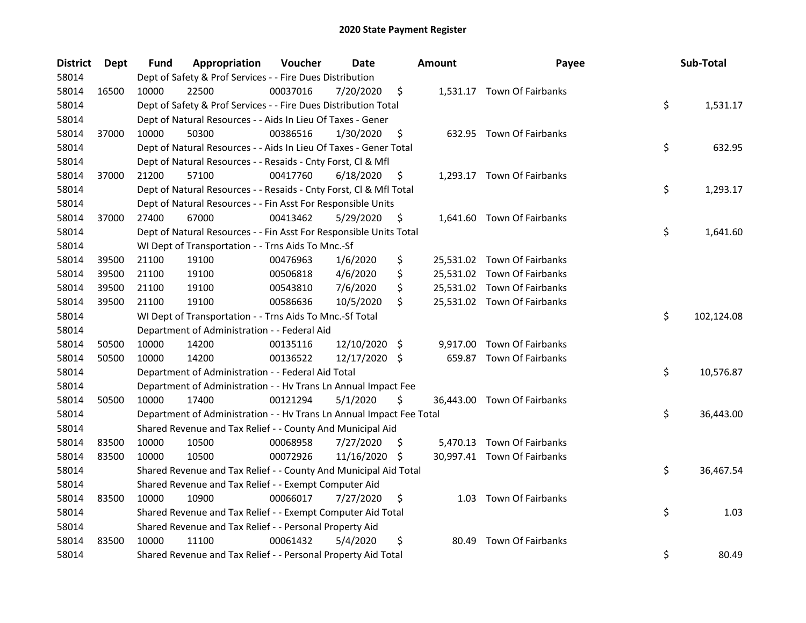| <b>District</b> | <b>Dept</b> | Fund  | Appropriation                                                        | Voucher  | <b>Date</b>   |     | <b>Amount</b> | Payee                       | Sub-Total        |
|-----------------|-------------|-------|----------------------------------------------------------------------|----------|---------------|-----|---------------|-----------------------------|------------------|
| 58014           |             |       | Dept of Safety & Prof Services - - Fire Dues Distribution            |          |               |     |               |                             |                  |
| 58014           | 16500       | 10000 | 22500                                                                | 00037016 | 7/20/2020     | \$  |               | 1,531.17 Town Of Fairbanks  |                  |
| 58014           |             |       | Dept of Safety & Prof Services - - Fire Dues Distribution Total      |          |               |     |               |                             | \$<br>1,531.17   |
| 58014           |             |       | Dept of Natural Resources - - Aids In Lieu Of Taxes - Gener          |          |               |     |               |                             |                  |
| 58014           | 37000       | 10000 | 50300                                                                | 00386516 | 1/30/2020     | \$  |               | 632.95 Town Of Fairbanks    |                  |
| 58014           |             |       | Dept of Natural Resources - - Aids In Lieu Of Taxes - Gener Total    |          |               |     |               |                             | \$<br>632.95     |
| 58014           |             |       | Dept of Natural Resources - - Resaids - Cnty Forst, Cl & Mfl         |          |               |     |               |                             |                  |
| 58014           | 37000       | 21200 | 57100                                                                | 00417760 | 6/18/2020     | \$  |               | 1,293.17 Town Of Fairbanks  |                  |
| 58014           |             |       | Dept of Natural Resources - - Resaids - Cnty Forst, Cl & Mfl Total   |          |               |     |               |                             | \$<br>1,293.17   |
| 58014           |             |       | Dept of Natural Resources - - Fin Asst For Responsible Units         |          |               |     |               |                             |                  |
| 58014           | 37000       | 27400 | 67000                                                                | 00413462 | 5/29/2020     | \$. |               | 1,641.60 Town Of Fairbanks  |                  |
| 58014           |             |       | Dept of Natural Resources - - Fin Asst For Responsible Units Total   |          |               |     |               |                             | \$<br>1,641.60   |
| 58014           |             |       | WI Dept of Transportation - - Trns Aids To Mnc.-Sf                   |          |               |     |               |                             |                  |
| 58014           | 39500       | 21100 | 19100                                                                | 00476963 | 1/6/2020      | \$  |               | 25,531.02 Town Of Fairbanks |                  |
| 58014           | 39500       | 21100 | 19100                                                                | 00506818 | 4/6/2020      | \$  |               | 25,531.02 Town Of Fairbanks |                  |
| 58014           | 39500       | 21100 | 19100                                                                | 00543810 | 7/6/2020      | \$  |               | 25,531.02 Town Of Fairbanks |                  |
| 58014           | 39500       | 21100 | 19100                                                                | 00586636 | 10/5/2020     | \$  |               | 25,531.02 Town Of Fairbanks |                  |
| 58014           |             |       | WI Dept of Transportation - - Trns Aids To Mnc.-Sf Total             |          |               |     |               |                             | \$<br>102,124.08 |
| 58014           |             |       | Department of Administration - - Federal Aid                         |          |               |     |               |                             |                  |
| 58014           | 50500       | 10000 | 14200                                                                | 00135116 | 12/10/2020    | \$  |               | 9,917.00 Town Of Fairbanks  |                  |
| 58014           | 50500       | 10000 | 14200                                                                | 00136522 | 12/17/2020 \$ |     |               | 659.87 Town Of Fairbanks    |                  |
| 58014           |             |       | Department of Administration - - Federal Aid Total                   |          |               |     |               |                             | \$<br>10,576.87  |
| 58014           |             |       | Department of Administration - - Hv Trans Ln Annual Impact Fee       |          |               |     |               |                             |                  |
| 58014           | 50500       | 10000 | 17400                                                                | 00121294 | 5/1/2020      | \$  |               | 36,443.00 Town Of Fairbanks |                  |
| 58014           |             |       | Department of Administration - - Hv Trans Ln Annual Impact Fee Total |          |               |     |               |                             | \$<br>36,443.00  |
| 58014           |             |       | Shared Revenue and Tax Relief - - County And Municipal Aid           |          |               |     |               |                             |                  |
| 58014           | 83500       | 10000 | 10500                                                                | 00068958 | 7/27/2020     | \$. |               | 5,470.13 Town Of Fairbanks  |                  |
| 58014           | 83500       | 10000 | 10500                                                                | 00072926 | 11/16/2020    | -S  |               | 30,997.41 Town Of Fairbanks |                  |
| 58014           |             |       | Shared Revenue and Tax Relief - - County And Municipal Aid Total     |          |               |     |               |                             | \$<br>36,467.54  |
| 58014           |             |       | Shared Revenue and Tax Relief - - Exempt Computer Aid                |          |               |     |               |                             |                  |
| 58014           | 83500       | 10000 | 10900                                                                | 00066017 | 7/27/2020     | \$  |               | 1.03 Town Of Fairbanks      |                  |
| 58014           |             |       | Shared Revenue and Tax Relief - - Exempt Computer Aid Total          |          |               |     |               |                             | \$<br>1.03       |
| 58014           |             |       | Shared Revenue and Tax Relief - - Personal Property Aid              |          |               |     |               |                             |                  |
| 58014           | 83500       | 10000 | 11100                                                                | 00061432 | 5/4/2020      | \$  | 80.49         | Town Of Fairbanks           |                  |
| 58014           |             |       | Shared Revenue and Tax Relief - - Personal Property Aid Total        |          |               |     |               |                             | \$<br>80.49      |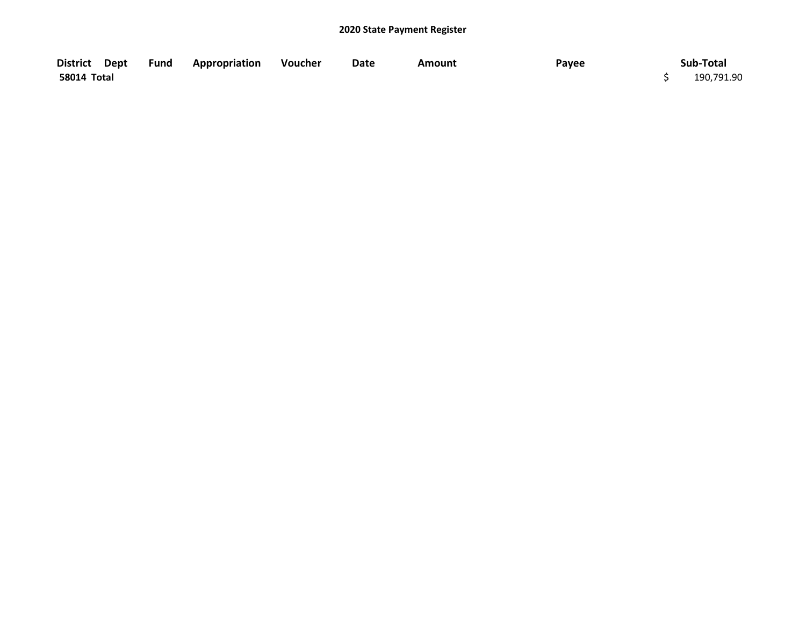| District Dept | <b>Fund Appropriation Voucher</b> | Date | <b>Amount</b> | Payee | Sub-Total  |
|---------------|-----------------------------------|------|---------------|-------|------------|
| 58014 Total   |                                   |      |               |       | 190,791.90 |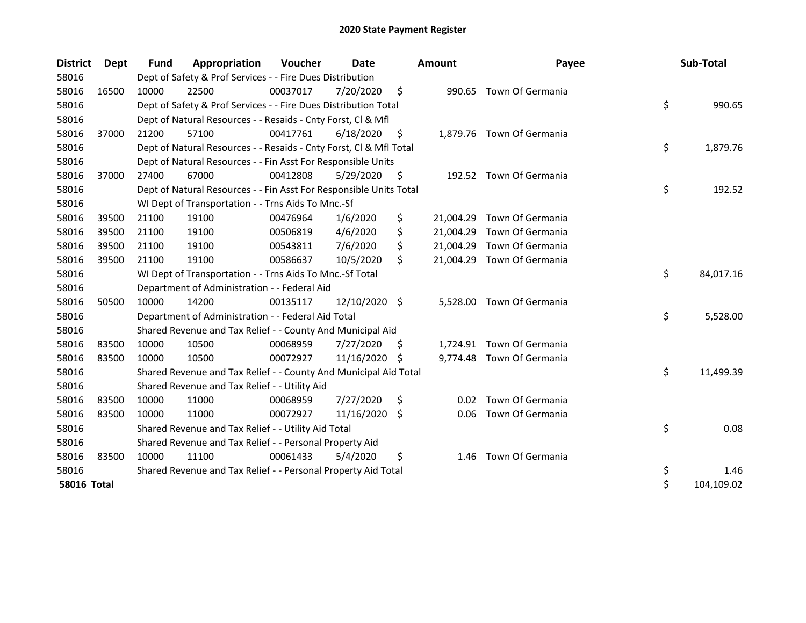| <b>District</b>    | Dept  | <b>Fund</b> | Appropriation                                                      | Voucher  | Date          |     | <b>Amount</b> | Payee                      | Sub-Total        |
|--------------------|-------|-------------|--------------------------------------------------------------------|----------|---------------|-----|---------------|----------------------------|------------------|
| 58016              |       |             | Dept of Safety & Prof Services - - Fire Dues Distribution          |          |               |     |               |                            |                  |
| 58016              | 16500 | 10000       | 22500                                                              | 00037017 | 7/20/2020     | \$  |               | 990.65 Town Of Germania    |                  |
| 58016              |       |             | Dept of Safety & Prof Services - - Fire Dues Distribution Total    |          |               |     |               |                            | \$<br>990.65     |
| 58016              |       |             | Dept of Natural Resources - - Resaids - Cnty Forst, Cl & Mfl       |          |               |     |               |                            |                  |
| 58016              | 37000 | 21200       | 57100                                                              | 00417761 | 6/18/2020     | -S  |               | 1,879.76 Town Of Germania  |                  |
| 58016              |       |             | Dept of Natural Resources - - Resaids - Cnty Forst, Cl & Mfl Total |          |               |     |               |                            | \$<br>1,879.76   |
| 58016              |       |             | Dept of Natural Resources - - Fin Asst For Responsible Units       |          |               |     |               |                            |                  |
| 58016              | 37000 | 27400       | 67000                                                              | 00412808 | 5/29/2020     | \$  | 192.52        | Town Of Germania           |                  |
| 58016              |       |             | Dept of Natural Resources - - Fin Asst For Responsible Units Total |          |               |     |               |                            | \$<br>192.52     |
| 58016              |       |             | WI Dept of Transportation - - Trns Aids To Mnc.-Sf                 |          |               |     |               |                            |                  |
| 58016              | 39500 | 21100       | 19100                                                              | 00476964 | 1/6/2020      | \$  |               | 21,004.29 Town Of Germania |                  |
| 58016              | 39500 | 21100       | 19100                                                              | 00506819 | 4/6/2020      | \$  | 21,004.29     | Town Of Germania           |                  |
| 58016              | 39500 | 21100       | 19100                                                              | 00543811 | 7/6/2020      | \$  |               | 21,004.29 Town Of Germania |                  |
| 58016              | 39500 | 21100       | 19100                                                              | 00586637 | 10/5/2020     | \$  |               | 21,004.29 Town Of Germania |                  |
| 58016              |       |             | WI Dept of Transportation - - Trns Aids To Mnc.-Sf Total           |          |               |     |               |                            | \$<br>84,017.16  |
| 58016              |       |             | Department of Administration - - Federal Aid                       |          |               |     |               |                            |                  |
| 58016              | 50500 | 10000       | 14200                                                              | 00135117 | 12/10/2020 \$ |     | 5,528.00      | Town Of Germania           |                  |
| 58016              |       |             | Department of Administration - - Federal Aid Total                 |          |               |     |               |                            | \$<br>5,528.00   |
| 58016              |       |             | Shared Revenue and Tax Relief - - County And Municipal Aid         |          |               |     |               |                            |                  |
| 58016              | 83500 | 10000       | 10500                                                              | 00068959 | 7/27/2020     | S.  |               | 1,724.91 Town Of Germania  |                  |
| 58016              | 83500 | 10000       | 10500                                                              | 00072927 | 11/16/2020    | -\$ |               | 9,774.48 Town Of Germania  |                  |
| 58016              |       |             | Shared Revenue and Tax Relief - - County And Municipal Aid Total   |          |               |     |               |                            | \$<br>11,499.39  |
| 58016              |       |             | Shared Revenue and Tax Relief - - Utility Aid                      |          |               |     |               |                            |                  |
| 58016              | 83500 | 10000       | 11000                                                              | 00068959 | 7/27/2020     | \$  | 0.02          | Town Of Germania           |                  |
| 58016              | 83500 | 10000       | 11000                                                              | 00072927 | 11/16/2020    | \$. | 0.06          | Town Of Germania           |                  |
| 58016              |       |             | Shared Revenue and Tax Relief - - Utility Aid Total                |          |               |     |               |                            | \$<br>0.08       |
| 58016              |       |             | Shared Revenue and Tax Relief - - Personal Property Aid            |          |               |     |               |                            |                  |
| 58016              | 83500 | 10000       | 11100                                                              | 00061433 | 5/4/2020      | \$  | 1.46          | Town Of Germania           |                  |
| 58016              |       |             | Shared Revenue and Tax Relief - - Personal Property Aid Total      |          |               |     |               |                            | \$<br>1.46       |
| <b>58016 Total</b> |       |             |                                                                    |          |               |     |               |                            | \$<br>104,109.02 |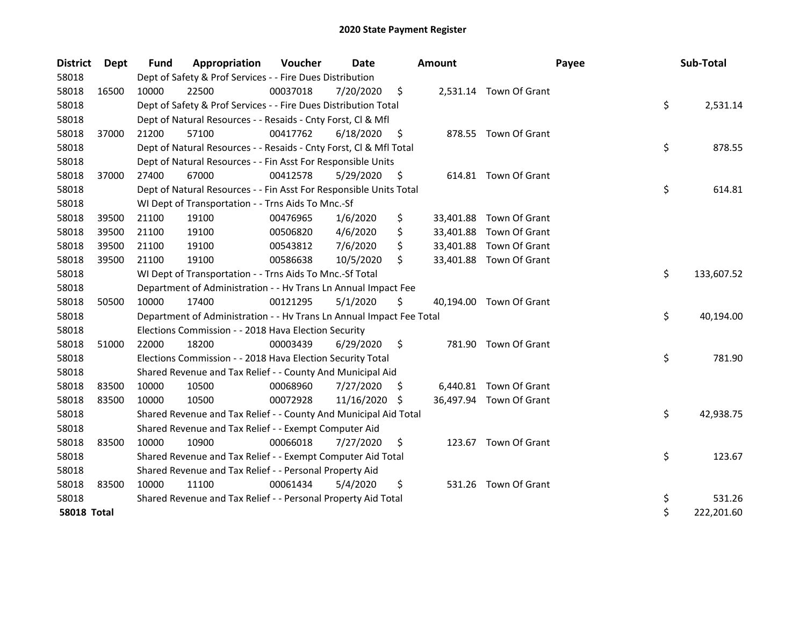| <b>District</b>    | <b>Dept</b> | <b>Fund</b> | Appropriation                                                        | Voucher  | Date       |     | <b>Amount</b> | Payee                   | Sub-Total        |
|--------------------|-------------|-------------|----------------------------------------------------------------------|----------|------------|-----|---------------|-------------------------|------------------|
| 58018              |             |             | Dept of Safety & Prof Services - - Fire Dues Distribution            |          |            |     |               |                         |                  |
| 58018              | 16500       | 10000       | 22500                                                                | 00037018 | 7/20/2020  | \$  |               | 2,531.14 Town Of Grant  |                  |
| 58018              |             |             | Dept of Safety & Prof Services - - Fire Dues Distribution Total      |          |            |     |               |                         | \$<br>2,531.14   |
| 58018              |             |             | Dept of Natural Resources - - Resaids - Cnty Forst, Cl & Mfl         |          |            |     |               |                         |                  |
| 58018              | 37000       | 21200       | 57100                                                                | 00417762 | 6/18/2020  | \$  |               | 878.55 Town Of Grant    |                  |
| 58018              |             |             | Dept of Natural Resources - - Resaids - Cnty Forst, Cl & Mfl Total   |          |            |     |               |                         | \$<br>878.55     |
| 58018              |             |             | Dept of Natural Resources - - Fin Asst For Responsible Units         |          |            |     |               |                         |                  |
| 58018              | 37000       | 27400       | 67000                                                                | 00412578 | 5/29/2020  | \$. |               | 614.81 Town Of Grant    |                  |
| 58018              |             |             | Dept of Natural Resources - - Fin Asst For Responsible Units Total   |          |            |     |               |                         | \$<br>614.81     |
| 58018              |             |             | WI Dept of Transportation - - Trns Aids To Mnc.-Sf                   |          |            |     |               |                         |                  |
| 58018              | 39500       | 21100       | 19100                                                                | 00476965 | 1/6/2020   | \$  |               | 33,401.88 Town Of Grant |                  |
| 58018              | 39500       | 21100       | 19100                                                                | 00506820 | 4/6/2020   | \$  | 33,401.88     | Town Of Grant           |                  |
| 58018              | 39500       | 21100       | 19100                                                                | 00543812 | 7/6/2020   | \$  |               | 33,401.88 Town Of Grant |                  |
| 58018              | 39500       | 21100       | 19100                                                                | 00586638 | 10/5/2020  | \$  |               | 33,401.88 Town Of Grant |                  |
| 58018              |             |             | WI Dept of Transportation - - Trns Aids To Mnc.-Sf Total             |          |            |     |               |                         | \$<br>133,607.52 |
| 58018              |             |             | Department of Administration - - Hv Trans Ln Annual Impact Fee       |          |            |     |               |                         |                  |
| 58018              | 50500       | 10000       | 17400                                                                | 00121295 | 5/1/2020   | \$  |               | 40,194.00 Town Of Grant |                  |
| 58018              |             |             | Department of Administration - - Hv Trans Ln Annual Impact Fee Total |          |            |     |               |                         | \$<br>40,194.00  |
| 58018              |             |             | Elections Commission - - 2018 Hava Election Security                 |          |            |     |               |                         |                  |
| 58018              | 51000       | 22000       | 18200                                                                | 00003439 | 6/29/2020  | \$  |               | 781.90 Town Of Grant    |                  |
| 58018              |             |             | Elections Commission - - 2018 Hava Election Security Total           |          |            |     |               |                         | \$<br>781.90     |
| 58018              |             |             | Shared Revenue and Tax Relief - - County And Municipal Aid           |          |            |     |               |                         |                  |
| 58018              | 83500       | 10000       | 10500                                                                | 00068960 | 7/27/2020  | \$. |               | 6,440.81 Town Of Grant  |                  |
| 58018              | 83500       | 10000       | 10500                                                                | 00072928 | 11/16/2020 | -S  |               | 36,497.94 Town Of Grant |                  |
| 58018              |             |             | Shared Revenue and Tax Relief - - County And Municipal Aid Total     |          |            |     |               |                         | \$<br>42,938.75  |
| 58018              |             |             | Shared Revenue and Tax Relief - - Exempt Computer Aid                |          |            |     |               |                         |                  |
| 58018              | 83500       | 10000       | 10900                                                                | 00066018 | 7/27/2020  | \$  |               | 123.67 Town Of Grant    |                  |
| 58018              |             |             | Shared Revenue and Tax Relief - - Exempt Computer Aid Total          |          |            |     |               |                         | \$<br>123.67     |
| 58018              |             |             | Shared Revenue and Tax Relief - - Personal Property Aid              |          |            |     |               |                         |                  |
| 58018              | 83500       | 10000       | 11100                                                                | 00061434 | 5/4/2020   | \$  |               | 531.26 Town Of Grant    |                  |
| 58018              |             |             | Shared Revenue and Tax Relief - - Personal Property Aid Total        |          |            |     |               |                         | \$<br>531.26     |
| <b>58018 Total</b> |             |             |                                                                      |          |            |     |               |                         | \$<br>222,201.60 |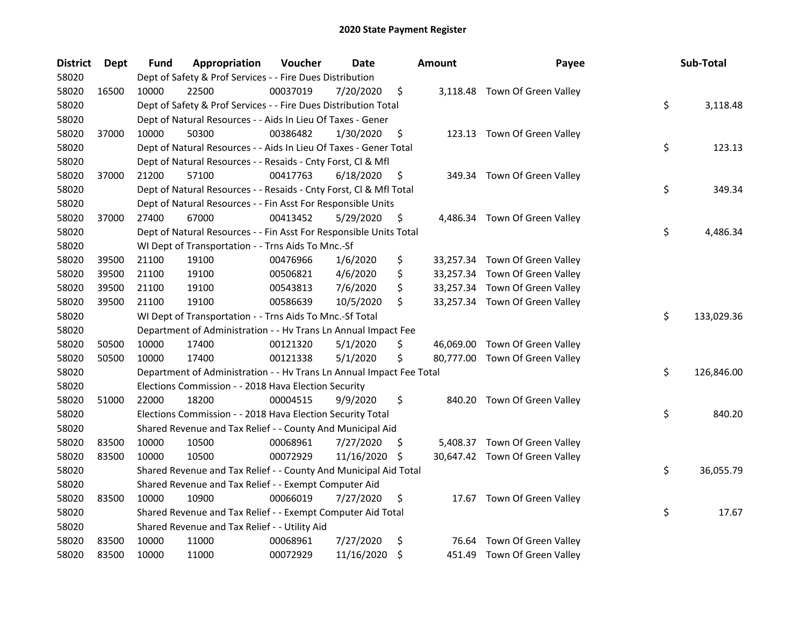| <b>District</b> | Dept  | Fund  | Appropriation                                                        | Voucher  | <b>Date</b> |     | Amount | Payee                          | Sub-Total        |
|-----------------|-------|-------|----------------------------------------------------------------------|----------|-------------|-----|--------|--------------------------------|------------------|
| 58020           |       |       | Dept of Safety & Prof Services - - Fire Dues Distribution            |          |             |     |        |                                |                  |
| 58020           | 16500 | 10000 | 22500                                                                | 00037019 | 7/20/2020   | \$  |        | 3,118.48 Town Of Green Valley  |                  |
| 58020           |       |       | Dept of Safety & Prof Services - - Fire Dues Distribution Total      |          |             |     |        |                                | \$<br>3,118.48   |
| 58020           |       |       | Dept of Natural Resources - - Aids In Lieu Of Taxes - Gener          |          |             |     |        |                                |                  |
| 58020           | 37000 | 10000 | 50300                                                                | 00386482 | 1/30/2020   | \$  |        | 123.13 Town Of Green Valley    |                  |
| 58020           |       |       | Dept of Natural Resources - - Aids In Lieu Of Taxes - Gener Total    |          |             |     |        |                                | \$<br>123.13     |
| 58020           |       |       | Dept of Natural Resources - - Resaids - Cnty Forst, Cl & Mfl         |          |             |     |        |                                |                  |
| 58020           | 37000 | 21200 | 57100                                                                | 00417763 | 6/18/2020   | \$  |        | 349.34 Town Of Green Valley    |                  |
| 58020           |       |       | Dept of Natural Resources - - Resaids - Cnty Forst, Cl & Mfl Total   |          |             |     |        |                                | \$<br>349.34     |
| 58020           |       |       | Dept of Natural Resources - - Fin Asst For Responsible Units         |          |             |     |        |                                |                  |
| 58020           | 37000 | 27400 | 67000                                                                | 00413452 | 5/29/2020   | Ş   |        | 4,486.34 Town Of Green Valley  |                  |
| 58020           |       |       | Dept of Natural Resources - - Fin Asst For Responsible Units Total   |          |             |     |        |                                | \$<br>4,486.34   |
| 58020           |       |       | WI Dept of Transportation - - Trns Aids To Mnc.-Sf                   |          |             |     |        |                                |                  |
| 58020           | 39500 | 21100 | 19100                                                                | 00476966 | 1/6/2020    | \$  |        | 33,257.34 Town Of Green Valley |                  |
| 58020           | 39500 | 21100 | 19100                                                                | 00506821 | 4/6/2020    | \$  |        | 33,257.34 Town Of Green Valley |                  |
| 58020           | 39500 | 21100 | 19100                                                                | 00543813 | 7/6/2020    | \$  |        | 33,257.34 Town Of Green Valley |                  |
| 58020           | 39500 | 21100 | 19100                                                                | 00586639 | 10/5/2020   | \$  |        | 33,257.34 Town Of Green Valley |                  |
| 58020           |       |       | WI Dept of Transportation - - Trns Aids To Mnc.-Sf Total             |          |             |     |        |                                | \$<br>133,029.36 |
| 58020           |       |       | Department of Administration - - Hv Trans Ln Annual Impact Fee       |          |             |     |        |                                |                  |
| 58020           | 50500 | 10000 | 17400                                                                | 00121320 | 5/1/2020    | \$  |        | 46,069.00 Town Of Green Valley |                  |
| 58020           | 50500 | 10000 | 17400                                                                | 00121338 | 5/1/2020    | \$  |        | 80,777.00 Town Of Green Valley |                  |
| 58020           |       |       | Department of Administration - - Hv Trans Ln Annual Impact Fee Total |          |             |     |        |                                | \$<br>126,846.00 |
| 58020           |       |       | Elections Commission - - 2018 Hava Election Security                 |          |             |     |        |                                |                  |
| 58020           | 51000 | 22000 | 18200                                                                | 00004515 | 9/9/2020    | \$  |        | 840.20 Town Of Green Valley    |                  |
| 58020           |       |       | Elections Commission - - 2018 Hava Election Security Total           |          |             |     |        |                                | \$<br>840.20     |
| 58020           |       |       | Shared Revenue and Tax Relief - - County And Municipal Aid           |          |             |     |        |                                |                  |
| 58020           | 83500 | 10000 | 10500                                                                | 00068961 | 7/27/2020   | \$. |        | 5,408.37 Town Of Green Valley  |                  |
| 58020           | 83500 | 10000 | 10500                                                                | 00072929 | 11/16/2020  | \$, |        | 30,647.42 Town Of Green Valley |                  |
| 58020           |       |       | Shared Revenue and Tax Relief - - County And Municipal Aid Total     |          |             |     |        |                                | \$<br>36,055.79  |
| 58020           |       |       | Shared Revenue and Tax Relief - - Exempt Computer Aid                |          |             |     |        |                                |                  |
| 58020           | 83500 | 10000 | 10900                                                                | 00066019 | 7/27/2020   | \$  |        | 17.67 Town Of Green Valley     |                  |
| 58020           |       |       | Shared Revenue and Tax Relief - - Exempt Computer Aid Total          |          |             |     |        |                                | \$<br>17.67      |
| 58020           |       |       | Shared Revenue and Tax Relief - - Utility Aid                        |          |             |     |        |                                |                  |
| 58020           | 83500 | 10000 | 11000                                                                | 00068961 | 7/27/2020   | \$  | 76.64  | Town Of Green Valley           |                  |
| 58020           | 83500 | 10000 | 11000                                                                | 00072929 | 11/16/2020  | \$  |        | 451.49 Town Of Green Valley    |                  |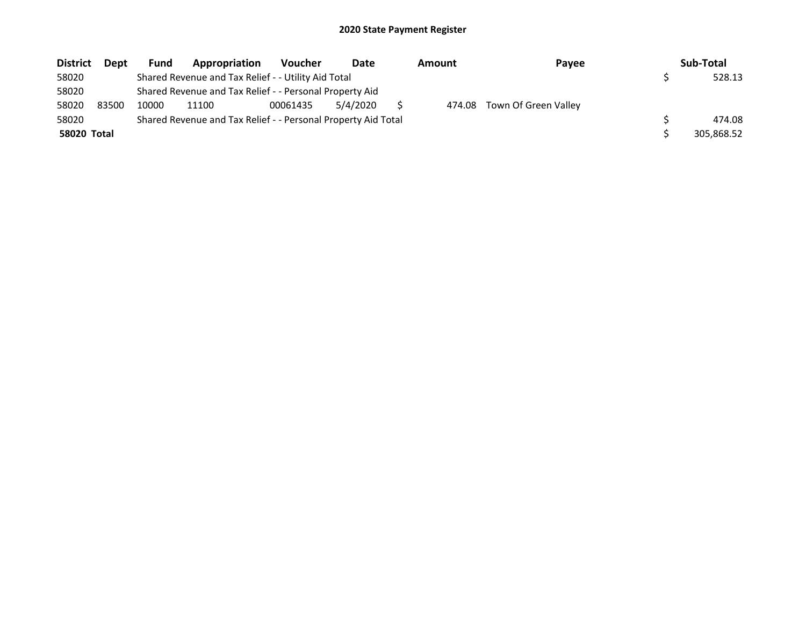| <b>District</b>    | <b>Dept</b> | <b>Fund</b> | Appropriation                                                 | Voucher  | Date     | Amount | Payee                | Sub-Total  |
|--------------------|-------------|-------------|---------------------------------------------------------------|----------|----------|--------|----------------------|------------|
| 58020              |             |             | Shared Revenue and Tax Relief - - Utility Aid Total           |          |          |        |                      | 528.13     |
| 58020              |             |             | Shared Revenue and Tax Relief - - Personal Property Aid       |          |          |        |                      |            |
| 58020              | 83500       | 10000       | 11100                                                         | 00061435 | 5/4/2020 | 474.08 | Town Of Green Valley |            |
| 58020              |             |             | Shared Revenue and Tax Relief - - Personal Property Aid Total |          |          |        |                      | 474.08     |
| <b>58020 Total</b> |             |             |                                                               |          |          |        |                      | 305,868.52 |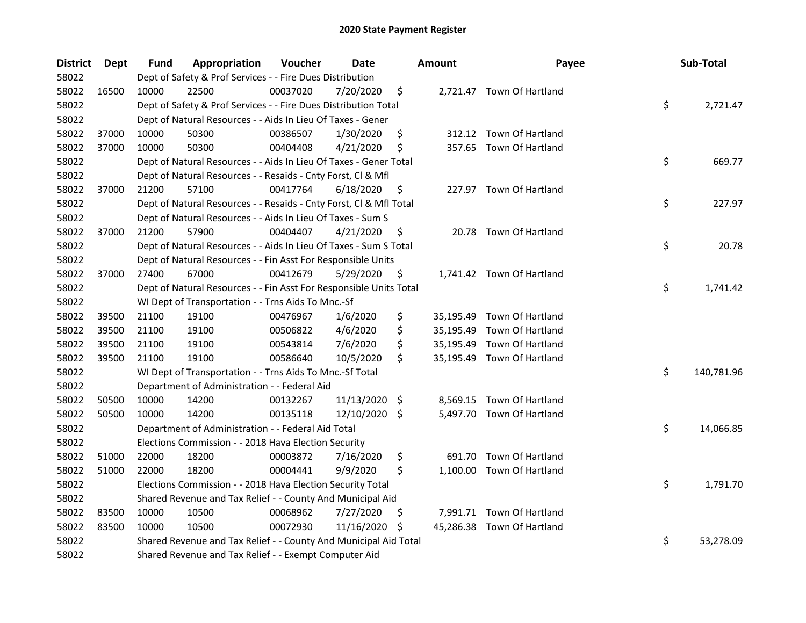| <b>District</b> | <b>Dept</b> | Fund  | Appropriation                                                      | Voucher  | Date          |     | <b>Amount</b> | Payee                      | Sub-Total        |
|-----------------|-------------|-------|--------------------------------------------------------------------|----------|---------------|-----|---------------|----------------------------|------------------|
| 58022           |             |       | Dept of Safety & Prof Services - - Fire Dues Distribution          |          |               |     |               |                            |                  |
| 58022           | 16500       | 10000 | 22500                                                              | 00037020 | 7/20/2020     | \$  |               | 2,721.47 Town Of Hartland  |                  |
| 58022           |             |       | Dept of Safety & Prof Services - - Fire Dues Distribution Total    |          |               |     |               |                            | \$<br>2,721.47   |
| 58022           |             |       | Dept of Natural Resources - - Aids In Lieu Of Taxes - Gener        |          |               |     |               |                            |                  |
| 58022           | 37000       | 10000 | 50300                                                              | 00386507 | 1/30/2020     | \$  |               | 312.12 Town Of Hartland    |                  |
| 58022           | 37000       | 10000 | 50300                                                              | 00404408 | 4/21/2020     | \$  |               | 357.65 Town Of Hartland    |                  |
| 58022           |             |       | Dept of Natural Resources - - Aids In Lieu Of Taxes - Gener Total  |          |               |     |               |                            | \$<br>669.77     |
| 58022           |             |       | Dept of Natural Resources - - Resaids - Cnty Forst, CI & Mfl       |          |               |     |               |                            |                  |
| 58022           | 37000       | 21200 | 57100                                                              | 00417764 | 6/18/2020     | \$  |               | 227.97 Town Of Hartland    |                  |
| 58022           |             |       | Dept of Natural Resources - - Resaids - Cnty Forst, Cl & Mfl Total |          |               |     |               |                            | \$<br>227.97     |
| 58022           |             |       | Dept of Natural Resources - - Aids In Lieu Of Taxes - Sum S        |          |               |     |               |                            |                  |
| 58022           | 37000       | 21200 | 57900                                                              | 00404407 | 4/21/2020     | \$  |               | 20.78 Town Of Hartland     |                  |
| 58022           |             |       | Dept of Natural Resources - - Aids In Lieu Of Taxes - Sum S Total  |          |               |     |               |                            | \$<br>20.78      |
| 58022           |             |       | Dept of Natural Resources - - Fin Asst For Responsible Units       |          |               |     |               |                            |                  |
| 58022           | 37000       | 27400 | 67000                                                              | 00412679 | 5/29/2020     | \$  |               | 1,741.42 Town Of Hartland  |                  |
| 58022           |             |       | Dept of Natural Resources - - Fin Asst For Responsible Units Total |          |               |     |               |                            | \$<br>1,741.42   |
| 58022           |             |       | WI Dept of Transportation - - Trns Aids To Mnc.-Sf                 |          |               |     |               |                            |                  |
| 58022           | 39500       | 21100 | 19100                                                              | 00476967 | 1/6/2020      | \$  |               | 35,195.49 Town Of Hartland |                  |
| 58022           | 39500       | 21100 | 19100                                                              | 00506822 | 4/6/2020      | \$  |               | 35,195.49 Town Of Hartland |                  |
| 58022           | 39500       | 21100 | 19100                                                              | 00543814 | 7/6/2020      | \$  |               | 35,195.49 Town Of Hartland |                  |
| 58022           | 39500       | 21100 | 19100                                                              | 00586640 | 10/5/2020     | \$  |               | 35,195.49 Town Of Hartland |                  |
| 58022           |             |       | WI Dept of Transportation - - Trns Aids To Mnc.-Sf Total           |          |               |     |               |                            | \$<br>140,781.96 |
| 58022           |             |       | Department of Administration - - Federal Aid                       |          |               |     |               |                            |                  |
| 58022           | 50500       | 10000 | 14200                                                              | 00132267 | 11/13/2020    | -\$ |               | 8,569.15 Town Of Hartland  |                  |
| 58022           | 50500       | 10000 | 14200                                                              | 00135118 | 12/10/2020 \$ |     |               | 5,497.70 Town Of Hartland  |                  |
| 58022           |             |       | Department of Administration - - Federal Aid Total                 |          |               |     |               |                            | \$<br>14,066.85  |
| 58022           |             |       | Elections Commission - - 2018 Hava Election Security               |          |               |     |               |                            |                  |
| 58022           | 51000       | 22000 | 18200                                                              | 00003872 | 7/16/2020     | \$  | 691.70        | Town Of Hartland           |                  |
| 58022           | 51000       | 22000 | 18200                                                              | 00004441 | 9/9/2020      | \$  | 1,100.00      | Town Of Hartland           |                  |
| 58022           |             |       | Elections Commission - - 2018 Hava Election Security Total         |          |               |     |               |                            | \$<br>1,791.70   |
| 58022           |             |       | Shared Revenue and Tax Relief - - County And Municipal Aid         |          |               |     |               |                            |                  |
| 58022           | 83500       | 10000 | 10500                                                              | 00068962 | 7/27/2020     | Ş.  |               | 7,991.71 Town Of Hartland  |                  |
| 58022           | 83500       | 10000 | 10500                                                              | 00072930 | 11/16/2020    | \$  |               | 45,286.38 Town Of Hartland |                  |
| 58022           |             |       | Shared Revenue and Tax Relief - - County And Municipal Aid Total   |          |               |     |               |                            | \$<br>53,278.09  |
| 58022           |             |       | Shared Revenue and Tax Relief - - Exempt Computer Aid              |          |               |     |               |                            |                  |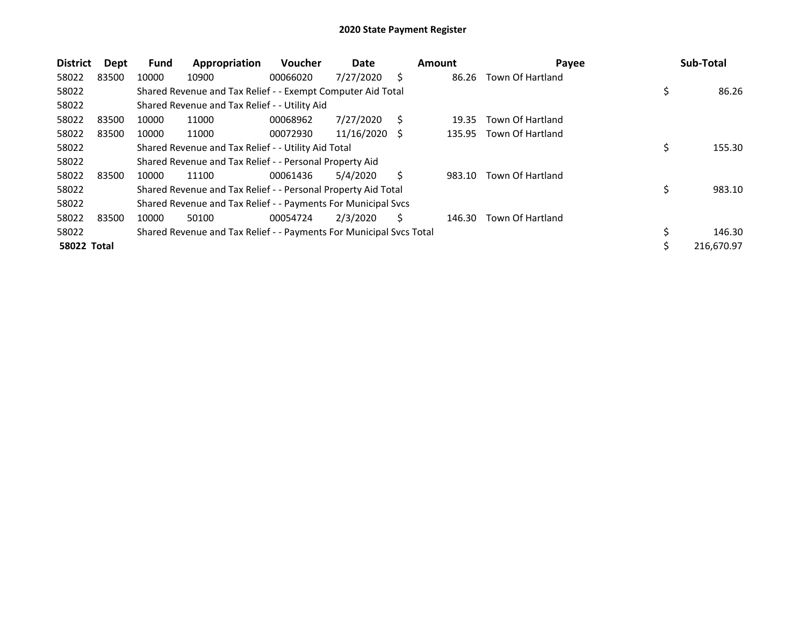| <b>District</b>    | <b>Dept</b> | <b>Fund</b> | Appropriation                                                       | Voucher  | Date       |    | Amount | Payee            |            | Sub-Total  |
|--------------------|-------------|-------------|---------------------------------------------------------------------|----------|------------|----|--------|------------------|------------|------------|
| 58022              | 83500       | 10000       | 10900                                                               | 00066020 | 7/27/2020  | S  | 86.26  | Town Of Hartland |            |            |
| 58022              |             |             | Shared Revenue and Tax Relief - - Exempt Computer Aid Total         |          |            |    |        |                  | \$         | 86.26      |
| 58022              |             |             | Shared Revenue and Tax Relief - - Utility Aid                       |          |            |    |        |                  |            |            |
| 58022              | 83500       | 10000       | 11000                                                               | 00068962 | 7/27/2020  | S  | 19.35  | Town Of Hartland |            |            |
| 58022              | 83500       | 10000       | 11000                                                               | 00072930 | 11/16/2020 | S  | 135.95 | Town Of Hartland |            |            |
| 58022              |             |             | Shared Revenue and Tax Relief - - Utility Aid Total                 |          |            |    |        |                  | \$         | 155.30     |
| 58022              |             |             | Shared Revenue and Tax Relief - - Personal Property Aid             |          |            |    |        |                  |            |            |
| 58022              | 83500       | 10000       | 11100                                                               | 00061436 | 5/4/2020   |    | 983.10 | Town Of Hartland |            |            |
| 58022              |             |             | Shared Revenue and Tax Relief - - Personal Property Aid Total       |          |            |    |        |                  | \$         | 983.10     |
| 58022              |             |             | Shared Revenue and Tax Relief - - Payments For Municipal Svcs       |          |            |    |        |                  |            |            |
| 58022              | 83500       | 10000       | 50100                                                               | 00054724 | 2/3/2020   | Ś. | 146.30 | Town Of Hartland |            |            |
| 58022              |             |             | Shared Revenue and Tax Relief - - Payments For Municipal Svcs Total |          |            |    |        |                  |            | 146.30     |
| <b>58022 Total</b> |             |             |                                                                     |          |            |    |        |                  | $\ddot{ }$ | 216,670.97 |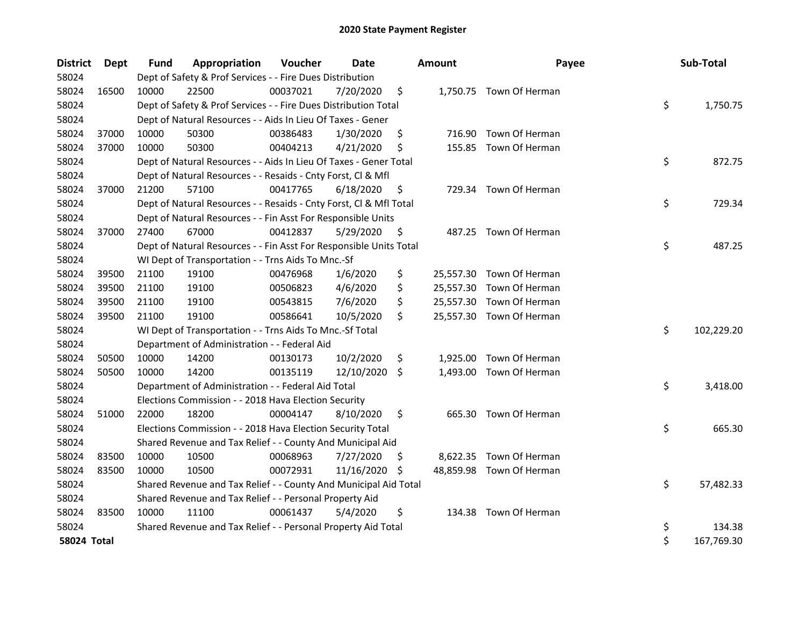| <b>District</b> | Dept  | <b>Fund</b> | Appropriation                                                      | Voucher  | Date          |     | <b>Amount</b> | Payee                    | Sub-Total        |
|-----------------|-------|-------------|--------------------------------------------------------------------|----------|---------------|-----|---------------|--------------------------|------------------|
| 58024           |       |             | Dept of Safety & Prof Services - - Fire Dues Distribution          |          |               |     |               |                          |                  |
| 58024           | 16500 | 10000       | 22500                                                              | 00037021 | 7/20/2020     | \$  |               | 1,750.75 Town Of Herman  |                  |
| 58024           |       |             | Dept of Safety & Prof Services - - Fire Dues Distribution Total    |          |               |     |               |                          | \$<br>1,750.75   |
| 58024           |       |             | Dept of Natural Resources - - Aids In Lieu Of Taxes - Gener        |          |               |     |               |                          |                  |
| 58024           | 37000 | 10000       | 50300                                                              | 00386483 | 1/30/2020     | \$  |               | 716.90 Town Of Herman    |                  |
| 58024           | 37000 | 10000       | 50300                                                              | 00404213 | 4/21/2020     | \$  |               | 155.85 Town Of Herman    |                  |
| 58024           |       |             | Dept of Natural Resources - - Aids In Lieu Of Taxes - Gener Total  |          |               |     |               |                          | \$<br>872.75     |
| 58024           |       |             | Dept of Natural Resources - - Resaids - Cnty Forst, Cl & Mfl       |          |               |     |               |                          |                  |
| 58024           | 37000 | 21200       | 57100                                                              | 00417765 | 6/18/2020     | \$  |               | 729.34 Town Of Herman    |                  |
| 58024           |       |             | Dept of Natural Resources - - Resaids - Cnty Forst, Cl & Mfl Total |          |               |     |               |                          | \$<br>729.34     |
| 58024           |       |             | Dept of Natural Resources - - Fin Asst For Responsible Units       |          |               |     |               |                          |                  |
| 58024           | 37000 | 27400       | 67000                                                              | 00412837 | 5/29/2020     | \$  |               | 487.25 Town Of Herman    |                  |
| 58024           |       |             | Dept of Natural Resources - - Fin Asst For Responsible Units Total |          |               |     |               |                          | \$<br>487.25     |
| 58024           |       |             | WI Dept of Transportation - - Trns Aids To Mnc.-Sf                 |          |               |     |               |                          |                  |
| 58024           | 39500 | 21100       | 19100                                                              | 00476968 | 1/6/2020      | \$  |               | 25,557.30 Town Of Herman |                  |
| 58024           | 39500 | 21100       | 19100                                                              | 00506823 | 4/6/2020      | \$  |               | 25,557.30 Town Of Herman |                  |
| 58024           | 39500 | 21100       | 19100                                                              | 00543815 | 7/6/2020      | \$  |               | 25,557.30 Town Of Herman |                  |
| 58024           | 39500 | 21100       | 19100                                                              | 00586641 | 10/5/2020     | \$  |               | 25,557.30 Town Of Herman |                  |
| 58024           |       |             | WI Dept of Transportation - - Trns Aids To Mnc.-Sf Total           |          |               |     |               |                          | \$<br>102,229.20 |
| 58024           |       |             | Department of Administration - - Federal Aid                       |          |               |     |               |                          |                  |
| 58024           | 50500 | 10000       | 14200                                                              | 00130173 | 10/2/2020     | \$  | 1,925.00      | Town Of Herman           |                  |
| 58024           | 50500 | 10000       | 14200                                                              | 00135119 | 12/10/2020 \$ |     | 1,493.00      | Town Of Herman           |                  |
| 58024           |       |             | Department of Administration - - Federal Aid Total                 |          |               |     |               |                          | \$<br>3,418.00   |
| 58024           |       |             | Elections Commission - - 2018 Hava Election Security               |          |               |     |               |                          |                  |
| 58024           | 51000 | 22000       | 18200                                                              | 00004147 | 8/10/2020     | \$  |               | 665.30 Town Of Herman    |                  |
| 58024           |       |             | Elections Commission - - 2018 Hava Election Security Total         |          |               |     |               |                          | \$<br>665.30     |
| 58024           |       |             | Shared Revenue and Tax Relief - - County And Municipal Aid         |          |               |     |               |                          |                  |
| 58024           | 83500 | 10000       | 10500                                                              | 00068963 | 7/27/2020     | \$. |               | 8,622.35 Town Of Herman  |                  |
| 58024           | 83500 | 10000       | 10500                                                              | 00072931 | 11/16/2020 \$ |     |               | 48,859.98 Town Of Herman |                  |
| 58024           |       |             | Shared Revenue and Tax Relief - - County And Municipal Aid Total   |          |               |     |               |                          | \$<br>57,482.33  |
| 58024           |       |             | Shared Revenue and Tax Relief - - Personal Property Aid            |          |               |     |               |                          |                  |
| 58024           | 83500 | 10000       | 11100                                                              | 00061437 | 5/4/2020      | \$  | 134.38        | Town Of Herman           |                  |
| 58024           |       |             | Shared Revenue and Tax Relief - - Personal Property Aid Total      |          |               |     |               |                          | \$<br>134.38     |
| 58024 Total     |       |             |                                                                    |          |               |     |               |                          | \$<br>167,769.30 |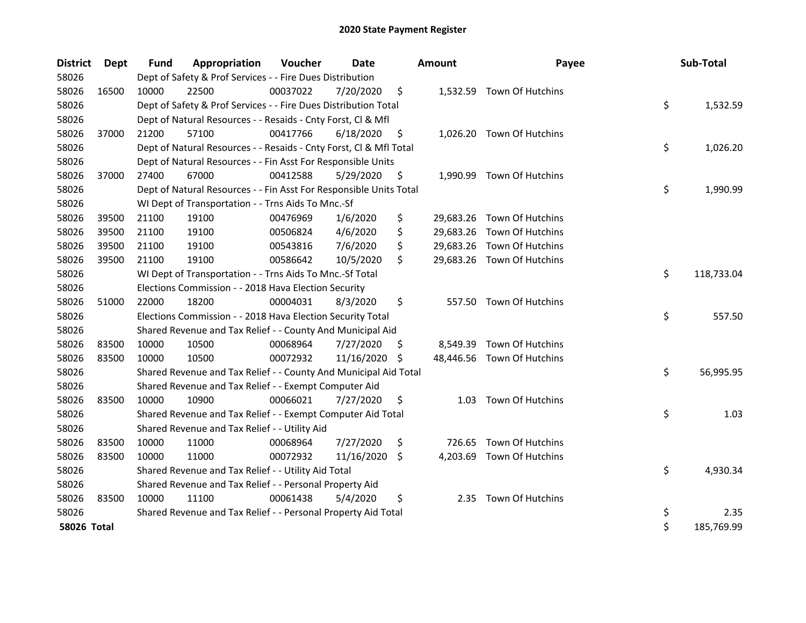| <b>District</b> | Dept  | <b>Fund</b> | Appropriation                                                      | Voucher  | Date          |     | <b>Amount</b> | Payee                      | Sub-Total        |
|-----------------|-------|-------------|--------------------------------------------------------------------|----------|---------------|-----|---------------|----------------------------|------------------|
| 58026           |       |             | Dept of Safety & Prof Services - - Fire Dues Distribution          |          |               |     |               |                            |                  |
| 58026           | 16500 | 10000       | 22500                                                              | 00037022 | 7/20/2020     | \$  |               | 1,532.59 Town Of Hutchins  |                  |
| 58026           |       |             | Dept of Safety & Prof Services - - Fire Dues Distribution Total    |          |               |     |               |                            | \$<br>1,532.59   |
| 58026           |       |             | Dept of Natural Resources - - Resaids - Cnty Forst, CI & Mfl       |          |               |     |               |                            |                  |
| 58026           | 37000 | 21200       | 57100                                                              | 00417766 | 6/18/2020     | \$  |               | 1,026.20 Town Of Hutchins  |                  |
| 58026           |       |             | Dept of Natural Resources - - Resaids - Cnty Forst, Cl & Mfl Total |          |               |     |               |                            | \$<br>1,026.20   |
| 58026           |       |             | Dept of Natural Resources - - Fin Asst For Responsible Units       |          |               |     |               |                            |                  |
| 58026           | 37000 | 27400       | 67000                                                              | 00412588 | 5/29/2020     | \$  |               | 1,990.99 Town Of Hutchins  |                  |
| 58026           |       |             | Dept of Natural Resources - - Fin Asst For Responsible Units Total |          |               |     |               |                            | \$<br>1,990.99   |
| 58026           |       |             | WI Dept of Transportation - - Trns Aids To Mnc.-Sf                 |          |               |     |               |                            |                  |
| 58026           | 39500 | 21100       | 19100                                                              | 00476969 | 1/6/2020      | \$  |               | 29,683.26 Town Of Hutchins |                  |
| 58026           | 39500 | 21100       | 19100                                                              | 00506824 | 4/6/2020      | \$  |               | 29,683.26 Town Of Hutchins |                  |
| 58026           | 39500 | 21100       | 19100                                                              | 00543816 | 7/6/2020      | \$  |               | 29,683.26 Town Of Hutchins |                  |
| 58026           | 39500 | 21100       | 19100                                                              | 00586642 | 10/5/2020     | \$  |               | 29,683.26 Town Of Hutchins |                  |
| 58026           |       |             | WI Dept of Transportation - - Trns Aids To Mnc.-Sf Total           |          |               |     |               |                            | \$<br>118,733.04 |
| 58026           |       |             | Elections Commission - - 2018 Hava Election Security               |          |               |     |               |                            |                  |
| 58026           | 51000 | 22000       | 18200                                                              | 00004031 | 8/3/2020      | \$  |               | 557.50 Town Of Hutchins    |                  |
| 58026           |       |             | Elections Commission - - 2018 Hava Election Security Total         |          |               |     |               |                            | \$<br>557.50     |
| 58026           |       |             | Shared Revenue and Tax Relief - - County And Municipal Aid         |          |               |     |               |                            |                  |
| 58026           | 83500 | 10000       | 10500                                                              | 00068964 | 7/27/2020     | S.  | 8,549.39      | Town Of Hutchins           |                  |
| 58026           | 83500 | 10000       | 10500                                                              | 00072932 | 11/16/2020 \$ |     |               | 48,446.56 Town Of Hutchins |                  |
| 58026           |       |             | Shared Revenue and Tax Relief - - County And Municipal Aid Total   |          |               |     |               |                            | \$<br>56,995.95  |
| 58026           |       |             | Shared Revenue and Tax Relief - - Exempt Computer Aid              |          |               |     |               |                            |                  |
| 58026           | 83500 | 10000       | 10900                                                              | 00066021 | 7/27/2020     | \$  | 1.03          | Town Of Hutchins           |                  |
| 58026           |       |             | Shared Revenue and Tax Relief - - Exempt Computer Aid Total        |          |               |     |               |                            | \$<br>1.03       |
| 58026           |       |             | Shared Revenue and Tax Relief - - Utility Aid                      |          |               |     |               |                            |                  |
| 58026           | 83500 | 10000       | 11000                                                              | 00068964 | 7/27/2020     | \$  |               | 726.65 Town Of Hutchins    |                  |
| 58026           | 83500 | 10000       | 11000                                                              | 00072932 | 11/16/2020    | -\$ |               | 4,203.69 Town Of Hutchins  |                  |
| 58026           |       |             | Shared Revenue and Tax Relief - - Utility Aid Total                |          |               |     |               |                            | \$<br>4,930.34   |
| 58026           |       |             | Shared Revenue and Tax Relief - - Personal Property Aid            |          |               |     |               |                            |                  |
| 58026           | 83500 | 10000       | 11100                                                              | 00061438 | 5/4/2020      | \$  |               | 2.35 Town Of Hutchins      |                  |
| 58026           |       |             | Shared Revenue and Tax Relief - - Personal Property Aid Total      |          |               |     |               |                            | \$<br>2.35       |
| 58026 Total     |       |             |                                                                    |          |               |     |               |                            | \$<br>185,769.99 |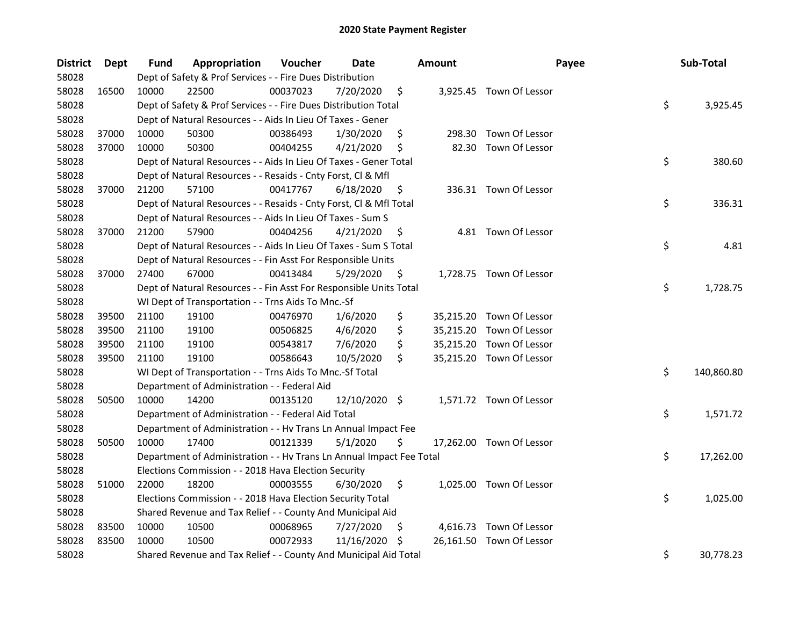| <b>District</b> | Dept  | <b>Fund</b> | Appropriation                                                        | Voucher  | <b>Date</b>   |     | <b>Amount</b> | Payee                    | Sub-Total        |
|-----------------|-------|-------------|----------------------------------------------------------------------|----------|---------------|-----|---------------|--------------------------|------------------|
| 58028           |       |             | Dept of Safety & Prof Services - - Fire Dues Distribution            |          |               |     |               |                          |                  |
| 58028           | 16500 | 10000       | 22500                                                                | 00037023 | 7/20/2020     | \$  |               | 3,925.45 Town Of Lessor  |                  |
| 58028           |       |             | Dept of Safety & Prof Services - - Fire Dues Distribution Total      |          |               |     |               |                          | \$<br>3,925.45   |
| 58028           |       |             | Dept of Natural Resources - - Aids In Lieu Of Taxes - Gener          |          |               |     |               |                          |                  |
| 58028           | 37000 | 10000       | 50300                                                                | 00386493 | 1/30/2020     | \$  |               | 298.30 Town Of Lessor    |                  |
| 58028           | 37000 | 10000       | 50300                                                                | 00404255 | 4/21/2020     | \$  | 82.30         | Town Of Lessor           |                  |
| 58028           |       |             | Dept of Natural Resources - - Aids In Lieu Of Taxes - Gener Total    |          |               |     |               |                          | \$<br>380.60     |
| 58028           |       |             | Dept of Natural Resources - - Resaids - Cnty Forst, Cl & Mfl         |          |               |     |               |                          |                  |
| 58028           | 37000 | 21200       | 57100                                                                | 00417767 | 6/18/2020     | \$  |               | 336.31 Town Of Lessor    |                  |
| 58028           |       |             | Dept of Natural Resources - - Resaids - Cnty Forst, Cl & Mfl Total   |          |               |     |               |                          | \$<br>336.31     |
| 58028           |       |             | Dept of Natural Resources - - Aids In Lieu Of Taxes - Sum S          |          |               |     |               |                          |                  |
| 58028           | 37000 | 21200       | 57900                                                                | 00404256 | 4/21/2020     | \$  |               | 4.81 Town Of Lessor      |                  |
| 58028           |       |             | Dept of Natural Resources - - Aids In Lieu Of Taxes - Sum S Total    |          |               |     |               |                          | \$<br>4.81       |
| 58028           |       |             | Dept of Natural Resources - - Fin Asst For Responsible Units         |          |               |     |               |                          |                  |
| 58028           | 37000 | 27400       | 67000                                                                | 00413484 | 5/29/2020     | \$  |               | 1,728.75 Town Of Lessor  |                  |
| 58028           |       |             | Dept of Natural Resources - - Fin Asst For Responsible Units Total   |          |               |     |               |                          | \$<br>1,728.75   |
| 58028           |       |             | WI Dept of Transportation - - Trns Aids To Mnc.-Sf                   |          |               |     |               |                          |                  |
| 58028           | 39500 | 21100       | 19100                                                                | 00476970 | 1/6/2020      | \$  |               | 35,215.20 Town Of Lessor |                  |
| 58028           | 39500 | 21100       | 19100                                                                | 00506825 | 4/6/2020      | \$  |               | 35,215.20 Town Of Lessor |                  |
| 58028           | 39500 | 21100       | 19100                                                                | 00543817 | 7/6/2020      | \$  |               | 35,215.20 Town Of Lessor |                  |
| 58028           | 39500 | 21100       | 19100                                                                | 00586643 | 10/5/2020     | \$  |               | 35,215.20 Town Of Lessor |                  |
| 58028           |       |             | WI Dept of Transportation - - Trns Aids To Mnc.-Sf Total             |          |               |     |               |                          | \$<br>140,860.80 |
| 58028           |       |             | Department of Administration - - Federal Aid                         |          |               |     |               |                          |                  |
| 58028           | 50500 | 10000       | 14200                                                                | 00135120 | 12/10/2020 \$ |     |               | 1,571.72 Town Of Lessor  |                  |
| 58028           |       |             | Department of Administration - - Federal Aid Total                   |          |               |     |               |                          | \$<br>1,571.72   |
| 58028           |       |             | Department of Administration - - Hv Trans Ln Annual Impact Fee       |          |               |     |               |                          |                  |
| 58028           | 50500 | 10000       | 17400                                                                | 00121339 | 5/1/2020      | \$  |               | 17,262.00 Town Of Lessor |                  |
| 58028           |       |             | Department of Administration - - Hv Trans Ln Annual Impact Fee Total |          |               |     |               |                          | \$<br>17,262.00  |
| 58028           |       |             | Elections Commission - - 2018 Hava Election Security                 |          |               |     |               |                          |                  |
| 58028           | 51000 | 22000       | 18200                                                                | 00003555 | 6/30/2020     | \$  |               | 1,025.00 Town Of Lessor  |                  |
| 58028           |       |             | Elections Commission - - 2018 Hava Election Security Total           |          |               |     |               |                          | \$<br>1,025.00   |
| 58028           |       |             | Shared Revenue and Tax Relief - - County And Municipal Aid           |          |               |     |               |                          |                  |
| 58028           | 83500 | 10000       | 10500                                                                | 00068965 | 7/27/2020     | \$  |               | 4,616.73 Town Of Lessor  |                  |
| 58028           | 83500 | 10000       | 10500                                                                | 00072933 | 11/16/2020    | \$. |               | 26,161.50 Town Of Lessor |                  |
| 58028           |       |             | Shared Revenue and Tax Relief - - County And Municipal Aid Total     |          |               |     |               |                          | \$<br>30,778.23  |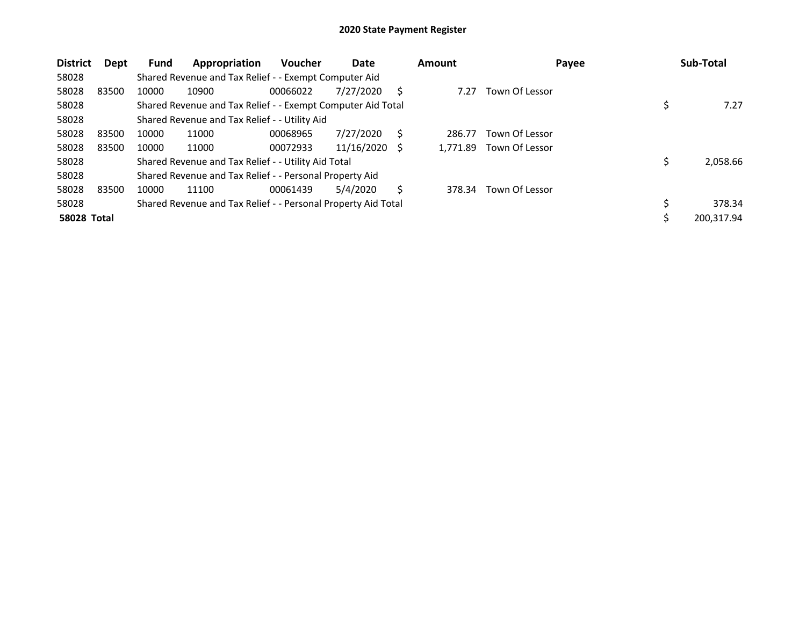| <b>District</b>    | Dept  | <b>Fund</b> | Appropriation                                                 | <b>Voucher</b> | Date       |     | <b>Amount</b> | Payee          | Sub-Total      |
|--------------------|-------|-------------|---------------------------------------------------------------|----------------|------------|-----|---------------|----------------|----------------|
| 58028              |       |             | Shared Revenue and Tax Relief - - Exempt Computer Aid         |                |            |     |               |                |                |
| 58028              | 83500 | 10000       | 10900                                                         | 00066022       | 7/27/2020  | S   | 7.27          | Town Of Lessor |                |
| 58028              |       |             | Shared Revenue and Tax Relief - - Exempt Computer Aid Total   |                |            |     |               |                | 7.27           |
| 58028              |       |             | Shared Revenue and Tax Relief - - Utility Aid                 |                |            |     |               |                |                |
| 58028              | 83500 | 10000       | 11000                                                         | 00068965       | 7/27/2020  | S   | 286.77        | Town Of Lessor |                |
| 58028              | 83500 | 10000       | 11000                                                         | 00072933       | 11/16/2020 | - S | 1.771.89      | Town Of Lessor |                |
| 58028              |       |             | Shared Revenue and Tax Relief - - Utility Aid Total           |                |            |     |               |                | \$<br>2,058.66 |
| 58028              |       |             | Shared Revenue and Tax Relief - - Personal Property Aid       |                |            |     |               |                |                |
| 58028              | 83500 | 10000       | 11100                                                         | 00061439       | 5/4/2020   | Ś   | 378.34        | Town Of Lessor |                |
| 58028              |       |             | Shared Revenue and Tax Relief - - Personal Property Aid Total |                |            |     |               |                | \$<br>378.34   |
| <b>58028 Total</b> |       |             |                                                               |                |            |     |               |                | 200,317.94     |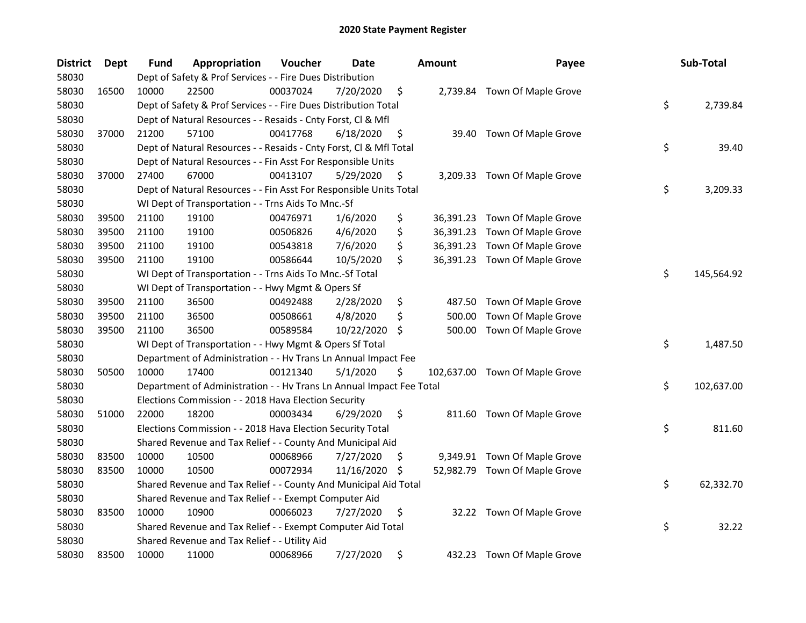| <b>District</b> | Dept  | <b>Fund</b> | Appropriation                                                        | Voucher  | Date       |     | <b>Amount</b> | Payee                          | Sub-Total        |
|-----------------|-------|-------------|----------------------------------------------------------------------|----------|------------|-----|---------------|--------------------------------|------------------|
| 58030           |       |             | Dept of Safety & Prof Services - - Fire Dues Distribution            |          |            |     |               |                                |                  |
| 58030           | 16500 | 10000       | 22500                                                                | 00037024 | 7/20/2020  | \$  |               | 2,739.84 Town Of Maple Grove   |                  |
| 58030           |       |             | Dept of Safety & Prof Services - - Fire Dues Distribution Total      |          |            |     |               |                                | \$<br>2,739.84   |
| 58030           |       |             | Dept of Natural Resources - - Resaids - Cnty Forst, Cl & Mfl         |          |            |     |               |                                |                  |
| 58030           | 37000 | 21200       | 57100                                                                | 00417768 | 6/18/2020  | \$  | 39.40         | Town Of Maple Grove            |                  |
| 58030           |       |             | Dept of Natural Resources - - Resaids - Cnty Forst, Cl & Mfl Total   |          |            |     |               |                                | \$<br>39.40      |
| 58030           |       |             | Dept of Natural Resources - - Fin Asst For Responsible Units         |          |            |     |               |                                |                  |
| 58030           | 37000 | 27400       | 67000                                                                | 00413107 | 5/29/2020  | \$  |               | 3,209.33 Town Of Maple Grove   |                  |
| 58030           |       |             | Dept of Natural Resources - - Fin Asst For Responsible Units Total   |          |            |     |               |                                | \$<br>3,209.33   |
| 58030           |       |             | WI Dept of Transportation - - Trns Aids To Mnc.-Sf                   |          |            |     |               |                                |                  |
| 58030           | 39500 | 21100       | 19100                                                                | 00476971 | 1/6/2020   | \$  |               | 36,391.23 Town Of Maple Grove  |                  |
| 58030           | 39500 | 21100       | 19100                                                                | 00506826 | 4/6/2020   | \$  |               | 36,391.23 Town Of Maple Grove  |                  |
| 58030           | 39500 | 21100       | 19100                                                                | 00543818 | 7/6/2020   | \$  | 36,391.23     | Town Of Maple Grove            |                  |
| 58030           | 39500 | 21100       | 19100                                                                | 00586644 | 10/5/2020  | \$  |               | 36,391.23 Town Of Maple Grove  |                  |
| 58030           |       |             | WI Dept of Transportation - - Trns Aids To Mnc.-Sf Total             |          |            |     |               |                                | \$<br>145,564.92 |
| 58030           |       |             | WI Dept of Transportation - - Hwy Mgmt & Opers Sf                    |          |            |     |               |                                |                  |
| 58030           | 39500 | 21100       | 36500                                                                | 00492488 | 2/28/2020  | \$  | 487.50        | Town Of Maple Grove            |                  |
| 58030           | 39500 | 21100       | 36500                                                                | 00508661 | 4/8/2020   | \$  | 500.00        | Town Of Maple Grove            |                  |
| 58030           | 39500 | 21100       | 36500                                                                | 00589584 | 10/22/2020 | \$  | 500.00        | Town Of Maple Grove            |                  |
| 58030           |       |             | WI Dept of Transportation - - Hwy Mgmt & Opers Sf Total              |          |            |     |               |                                | \$<br>1,487.50   |
| 58030           |       |             | Department of Administration - - Hv Trans Ln Annual Impact Fee       |          |            |     |               |                                |                  |
| 58030           | 50500 | 10000       | 17400                                                                | 00121340 | 5/1/2020   | \$  |               | 102,637.00 Town Of Maple Grove |                  |
| 58030           |       |             | Department of Administration - - Hv Trans Ln Annual Impact Fee Total |          |            |     |               |                                | \$<br>102,637.00 |
| 58030           |       |             | Elections Commission - - 2018 Hava Election Security                 |          |            |     |               |                                |                  |
| 58030           | 51000 | 22000       | 18200                                                                | 00003434 | 6/29/2020  | \$  |               | 811.60 Town Of Maple Grove     |                  |
| 58030           |       |             | Elections Commission - - 2018 Hava Election Security Total           |          |            |     |               |                                | \$<br>811.60     |
| 58030           |       |             | Shared Revenue and Tax Relief - - County And Municipal Aid           |          |            |     |               |                                |                  |
| 58030           | 83500 | 10000       | 10500                                                                | 00068966 | 7/27/2020  | \$. |               | 9,349.91 Town Of Maple Grove   |                  |
| 58030           | 83500 | 10000       | 10500                                                                | 00072934 | 11/16/2020 | \$. |               | 52,982.79 Town Of Maple Grove  |                  |
| 58030           |       |             | Shared Revenue and Tax Relief - - County And Municipal Aid Total     |          |            |     |               |                                | \$<br>62,332.70  |
| 58030           |       |             | Shared Revenue and Tax Relief - - Exempt Computer Aid                |          |            |     |               |                                |                  |
| 58030           | 83500 | 10000       | 10900                                                                | 00066023 | 7/27/2020  | \$  | 32.22         | Town Of Maple Grove            |                  |
| 58030           |       |             | Shared Revenue and Tax Relief - - Exempt Computer Aid Total          |          |            |     |               |                                | \$<br>32.22      |
| 58030           |       |             | Shared Revenue and Tax Relief - - Utility Aid                        |          |            |     |               |                                |                  |
| 58030           | 83500 | 10000       | 11000                                                                | 00068966 | 7/27/2020  | \$  |               | 432.23 Town Of Maple Grove     |                  |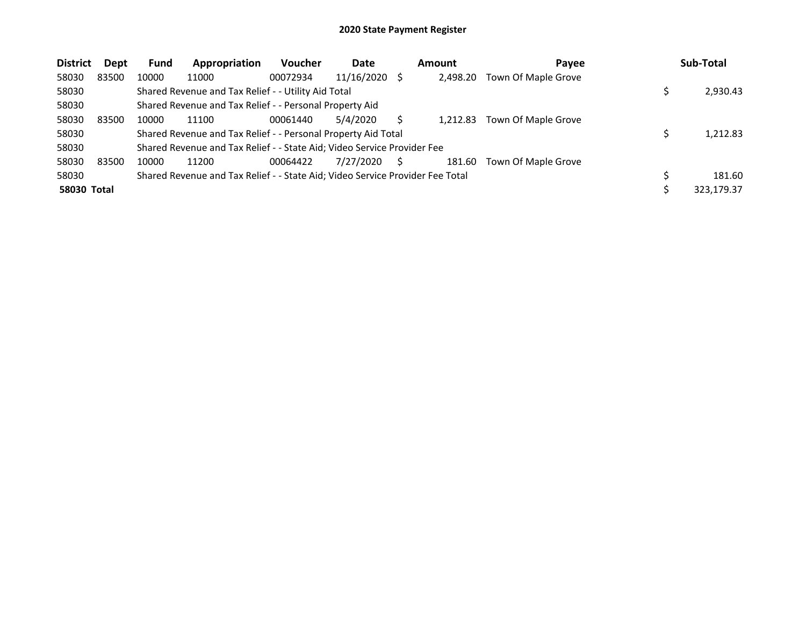| <b>District</b>    | Dept  | <b>Fund</b> | Appropriation                                                                 | <b>Voucher</b> | Date       | Amount   | Payee               | Sub-Total  |
|--------------------|-------|-------------|-------------------------------------------------------------------------------|----------------|------------|----------|---------------------|------------|
| 58030              | 83500 | 10000       | 11000                                                                         | 00072934       | 11/16/2020 | 2,498.20 | Town Of Maple Grove |            |
| 58030              |       |             | Shared Revenue and Tax Relief - - Utility Aid Total                           |                |            |          |                     | 2,930.43   |
| 58030              |       |             | Shared Revenue and Tax Relief - - Personal Property Aid                       |                |            |          |                     |            |
| 58030              | 83500 | 10000       | 11100                                                                         | 00061440       | 5/4/2020   | 1.212.83 | Town Of Maple Grove |            |
| 58030              |       |             | Shared Revenue and Tax Relief - - Personal Property Aid Total                 |                |            |          |                     | 1,212.83   |
| 58030              |       |             | Shared Revenue and Tax Relief - - State Aid; Video Service Provider Fee       |                |            |          |                     |            |
| 58030              | 83500 | 10000       | 11200                                                                         | 00064422       | 7/27/2020  | 181.60   | Town Of Maple Grove |            |
| 58030              |       |             | Shared Revenue and Tax Relief - - State Aid; Video Service Provider Fee Total |                |            |          |                     | 181.60     |
| <b>58030 Total</b> |       |             |                                                                               |                |            |          |                     | 323.179.37 |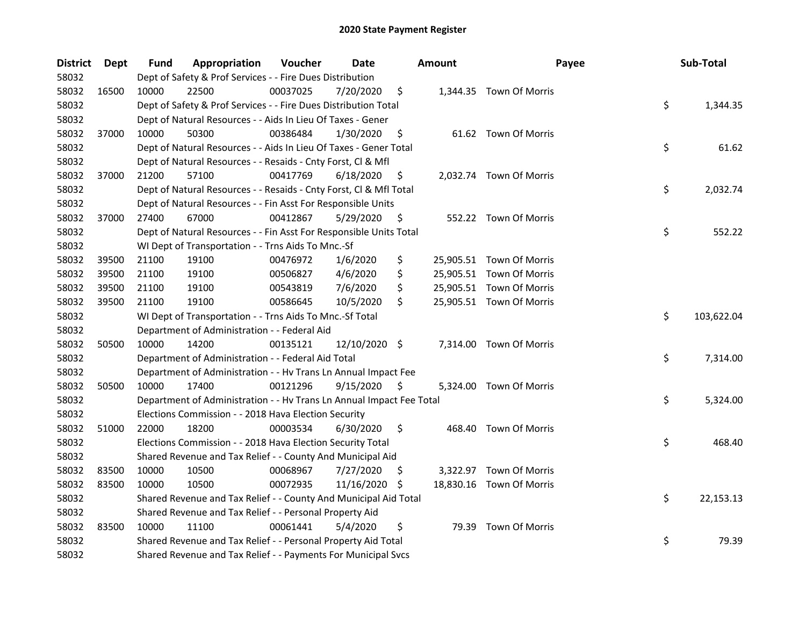| <b>District</b> | Dept  | Fund  | Appropriation                                                        | Voucher  | <b>Date</b>   |     | Amount | Payee                    | Sub-Total        |
|-----------------|-------|-------|----------------------------------------------------------------------|----------|---------------|-----|--------|--------------------------|------------------|
| 58032           |       |       | Dept of Safety & Prof Services - - Fire Dues Distribution            |          |               |     |        |                          |                  |
| 58032           | 16500 | 10000 | 22500                                                                | 00037025 | 7/20/2020     | \$  |        | 1,344.35 Town Of Morris  |                  |
| 58032           |       |       | Dept of Safety & Prof Services - - Fire Dues Distribution Total      |          |               |     |        |                          | \$<br>1,344.35   |
| 58032           |       |       | Dept of Natural Resources - - Aids In Lieu Of Taxes - Gener          |          |               |     |        |                          |                  |
| 58032           | 37000 | 10000 | 50300                                                                | 00386484 | 1/30/2020     | \$  |        | 61.62 Town Of Morris     |                  |
| 58032           |       |       | Dept of Natural Resources - - Aids In Lieu Of Taxes - Gener Total    |          |               |     |        |                          | \$<br>61.62      |
| 58032           |       |       | Dept of Natural Resources - - Resaids - Cnty Forst, Cl & Mfl         |          |               |     |        |                          |                  |
| 58032           | 37000 | 21200 | 57100                                                                | 00417769 | 6/18/2020     | \$  |        | 2,032.74 Town Of Morris  |                  |
| 58032           |       |       | Dept of Natural Resources - - Resaids - Cnty Forst, Cl & Mfl Total   |          |               |     |        |                          | \$<br>2,032.74   |
| 58032           |       |       | Dept of Natural Resources - - Fin Asst For Responsible Units         |          |               |     |        |                          |                  |
| 58032           | 37000 | 27400 | 67000                                                                | 00412867 | 5/29/2020     | \$  |        | 552.22 Town Of Morris    |                  |
| 58032           |       |       | Dept of Natural Resources - - Fin Asst For Responsible Units Total   |          |               |     |        |                          | \$<br>552.22     |
| 58032           |       |       | WI Dept of Transportation - - Trns Aids To Mnc.-Sf                   |          |               |     |        |                          |                  |
| 58032           | 39500 | 21100 | 19100                                                                | 00476972 | 1/6/2020      | \$  |        | 25,905.51 Town Of Morris |                  |
| 58032           | 39500 | 21100 | 19100                                                                | 00506827 | 4/6/2020      | \$  |        | 25,905.51 Town Of Morris |                  |
| 58032           | 39500 | 21100 | 19100                                                                | 00543819 | 7/6/2020      | \$  |        | 25,905.51 Town Of Morris |                  |
| 58032           | 39500 | 21100 | 19100                                                                | 00586645 | 10/5/2020     | \$  |        | 25,905.51 Town Of Morris |                  |
| 58032           |       |       | WI Dept of Transportation - - Trns Aids To Mnc.-Sf Total             |          |               |     |        |                          | \$<br>103,622.04 |
| 58032           |       |       | Department of Administration - - Federal Aid                         |          |               |     |        |                          |                  |
| 58032           | 50500 | 10000 | 14200                                                                | 00135121 | 12/10/2020 \$ |     |        | 7,314.00 Town Of Morris  |                  |
| 58032           |       |       | Department of Administration - - Federal Aid Total                   |          |               |     |        |                          | \$<br>7,314.00   |
| 58032           |       |       | Department of Administration - - Hv Trans Ln Annual Impact Fee       |          |               |     |        |                          |                  |
| 58032           | 50500 | 10000 | 17400                                                                | 00121296 | 9/15/2020     | \$  |        | 5,324.00 Town Of Morris  |                  |
| 58032           |       |       | Department of Administration - - Hv Trans Ln Annual Impact Fee Total |          |               |     |        |                          | \$<br>5,324.00   |
| 58032           |       |       | Elections Commission - - 2018 Hava Election Security                 |          |               |     |        |                          |                  |
| 58032           | 51000 | 22000 | 18200                                                                | 00003534 | 6/30/2020     | \$  |        | 468.40 Town Of Morris    |                  |
| 58032           |       |       | Elections Commission - - 2018 Hava Election Security Total           |          |               |     |        |                          | \$<br>468.40     |
| 58032           |       |       | Shared Revenue and Tax Relief - - County And Municipal Aid           |          |               |     |        |                          |                  |
| 58032           | 83500 | 10000 | 10500                                                                | 00068967 | 7/27/2020     | \$. |        | 3,322.97 Town Of Morris  |                  |
| 58032           | 83500 | 10000 | 10500                                                                | 00072935 | 11/16/2020    | -\$ |        | 18,830.16 Town Of Morris |                  |
| 58032           |       |       | Shared Revenue and Tax Relief - - County And Municipal Aid Total     |          |               |     |        |                          | \$<br>22,153.13  |
| 58032           |       |       | Shared Revenue and Tax Relief - - Personal Property Aid              |          |               |     |        |                          |                  |
| 58032           | 83500 | 10000 | 11100                                                                | 00061441 | 5/4/2020      | \$  |        | 79.39 Town Of Morris     |                  |
| 58032           |       |       | Shared Revenue and Tax Relief - - Personal Property Aid Total        |          |               |     |        |                          | \$<br>79.39      |
| 58032           |       |       | Shared Revenue and Tax Relief - - Payments For Municipal Svcs        |          |               |     |        |                          |                  |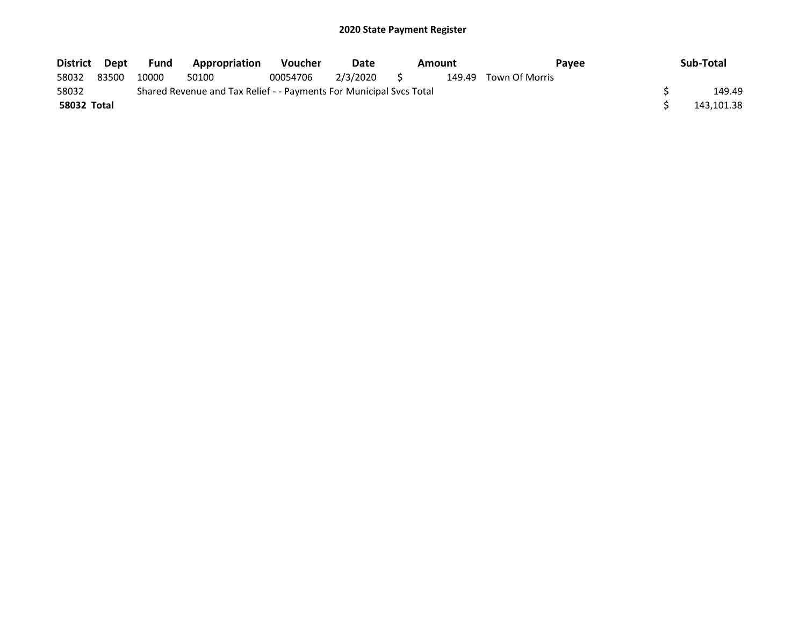| District Dept |       | Fund  | Appropriation                                                       | <b>Voucher</b> | Date        | Amount |        | <b>Pavee</b>   |  | Sub-Total  |
|---------------|-------|-------|---------------------------------------------------------------------|----------------|-------------|--------|--------|----------------|--|------------|
| 58032         | 83500 | 10000 | 50100                                                               | 00054706       | 2/3/2020 \$ |        | 149.49 | Town Of Morris |  |            |
| 58032         |       |       | Shared Revenue and Tax Relief - - Payments For Municipal Svcs Total |                |             |        |        |                |  | 149.49     |
| 58032 Total   |       |       |                                                                     |                |             |        |        |                |  | 143.101.38 |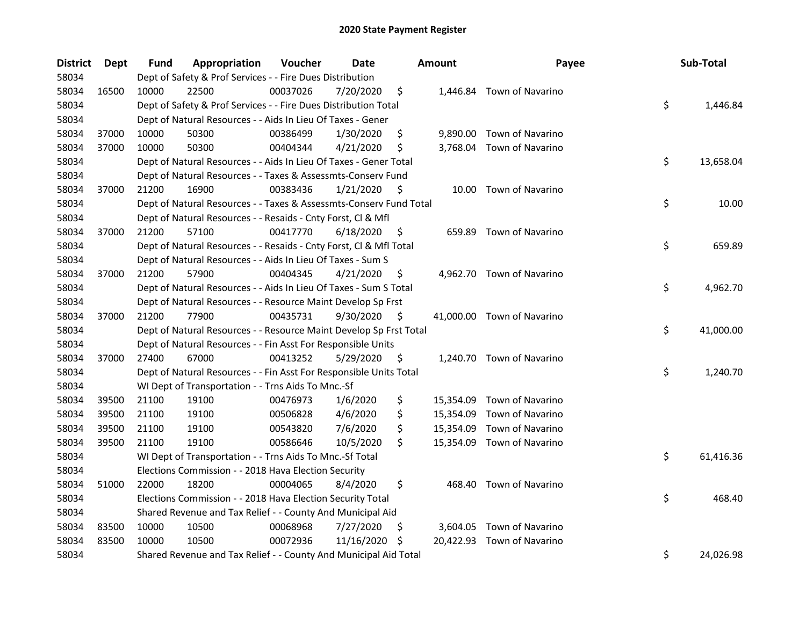| <b>District</b> | <b>Dept</b> | <b>Fund</b> | Appropriation                                                      | Voucher  | Date       |    | <b>Amount</b> | Payee                      | Sub-Total       |
|-----------------|-------------|-------------|--------------------------------------------------------------------|----------|------------|----|---------------|----------------------------|-----------------|
| 58034           |             |             | Dept of Safety & Prof Services - - Fire Dues Distribution          |          |            |    |               |                            |                 |
| 58034           | 16500       | 10000       | 22500                                                              | 00037026 | 7/20/2020  | \$ |               | 1,446.84 Town of Navarino  |                 |
| 58034           |             |             | Dept of Safety & Prof Services - - Fire Dues Distribution Total    |          |            |    |               |                            | \$<br>1,446.84  |
| 58034           |             |             | Dept of Natural Resources - - Aids In Lieu Of Taxes - Gener        |          |            |    |               |                            |                 |
| 58034           | 37000       | 10000       | 50300                                                              | 00386499 | 1/30/2020  | \$ |               | 9,890.00 Town of Navarino  |                 |
| 58034           | 37000       | 10000       | 50300                                                              | 00404344 | 4/21/2020  | \$ |               | 3,768.04 Town of Navarino  |                 |
| 58034           |             |             | Dept of Natural Resources - - Aids In Lieu Of Taxes - Gener Total  |          |            |    |               |                            | \$<br>13,658.04 |
| 58034           |             |             | Dept of Natural Resources - - Taxes & Assessmts-Conserv Fund       |          |            |    |               |                            |                 |
| 58034           | 37000       | 21200       | 16900                                                              | 00383436 | 1/21/2020  | \$ |               | 10.00 Town of Navarino     |                 |
| 58034           |             |             | Dept of Natural Resources - - Taxes & Assessmts-Conserv Fund Total |          |            |    |               |                            | \$<br>10.00     |
| 58034           |             |             | Dept of Natural Resources - - Resaids - Cnty Forst, Cl & Mfl       |          |            |    |               |                            |                 |
| 58034           | 37000       | 21200       | 57100                                                              | 00417770 | 6/18/2020  | \$ |               | 659.89 Town of Navarino    |                 |
| 58034           |             |             | Dept of Natural Resources - - Resaids - Cnty Forst, Cl & Mfl Total |          |            |    |               |                            | \$<br>659.89    |
| 58034           |             |             | Dept of Natural Resources - - Aids In Lieu Of Taxes - Sum S        |          |            |    |               |                            |                 |
| 58034           | 37000       | 21200       | 57900                                                              | 00404345 | 4/21/2020  | \$ | 4,962.70      | Town of Navarino           |                 |
| 58034           |             |             | Dept of Natural Resources - - Aids In Lieu Of Taxes - Sum S Total  |          |            |    |               |                            | \$<br>4,962.70  |
| 58034           |             |             | Dept of Natural Resources - - Resource Maint Develop Sp Frst       |          |            |    |               |                            |                 |
| 58034           | 37000       | 21200       | 77900                                                              | 00435731 | 9/30/2020  | \$ |               | 41,000.00 Town of Navarino |                 |
| 58034           |             |             | Dept of Natural Resources - - Resource Maint Develop Sp Frst Total |          |            |    |               |                            | \$<br>41,000.00 |
| 58034           |             |             | Dept of Natural Resources - - Fin Asst For Responsible Units       |          |            |    |               |                            |                 |
| 58034           | 37000       | 27400       | 67000                                                              | 00413252 | 5/29/2020  | \$ |               | 1,240.70 Town of Navarino  |                 |
| 58034           |             |             | Dept of Natural Resources - - Fin Asst For Responsible Units Total |          |            |    |               |                            | \$<br>1,240.70  |
| 58034           |             |             | WI Dept of Transportation - - Trns Aids To Mnc.-Sf                 |          |            |    |               |                            |                 |
| 58034           | 39500       | 21100       | 19100                                                              | 00476973 | 1/6/2020   | \$ |               | 15,354.09 Town of Navarino |                 |
| 58034           | 39500       | 21100       | 19100                                                              | 00506828 | 4/6/2020   | \$ |               | 15,354.09 Town of Navarino |                 |
| 58034           | 39500       | 21100       | 19100                                                              | 00543820 | 7/6/2020   | \$ |               | 15,354.09 Town of Navarino |                 |
| 58034           | 39500       | 21100       | 19100                                                              | 00586646 | 10/5/2020  | \$ |               | 15,354.09 Town of Navarino |                 |
| 58034           |             |             | WI Dept of Transportation - - Trns Aids To Mnc.-Sf Total           |          |            |    |               |                            | \$<br>61,416.36 |
| 58034           |             |             | Elections Commission - - 2018 Hava Election Security               |          |            |    |               |                            |                 |
| 58034           | 51000       | 22000       | 18200                                                              | 00004065 | 8/4/2020   | \$ | 468.40        | Town of Navarino           |                 |
| 58034           |             |             | Elections Commission - - 2018 Hava Election Security Total         |          |            |    |               |                            | \$<br>468.40    |
| 58034           |             |             | Shared Revenue and Tax Relief - - County And Municipal Aid         |          |            |    |               |                            |                 |
| 58034           | 83500       | 10000       | 10500                                                              | 00068968 | 7/27/2020  | \$ |               | 3,604.05 Town of Navarino  |                 |
| 58034           | 83500       | 10000       | 10500                                                              | 00072936 | 11/16/2020 | S  |               | 20,422.93 Town of Navarino |                 |
| 58034           |             |             | Shared Revenue and Tax Relief - - County And Municipal Aid Total   |          |            |    |               |                            | \$<br>24,026.98 |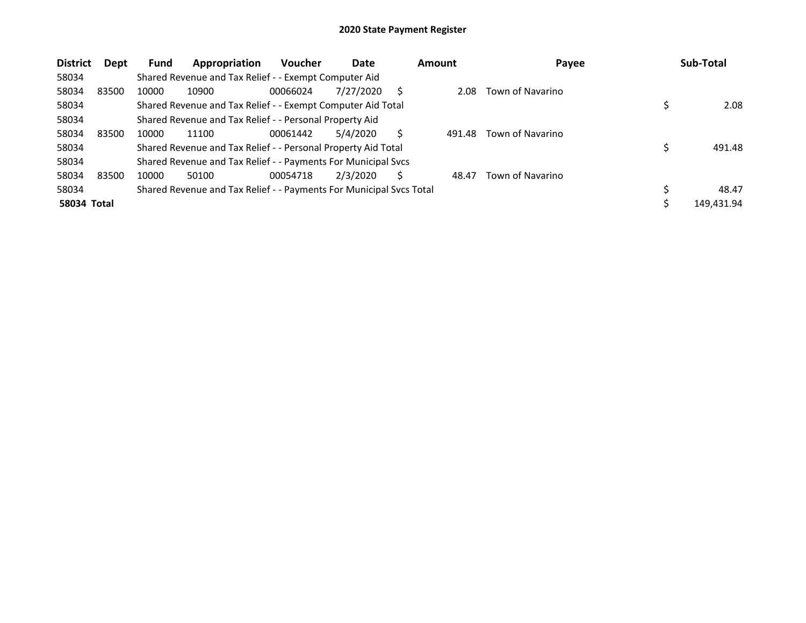| <b>District</b>    | Dept | <b>Fund</b> | Appropriation                                                       | <b>Voucher</b> | Date      |   | <b>Amount</b> | Payee            |   | Sub-Total  |
|--------------------|------|-------------|---------------------------------------------------------------------|----------------|-----------|---|---------------|------------------|---|------------|
| 58034              |      |             | Shared Revenue and Tax Relief - - Exempt Computer Aid               |                |           |   |               |                  |   |            |
| 58034<br>83500     |      | 10000       | 10900                                                               | 00066024       | 7/27/2020 | S | 2.08          | Town of Navarino |   |            |
| 58034              |      |             | Shared Revenue and Tax Relief - - Exempt Computer Aid Total         |                |           |   |               |                  |   | 2.08       |
| 58034              |      |             | Shared Revenue and Tax Relief - - Personal Property Aid             |                |           |   |               |                  |   |            |
| 58034<br>83500     |      | 10000       | 11100                                                               | 00061442       | 5/4/2020  |   | 491.48        | Town of Navarino |   |            |
| 58034              |      |             | Shared Revenue and Tax Relief - - Personal Property Aid Total       |                |           |   |               |                  | Ś | 491.48     |
| 58034              |      |             | Shared Revenue and Tax Relief - - Payments For Municipal Svcs       |                |           |   |               |                  |   |            |
| 58034<br>83500     |      | 10000       | 50100                                                               | 00054718       | 2/3/2020  | S | 48.47         | Town of Navarino |   |            |
| 58034              |      |             | Shared Revenue and Tax Relief - - Payments For Municipal Svcs Total |                |           |   |               |                  |   | 48.47      |
| <b>58034 Total</b> |      |             |                                                                     |                |           |   |               |                  |   | 149,431.94 |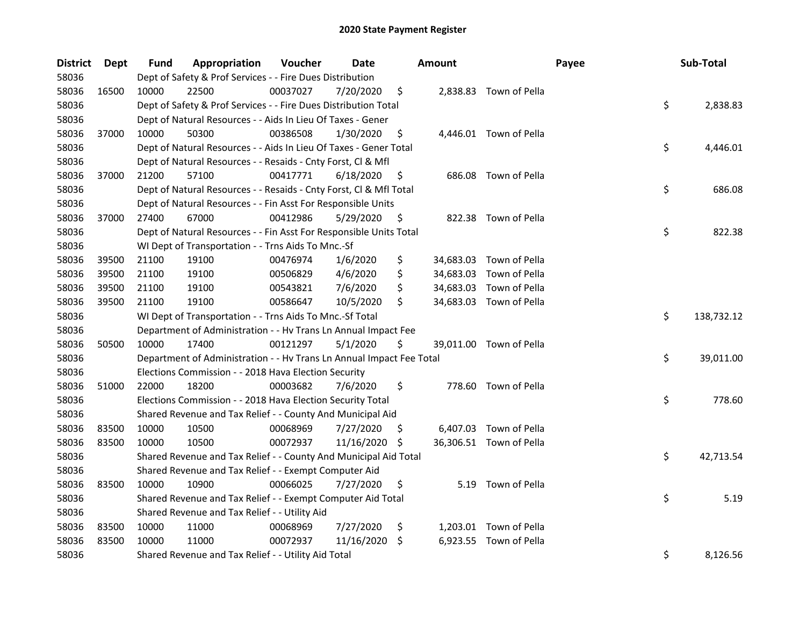| District | Dept  | Fund  | Appropriation                                                        | Voucher  | Date          |    | <b>Amount</b> |                         | Payee | Sub-Total  |
|----------|-------|-------|----------------------------------------------------------------------|----------|---------------|----|---------------|-------------------------|-------|------------|
| 58036    |       |       | Dept of Safety & Prof Services - - Fire Dues Distribution            |          |               |    |               |                         |       |            |
| 58036    | 16500 | 10000 | 22500                                                                | 00037027 | 7/20/2020     | \$ |               | 2,838.83 Town of Pella  |       |            |
| 58036    |       |       | Dept of Safety & Prof Services - - Fire Dues Distribution Total      |          |               |    |               |                         | \$    | 2,838.83   |
| 58036    |       |       | Dept of Natural Resources - - Aids In Lieu Of Taxes - Gener          |          |               |    |               |                         |       |            |
| 58036    | 37000 | 10000 | 50300                                                                | 00386508 | 1/30/2020     | \$ |               | 4,446.01 Town of Pella  |       |            |
| 58036    |       |       | Dept of Natural Resources - - Aids In Lieu Of Taxes - Gener Total    |          |               |    |               |                         | \$    | 4,446.01   |
| 58036    |       |       | Dept of Natural Resources - - Resaids - Cnty Forst, Cl & Mfl         |          |               |    |               |                         |       |            |
| 58036    | 37000 | 21200 | 57100                                                                | 00417771 | 6/18/2020     | \$ |               | 686.08 Town of Pella    |       |            |
| 58036    |       |       | Dept of Natural Resources - - Resaids - Cnty Forst, Cl & Mfl Total   |          |               |    |               |                         | \$    | 686.08     |
| 58036    |       |       | Dept of Natural Resources - - Fin Asst For Responsible Units         |          |               |    |               |                         |       |            |
| 58036    | 37000 | 27400 | 67000                                                                | 00412986 | 5/29/2020     | Ş. |               | 822.38 Town of Pella    |       |            |
| 58036    |       |       | Dept of Natural Resources - - Fin Asst For Responsible Units Total   |          |               |    |               |                         | \$    | 822.38     |
| 58036    |       |       | WI Dept of Transportation - - Trns Aids To Mnc.-Sf                   |          |               |    |               |                         |       |            |
| 58036    | 39500 | 21100 | 19100                                                                | 00476974 | 1/6/2020      | \$ |               | 34,683.03 Town of Pella |       |            |
| 58036    | 39500 | 21100 | 19100                                                                | 00506829 | 4/6/2020      | \$ |               | 34,683.03 Town of Pella |       |            |
| 58036    | 39500 | 21100 | 19100                                                                | 00543821 | 7/6/2020      | \$ |               | 34,683.03 Town of Pella |       |            |
| 58036    | 39500 | 21100 | 19100                                                                | 00586647 | 10/5/2020     | \$ |               | 34,683.03 Town of Pella |       |            |
| 58036    |       |       | WI Dept of Transportation - - Trns Aids To Mnc.-Sf Total             |          |               |    |               |                         | \$    | 138,732.12 |
| 58036    |       |       | Department of Administration - - Hv Trans Ln Annual Impact Fee       |          |               |    |               |                         |       |            |
| 58036    | 50500 | 10000 | 17400                                                                | 00121297 | 5/1/2020      | \$ |               | 39,011.00 Town of Pella |       |            |
| 58036    |       |       | Department of Administration - - Hv Trans Ln Annual Impact Fee Total |          |               |    |               |                         | \$    | 39,011.00  |
| 58036    |       |       | Elections Commission - - 2018 Hava Election Security                 |          |               |    |               |                         |       |            |
| 58036    | 51000 | 22000 | 18200                                                                | 00003682 | 7/6/2020      | \$ |               | 778.60 Town of Pella    |       |            |
| 58036    |       |       | Elections Commission - - 2018 Hava Election Security Total           |          |               |    |               |                         | \$    | 778.60     |
| 58036    |       |       | Shared Revenue and Tax Relief - - County And Municipal Aid           |          |               |    |               |                         |       |            |
| 58036    | 83500 | 10000 | 10500                                                                | 00068969 | 7/27/2020     | S  |               | 6,407.03 Town of Pella  |       |            |
| 58036    | 83500 | 10000 | 10500                                                                | 00072937 | 11/16/2020 \$ |    |               | 36,306.51 Town of Pella |       |            |
| 58036    |       |       | Shared Revenue and Tax Relief - - County And Municipal Aid Total     |          |               |    |               |                         | \$    | 42,713.54  |
| 58036    |       |       | Shared Revenue and Tax Relief - - Exempt Computer Aid                |          |               |    |               |                         |       |            |
| 58036    | 83500 | 10000 | 10900                                                                | 00066025 | 7/27/2020     | \$ |               | 5.19 Town of Pella      |       |            |
| 58036    |       |       | Shared Revenue and Tax Relief - - Exempt Computer Aid Total          |          |               |    |               |                         | \$    | 5.19       |
| 58036    |       |       | Shared Revenue and Tax Relief - - Utility Aid                        |          |               |    |               |                         |       |            |
| 58036    | 83500 | 10000 | 11000                                                                | 00068969 | 7/27/2020     | \$ |               | 1,203.01 Town of Pella  |       |            |
| 58036    | 83500 | 10000 | 11000                                                                | 00072937 | 11/16/2020    | S. | 6,923.55      | Town of Pella           |       |            |
| 58036    |       |       | Shared Revenue and Tax Relief - - Utility Aid Total                  |          |               |    |               |                         | \$    | 8,126.56   |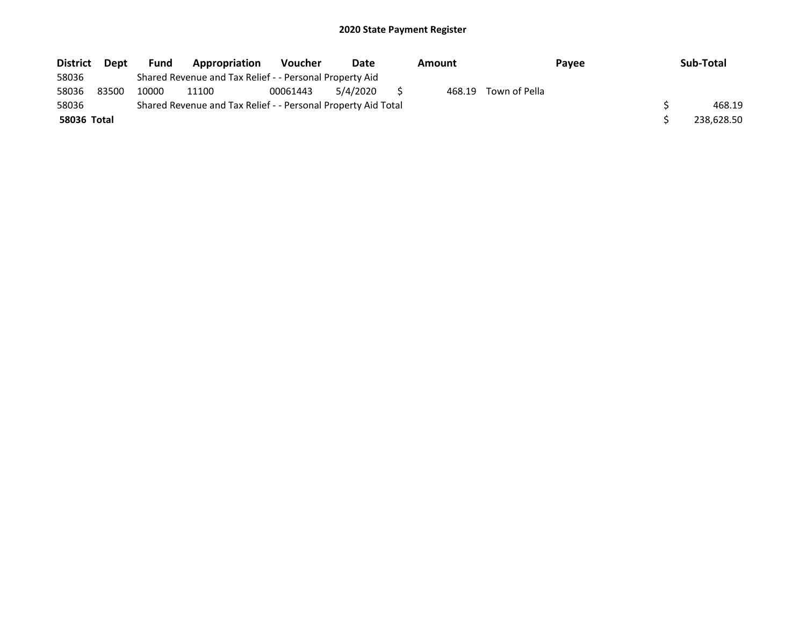| <b>District</b> | Dept  | <b>Fund</b> | Appropriation                                                 | <b>Voucher</b> | Date     | Amount |        | Payee         | Sub-Total |            |
|-----------------|-------|-------------|---------------------------------------------------------------|----------------|----------|--------|--------|---------------|-----------|------------|
| 58036           |       |             | Shared Revenue and Tax Relief - - Personal Property Aid       |                |          |        |        |               |           |            |
| 58036           | 83500 | 10000       | 11100                                                         | 00061443       | 5/4/2020 |        | 468.19 | Town of Pella |           |            |
| 58036           |       |             | Shared Revenue and Tax Relief - - Personal Property Aid Total |                |          |        |        |               |           | 468.19     |
| 58036 Total     |       |             |                                                               |                |          |        |        |               |           | 238,628.50 |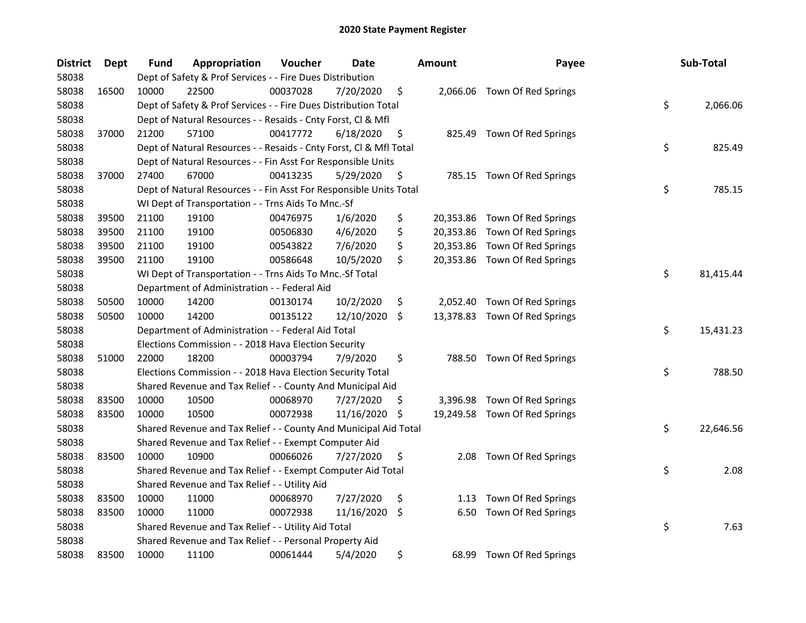| <b>District</b> | Dept  | <b>Fund</b> | Appropriation                                                      | Voucher  | Date       |     | <b>Amount</b> | Payee                         | Sub-Total       |
|-----------------|-------|-------------|--------------------------------------------------------------------|----------|------------|-----|---------------|-------------------------------|-----------------|
| 58038           |       |             | Dept of Safety & Prof Services - - Fire Dues Distribution          |          |            |     |               |                               |                 |
| 58038           | 16500 | 10000       | 22500                                                              | 00037028 | 7/20/2020  | \$  |               | 2,066.06 Town Of Red Springs  |                 |
| 58038           |       |             | Dept of Safety & Prof Services - - Fire Dues Distribution Total    |          |            |     |               |                               | \$<br>2,066.06  |
| 58038           |       |             | Dept of Natural Resources - - Resaids - Cnty Forst, Cl & Mfl       |          |            |     |               |                               |                 |
| 58038           | 37000 | 21200       | 57100                                                              | 00417772 | 6/18/2020  | \$  | 825.49        | Town Of Red Springs           |                 |
| 58038           |       |             | Dept of Natural Resources - - Resaids - Cnty Forst, Cl & Mfl Total |          |            |     |               |                               | \$<br>825.49    |
| 58038           |       |             | Dept of Natural Resources - - Fin Asst For Responsible Units       |          |            |     |               |                               |                 |
| 58038           | 37000 | 27400       | 67000                                                              | 00413235 | 5/29/2020  | \$  |               | 785.15 Town Of Red Springs    |                 |
| 58038           |       |             | Dept of Natural Resources - - Fin Asst For Responsible Units Total |          |            |     |               |                               | \$<br>785.15    |
| 58038           |       |             | WI Dept of Transportation - - Trns Aids To Mnc.-Sf                 |          |            |     |               |                               |                 |
| 58038           | 39500 | 21100       | 19100                                                              | 00476975 | 1/6/2020   | \$  |               | 20,353.86 Town Of Red Springs |                 |
| 58038           | 39500 | 21100       | 19100                                                              | 00506830 | 4/6/2020   | \$  |               | 20,353.86 Town Of Red Springs |                 |
| 58038           | 39500 | 21100       | 19100                                                              | 00543822 | 7/6/2020   | \$  |               | 20,353.86 Town Of Red Springs |                 |
| 58038           | 39500 | 21100       | 19100                                                              | 00586648 | 10/5/2020  | \$  |               | 20,353.86 Town Of Red Springs |                 |
| 58038           |       |             | WI Dept of Transportation - - Trns Aids To Mnc.-Sf Total           |          |            |     |               |                               | \$<br>81,415.44 |
| 58038           |       |             | Department of Administration - - Federal Aid                       |          |            |     |               |                               |                 |
| 58038           | 50500 | 10000       | 14200                                                              | 00130174 | 10/2/2020  | \$  | 2,052.40      | Town Of Red Springs           |                 |
| 58038           | 50500 | 10000       | 14200                                                              | 00135122 | 12/10/2020 | \$  |               | 13,378.83 Town Of Red Springs |                 |
| 58038           |       |             | Department of Administration - - Federal Aid Total                 |          |            |     |               |                               | \$<br>15,431.23 |
| 58038           |       |             | Elections Commission - - 2018 Hava Election Security               |          |            |     |               |                               |                 |
| 58038           | 51000 | 22000       | 18200                                                              | 00003794 | 7/9/2020   | \$  |               | 788.50 Town Of Red Springs    |                 |
| 58038           |       |             | Elections Commission - - 2018 Hava Election Security Total         |          |            |     |               |                               | \$<br>788.50    |
| 58038           |       |             | Shared Revenue and Tax Relief - - County And Municipal Aid         |          |            |     |               |                               |                 |
| 58038           | 83500 | 10000       | 10500                                                              | 00068970 | 7/27/2020  | \$. |               | 3,396.98 Town Of Red Springs  |                 |
| 58038           | 83500 | 10000       | 10500                                                              | 00072938 | 11/16/2020 | \$  |               | 19,249.58 Town Of Red Springs |                 |
| 58038           |       |             | Shared Revenue and Tax Relief - - County And Municipal Aid Total   |          |            |     |               |                               | \$<br>22,646.56 |
| 58038           |       |             | Shared Revenue and Tax Relief - - Exempt Computer Aid              |          |            |     |               |                               |                 |
| 58038           | 83500 | 10000       | 10900                                                              | 00066026 | 7/27/2020  | \$  | 2.08          | Town Of Red Springs           |                 |
| 58038           |       |             | Shared Revenue and Tax Relief - - Exempt Computer Aid Total        |          |            |     |               |                               | \$<br>2.08      |
| 58038           |       |             | Shared Revenue and Tax Relief - - Utility Aid                      |          |            |     |               |                               |                 |
| 58038           | 83500 | 10000       | 11000                                                              | 00068970 | 7/27/2020  | \$  | 1.13          | Town Of Red Springs           |                 |
| 58038           | 83500 | 10000       | 11000                                                              | 00072938 | 11/16/2020 | \$  | 6.50          | Town Of Red Springs           |                 |
| 58038           |       |             | Shared Revenue and Tax Relief - - Utility Aid Total                |          |            |     |               |                               | \$<br>7.63      |
| 58038           |       |             | Shared Revenue and Tax Relief - - Personal Property Aid            |          |            |     |               |                               |                 |
| 58038           | 83500 | 10000       | 11100                                                              | 00061444 | 5/4/2020   | \$  | 68.99         | Town Of Red Springs           |                 |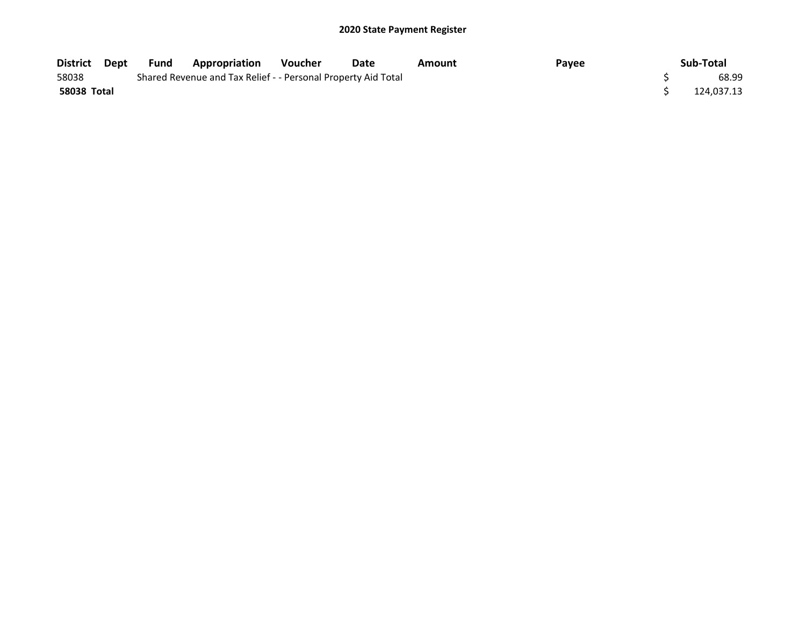| District Dept | Fund | Appropriation                                                 | <b>Voucher</b> | Date | Amount | Payee | Sub-Total  |
|---------------|------|---------------------------------------------------------------|----------------|------|--------|-------|------------|
| 58038         |      | Shared Revenue and Tax Relief - - Personal Property Aid Total |                |      |        |       | 68.99      |
| 58038 Total   |      |                                                               |                |      |        |       | 124,037.13 |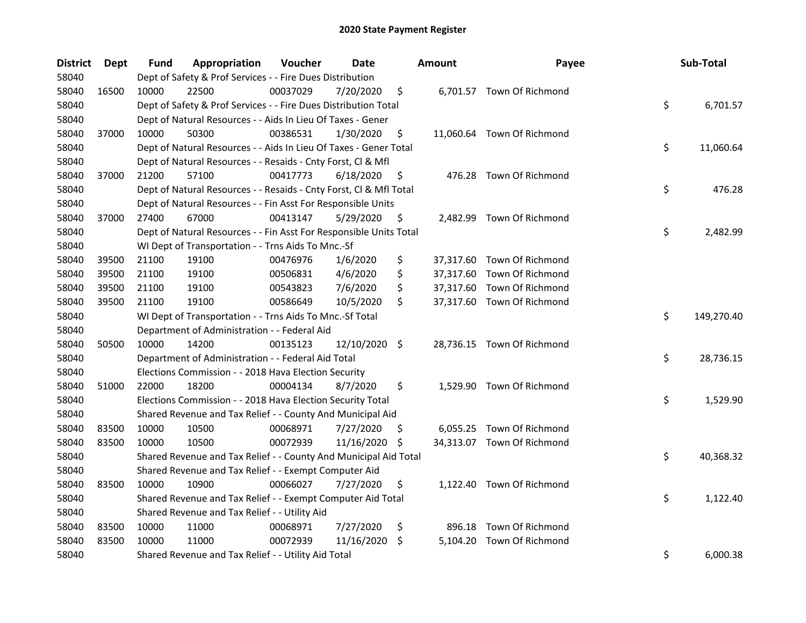| District | <b>Dept</b> | Fund  | Appropriation                                                      | Voucher  | Date          |                    | <b>Amount</b> | Payee                      | Sub-Total        |
|----------|-------------|-------|--------------------------------------------------------------------|----------|---------------|--------------------|---------------|----------------------------|------------------|
| 58040    |             |       | Dept of Safety & Prof Services - - Fire Dues Distribution          |          |               |                    |               |                            |                  |
| 58040    | 16500       | 10000 | 22500                                                              | 00037029 | 7/20/2020     | \$                 |               | 6,701.57 Town Of Richmond  |                  |
| 58040    |             |       | Dept of Safety & Prof Services - - Fire Dues Distribution Total    |          |               |                    |               |                            | \$<br>6,701.57   |
| 58040    |             |       | Dept of Natural Resources - - Aids In Lieu Of Taxes - Gener        |          |               |                    |               |                            |                  |
| 58040    | 37000       | 10000 | 50300                                                              | 00386531 | 1/30/2020     | \$                 |               | 11,060.64 Town Of Richmond |                  |
| 58040    |             |       | Dept of Natural Resources - - Aids In Lieu Of Taxes - Gener Total  |          |               |                    |               |                            | \$<br>11,060.64  |
| 58040    |             |       | Dept of Natural Resources - - Resaids - Cnty Forst, Cl & Mfl       |          |               |                    |               |                            |                  |
| 58040    | 37000       | 21200 | 57100                                                              | 00417773 | 6/18/2020     | \$                 |               | 476.28 Town Of Richmond    |                  |
| 58040    |             |       | Dept of Natural Resources - - Resaids - Cnty Forst, Cl & Mfl Total |          |               |                    |               |                            | \$<br>476.28     |
| 58040    |             |       | Dept of Natural Resources - - Fin Asst For Responsible Units       |          |               |                    |               |                            |                  |
| 58040    | 37000       | 27400 | 67000                                                              | 00413147 | 5/29/2020     | \$                 |               | 2,482.99 Town Of Richmond  |                  |
| 58040    |             |       | Dept of Natural Resources - - Fin Asst For Responsible Units Total |          |               |                    |               |                            | \$<br>2,482.99   |
| 58040    |             |       | WI Dept of Transportation - - Trns Aids To Mnc.-Sf                 |          |               |                    |               |                            |                  |
| 58040    | 39500       | 21100 | 19100                                                              | 00476976 | 1/6/2020      | \$                 |               | 37,317.60 Town Of Richmond |                  |
| 58040    | 39500       | 21100 | 19100                                                              | 00506831 | 4/6/2020      | \$                 |               | 37,317.60 Town Of Richmond |                  |
| 58040    | 39500       | 21100 | 19100                                                              | 00543823 | 7/6/2020      | \$                 |               | 37,317.60 Town Of Richmond |                  |
| 58040    | 39500       | 21100 | 19100                                                              | 00586649 | 10/5/2020     | \$                 |               | 37,317.60 Town Of Richmond |                  |
| 58040    |             |       | WI Dept of Transportation - - Trns Aids To Mnc.-Sf Total           |          |               |                    |               |                            | \$<br>149,270.40 |
| 58040    |             |       | Department of Administration - - Federal Aid                       |          |               |                    |               |                            |                  |
| 58040    | 50500       | 10000 | 14200                                                              | 00135123 | 12/10/2020    | $\ddot{\varsigma}$ |               | 28,736.15 Town Of Richmond |                  |
| 58040    |             |       | Department of Administration - - Federal Aid Total                 |          |               |                    |               |                            | \$<br>28,736.15  |
| 58040    |             |       | Elections Commission - - 2018 Hava Election Security               |          |               |                    |               |                            |                  |
| 58040    | 51000       | 22000 | 18200                                                              | 00004134 | 8/7/2020      | \$                 |               | 1,529.90 Town Of Richmond  |                  |
| 58040    |             |       | Elections Commission - - 2018 Hava Election Security Total         |          |               |                    |               |                            | \$<br>1,529.90   |
| 58040    |             |       | Shared Revenue and Tax Relief - - County And Municipal Aid         |          |               |                    |               |                            |                  |
| 58040    | 83500       | 10000 | 10500                                                              | 00068971 | 7/27/2020     | S.                 |               | 6,055.25 Town Of Richmond  |                  |
| 58040    | 83500       | 10000 | 10500                                                              | 00072939 | 11/16/2020 \$ |                    |               | 34,313.07 Town Of Richmond |                  |
| 58040    |             |       | Shared Revenue and Tax Relief - - County And Municipal Aid Total   |          |               |                    |               |                            | \$<br>40,368.32  |
| 58040    |             |       | Shared Revenue and Tax Relief - - Exempt Computer Aid              |          |               |                    |               |                            |                  |
| 58040    | 83500       | 10000 | 10900                                                              | 00066027 | 7/27/2020     | \$                 |               | 1,122.40 Town Of Richmond  |                  |
| 58040    |             |       | Shared Revenue and Tax Relief - - Exempt Computer Aid Total        |          |               |                    |               |                            | \$<br>1,122.40   |
| 58040    |             |       | Shared Revenue and Tax Relief - - Utility Aid                      |          |               |                    |               |                            |                  |
| 58040    | 83500       | 10000 | 11000                                                              | 00068971 | 7/27/2020     | \$                 |               | 896.18 Town Of Richmond    |                  |
| 58040    | 83500       | 10000 | 11000                                                              | 00072939 | 11/16/2020    | S.                 |               | 5,104.20 Town Of Richmond  |                  |
| 58040    |             |       | Shared Revenue and Tax Relief - - Utility Aid Total                |          |               |                    |               |                            | \$<br>6,000.38   |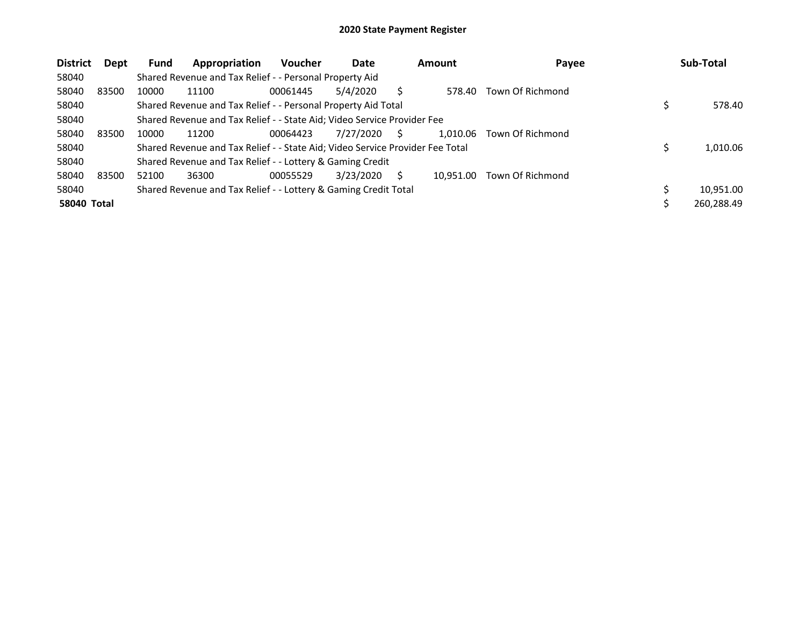| <b>District</b>    | Dept  | Fund  | Appropriation                                                                 | <b>Voucher</b> | Date      |   | <b>Amount</b> | Payee            | Sub-Total  |
|--------------------|-------|-------|-------------------------------------------------------------------------------|----------------|-----------|---|---------------|------------------|------------|
| 58040              |       |       | Shared Revenue and Tax Relief - - Personal Property Aid                       |                |           |   |               |                  |            |
| 58040              | 83500 | 10000 | 11100                                                                         | 00061445       | 5/4/2020  |   | 578.40        | Town Of Richmond |            |
| 58040              |       |       | Shared Revenue and Tax Relief - - Personal Property Aid Total                 |                |           |   |               |                  | 578.40     |
| 58040              |       |       | Shared Revenue and Tax Relief - - State Aid; Video Service Provider Fee       |                |           |   |               |                  |            |
| 58040              | 83500 | 10000 | 11200                                                                         | 00064423       | 7/27/2020 | S | 1,010.06      | Town Of Richmond |            |
| 58040              |       |       | Shared Revenue and Tax Relief - - State Aid; Video Service Provider Fee Total |                |           |   |               |                  | 1.010.06   |
| 58040              |       |       | Shared Revenue and Tax Relief - - Lottery & Gaming Credit                     |                |           |   |               |                  |            |
| 58040              | 83500 | 52100 | 36300                                                                         | 00055529       | 3/23/2020 | S | 10.951.00     | Town Of Richmond |            |
| 58040              |       |       | Shared Revenue and Tax Relief - - Lottery & Gaming Credit Total               |                |           |   |               |                  | 10,951.00  |
| <b>58040 Total</b> |       |       |                                                                               |                |           |   |               |                  | 260,288.49 |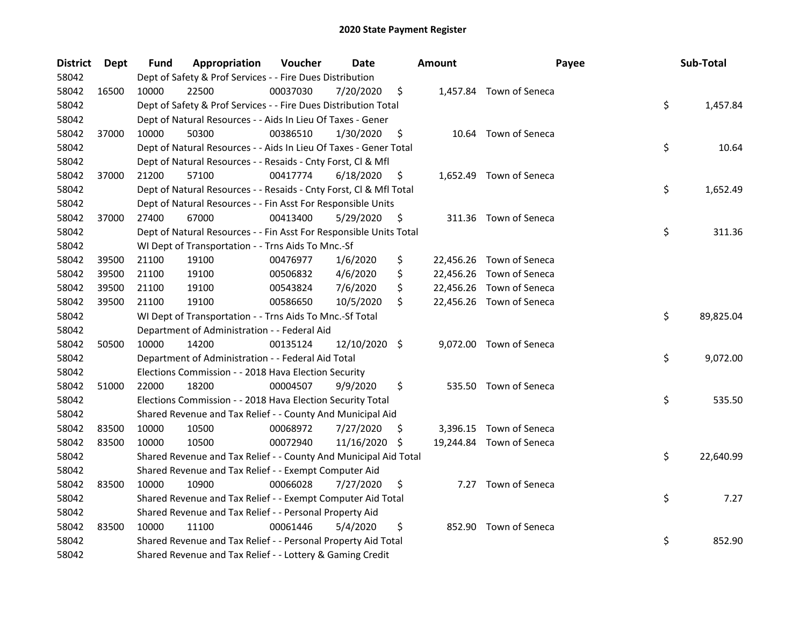| <b>District</b> | <b>Dept</b> | Fund  | Appropriation                                                      | Voucher  | <b>Date</b>   |     | <b>Amount</b> | Payee                    | Sub-Total       |
|-----------------|-------------|-------|--------------------------------------------------------------------|----------|---------------|-----|---------------|--------------------------|-----------------|
| 58042           |             |       | Dept of Safety & Prof Services - - Fire Dues Distribution          |          |               |     |               |                          |                 |
| 58042           | 16500       | 10000 | 22500                                                              | 00037030 | 7/20/2020     | \$  |               | 1,457.84 Town of Seneca  |                 |
| 58042           |             |       | Dept of Safety & Prof Services - - Fire Dues Distribution Total    |          |               |     |               |                          | \$<br>1,457.84  |
| 58042           |             |       | Dept of Natural Resources - - Aids In Lieu Of Taxes - Gener        |          |               |     |               |                          |                 |
| 58042           | 37000       | 10000 | 50300                                                              | 00386510 | 1/30/2020     | \$  |               | 10.64 Town of Seneca     |                 |
| 58042           |             |       | Dept of Natural Resources - - Aids In Lieu Of Taxes - Gener Total  |          |               |     |               |                          | \$<br>10.64     |
| 58042           |             |       | Dept of Natural Resources - - Resaids - Cnty Forst, Cl & Mfl       |          |               |     |               |                          |                 |
| 58042           | 37000       | 21200 | 57100                                                              | 00417774 | 6/18/2020     | \$  |               | 1,652.49 Town of Seneca  |                 |
| 58042           |             |       | Dept of Natural Resources - - Resaids - Cnty Forst, Cl & Mfl Total |          |               |     |               |                          | \$<br>1,652.49  |
| 58042           |             |       | Dept of Natural Resources - - Fin Asst For Responsible Units       |          |               |     |               |                          |                 |
| 58042           | 37000       | 27400 | 67000                                                              | 00413400 | 5/29/2020     | \$  |               | 311.36 Town of Seneca    |                 |
| 58042           |             |       | Dept of Natural Resources - - Fin Asst For Responsible Units Total |          |               |     |               |                          | \$<br>311.36    |
| 58042           |             |       | WI Dept of Transportation - - Trns Aids To Mnc.-Sf                 |          |               |     |               |                          |                 |
| 58042           | 39500       | 21100 | 19100                                                              | 00476977 | 1/6/2020      | \$  |               | 22,456.26 Town of Seneca |                 |
| 58042           | 39500       | 21100 | 19100                                                              | 00506832 | 4/6/2020      | \$  |               | 22,456.26 Town of Seneca |                 |
| 58042           | 39500       | 21100 | 19100                                                              | 00543824 | 7/6/2020      | \$  |               | 22,456.26 Town of Seneca |                 |
| 58042           | 39500       | 21100 | 19100                                                              | 00586650 | 10/5/2020     | \$  |               | 22,456.26 Town of Seneca |                 |
| 58042           |             |       | WI Dept of Transportation - - Trns Aids To Mnc.-Sf Total           |          |               |     |               |                          | \$<br>89,825.04 |
| 58042           |             |       | Department of Administration - - Federal Aid                       |          |               |     |               |                          |                 |
| 58042           | 50500       | 10000 | 14200                                                              | 00135124 | 12/10/2020 \$ |     |               | 9,072.00 Town of Seneca  |                 |
| 58042           |             |       | Department of Administration - - Federal Aid Total                 |          |               |     |               |                          | \$<br>9,072.00  |
| 58042           |             |       | Elections Commission - - 2018 Hava Election Security               |          |               |     |               |                          |                 |
| 58042           | 51000       | 22000 | 18200                                                              | 00004507 | 9/9/2020      | \$  |               | 535.50 Town of Seneca    |                 |
| 58042           |             |       | Elections Commission - - 2018 Hava Election Security Total         |          |               |     |               |                          | \$<br>535.50    |
| 58042           |             |       | Shared Revenue and Tax Relief - - County And Municipal Aid         |          |               |     |               |                          |                 |
| 58042           | 83500       | 10000 | 10500                                                              | 00068972 | 7/27/2020     | \$. |               | 3,396.15 Town of Seneca  |                 |
| 58042           | 83500       | 10000 | 10500                                                              | 00072940 | 11/16/2020 \$ |     |               | 19,244.84 Town of Seneca |                 |
| 58042           |             |       | Shared Revenue and Tax Relief - - County And Municipal Aid Total   |          |               |     |               |                          | \$<br>22,640.99 |
| 58042           |             |       | Shared Revenue and Tax Relief - - Exempt Computer Aid              |          |               |     |               |                          |                 |
| 58042           | 83500       | 10000 | 10900                                                              | 00066028 | 7/27/2020     | \$  |               | 7.27 Town of Seneca      |                 |
| 58042           |             |       | Shared Revenue and Tax Relief - - Exempt Computer Aid Total        |          |               |     |               |                          | \$<br>7.27      |
| 58042           |             |       | Shared Revenue and Tax Relief - - Personal Property Aid            |          |               |     |               |                          |                 |
| 58042           | 83500       | 10000 | 11100                                                              | 00061446 | 5/4/2020      | \$  |               | 852.90 Town of Seneca    |                 |
| 58042           |             |       | Shared Revenue and Tax Relief - - Personal Property Aid Total      |          |               |     |               |                          | \$<br>852.90    |
| 58042           |             |       | Shared Revenue and Tax Relief - - Lottery & Gaming Credit          |          |               |     |               |                          |                 |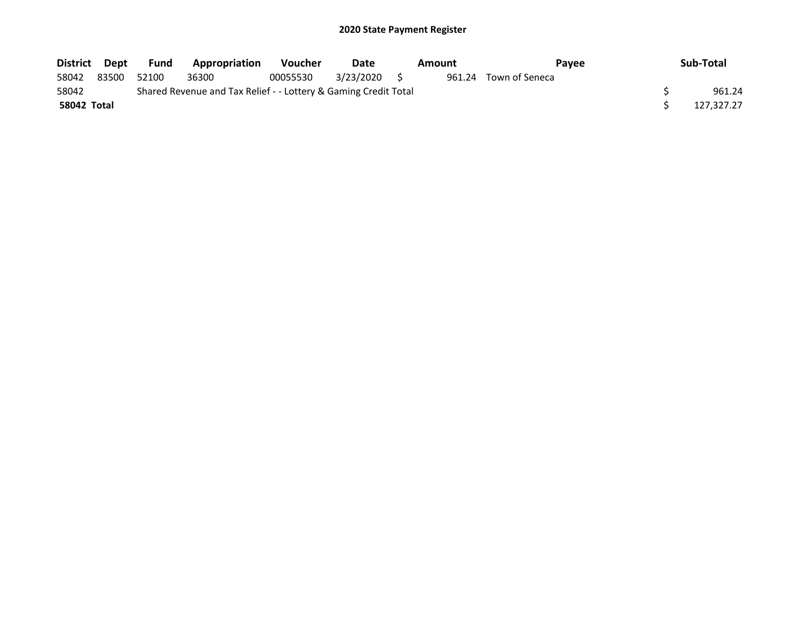| District Dept |       | Fund  | <b>Appropriation</b>                                            | <b>Voucher</b> | Date      | Amount | <b>Pavee</b>          | Sub-Total  |
|---------------|-------|-------|-----------------------------------------------------------------|----------------|-----------|--------|-----------------------|------------|
| 58042         | 83500 | 52100 | 36300                                                           | 00055530       | 3/23/2020 |        | 961.24 Town of Seneca |            |
| 58042         |       |       | Shared Revenue and Tax Relief - - Lottery & Gaming Credit Total |                |           |        |                       | 961.24     |
| 58042 Total   |       |       |                                                                 |                |           |        |                       | 127,327.27 |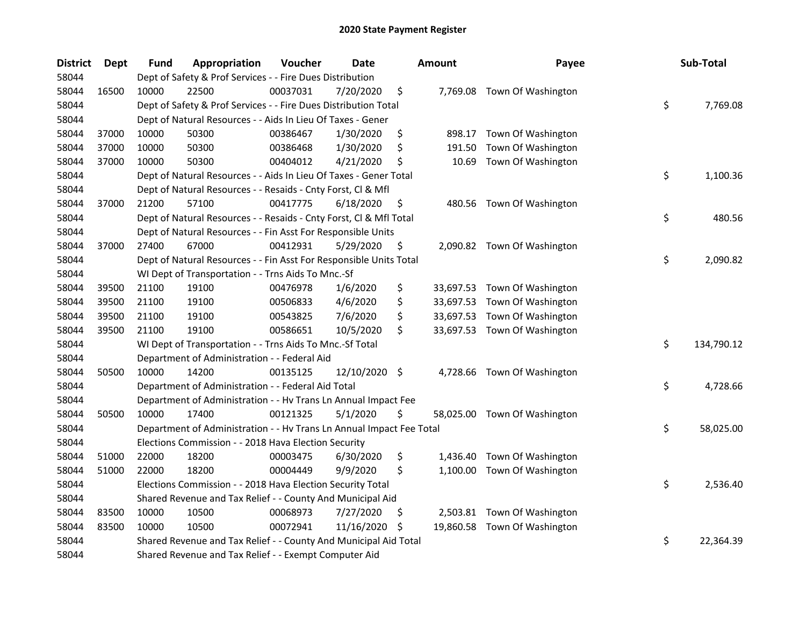| <b>District</b> | <b>Dept</b> | Fund  | Appropriation                                                        | Voucher  | <b>Date</b>   |     | <b>Amount</b> | Payee                        | Sub-Total        |
|-----------------|-------------|-------|----------------------------------------------------------------------|----------|---------------|-----|---------------|------------------------------|------------------|
| 58044           |             |       | Dept of Safety & Prof Services - - Fire Dues Distribution            |          |               |     |               |                              |                  |
| 58044           | 16500       | 10000 | 22500                                                                | 00037031 | 7/20/2020     | \$  |               | 7,769.08 Town Of Washington  |                  |
| 58044           |             |       | Dept of Safety & Prof Services - - Fire Dues Distribution Total      |          |               |     |               |                              | \$<br>7,769.08   |
| 58044           |             |       | Dept of Natural Resources - - Aids In Lieu Of Taxes - Gener          |          |               |     |               |                              |                  |
| 58044           | 37000       | 10000 | 50300                                                                | 00386467 | 1/30/2020     | \$  | 898.17        | Town Of Washington           |                  |
| 58044           | 37000       | 10000 | 50300                                                                | 00386468 | 1/30/2020     | \$  | 191.50        | Town Of Washington           |                  |
| 58044           | 37000       | 10000 | 50300                                                                | 00404012 | 4/21/2020     | \$  | 10.69         | Town Of Washington           |                  |
| 58044           |             |       | Dept of Natural Resources - - Aids In Lieu Of Taxes - Gener Total    |          |               |     |               |                              | \$<br>1,100.36   |
| 58044           |             |       | Dept of Natural Resources - - Resaids - Cnty Forst, Cl & Mfl         |          |               |     |               |                              |                  |
| 58044           | 37000       | 21200 | 57100                                                                | 00417775 | 6/18/2020     | \$  |               | 480.56 Town Of Washington    |                  |
| 58044           |             |       | Dept of Natural Resources - - Resaids - Cnty Forst, Cl & Mfl Total   |          |               |     |               |                              | \$<br>480.56     |
| 58044           |             |       | Dept of Natural Resources - - Fin Asst For Responsible Units         |          |               |     |               |                              |                  |
| 58044           | 37000       | 27400 | 67000                                                                | 00412931 | 5/29/2020     | \$. |               | 2,090.82 Town Of Washington  |                  |
| 58044           |             |       | Dept of Natural Resources - - Fin Asst For Responsible Units Total   |          |               |     |               |                              | \$<br>2,090.82   |
| 58044           |             |       | WI Dept of Transportation - - Trns Aids To Mnc.-Sf                   |          |               |     |               |                              |                  |
| 58044           | 39500       | 21100 | 19100                                                                | 00476978 | 1/6/2020      | \$  |               | 33,697.53 Town Of Washington |                  |
| 58044           | 39500       | 21100 | 19100                                                                | 00506833 | 4/6/2020      | \$  |               | 33,697.53 Town Of Washington |                  |
| 58044           | 39500       | 21100 | 19100                                                                | 00543825 | 7/6/2020      | \$  |               | 33,697.53 Town Of Washington |                  |
| 58044           | 39500       | 21100 | 19100                                                                | 00586651 | 10/5/2020     | \$  |               | 33,697.53 Town Of Washington |                  |
| 58044           |             |       | WI Dept of Transportation - - Trns Aids To Mnc.-Sf Total             |          |               |     |               |                              | \$<br>134,790.12 |
| 58044           |             |       | Department of Administration - - Federal Aid                         |          |               |     |               |                              |                  |
| 58044           | 50500       | 10000 | 14200                                                                | 00135125 | 12/10/2020 \$ |     |               | 4,728.66 Town Of Washington  |                  |
| 58044           |             |       | Department of Administration - - Federal Aid Total                   |          |               |     |               |                              | \$<br>4,728.66   |
| 58044           |             |       | Department of Administration - - Hv Trans Ln Annual Impact Fee       |          |               |     |               |                              |                  |
| 58044           | 50500       | 10000 | 17400                                                                | 00121325 | 5/1/2020      | \$  |               | 58,025.00 Town Of Washington |                  |
| 58044           |             |       | Department of Administration - - Hv Trans Ln Annual Impact Fee Total |          |               |     |               |                              | \$<br>58,025.00  |
| 58044           |             |       | Elections Commission - - 2018 Hava Election Security                 |          |               |     |               |                              |                  |
| 58044           | 51000       | 22000 | 18200                                                                | 00003475 | 6/30/2020     | \$  | 1,436.40      | Town Of Washington           |                  |
| 58044           | 51000       | 22000 | 18200                                                                | 00004449 | 9/9/2020      | \$  |               | 1,100.00 Town Of Washington  |                  |
| 58044           |             |       | Elections Commission - - 2018 Hava Election Security Total           |          |               |     |               |                              | \$<br>2,536.40   |
| 58044           |             |       | Shared Revenue and Tax Relief - - County And Municipal Aid           |          |               |     |               |                              |                  |
| 58044           | 83500       | 10000 | 10500                                                                | 00068973 | 7/27/2020     | Ş.  |               | 2,503.81 Town Of Washington  |                  |
| 58044           | 83500       | 10000 | 10500                                                                | 00072941 | 11/16/2020    | \$  |               | 19,860.58 Town Of Washington |                  |
| 58044           |             |       | Shared Revenue and Tax Relief - - County And Municipal Aid Total     |          |               |     |               |                              | \$<br>22,364.39  |
| 58044           |             |       | Shared Revenue and Tax Relief - - Exempt Computer Aid                |          |               |     |               |                              |                  |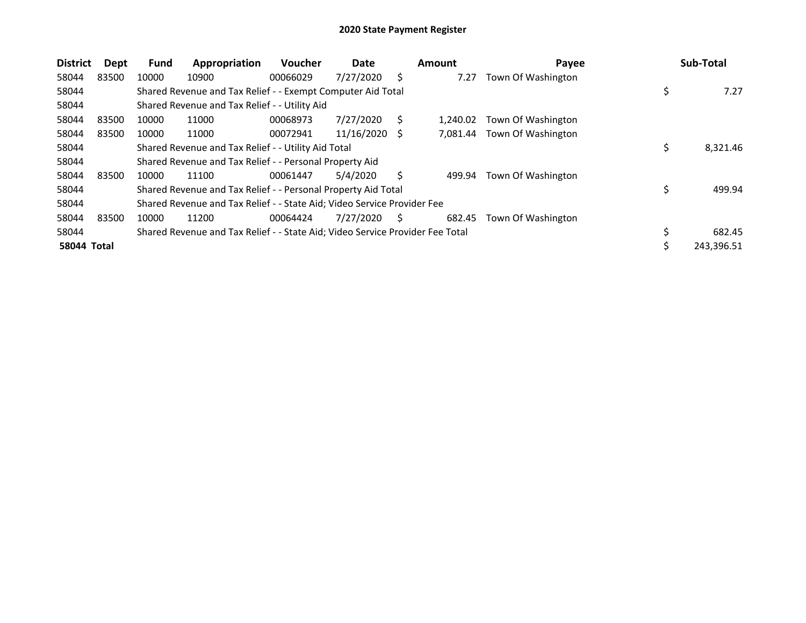| <b>District</b>    | Dept  | <b>Fund</b> | Appropriation                                                                 | <b>Voucher</b> | Date       |   | <b>Amount</b> | Payee              |    | Sub-Total  |
|--------------------|-------|-------------|-------------------------------------------------------------------------------|----------------|------------|---|---------------|--------------------|----|------------|
| 58044              | 83500 | 10000       | 10900                                                                         | 00066029       | 7/27/2020  | S | 7.27          | Town Of Washington |    |            |
| 58044              |       |             | Shared Revenue and Tax Relief - - Exempt Computer Aid Total                   |                |            |   |               |                    |    | 7.27       |
| 58044              |       |             | Shared Revenue and Tax Relief - - Utility Aid                                 |                |            |   |               |                    |    |            |
| 58044              | 83500 | 10000       | 11000                                                                         | 00068973       | 7/27/2020  | S | 1.240.02      | Town Of Washington |    |            |
| 58044              | 83500 | 10000       | 11000                                                                         | 00072941       | 11/16/2020 | S | 7,081.44      | Town Of Washington |    |            |
| 58044              |       |             | Shared Revenue and Tax Relief - - Utility Aid Total                           |                |            |   |               |                    | \$ | 8,321.46   |
| 58044              |       |             | Shared Revenue and Tax Relief - - Personal Property Aid                       |                |            |   |               |                    |    |            |
| 58044              | 83500 | 10000       | 11100                                                                         | 00061447       | 5/4/2020   |   | 499.94        | Town Of Washington |    |            |
| 58044              |       |             | Shared Revenue and Tax Relief - - Personal Property Aid Total                 |                |            |   |               |                    |    | 499.94     |
| 58044              |       |             | Shared Revenue and Tax Relief - - State Aid; Video Service Provider Fee       |                |            |   |               |                    |    |            |
| 58044              | 83500 | 10000       | 11200                                                                         | 00064424       | 7/27/2020  | S | 682.45        | Town Of Washington |    |            |
| 58044              |       |             | Shared Revenue and Tax Relief - - State Aid; Video Service Provider Fee Total |                |            |   |               |                    |    | 682.45     |
| <b>58044 Total</b> |       |             |                                                                               |                |            |   |               |                    | ১  | 243,396.51 |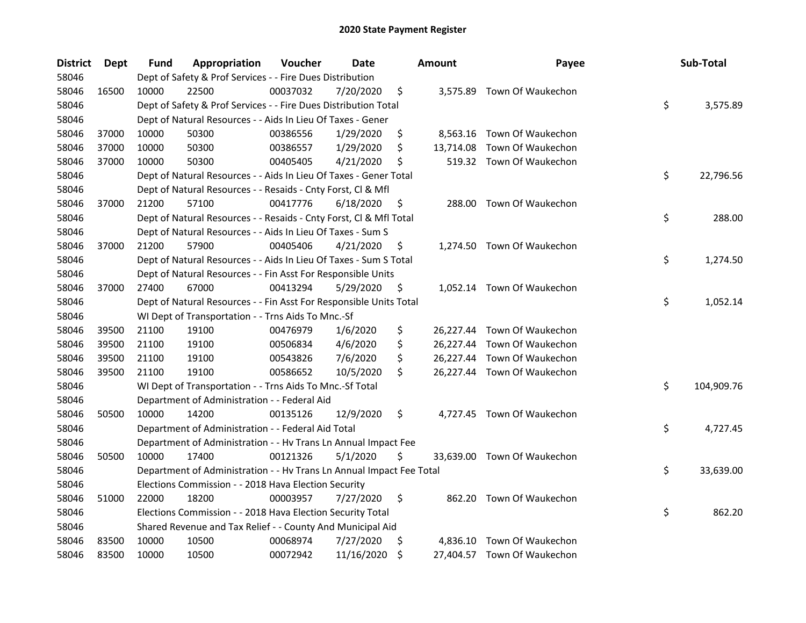| <b>District</b> | <b>Dept</b> | Fund  | Appropriation                                                        | Voucher  | Date       |     | <b>Amount</b> | Payee                       | Sub-Total        |
|-----------------|-------------|-------|----------------------------------------------------------------------|----------|------------|-----|---------------|-----------------------------|------------------|
| 58046           |             |       | Dept of Safety & Prof Services - - Fire Dues Distribution            |          |            |     |               |                             |                  |
| 58046           | 16500       | 10000 | 22500                                                                | 00037032 | 7/20/2020  | \$  |               | 3,575.89 Town Of Waukechon  |                  |
| 58046           |             |       | Dept of Safety & Prof Services - - Fire Dues Distribution Total      |          |            |     |               |                             | \$<br>3,575.89   |
| 58046           |             |       | Dept of Natural Resources - - Aids In Lieu Of Taxes - Gener          |          |            |     |               |                             |                  |
| 58046           | 37000       | 10000 | 50300                                                                | 00386556 | 1/29/2020  | \$  |               | 8,563.16 Town Of Waukechon  |                  |
| 58046           | 37000       | 10000 | 50300                                                                | 00386557 | 1/29/2020  | \$  | 13,714.08     | Town Of Waukechon           |                  |
| 58046           | 37000       | 10000 | 50300                                                                | 00405405 | 4/21/2020  | \$  |               | 519.32 Town Of Waukechon    |                  |
| 58046           |             |       | Dept of Natural Resources - - Aids In Lieu Of Taxes - Gener Total    |          |            |     |               |                             | \$<br>22,796.56  |
| 58046           |             |       | Dept of Natural Resources - - Resaids - Cnty Forst, Cl & Mfl         |          |            |     |               |                             |                  |
| 58046           | 37000       | 21200 | 57100                                                                | 00417776 | 6/18/2020  | \$, |               | 288.00 Town Of Waukechon    |                  |
| 58046           |             |       | Dept of Natural Resources - - Resaids - Cnty Forst, Cl & Mfl Total   |          |            |     |               |                             | \$<br>288.00     |
| 58046           |             |       | Dept of Natural Resources - - Aids In Lieu Of Taxes - Sum S          |          |            |     |               |                             |                  |
| 58046           | 37000       | 21200 | 57900                                                                | 00405406 | 4/21/2020  | \$, |               | 1,274.50 Town Of Waukechon  |                  |
| 58046           |             |       | Dept of Natural Resources - - Aids In Lieu Of Taxes - Sum S Total    |          |            |     |               |                             | \$<br>1,274.50   |
| 58046           |             |       | Dept of Natural Resources - - Fin Asst For Responsible Units         |          |            |     |               |                             |                  |
| 58046           | 37000       | 27400 | 67000                                                                | 00413294 | 5/29/2020  | \$  |               | 1,052.14 Town Of Waukechon  |                  |
| 58046           |             |       | Dept of Natural Resources - - Fin Asst For Responsible Units Total   |          |            |     |               |                             | \$<br>1,052.14   |
| 58046           |             |       | WI Dept of Transportation - - Trns Aids To Mnc.-Sf                   |          |            |     |               |                             |                  |
| 58046           | 39500       | 21100 | 19100                                                                | 00476979 | 1/6/2020   | \$  |               | 26,227.44 Town Of Waukechon |                  |
| 58046           | 39500       | 21100 | 19100                                                                | 00506834 | 4/6/2020   | \$  |               | 26,227.44 Town Of Waukechon |                  |
| 58046           | 39500       | 21100 | 19100                                                                | 00543826 | 7/6/2020   | \$  |               | 26,227.44 Town Of Waukechon |                  |
| 58046           | 39500       | 21100 | 19100                                                                | 00586652 | 10/5/2020  | \$  |               | 26,227.44 Town Of Waukechon |                  |
| 58046           |             |       | WI Dept of Transportation - - Trns Aids To Mnc.-Sf Total             |          |            |     |               |                             | \$<br>104,909.76 |
| 58046           |             |       | Department of Administration - - Federal Aid                         |          |            |     |               |                             |                  |
| 58046           | 50500       | 10000 | 14200                                                                | 00135126 | 12/9/2020  | \$  |               | 4,727.45 Town Of Waukechon  |                  |
| 58046           |             |       | Department of Administration - - Federal Aid Total                   |          |            |     |               |                             | \$<br>4,727.45   |
| 58046           |             |       | Department of Administration - - Hv Trans Ln Annual Impact Fee       |          |            |     |               |                             |                  |
| 58046           | 50500       | 10000 | 17400                                                                | 00121326 | 5/1/2020   | \$  |               | 33,639.00 Town Of Waukechon |                  |
| 58046           |             |       | Department of Administration - - Hv Trans Ln Annual Impact Fee Total |          |            |     |               |                             | \$<br>33,639.00  |
| 58046           |             |       | Elections Commission - - 2018 Hava Election Security                 |          |            |     |               |                             |                  |
| 58046           | 51000       | 22000 | 18200                                                                | 00003957 | 7/27/2020  | \$  |               | 862.20 Town Of Waukechon    |                  |
| 58046           |             |       | Elections Commission - - 2018 Hava Election Security Total           |          |            |     |               |                             | \$<br>862.20     |
| 58046           |             |       | Shared Revenue and Tax Relief - - County And Municipal Aid           |          |            |     |               |                             |                  |
| 58046           | 83500       | 10000 | 10500                                                                | 00068974 | 7/27/2020  | \$, |               | 4,836.10 Town Of Waukechon  |                  |
| 58046           | 83500       | 10000 | 10500                                                                | 00072942 | 11/16/2020 | \$  |               | 27,404.57 Town Of Waukechon |                  |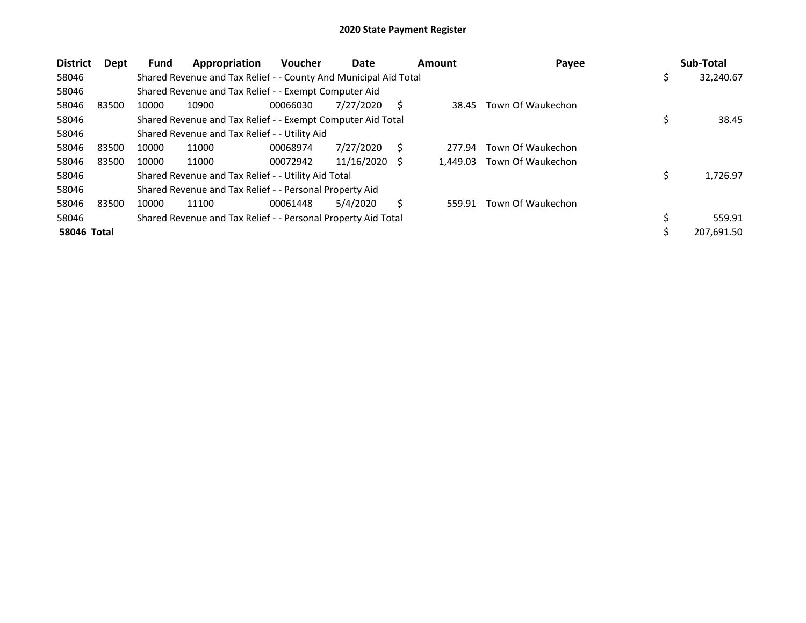| <b>District</b>    | <b>Dept</b> | <b>Fund</b> | Appropriation                                                    | Voucher  | Date       |   | <b>Amount</b> | Payee             |   | Sub-Total  |
|--------------------|-------------|-------------|------------------------------------------------------------------|----------|------------|---|---------------|-------------------|---|------------|
| 58046              |             |             | Shared Revenue and Tax Relief - - County And Municipal Aid Total |          |            |   |               |                   | Ş | 32,240.67  |
| 58046              |             |             | Shared Revenue and Tax Relief - - Exempt Computer Aid            |          |            |   |               |                   |   |            |
| 58046              | 83500       | 10000       | 10900                                                            | 00066030 | 7/27/2020  | S | 38.45         | Town Of Waukechon |   |            |
| 58046              |             |             | Shared Revenue and Tax Relief - - Exempt Computer Aid Total      |          |            |   |               |                   |   | 38.45      |
| 58046              |             |             | Shared Revenue and Tax Relief - - Utility Aid                    |          |            |   |               |                   |   |            |
| 58046              | 83500       | 10000       | 11000                                                            | 00068974 | 7/27/2020  |   | 277.94        | Town Of Waukechon |   |            |
| 58046              | 83500       | 10000       | 11000                                                            | 00072942 | 11/16/2020 | S | 1.449.03      | Town Of Waukechon |   |            |
| 58046              |             |             | Shared Revenue and Tax Relief - - Utility Aid Total              |          |            |   |               |                   | Ş | 1,726.97   |
| 58046              |             |             | Shared Revenue and Tax Relief - - Personal Property Aid          |          |            |   |               |                   |   |            |
| 58046              | 83500       | 10000       | 11100                                                            | 00061448 | 5/4/2020   |   | 559.91        | Town Of Waukechon |   |            |
| 58046              |             |             | Shared Revenue and Tax Relief - - Personal Property Aid Total    |          |            |   |               |                   |   | 559.91     |
| <b>58046 Total</b> |             |             |                                                                  |          |            |   |               |                   |   | 207,691.50 |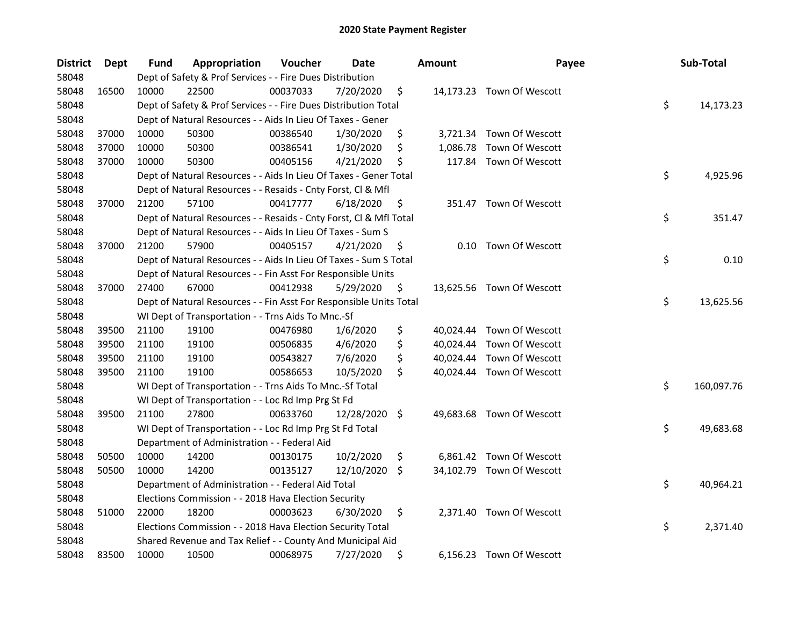| <b>District</b> | <b>Dept</b> | Fund  | Appropriation                                                      | Voucher  | Date       |     | Amount   | Payee                     | Sub-Total        |
|-----------------|-------------|-------|--------------------------------------------------------------------|----------|------------|-----|----------|---------------------------|------------------|
| 58048           |             |       | Dept of Safety & Prof Services - - Fire Dues Distribution          |          |            |     |          |                           |                  |
| 58048           | 16500       | 10000 | 22500                                                              | 00037033 | 7/20/2020  | \$  |          | 14,173.23 Town Of Wescott |                  |
| 58048           |             |       | Dept of Safety & Prof Services - - Fire Dues Distribution Total    |          |            |     |          |                           | \$<br>14,173.23  |
| 58048           |             |       | Dept of Natural Resources - - Aids In Lieu Of Taxes - Gener        |          |            |     |          |                           |                  |
| 58048           | 37000       | 10000 | 50300                                                              | 00386540 | 1/30/2020  | \$  |          | 3,721.34 Town Of Wescott  |                  |
| 58048           | 37000       | 10000 | 50300                                                              | 00386541 | 1/30/2020  | \$  | 1,086.78 | Town Of Wescott           |                  |
| 58048           | 37000       | 10000 | 50300                                                              | 00405156 | 4/21/2020  | \$  |          | 117.84 Town Of Wescott    |                  |
| 58048           |             |       | Dept of Natural Resources - - Aids In Lieu Of Taxes - Gener Total  |          |            |     |          |                           | \$<br>4,925.96   |
| 58048           |             |       | Dept of Natural Resources - - Resaids - Cnty Forst, Cl & Mfl       |          |            |     |          |                           |                  |
| 58048           | 37000       | 21200 | 57100                                                              | 00417777 | 6/18/2020  | \$  |          | 351.47 Town Of Wescott    |                  |
| 58048           |             |       | Dept of Natural Resources - - Resaids - Cnty Forst, Cl & Mfl Total |          |            |     |          |                           | \$<br>351.47     |
| 58048           |             |       | Dept of Natural Resources - - Aids In Lieu Of Taxes - Sum S        |          |            |     |          |                           |                  |
| 58048           | 37000       | 21200 | 57900                                                              | 00405157 | 4/21/2020  | \$  | 0.10     | Town Of Wescott           |                  |
| 58048           |             |       | Dept of Natural Resources - - Aids In Lieu Of Taxes - Sum S Total  |          |            |     |          |                           | \$<br>0.10       |
| 58048           |             |       | Dept of Natural Resources - - Fin Asst For Responsible Units       |          |            |     |          |                           |                  |
| 58048           | 37000       | 27400 | 67000                                                              | 00412938 | 5/29/2020  | \$  |          | 13,625.56 Town Of Wescott |                  |
| 58048           |             |       | Dept of Natural Resources - - Fin Asst For Responsible Units Total |          |            |     |          |                           | \$<br>13,625.56  |
| 58048           |             |       | WI Dept of Transportation - - Trns Aids To Mnc.-Sf                 |          |            |     |          |                           |                  |
| 58048           | 39500       | 21100 | 19100                                                              | 00476980 | 1/6/2020   | \$  |          | 40,024.44 Town Of Wescott |                  |
| 58048           | 39500       | 21100 | 19100                                                              | 00506835 | 4/6/2020   | \$  |          | 40,024.44 Town Of Wescott |                  |
| 58048           | 39500       | 21100 | 19100                                                              | 00543827 | 7/6/2020   | \$  |          | 40,024.44 Town Of Wescott |                  |
| 58048           | 39500       | 21100 | 19100                                                              | 00586653 | 10/5/2020  | \$  |          | 40,024.44 Town Of Wescott |                  |
| 58048           |             |       | WI Dept of Transportation - - Trns Aids To Mnc.-Sf Total           |          |            |     |          |                           | \$<br>160,097.76 |
| 58048           |             |       | WI Dept of Transportation - - Loc Rd Imp Prg St Fd                 |          |            |     |          |                           |                  |
| 58048           | 39500       | 21100 | 27800                                                              | 00633760 | 12/28/2020 | \$  |          | 49,683.68 Town Of Wescott |                  |
| 58048           |             |       | WI Dept of Transportation - - Loc Rd Imp Prg St Fd Total           |          |            |     |          |                           | \$<br>49,683.68  |
| 58048           |             |       | Department of Administration - - Federal Aid                       |          |            |     |          |                           |                  |
| 58048           | 50500       | 10000 | 14200                                                              | 00130175 | 10/2/2020  | \$  |          | 6,861.42 Town Of Wescott  |                  |
| 58048           | 50500       | 10000 | 14200                                                              | 00135127 | 12/10/2020 | \$. |          | 34,102.79 Town Of Wescott |                  |
| 58048           |             |       | Department of Administration - - Federal Aid Total                 |          |            |     |          |                           | \$<br>40,964.21  |
| 58048           |             |       | Elections Commission - - 2018 Hava Election Security               |          |            |     |          |                           |                  |
| 58048           | 51000       | 22000 | 18200                                                              | 00003623 | 6/30/2020  | \$  |          | 2,371.40 Town Of Wescott  |                  |
| 58048           |             |       | Elections Commission - - 2018 Hava Election Security Total         |          |            |     |          |                           | \$<br>2,371.40   |
| 58048           |             |       | Shared Revenue and Tax Relief - - County And Municipal Aid         |          |            |     |          |                           |                  |
| 58048           | 83500       | 10000 | 10500                                                              | 00068975 | 7/27/2020  | \$  |          | 6,156.23 Town Of Wescott  |                  |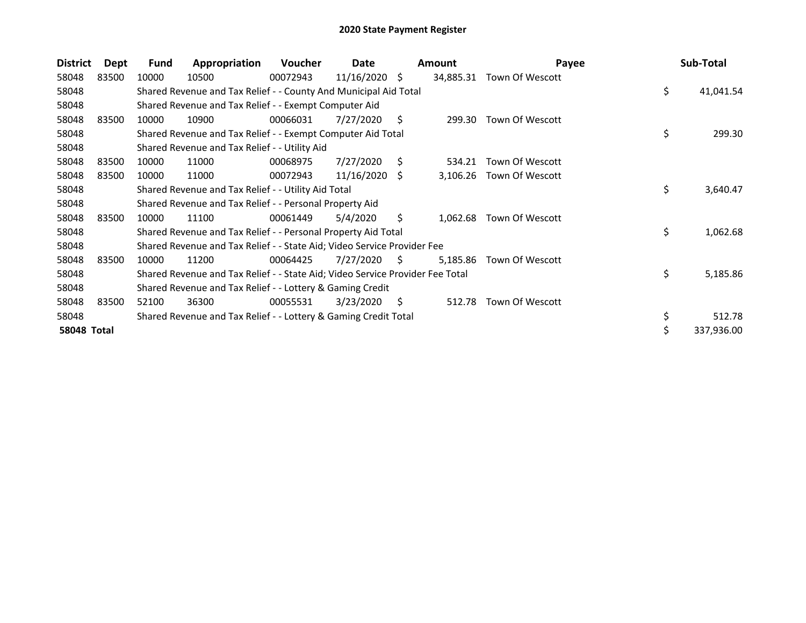| <b>District</b> | <b>Dept</b> | Fund  | Appropriation                                                                 | <b>Voucher</b> | Date            |    | <b>Amount</b> | Payee           | Sub-Total        |
|-----------------|-------------|-------|-------------------------------------------------------------------------------|----------------|-----------------|----|---------------|-----------------|------------------|
| 58048           | 83500       | 10000 | 10500                                                                         | 00072943       | $11/16/2020$ \$ |    | 34,885.31     | Town Of Wescott |                  |
| 58048           |             |       | Shared Revenue and Tax Relief - - County And Municipal Aid Total              |                |                 |    |               |                 | \$<br>41,041.54  |
| 58048           |             |       | Shared Revenue and Tax Relief - - Exempt Computer Aid                         |                |                 |    |               |                 |                  |
| 58048           | 83500       | 10000 | 10900                                                                         | 00066031       | 7/27/2020       | S. | 299.30        | Town Of Wescott |                  |
| 58048           |             |       | Shared Revenue and Tax Relief - - Exempt Computer Aid Total                   |                |                 |    |               |                 | \$<br>299.30     |
| 58048           |             |       | Shared Revenue and Tax Relief - - Utility Aid                                 |                |                 |    |               |                 |                  |
| 58048           | 83500       | 10000 | 11000                                                                         | 00068975       | 7/27/2020       | S. | 534.21        | Town Of Wescott |                  |
| 58048           | 83500       | 10000 | 11000                                                                         | 00072943       | $11/16/2020$ \$ |    | 3,106.26      | Town Of Wescott |                  |
| 58048           |             |       | Shared Revenue and Tax Relief - - Utility Aid Total                           |                |                 |    |               |                 | \$<br>3,640.47   |
| 58048           |             |       | Shared Revenue and Tax Relief - - Personal Property Aid                       |                |                 |    |               |                 |                  |
| 58048           | 83500       | 10000 | 11100                                                                         | 00061449       | 5/4/2020        | Ŝ. | 1,062.68      | Town Of Wescott |                  |
| 58048           |             |       | Shared Revenue and Tax Relief - - Personal Property Aid Total                 |                |                 |    |               |                 | \$<br>1,062.68   |
| 58048           |             |       | Shared Revenue and Tax Relief - - State Aid; Video Service Provider Fee       |                |                 |    |               |                 |                  |
| 58048           | 83500       | 10000 | 11200                                                                         | 00064425       | 7/27/2020       | S. | 5,185.86      | Town Of Wescott |                  |
| 58048           |             |       | Shared Revenue and Tax Relief - - State Aid; Video Service Provider Fee Total |                |                 |    |               |                 | \$<br>5,185.86   |
| 58048           |             |       | Shared Revenue and Tax Relief - - Lottery & Gaming Credit                     |                |                 |    |               |                 |                  |
| 58048           | 83500       | 52100 | 36300                                                                         | 00055531       | 3/23/2020       | S. | 512.78        | Town Of Wescott |                  |
| 58048           |             |       | Shared Revenue and Tax Relief - - Lottery & Gaming Credit Total               |                |                 |    |               |                 | \$<br>512.78     |
| 58048 Total     |             |       |                                                                               |                |                 |    |               |                 | \$<br>337,936.00 |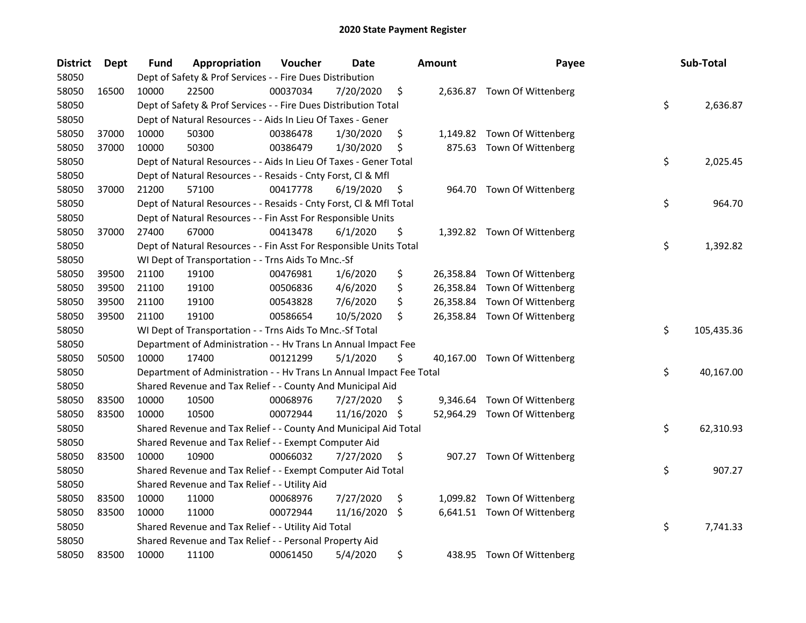| <b>District</b> | Dept  | Fund  | Appropriation                                                        | Voucher  | Date       |     | <b>Amount</b> | Payee                        | Sub-Total        |
|-----------------|-------|-------|----------------------------------------------------------------------|----------|------------|-----|---------------|------------------------------|------------------|
| 58050           |       |       | Dept of Safety & Prof Services - - Fire Dues Distribution            |          |            |     |               |                              |                  |
| 58050           | 16500 | 10000 | 22500                                                                | 00037034 | 7/20/2020  | \$  |               | 2,636.87 Town Of Wittenberg  |                  |
| 58050           |       |       | Dept of Safety & Prof Services - - Fire Dues Distribution Total      |          |            |     |               |                              | \$<br>2,636.87   |
| 58050           |       |       | Dept of Natural Resources - - Aids In Lieu Of Taxes - Gener          |          |            |     |               |                              |                  |
| 58050           | 37000 | 10000 | 50300                                                                | 00386478 | 1/30/2020  | \$  |               | 1,149.82 Town Of Wittenberg  |                  |
| 58050           | 37000 | 10000 | 50300                                                                | 00386479 | 1/30/2020  | \$  |               | 875.63 Town Of Wittenberg    |                  |
| 58050           |       |       | Dept of Natural Resources - - Aids In Lieu Of Taxes - Gener Total    |          |            |     |               |                              | \$<br>2,025.45   |
| 58050           |       |       | Dept of Natural Resources - - Resaids - Cnty Forst, Cl & Mfl         |          |            |     |               |                              |                  |
| 58050           | 37000 | 21200 | 57100                                                                | 00417778 | 6/19/2020  | \$  |               | 964.70 Town Of Wittenberg    |                  |
| 58050           |       |       | Dept of Natural Resources - - Resaids - Cnty Forst, Cl & Mfl Total   |          |            |     |               |                              | \$<br>964.70     |
| 58050           |       |       | Dept of Natural Resources - - Fin Asst For Responsible Units         |          |            |     |               |                              |                  |
| 58050           | 37000 | 27400 | 67000                                                                | 00413478 | 6/1/2020   | \$  |               | 1,392.82 Town Of Wittenberg  |                  |
| 58050           |       |       | Dept of Natural Resources - - Fin Asst For Responsible Units Total   |          |            |     |               |                              | \$<br>1,392.82   |
| 58050           |       |       | WI Dept of Transportation - - Trns Aids To Mnc.-Sf                   |          |            |     |               |                              |                  |
| 58050           | 39500 | 21100 | 19100                                                                | 00476981 | 1/6/2020   | \$  |               | 26,358.84 Town Of Wittenberg |                  |
| 58050           | 39500 | 21100 | 19100                                                                | 00506836 | 4/6/2020   | \$  |               | 26,358.84 Town Of Wittenberg |                  |
| 58050           | 39500 | 21100 | 19100                                                                | 00543828 | 7/6/2020   | \$  | 26,358.84     | Town Of Wittenberg           |                  |
| 58050           | 39500 | 21100 | 19100                                                                | 00586654 | 10/5/2020  | \$  |               | 26,358.84 Town Of Wittenberg |                  |
| 58050           |       |       | WI Dept of Transportation - - Trns Aids To Mnc.-Sf Total             |          |            |     |               |                              | \$<br>105,435.36 |
| 58050           |       |       | Department of Administration - - Hv Trans Ln Annual Impact Fee       |          |            |     |               |                              |                  |
| 58050           | 50500 | 10000 | 17400                                                                | 00121299 | 5/1/2020   | \$  |               | 40,167.00 Town Of Wittenberg |                  |
| 58050           |       |       | Department of Administration - - Hv Trans Ln Annual Impact Fee Total |          |            |     |               |                              | \$<br>40,167.00  |
| 58050           |       |       | Shared Revenue and Tax Relief - - County And Municipal Aid           |          |            |     |               |                              |                  |
| 58050           | 83500 | 10000 | 10500                                                                | 00068976 | 7/27/2020  | \$. |               | 9,346.64 Town Of Wittenberg  |                  |
| 58050           | 83500 | 10000 | 10500                                                                | 00072944 | 11/16/2020 | \$  |               | 52,964.29 Town Of Wittenberg |                  |
| 58050           |       |       | Shared Revenue and Tax Relief - - County And Municipal Aid Total     |          |            |     |               |                              | \$<br>62,310.93  |
| 58050           |       |       | Shared Revenue and Tax Relief - - Exempt Computer Aid                |          |            |     |               |                              |                  |
| 58050           | 83500 | 10000 | 10900                                                                | 00066032 | 7/27/2020  | \$  |               | 907.27 Town Of Wittenberg    |                  |
| 58050           |       |       | Shared Revenue and Tax Relief - - Exempt Computer Aid Total          |          |            |     |               |                              | \$<br>907.27     |
| 58050           |       |       | Shared Revenue and Tax Relief - - Utility Aid                        |          |            |     |               |                              |                  |
| 58050           | 83500 | 10000 | 11000                                                                | 00068976 | 7/27/2020  | \$  |               | 1,099.82 Town Of Wittenberg  |                  |
| 58050           | 83500 | 10000 | 11000                                                                | 00072944 | 11/16/2020 | \$  |               | 6,641.51 Town Of Wittenberg  |                  |
| 58050           |       |       | Shared Revenue and Tax Relief - - Utility Aid Total                  |          |            |     |               |                              | \$<br>7,741.33   |
| 58050           |       |       | Shared Revenue and Tax Relief - - Personal Property Aid              |          |            |     |               |                              |                  |
| 58050           | 83500 | 10000 | 11100                                                                | 00061450 | 5/4/2020   | \$  |               | 438.95 Town Of Wittenberg    |                  |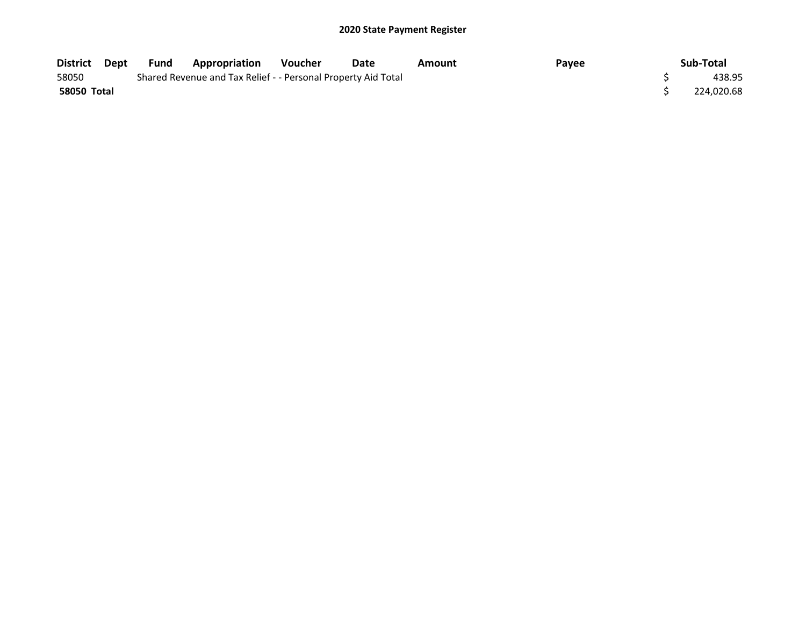| District Dept      | Fund | Appropriation                                                 | <b>Voucher</b> | Date | Amount | Payee | Sub-Total  |
|--------------------|------|---------------------------------------------------------------|----------------|------|--------|-------|------------|
| 58050              |      | Shared Revenue and Tax Relief - - Personal Property Aid Total |                |      |        |       | 438.95     |
| <b>58050 Total</b> |      |                                                               |                |      |        |       | 224,020.68 |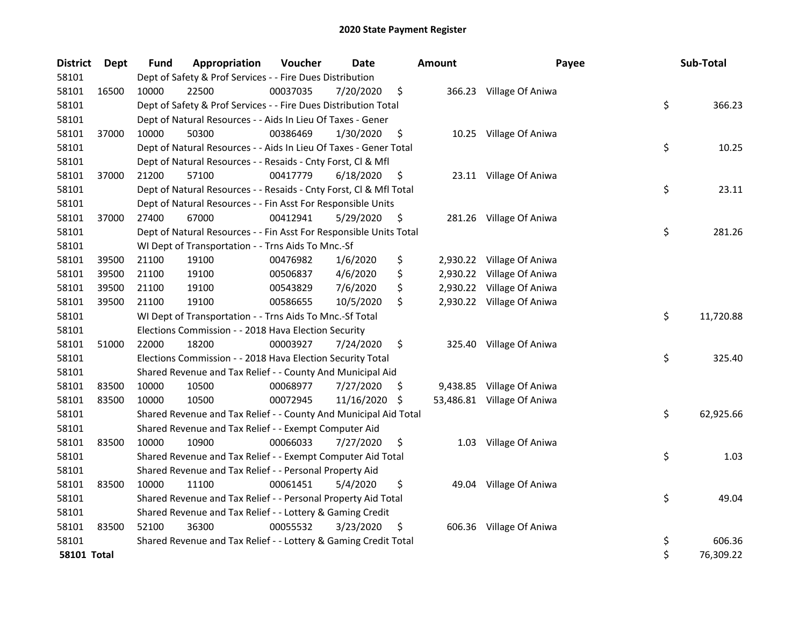| <b>District</b>    | Dept  | <b>Fund</b> | Appropriation                                                      | Voucher  | Date       |     | <b>Amount</b> | Payee                      | Sub-Total       |
|--------------------|-------|-------------|--------------------------------------------------------------------|----------|------------|-----|---------------|----------------------------|-----------------|
| 58101              |       |             | Dept of Safety & Prof Services - - Fire Dues Distribution          |          |            |     |               |                            |                 |
| 58101              | 16500 | 10000       | 22500                                                              | 00037035 | 7/20/2020  | \$  |               | 366.23 Village Of Aniwa    |                 |
| 58101              |       |             | Dept of Safety & Prof Services - - Fire Dues Distribution Total    |          |            |     |               |                            | \$<br>366.23    |
| 58101              |       |             | Dept of Natural Resources - - Aids In Lieu Of Taxes - Gener        |          |            |     |               |                            |                 |
| 58101              | 37000 | 10000       | 50300                                                              | 00386469 | 1/30/2020  | \$  |               | 10.25 Village Of Aniwa     |                 |
| 58101              |       |             | Dept of Natural Resources - - Aids In Lieu Of Taxes - Gener Total  |          |            |     |               |                            | \$<br>10.25     |
| 58101              |       |             | Dept of Natural Resources - - Resaids - Cnty Forst, Cl & Mfl       |          |            |     |               |                            |                 |
| 58101              | 37000 | 21200       | 57100                                                              | 00417779 | 6/18/2020  | \$  |               | 23.11 Village Of Aniwa     |                 |
| 58101              |       |             | Dept of Natural Resources - - Resaids - Cnty Forst, Cl & Mfl Total |          |            |     |               |                            | \$<br>23.11     |
| 58101              |       |             | Dept of Natural Resources - - Fin Asst For Responsible Units       |          |            |     |               |                            |                 |
| 58101              | 37000 | 27400       | 67000                                                              | 00412941 | 5/29/2020  | \$  |               | 281.26 Village Of Aniwa    |                 |
| 58101              |       |             | Dept of Natural Resources - - Fin Asst For Responsible Units Total |          |            |     |               |                            | \$<br>281.26    |
| 58101              |       |             | WI Dept of Transportation - - Trns Aids To Mnc.-Sf                 |          |            |     |               |                            |                 |
| 58101              | 39500 | 21100       | 19100                                                              | 00476982 | 1/6/2020   | \$  |               | 2,930.22 Village Of Aniwa  |                 |
| 58101              | 39500 | 21100       | 19100                                                              | 00506837 | 4/6/2020   | \$  | 2,930.22      | Village Of Aniwa           |                 |
| 58101              | 39500 | 21100       | 19100                                                              | 00543829 | 7/6/2020   | \$  | 2,930.22      | Village Of Aniwa           |                 |
| 58101              | 39500 | 21100       | 19100                                                              | 00586655 | 10/5/2020  | \$  |               | 2,930.22 Village Of Aniwa  |                 |
| 58101              |       |             | WI Dept of Transportation - - Trns Aids To Mnc.-Sf Total           |          |            |     |               |                            | \$<br>11,720.88 |
| 58101              |       |             | Elections Commission - - 2018 Hava Election Security               |          |            |     |               |                            |                 |
| 58101              | 51000 | 22000       | 18200                                                              | 00003927 | 7/24/2020  | \$  |               | 325.40 Village Of Aniwa    |                 |
| 58101              |       |             | Elections Commission - - 2018 Hava Election Security Total         |          |            |     |               |                            | \$<br>325.40    |
| 58101              |       |             | Shared Revenue and Tax Relief - - County And Municipal Aid         |          |            |     |               |                            |                 |
| 58101              | 83500 | 10000       | 10500                                                              | 00068977 | 7/27/2020  | \$. |               | 9,438.85 Village Of Aniwa  |                 |
| 58101              | 83500 | 10000       | 10500                                                              | 00072945 | 11/16/2020 | -\$ |               | 53,486.81 Village Of Aniwa |                 |
| 58101              |       |             | Shared Revenue and Tax Relief - - County And Municipal Aid Total   |          |            |     |               |                            | \$<br>62,925.66 |
| 58101              |       |             | Shared Revenue and Tax Relief - - Exempt Computer Aid              |          |            |     |               |                            |                 |
| 58101              | 83500 | 10000       | 10900                                                              | 00066033 | 7/27/2020  | \$  | 1.03          | Village Of Aniwa           |                 |
| 58101              |       |             | Shared Revenue and Tax Relief - - Exempt Computer Aid Total        |          |            |     |               |                            | \$<br>1.03      |
| 58101              |       |             | Shared Revenue and Tax Relief - - Personal Property Aid            |          |            |     |               |                            |                 |
| 58101              | 83500 | 10000       | 11100                                                              | 00061451 | 5/4/2020   | \$  | 49.04         | Village Of Aniwa           |                 |
| 58101              |       |             | Shared Revenue and Tax Relief - - Personal Property Aid Total      |          |            |     |               |                            | \$<br>49.04     |
| 58101              |       |             | Shared Revenue and Tax Relief - - Lottery & Gaming Credit          |          |            |     |               |                            |                 |
| 58101              | 83500 | 52100       | 36300                                                              | 00055532 | 3/23/2020  | \$  |               | 606.36 Village Of Aniwa    |                 |
| 58101              |       |             | Shared Revenue and Tax Relief - - Lottery & Gaming Credit Total    |          |            |     |               |                            | \$<br>606.36    |
| <b>58101 Total</b> |       |             |                                                                    |          |            |     |               |                            | \$<br>76,309.22 |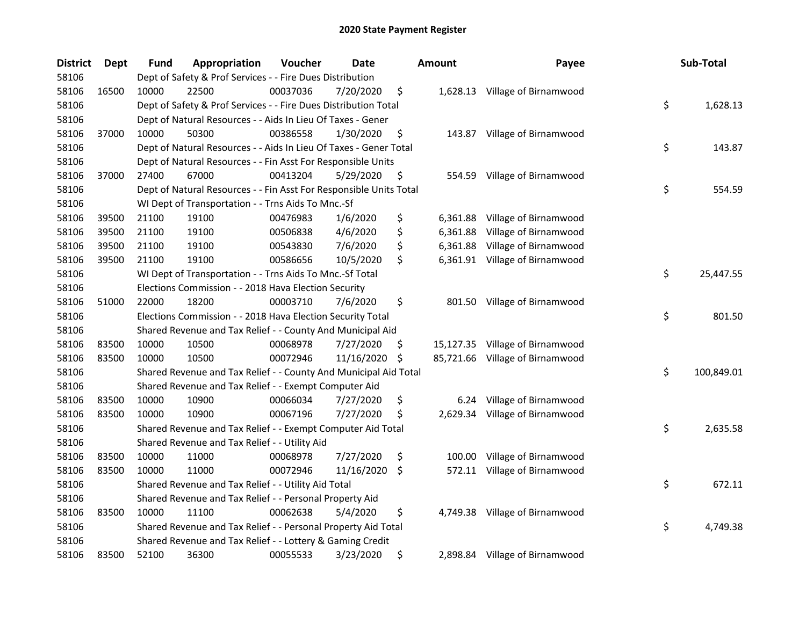| <b>District</b> | <b>Dept</b> | <b>Fund</b> | Appropriation                                                      | Voucher  | Date       |     | <b>Amount</b> | Payee                           | Sub-Total        |
|-----------------|-------------|-------------|--------------------------------------------------------------------|----------|------------|-----|---------------|---------------------------------|------------------|
| 58106           |             |             | Dept of Safety & Prof Services - - Fire Dues Distribution          |          |            |     |               |                                 |                  |
| 58106           | 16500       | 10000       | 22500                                                              | 00037036 | 7/20/2020  | \$  |               | 1,628.13 Village of Birnamwood  |                  |
| 58106           |             |             | Dept of Safety & Prof Services - - Fire Dues Distribution Total    |          |            |     |               |                                 | \$<br>1,628.13   |
| 58106           |             |             | Dept of Natural Resources - - Aids In Lieu Of Taxes - Gener        |          |            |     |               |                                 |                  |
| 58106           | 37000       | 10000       | 50300                                                              | 00386558 | 1/30/2020  | \$  |               | 143.87 Village of Birnamwood    |                  |
| 58106           |             |             | Dept of Natural Resources - - Aids In Lieu Of Taxes - Gener Total  |          |            |     |               |                                 | \$<br>143.87     |
| 58106           |             |             | Dept of Natural Resources - - Fin Asst For Responsible Units       |          |            |     |               |                                 |                  |
| 58106           | 37000       | 27400       | 67000                                                              | 00413204 | 5/29/2020  | \$  |               | 554.59 Village of Birnamwood    |                  |
| 58106           |             |             | Dept of Natural Resources - - Fin Asst For Responsible Units Total |          |            |     |               |                                 | \$<br>554.59     |
| 58106           |             |             | WI Dept of Transportation - - Trns Aids To Mnc.-Sf                 |          |            |     |               |                                 |                  |
| 58106           | 39500       | 21100       | 19100                                                              | 00476983 | 1/6/2020   | \$  | 6,361.88      | Village of Birnamwood           |                  |
| 58106           | 39500       | 21100       | 19100                                                              | 00506838 | 4/6/2020   | \$  | 6,361.88      | Village of Birnamwood           |                  |
| 58106           | 39500       | 21100       | 19100                                                              | 00543830 | 7/6/2020   | \$  | 6,361.88      | Village of Birnamwood           |                  |
| 58106           | 39500       | 21100       | 19100                                                              | 00586656 | 10/5/2020  | \$  |               | 6,361.91 Village of Birnamwood  |                  |
| 58106           |             |             | WI Dept of Transportation - - Trns Aids To Mnc.-Sf Total           |          |            |     |               |                                 | \$<br>25,447.55  |
| 58106           |             |             | Elections Commission - - 2018 Hava Election Security               |          |            |     |               |                                 |                  |
| 58106           | 51000       | 22000       | 18200                                                              | 00003710 | 7/6/2020   | \$  | 801.50        | Village of Birnamwood           |                  |
| 58106           |             |             | Elections Commission - - 2018 Hava Election Security Total         |          |            |     |               |                                 | \$<br>801.50     |
| 58106           |             |             | Shared Revenue and Tax Relief - - County And Municipal Aid         |          |            |     |               |                                 |                  |
| 58106           | 83500       | 10000       | 10500                                                              | 00068978 | 7/27/2020  | \$  | 15,127.35     | Village of Birnamwood           |                  |
| 58106           | 83500       | 10000       | 10500                                                              | 00072946 | 11/16/2020 | -\$ |               | 85,721.66 Village of Birnamwood |                  |
| 58106           |             |             | Shared Revenue and Tax Relief - - County And Municipal Aid Total   |          |            |     |               |                                 | \$<br>100,849.01 |
| 58106           |             |             | Shared Revenue and Tax Relief - - Exempt Computer Aid              |          |            |     |               |                                 |                  |
| 58106           | 83500       | 10000       | 10900                                                              | 00066034 | 7/27/2020  | \$  | 6.24          | Village of Birnamwood           |                  |
| 58106           | 83500       | 10000       | 10900                                                              | 00067196 | 7/27/2020  | \$  |               | 2,629.34 Village of Birnamwood  |                  |
| 58106           |             |             | Shared Revenue and Tax Relief - - Exempt Computer Aid Total        |          |            |     |               |                                 | \$<br>2,635.58   |
| 58106           |             |             | Shared Revenue and Tax Relief - - Utility Aid                      |          |            |     |               |                                 |                  |
| 58106           | 83500       | 10000       | 11000                                                              | 00068978 | 7/27/2020  | \$  | 100.00        | Village of Birnamwood           |                  |
| 58106           | 83500       | 10000       | 11000                                                              | 00072946 | 11/16/2020 | \$  |               | 572.11 Village of Birnamwood    |                  |
| 58106           |             |             | Shared Revenue and Tax Relief - - Utility Aid Total                |          |            |     |               |                                 | \$<br>672.11     |
| 58106           |             |             | Shared Revenue and Tax Relief - - Personal Property Aid            |          |            |     |               |                                 |                  |
| 58106           | 83500       | 10000       | 11100                                                              | 00062638 | 5/4/2020   | \$  |               | 4,749.38 Village of Birnamwood  |                  |
| 58106           |             |             | Shared Revenue and Tax Relief - - Personal Property Aid Total      |          |            |     |               |                                 | \$<br>4,749.38   |
| 58106           |             |             | Shared Revenue and Tax Relief - - Lottery & Gaming Credit          |          |            |     |               |                                 |                  |
| 58106           | 83500       | 52100       | 36300                                                              | 00055533 | 3/23/2020  | \$  |               | 2,898.84 Village of Birnamwood  |                  |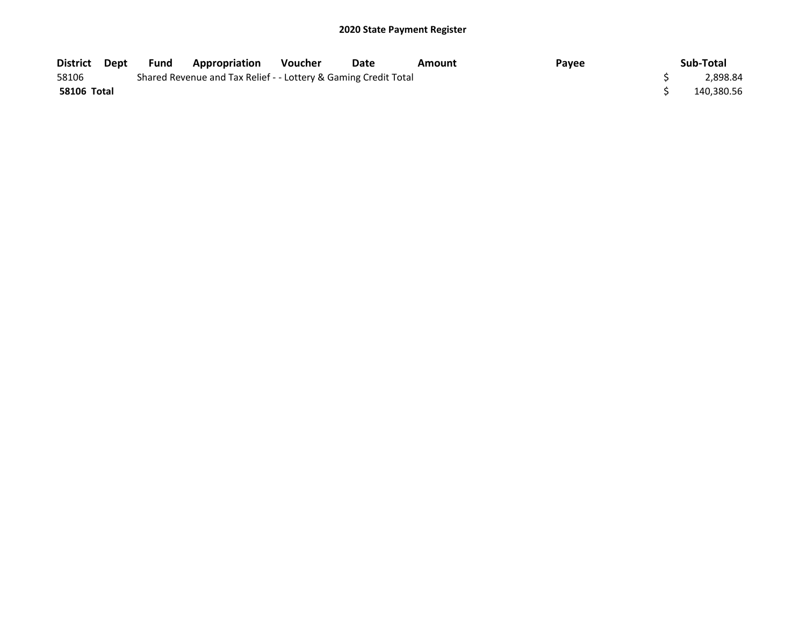| District Dept      | Fund | Appropriation                                                   | <b>Voucher</b> | Date | Amount | Payee | Sub-Total  |
|--------------------|------|-----------------------------------------------------------------|----------------|------|--------|-------|------------|
| 58106              |      | Shared Revenue and Tax Relief - - Lottery & Gaming Credit Total |                |      |        |       | 2.898.84   |
| <b>58106 Total</b> |      |                                                                 |                |      |        |       | 140,380.56 |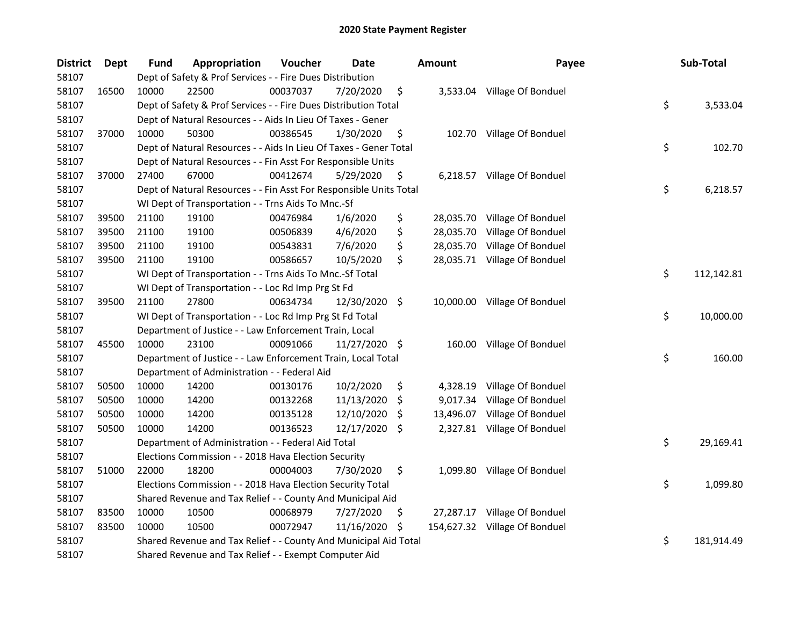| <b>District</b> | Dept  | <b>Fund</b> | Appropriation                                                      | Voucher  | <b>Date</b>   |     | <b>Amount</b> | Payee                         | Sub-Total        |
|-----------------|-------|-------------|--------------------------------------------------------------------|----------|---------------|-----|---------------|-------------------------------|------------------|
| 58107           |       |             | Dept of Safety & Prof Services - - Fire Dues Distribution          |          |               |     |               |                               |                  |
| 58107           | 16500 | 10000       | 22500                                                              | 00037037 | 7/20/2020     | \$  |               | 3,533.04 Village Of Bonduel   |                  |
| 58107           |       |             | Dept of Safety & Prof Services - - Fire Dues Distribution Total    |          |               |     |               |                               | \$<br>3,533.04   |
| 58107           |       |             | Dept of Natural Resources - - Aids In Lieu Of Taxes - Gener        |          |               |     |               |                               |                  |
| 58107           | 37000 | 10000       | 50300                                                              | 00386545 | 1/30/2020     | \$  |               | 102.70 Village Of Bonduel     |                  |
| 58107           |       |             | Dept of Natural Resources - - Aids In Lieu Of Taxes - Gener Total  |          |               |     |               |                               | \$<br>102.70     |
| 58107           |       |             | Dept of Natural Resources - - Fin Asst For Responsible Units       |          |               |     |               |                               |                  |
| 58107           | 37000 | 27400       | 67000                                                              | 00412674 | 5/29/2020     | \$  |               | 6,218.57 Village Of Bonduel   |                  |
| 58107           |       |             | Dept of Natural Resources - - Fin Asst For Responsible Units Total |          |               |     |               |                               | \$<br>6,218.57   |
| 58107           |       |             | WI Dept of Transportation - - Trns Aids To Mnc.-Sf                 |          |               |     |               |                               |                  |
| 58107           | 39500 | 21100       | 19100                                                              | 00476984 | 1/6/2020      | \$  |               | 28,035.70 Village Of Bonduel  |                  |
| 58107           | 39500 | 21100       | 19100                                                              | 00506839 | 4/6/2020      | \$  |               | 28,035.70 Village Of Bonduel  |                  |
| 58107           | 39500 | 21100       | 19100                                                              | 00543831 | 7/6/2020      | \$  |               | 28,035.70 Village Of Bonduel  |                  |
| 58107           | 39500 | 21100       | 19100                                                              | 00586657 | 10/5/2020     | \$  |               | 28,035.71 Village Of Bonduel  |                  |
| 58107           |       |             | WI Dept of Transportation - - Trns Aids To Mnc.-Sf Total           |          |               |     |               |                               | \$<br>112,142.81 |
| 58107           |       |             | WI Dept of Transportation - - Loc Rd Imp Prg St Fd                 |          |               |     |               |                               |                  |
| 58107           | 39500 | 21100       | 27800                                                              | 00634734 | 12/30/2020 \$ |     |               | 10,000.00 Village Of Bonduel  |                  |
| 58107           |       |             | WI Dept of Transportation - - Loc Rd Imp Prg St Fd Total           |          |               |     |               |                               | \$<br>10,000.00  |
| 58107           |       |             | Department of Justice - - Law Enforcement Train, Local             |          |               |     |               |                               |                  |
| 58107           | 45500 | 10000       | 23100                                                              | 00091066 | 11/27/2020 \$ |     | 160.00        | Village Of Bonduel            |                  |
| 58107           |       |             | Department of Justice - - Law Enforcement Train, Local Total       |          |               |     |               |                               | \$<br>160.00     |
| 58107           |       |             | Department of Administration - - Federal Aid                       |          |               |     |               |                               |                  |
| 58107           | 50500 | 10000       | 14200                                                              | 00130176 | 10/2/2020     | \$  |               | 4,328.19 Village Of Bonduel   |                  |
| 58107           | 50500 | 10000       | 14200                                                              | 00132268 | 11/13/2020    | \$  |               | 9,017.34 Village Of Bonduel   |                  |
| 58107           | 50500 | 10000       | 14200                                                              | 00135128 | 12/10/2020    | \$. |               | 13,496.07 Village Of Bonduel  |                  |
| 58107           | 50500 | 10000       | 14200                                                              | 00136523 | 12/17/2020 \$ |     |               | 2,327.81 Village Of Bonduel   |                  |
| 58107           |       |             | Department of Administration - - Federal Aid Total                 |          |               |     |               |                               | \$<br>29,169.41  |
| 58107           |       |             | Elections Commission - - 2018 Hava Election Security               |          |               |     |               |                               |                  |
| 58107           | 51000 | 22000       | 18200                                                              | 00004003 | 7/30/2020     | \$  |               | 1,099.80 Village Of Bonduel   |                  |
| 58107           |       |             | Elections Commission - - 2018 Hava Election Security Total         |          |               |     |               |                               | \$<br>1,099.80   |
| 58107           |       |             | Shared Revenue and Tax Relief - - County And Municipal Aid         |          |               |     |               |                               |                  |
| 58107           | 83500 | 10000       | 10500                                                              | 00068979 | 7/27/2020     | \$. | 27,287.17     | Village Of Bonduel            |                  |
| 58107           | 83500 | 10000       | 10500                                                              | 00072947 | 11/16/2020    | \$  |               | 154,627.32 Village Of Bonduel |                  |
| 58107           |       |             | Shared Revenue and Tax Relief - - County And Municipal Aid Total   |          |               |     |               |                               | \$<br>181,914.49 |
| 58107           |       |             | Shared Revenue and Tax Relief - - Exempt Computer Aid              |          |               |     |               |                               |                  |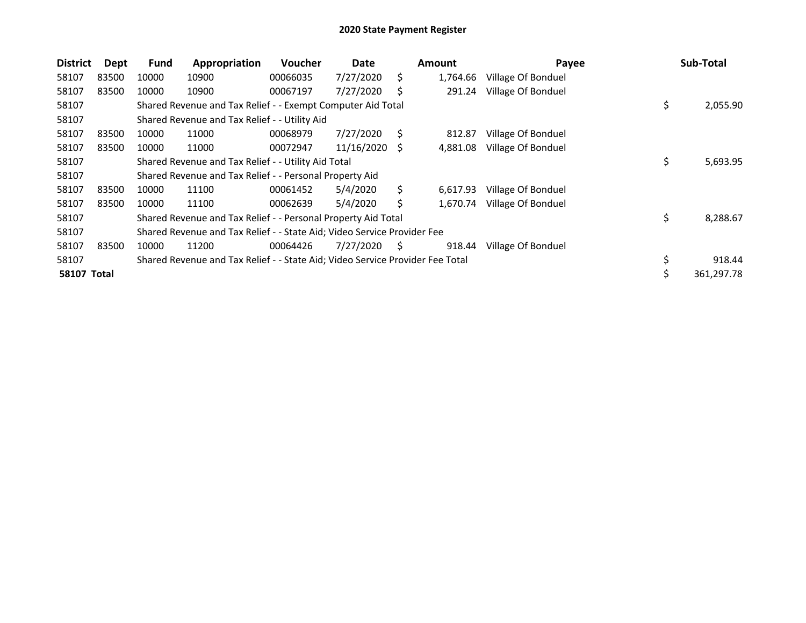| <b>District</b>    | Dept  | <b>Fund</b> | Appropriation                                                                 | Voucher  | Date       |    | <b>Amount</b> | Payee              | Sub-Total      |
|--------------------|-------|-------------|-------------------------------------------------------------------------------|----------|------------|----|---------------|--------------------|----------------|
| 58107              | 83500 | 10000       | 10900                                                                         | 00066035 | 7/27/2020  | Ś. | 1,764.66      | Village Of Bonduel |                |
| 58107              | 83500 | 10000       | 10900                                                                         | 00067197 | 7/27/2020  | S  | 291.24        | Village Of Bonduel |                |
| 58107              |       |             | Shared Revenue and Tax Relief - - Exempt Computer Aid Total                   |          |            |    |               |                    | \$<br>2,055.90 |
| 58107              |       |             | Shared Revenue and Tax Relief - - Utility Aid                                 |          |            |    |               |                    |                |
| 58107              | 83500 | 10000       | 11000                                                                         | 00068979 | 7/27/2020  | S  | 812.87        | Village Of Bonduel |                |
| 58107              | 83500 | 10000       | 11000                                                                         | 00072947 | 11/16/2020 | -S | 4,881.08      | Village Of Bonduel |                |
| 58107              |       |             | Shared Revenue and Tax Relief - - Utility Aid Total                           |          |            |    |               |                    | \$<br>5,693.95 |
| 58107              |       |             | Shared Revenue and Tax Relief - - Personal Property Aid                       |          |            |    |               |                    |                |
| 58107              | 83500 | 10000       | 11100                                                                         | 00061452 | 5/4/2020   | Ś. | 6,617.93      | Village Of Bonduel |                |
| 58107              | 83500 | 10000       | 11100                                                                         | 00062639 | 5/4/2020   | Ś  | 1,670.74      | Village Of Bonduel |                |
| 58107              |       |             | Shared Revenue and Tax Relief - - Personal Property Aid Total                 |          |            |    |               |                    | \$<br>8,288.67 |
| 58107              |       |             | Shared Revenue and Tax Relief - - State Aid; Video Service Provider Fee       |          |            |    |               |                    |                |
| 58107              | 83500 | 10000       | 11200                                                                         | 00064426 | 7/27/2020  | S. | 918.44        | Village Of Bonduel |                |
| 58107              |       |             | Shared Revenue and Tax Relief - - State Aid; Video Service Provider Fee Total |          |            |    |               |                    | 918.44         |
| <b>58107 Total</b> |       |             |                                                                               |          |            |    |               |                    | 361,297.78     |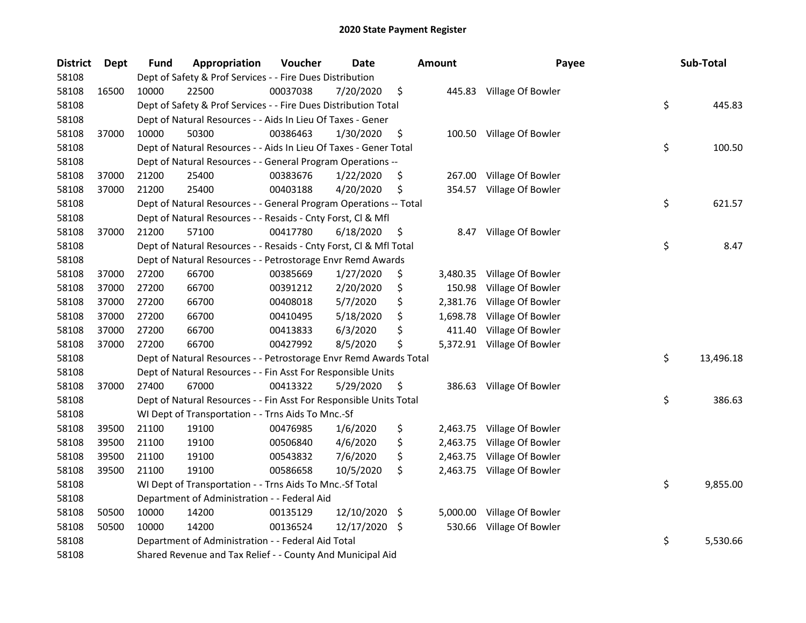| <b>District</b> | <b>Dept</b> | <b>Fund</b> | Appropriation                                                      | Voucher  | <b>Date</b>   | <b>Amount</b>  | Payee                      | Sub-Total       |
|-----------------|-------------|-------------|--------------------------------------------------------------------|----------|---------------|----------------|----------------------------|-----------------|
| 58108           |             |             | Dept of Safety & Prof Services - - Fire Dues Distribution          |          |               |                |                            |                 |
| 58108           | 16500       | 10000       | 22500                                                              | 00037038 | 7/20/2020     | \$             | 445.83 Village Of Bowler   |                 |
| 58108           |             |             | Dept of Safety & Prof Services - - Fire Dues Distribution Total    |          |               |                |                            | \$<br>445.83    |
| 58108           |             |             | Dept of Natural Resources - - Aids In Lieu Of Taxes - Gener        |          |               |                |                            |                 |
| 58108           | 37000       | 10000       | 50300                                                              | 00386463 | 1/30/2020     | \$             | 100.50 Village Of Bowler   |                 |
| 58108           |             |             | Dept of Natural Resources - - Aids In Lieu Of Taxes - Gener Total  |          |               |                |                            | \$<br>100.50    |
| 58108           |             |             | Dept of Natural Resources - - General Program Operations --        |          |               |                |                            |                 |
| 58108           | 37000       | 21200       | 25400                                                              | 00383676 | 1/22/2020     | \$             | 267.00 Village Of Bowler   |                 |
| 58108           | 37000       | 21200       | 25400                                                              | 00403188 | 4/20/2020     | \$             | 354.57 Village Of Bowler   |                 |
| 58108           |             |             | Dept of Natural Resources - - General Program Operations -- Total  |          |               |                |                            | \$<br>621.57    |
| 58108           |             |             | Dept of Natural Resources - - Resaids - Cnty Forst, Cl & Mfl       |          |               |                |                            |                 |
| 58108           | 37000       | 21200       | 57100                                                              | 00417780 | 6/18/2020     | \$<br>8.47     | Village Of Bowler          |                 |
| 58108           |             |             | Dept of Natural Resources - - Resaids - Cnty Forst, Cl & Mfl Total |          |               |                |                            | \$<br>8.47      |
| 58108           |             |             | Dept of Natural Resources - - Petrostorage Envr Remd Awards        |          |               |                |                            |                 |
| 58108           | 37000       | 27200       | 66700                                                              | 00385669 | 1/27/2020     | \$<br>3,480.35 | Village Of Bowler          |                 |
| 58108           | 37000       | 27200       | 66700                                                              | 00391212 | 2/20/2020     | \$<br>150.98   | Village Of Bowler          |                 |
| 58108           | 37000       | 27200       | 66700                                                              | 00408018 | 5/7/2020      | \$<br>2,381.76 | Village Of Bowler          |                 |
| 58108           | 37000       | 27200       | 66700                                                              | 00410495 | 5/18/2020     | \$<br>1,698.78 | Village Of Bowler          |                 |
| 58108           | 37000       | 27200       | 66700                                                              | 00413833 | 6/3/2020      | \$<br>411.40   | Village Of Bowler          |                 |
| 58108           | 37000       | 27200       | 66700                                                              | 00427992 | 8/5/2020      | \$<br>5,372.91 | Village Of Bowler          |                 |
| 58108           |             |             | Dept of Natural Resources - - Petrostorage Envr Remd Awards Total  |          |               |                |                            | \$<br>13,496.18 |
| 58108           |             |             | Dept of Natural Resources - - Fin Asst For Responsible Units       |          |               |                |                            |                 |
| 58108           | 37000       | 27400       | 67000                                                              | 00413322 | 5/29/2020     | \$             | 386.63 Village Of Bowler   |                 |
| 58108           |             |             | Dept of Natural Resources - - Fin Asst For Responsible Units Total |          |               |                |                            | \$<br>386.63    |
| 58108           |             |             | WI Dept of Transportation - - Trns Aids To Mnc.-Sf                 |          |               |                |                            |                 |
| 58108           | 39500       | 21100       | 19100                                                              | 00476985 | 1/6/2020      | \$             | 2,463.75 Village Of Bowler |                 |
| 58108           | 39500       | 21100       | 19100                                                              | 00506840 | 4/6/2020      | \$<br>2,463.75 | Village Of Bowler          |                 |
| 58108           | 39500       | 21100       | 19100                                                              | 00543832 | 7/6/2020      | \$<br>2,463.75 | Village Of Bowler          |                 |
| 58108           | 39500       | 21100       | 19100                                                              | 00586658 | 10/5/2020     | \$             | 2,463.75 Village Of Bowler |                 |
| 58108           |             |             | WI Dept of Transportation - - Trns Aids To Mnc.-Sf Total           |          |               |                |                            | \$<br>9,855.00  |
| 58108           |             |             | Department of Administration - - Federal Aid                       |          |               |                |                            |                 |
| 58108           | 50500       | 10000       | 14200                                                              | 00135129 | 12/10/2020 \$ | 5,000.00       | Village Of Bowler          |                 |
| 58108           | 50500       | 10000       | 14200                                                              | 00136524 | 12/17/2020    | \$<br>530.66   | Village Of Bowler          |                 |
| 58108           |             |             | Department of Administration - - Federal Aid Total                 |          |               |                |                            | \$<br>5,530.66  |
| 58108           |             |             | Shared Revenue and Tax Relief - - County And Municipal Aid         |          |               |                |                            |                 |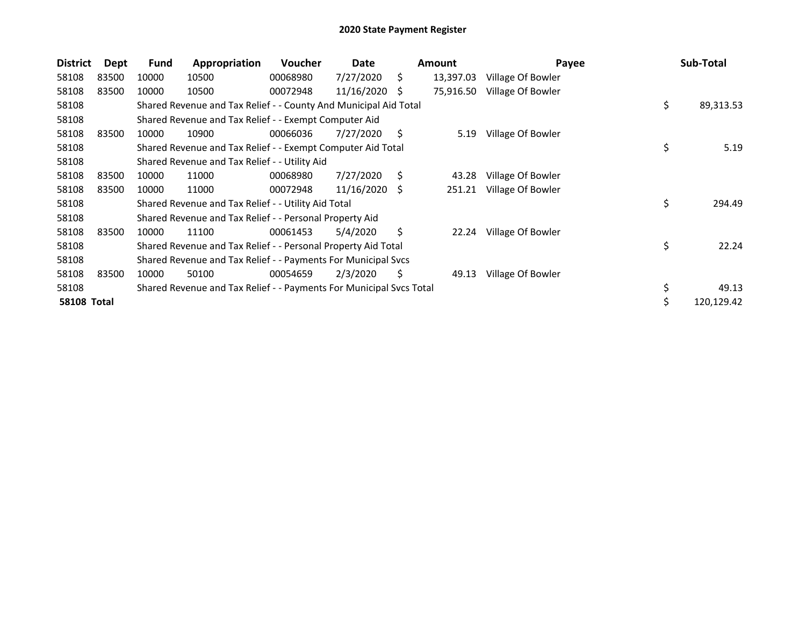| <b>District</b>    | Dept  | Fund  | Appropriation                                                       | Voucher  | Date       |    | <b>Amount</b> | Payee             | Sub-Total       |
|--------------------|-------|-------|---------------------------------------------------------------------|----------|------------|----|---------------|-------------------|-----------------|
| 58108              | 83500 | 10000 | 10500                                                               | 00068980 | 7/27/2020  | Ś. | 13,397.03     | Village Of Bowler |                 |
| 58108              | 83500 | 10000 | 10500                                                               | 00072948 | 11/16/2020 | S  | 75,916.50     | Village Of Bowler |                 |
| 58108              |       |       | Shared Revenue and Tax Relief - - County And Municipal Aid Total    |          |            |    |               |                   | \$<br>89,313.53 |
| 58108              |       |       | Shared Revenue and Tax Relief - - Exempt Computer Aid               |          |            |    |               |                   |                 |
| 58108              | 83500 | 10000 | 10900                                                               | 00066036 | 7/27/2020  | \$ | 5.19          | Village Of Bowler |                 |
| 58108              |       |       | Shared Revenue and Tax Relief - - Exempt Computer Aid Total         |          |            |    |               |                   | \$<br>5.19      |
| 58108              |       |       | Shared Revenue and Tax Relief - - Utility Aid                       |          |            |    |               |                   |                 |
| 58108              | 83500 | 10000 | 11000                                                               | 00068980 | 7/27/2020  | S  | 43.28         | Village Of Bowler |                 |
| 58108              | 83500 | 10000 | 11000                                                               | 00072948 | 11/16/2020 | -S | 251.21        | Village Of Bowler |                 |
| 58108              |       |       | Shared Revenue and Tax Relief - - Utility Aid Total                 |          |            |    |               |                   | \$<br>294.49    |
| 58108              |       |       | Shared Revenue and Tax Relief - - Personal Property Aid             |          |            |    |               |                   |                 |
| 58108              | 83500 | 10000 | 11100                                                               | 00061453 | 5/4/2020   | \$ | 22.24         | Village Of Bowler |                 |
| 58108              |       |       | Shared Revenue and Tax Relief - - Personal Property Aid Total       |          |            |    |               |                   | \$<br>22.24     |
| 58108              |       |       | Shared Revenue and Tax Relief - - Payments For Municipal Svcs       |          |            |    |               |                   |                 |
| 58108              | 83500 | 10000 | 50100                                                               | 00054659 | 2/3/2020   | \$ | 49.13         | Village Of Bowler |                 |
| 58108              |       |       | Shared Revenue and Tax Relief - - Payments For Municipal Svcs Total |          |            |    |               |                   | 49.13           |
| <b>58108 Total</b> |       |       |                                                                     |          |            |    |               |                   | 120,129.42      |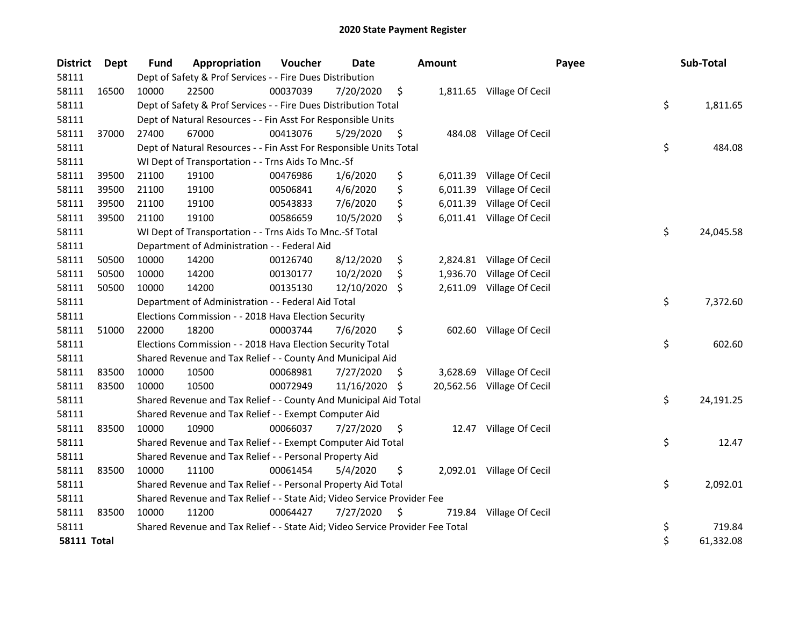| <b>District</b>    | Dept  | <b>Fund</b> | Appropriation                                                                 | Voucher  | <b>Date</b> |     | <b>Amount</b> | Payee                      | Sub-Total       |
|--------------------|-------|-------------|-------------------------------------------------------------------------------|----------|-------------|-----|---------------|----------------------------|-----------------|
| 58111              |       |             | Dept of Safety & Prof Services - - Fire Dues Distribution                     |          |             |     |               |                            |                 |
| 58111              | 16500 | 10000       | 22500                                                                         | 00037039 | 7/20/2020   | \$  |               | 1,811.65 Village Of Cecil  |                 |
| 58111              |       |             | Dept of Safety & Prof Services - - Fire Dues Distribution Total               |          |             |     |               |                            | \$<br>1,811.65  |
| 58111              |       |             | Dept of Natural Resources - - Fin Asst For Responsible Units                  |          |             |     |               |                            |                 |
| 58111              | 37000 | 27400       | 67000                                                                         | 00413076 | 5/29/2020   | \$  |               | 484.08 Village Of Cecil    |                 |
| 58111              |       |             | Dept of Natural Resources - - Fin Asst For Responsible Units Total            |          |             |     |               |                            | \$<br>484.08    |
| 58111              |       |             | WI Dept of Transportation - - Trns Aids To Mnc.-Sf                            |          |             |     |               |                            |                 |
| 58111              | 39500 | 21100       | 19100                                                                         | 00476986 | 1/6/2020    | \$  | 6,011.39      | Village Of Cecil           |                 |
| 58111              | 39500 | 21100       | 19100                                                                         | 00506841 | 4/6/2020    | \$  | 6,011.39      | Village Of Cecil           |                 |
| 58111              | 39500 | 21100       | 19100                                                                         | 00543833 | 7/6/2020    | \$  | 6,011.39      | Village Of Cecil           |                 |
| 58111              | 39500 | 21100       | 19100                                                                         | 00586659 | 10/5/2020   | \$  |               | 6,011.41 Village Of Cecil  |                 |
| 58111              |       |             | WI Dept of Transportation - - Trns Aids To Mnc.-Sf Total                      |          |             |     |               |                            | \$<br>24,045.58 |
| 58111              |       |             | Department of Administration - - Federal Aid                                  |          |             |     |               |                            |                 |
| 58111              | 50500 | 10000       | 14200                                                                         | 00126740 | 8/12/2020   | \$  | 2,824.81      | Village Of Cecil           |                 |
| 58111              | 50500 | 10000       | 14200                                                                         | 00130177 | 10/2/2020   | \$. | 1,936.70      | Village Of Cecil           |                 |
| 58111              | 50500 | 10000       | 14200                                                                         | 00135130 | 12/10/2020  | \$. | 2,611.09      | Village Of Cecil           |                 |
| 58111              |       |             | Department of Administration - - Federal Aid Total                            |          |             |     |               |                            | \$<br>7,372.60  |
| 58111              |       |             | Elections Commission - - 2018 Hava Election Security                          |          |             |     |               |                            |                 |
| 58111              | 51000 | 22000       | 18200                                                                         | 00003744 | 7/6/2020    | \$  |               | 602.60 Village Of Cecil    |                 |
| 58111              |       |             | Elections Commission - - 2018 Hava Election Security Total                    |          |             |     |               |                            | \$<br>602.60    |
| 58111              |       |             | Shared Revenue and Tax Relief - - County And Municipal Aid                    |          |             |     |               |                            |                 |
| 58111              | 83500 | 10000       | 10500                                                                         | 00068981 | 7/27/2020   | \$. | 3,628.69      | Village Of Cecil           |                 |
| 58111              | 83500 | 10000       | 10500                                                                         | 00072949 | 11/16/2020  | \$  |               | 20,562.56 Village Of Cecil |                 |
| 58111              |       |             | Shared Revenue and Tax Relief - - County And Municipal Aid Total              |          |             |     |               |                            | \$<br>24,191.25 |
| 58111              |       |             | Shared Revenue and Tax Relief - - Exempt Computer Aid                         |          |             |     |               |                            |                 |
| 58111              | 83500 | 10000       | 10900                                                                         | 00066037 | 7/27/2020   | \$  |               | 12.47 Village Of Cecil     |                 |
| 58111              |       |             | Shared Revenue and Tax Relief - - Exempt Computer Aid Total                   |          |             |     |               |                            | \$<br>12.47     |
| 58111              |       |             | Shared Revenue and Tax Relief - - Personal Property Aid                       |          |             |     |               |                            |                 |
| 58111              | 83500 | 10000       | 11100                                                                         | 00061454 | 5/4/2020    | \$  |               | 2,092.01 Village Of Cecil  |                 |
| 58111              |       |             | Shared Revenue and Tax Relief - - Personal Property Aid Total                 |          |             |     |               |                            | \$<br>2,092.01  |
| 58111              |       |             | Shared Revenue and Tax Relief - - State Aid; Video Service Provider Fee       |          |             |     |               |                            |                 |
| 58111              | 83500 | 10000       | 11200                                                                         | 00064427 | 7/27/2020   | \$  |               | 719.84 Village Of Cecil    |                 |
| 58111              |       |             | Shared Revenue and Tax Relief - - State Aid; Video Service Provider Fee Total |          |             |     |               |                            | \$<br>719.84    |
| <b>58111 Total</b> |       |             |                                                                               |          |             |     |               |                            | \$<br>61,332.08 |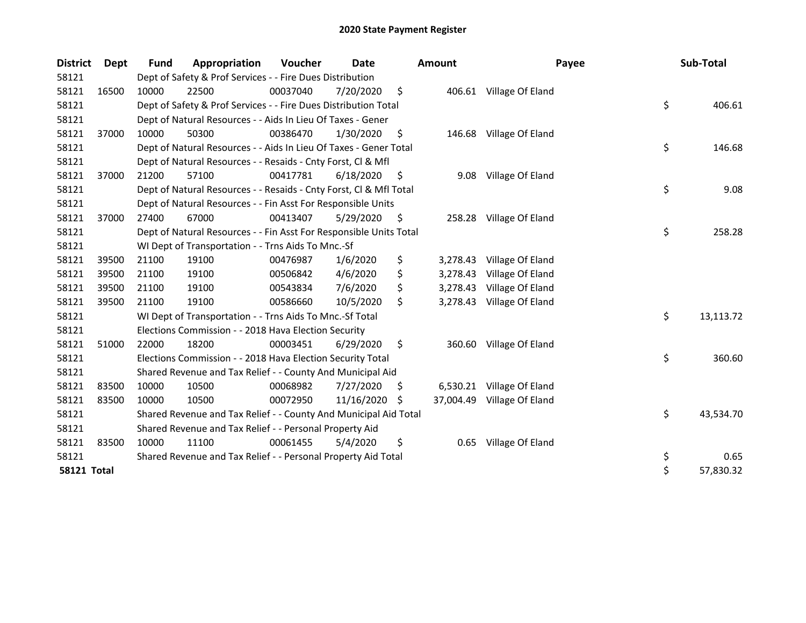| <b>District</b>    | <b>Dept</b> | Fund  | Appropriation                                                      | <b>Voucher</b> | Date       |    | <b>Amount</b> | Payee                     | Sub-Total       |
|--------------------|-------------|-------|--------------------------------------------------------------------|----------------|------------|----|---------------|---------------------------|-----------------|
| 58121              |             |       | Dept of Safety & Prof Services - - Fire Dues Distribution          |                |            |    |               |                           |                 |
| 58121              | 16500       | 10000 | 22500                                                              | 00037040       | 7/20/2020  | \$ |               | 406.61 Village Of Eland   |                 |
| 58121              |             |       | Dept of Safety & Prof Services - - Fire Dues Distribution Total    |                |            |    |               |                           | \$<br>406.61    |
| 58121              |             |       | Dept of Natural Resources - - Aids In Lieu Of Taxes - Gener        |                |            |    |               |                           |                 |
| 58121              | 37000       | 10000 | 50300                                                              | 00386470       | 1/30/2020  | \$ |               | 146.68 Village Of Eland   |                 |
| 58121              |             |       | Dept of Natural Resources - - Aids In Lieu Of Taxes - Gener Total  |                |            |    |               |                           | \$<br>146.68    |
| 58121              |             |       | Dept of Natural Resources - - Resaids - Cnty Forst, Cl & Mfl       |                |            |    |               |                           |                 |
| 58121              | 37000       | 21200 | 57100                                                              | 00417781       | 6/18/2020  | -S | 9.08          | Village Of Eland          |                 |
| 58121              |             |       | Dept of Natural Resources - - Resaids - Cnty Forst, Cl & Mfl Total |                |            |    |               |                           | \$<br>9.08      |
| 58121              |             |       | Dept of Natural Resources - - Fin Asst For Responsible Units       |                |            |    |               |                           |                 |
| 58121              | 37000       | 27400 | 67000                                                              | 00413407       | 5/29/2020  | \$ |               | 258.28 Village Of Eland   |                 |
| 58121              |             |       | Dept of Natural Resources - - Fin Asst For Responsible Units Total |                |            |    |               |                           | \$<br>258.28    |
| 58121              |             |       | WI Dept of Transportation - - Trns Aids To Mnc.-Sf                 |                |            |    |               |                           |                 |
| 58121              | 39500       | 21100 | 19100                                                              | 00476987       | 1/6/2020   | \$ | 3,278.43      | Village Of Eland          |                 |
| 58121              | 39500       | 21100 | 19100                                                              | 00506842       | 4/6/2020   | \$ | 3,278.43      | Village Of Eland          |                 |
| 58121              | 39500       | 21100 | 19100                                                              | 00543834       | 7/6/2020   | \$ | 3,278.43      | Village Of Eland          |                 |
| 58121              | 39500       | 21100 | 19100                                                              | 00586660       | 10/5/2020  | \$ |               | 3,278.43 Village Of Eland |                 |
| 58121              |             |       | WI Dept of Transportation - - Trns Aids To Mnc.-Sf Total           |                |            |    |               |                           | \$<br>13,113.72 |
| 58121              |             |       | Elections Commission - - 2018 Hava Election Security               |                |            |    |               |                           |                 |
| 58121              | 51000       | 22000 | 18200                                                              | 00003451       | 6/29/2020  | \$ | 360.60        | Village Of Eland          |                 |
| 58121              |             |       | Elections Commission - - 2018 Hava Election Security Total         |                |            |    |               |                           | \$<br>360.60    |
| 58121              |             |       | Shared Revenue and Tax Relief - - County And Municipal Aid         |                |            |    |               |                           |                 |
| 58121              | 83500       | 10000 | 10500                                                              | 00068982       | 7/27/2020  | \$ | 6,530.21      | Village Of Eland          |                 |
| 58121              | 83500       | 10000 | 10500                                                              | 00072950       | 11/16/2020 | -S | 37,004.49     | Village Of Eland          |                 |
| 58121              |             |       | Shared Revenue and Tax Relief - - County And Municipal Aid Total   |                |            |    |               |                           | \$<br>43,534.70 |
| 58121              |             |       | Shared Revenue and Tax Relief - - Personal Property Aid            |                |            |    |               |                           |                 |
| 58121              | 83500       | 10000 | 11100                                                              | 00061455       | 5/4/2020   | \$ | 0.65          | Village Of Eland          |                 |
| 58121              |             |       | Shared Revenue and Tax Relief - - Personal Property Aid Total      |                |            |    |               |                           | \$<br>0.65      |
| <b>58121 Total</b> |             |       |                                                                    |                |            |    |               |                           | \$<br>57,830.32 |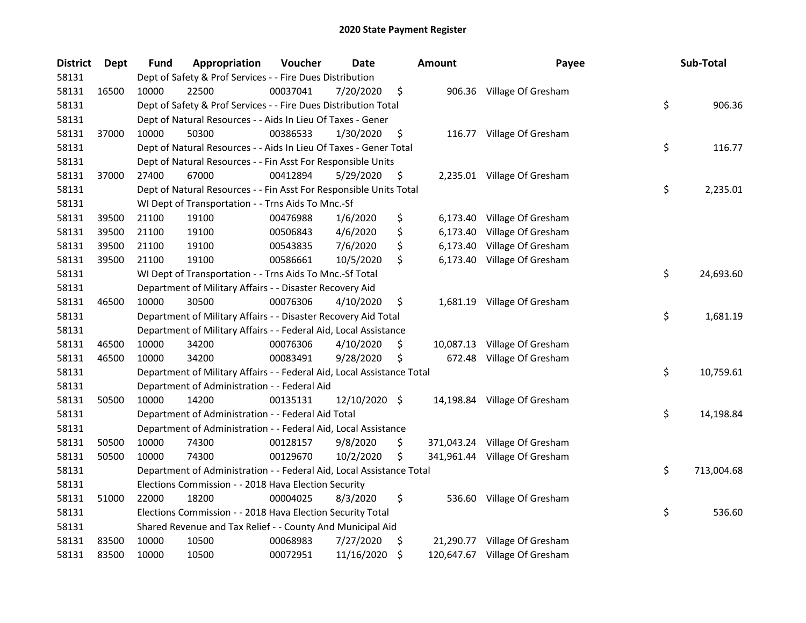| <b>District</b> | Dept  | Fund  | Appropriation                                                          | Voucher  | Date          | <b>Amount</b>  | Payee                         | Sub-Total        |
|-----------------|-------|-------|------------------------------------------------------------------------|----------|---------------|----------------|-------------------------------|------------------|
| 58131           |       |       | Dept of Safety & Prof Services - - Fire Dues Distribution              |          |               |                |                               |                  |
| 58131           | 16500 | 10000 | 22500                                                                  | 00037041 | 7/20/2020     | \$             | 906.36 Village Of Gresham     |                  |
| 58131           |       |       | Dept of Safety & Prof Services - - Fire Dues Distribution Total        |          |               |                |                               | \$<br>906.36     |
| 58131           |       |       | Dept of Natural Resources - - Aids In Lieu Of Taxes - Gener            |          |               |                |                               |                  |
| 58131           | 37000 | 10000 | 50300                                                                  | 00386533 | 1/30/2020     | \$             | 116.77 Village Of Gresham     |                  |
| 58131           |       |       | Dept of Natural Resources - - Aids In Lieu Of Taxes - Gener Total      |          |               |                |                               | \$<br>116.77     |
| 58131           |       |       | Dept of Natural Resources - - Fin Asst For Responsible Units           |          |               |                |                               |                  |
| 58131           | 37000 | 27400 | 67000                                                                  | 00412894 | 5/29/2020     | \$             | 2,235.01 Village Of Gresham   |                  |
| 58131           |       |       | Dept of Natural Resources - - Fin Asst For Responsible Units Total     |          |               |                |                               | \$<br>2,235.01   |
| 58131           |       |       | WI Dept of Transportation - - Trns Aids To Mnc.-Sf                     |          |               |                |                               |                  |
| 58131           | 39500 | 21100 | 19100                                                                  | 00476988 | 1/6/2020      | \$             | 6,173.40 Village Of Gresham   |                  |
| 58131           | 39500 | 21100 | 19100                                                                  | 00506843 | 4/6/2020      | \$<br>6,173.40 | Village Of Gresham            |                  |
| 58131           | 39500 | 21100 | 19100                                                                  | 00543835 | 7/6/2020      | \$<br>6,173.40 | Village Of Gresham            |                  |
| 58131           | 39500 | 21100 | 19100                                                                  | 00586661 | 10/5/2020     | \$<br>6,173.40 | Village Of Gresham            |                  |
| 58131           |       |       | WI Dept of Transportation - - Trns Aids To Mnc.-Sf Total               |          |               |                |                               | \$<br>24,693.60  |
| 58131           |       |       | Department of Military Affairs - - Disaster Recovery Aid               |          |               |                |                               |                  |
| 58131           | 46500 | 10000 | 30500                                                                  | 00076306 | 4/10/2020     | \$             | 1,681.19 Village Of Gresham   |                  |
| 58131           |       |       | Department of Military Affairs - - Disaster Recovery Aid Total         |          |               |                |                               | \$<br>1,681.19   |
| 58131           |       |       | Department of Military Affairs - - Federal Aid, Local Assistance       |          |               |                |                               |                  |
| 58131           | 46500 | 10000 | 34200                                                                  | 00076306 | 4/10/2020     | \$             | 10,087.13 Village Of Gresham  |                  |
| 58131           | 46500 | 10000 | 34200                                                                  | 00083491 | 9/28/2020     | \$             | 672.48 Village Of Gresham     |                  |
| 58131           |       |       | Department of Military Affairs - - Federal Aid, Local Assistance Total |          |               |                |                               | \$<br>10,759.61  |
| 58131           |       |       | Department of Administration - - Federal Aid                           |          |               |                |                               |                  |
| 58131           | 50500 | 10000 | 14200                                                                  | 00135131 | 12/10/2020 \$ |                | 14,198.84 Village Of Gresham  |                  |
| 58131           |       |       | Department of Administration - - Federal Aid Total                     |          |               |                |                               | \$<br>14,198.84  |
| 58131           |       |       | Department of Administration - - Federal Aid, Local Assistance         |          |               |                |                               |                  |
| 58131           | 50500 | 10000 | 74300                                                                  | 00128157 | 9/8/2020      | \$             | 371,043.24 Village Of Gresham |                  |
| 58131           | 50500 | 10000 | 74300                                                                  | 00129670 | 10/2/2020     | \$             | 341,961.44 Village Of Gresham |                  |
| 58131           |       |       | Department of Administration - - Federal Aid, Local Assistance Total   |          |               |                |                               | \$<br>713,004.68 |
| 58131           |       |       | Elections Commission - - 2018 Hava Election Security                   |          |               |                |                               |                  |
| 58131           | 51000 | 22000 | 18200                                                                  | 00004025 | 8/3/2020      | \$<br>536.60   | Village Of Gresham            |                  |
| 58131           |       |       | Elections Commission - - 2018 Hava Election Security Total             |          |               |                |                               | \$<br>536.60     |
| 58131           |       |       | Shared Revenue and Tax Relief - - County And Municipal Aid             |          |               |                |                               |                  |
| 58131           | 83500 | 10000 | 10500                                                                  | 00068983 | 7/27/2020     | \$             | 21,290.77 Village Of Gresham  |                  |
| 58131           | 83500 | 10000 | 10500                                                                  | 00072951 | 11/16/2020    | \$             | 120,647.67 Village Of Gresham |                  |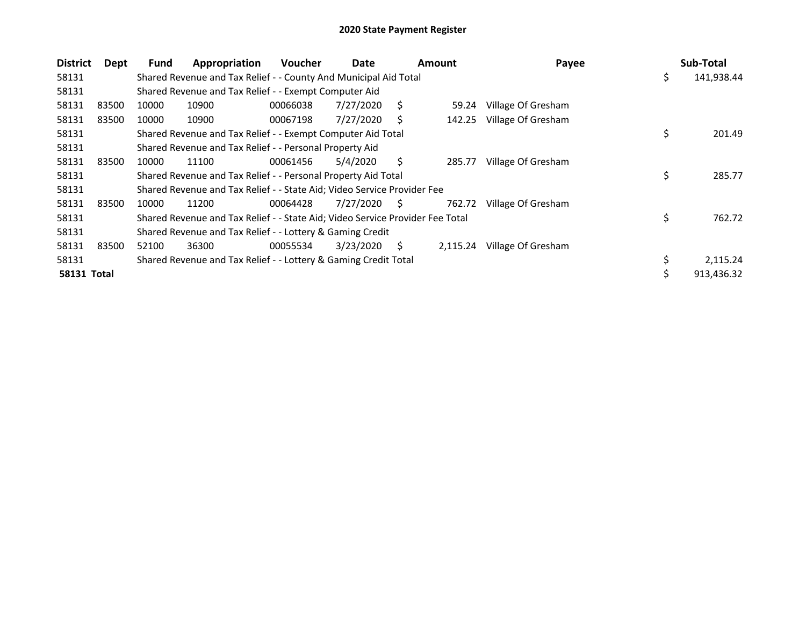| <b>District</b>    | Dept  | <b>Fund</b> | Appropriation                                                                 | <b>Voucher</b> | Date      | Amount |          | Payee              |     | Sub-Total  |
|--------------------|-------|-------------|-------------------------------------------------------------------------------|----------------|-----------|--------|----------|--------------------|-----|------------|
| 58131              |       |             | Shared Revenue and Tax Relief - - County And Municipal Aid Total              |                |           |        |          |                    | \$. | 141,938.44 |
| 58131              |       |             | Shared Revenue and Tax Relief - - Exempt Computer Aid                         |                |           |        |          |                    |     |            |
| 58131              | 83500 | 10000       | 10900                                                                         | 00066038       | 7/27/2020 | S.     | 59.24    | Village Of Gresham |     |            |
| 58131              | 83500 | 10000       | 10900                                                                         | 00067198       | 7/27/2020 | Ś      | 142.25   | Village Of Gresham |     |            |
| 58131              |       |             | Shared Revenue and Tax Relief - - Exempt Computer Aid Total                   |                |           |        |          |                    | \$  | 201.49     |
| 58131              |       |             | Shared Revenue and Tax Relief - - Personal Property Aid                       |                |           |        |          |                    |     |            |
| 58131              | 83500 | 10000       | 11100                                                                         | 00061456       | 5/4/2020  | Ś      | 285.77   | Village Of Gresham |     |            |
| 58131              |       |             | Shared Revenue and Tax Relief - - Personal Property Aid Total                 |                |           |        |          |                    | \$  | 285.77     |
| 58131              |       |             | Shared Revenue and Tax Relief - - State Aid; Video Service Provider Fee       |                |           |        |          |                    |     |            |
| 58131              | 83500 | 10000       | 11200                                                                         | 00064428       | 7/27/2020 | S.     | 762.72   | Village Of Gresham |     |            |
| 58131              |       |             | Shared Revenue and Tax Relief - - State Aid; Video Service Provider Fee Total |                |           |        |          |                    | \$  | 762.72     |
| 58131              |       |             | Shared Revenue and Tax Relief - - Lottery & Gaming Credit                     |                |           |        |          |                    |     |            |
| 58131              | 83500 | 52100       | 36300                                                                         | 00055534       | 3/23/2020 | S      | 2,115.24 | Village Of Gresham |     |            |
| 58131              |       |             | Shared Revenue and Tax Relief - - Lottery & Gaming Credit Total               |                |           |        |          |                    |     | 2,115.24   |
| <b>58131 Total</b> |       |             |                                                                               |                |           |        |          |                    | \$  | 913,436.32 |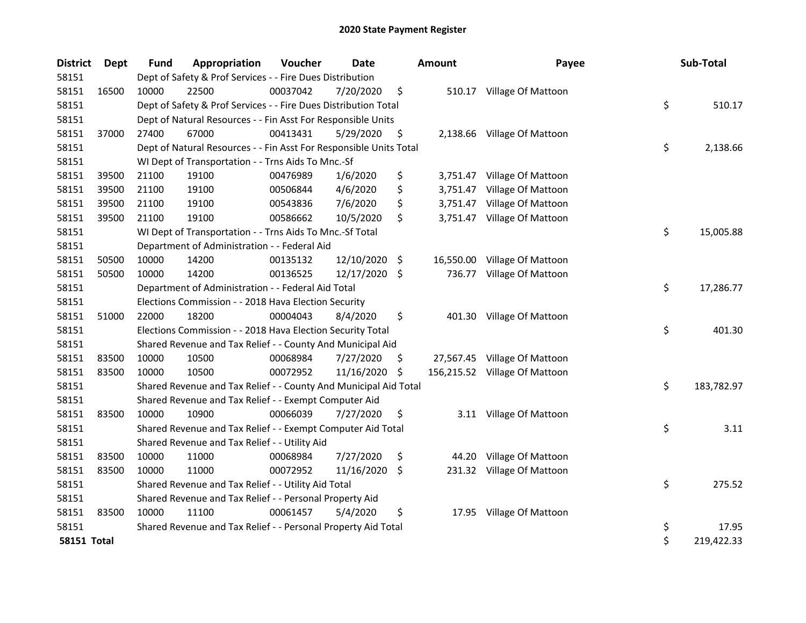| <b>District</b>    | Dept  | <b>Fund</b> | Appropriation                                                      | Voucher  | Date       |     | <b>Amount</b> | Payee                         | Sub-Total        |
|--------------------|-------|-------------|--------------------------------------------------------------------|----------|------------|-----|---------------|-------------------------------|------------------|
| 58151              |       |             | Dept of Safety & Prof Services - - Fire Dues Distribution          |          |            |     |               |                               |                  |
| 58151              | 16500 | 10000       | 22500                                                              | 00037042 | 7/20/2020  | \$  |               | 510.17 Village Of Mattoon     |                  |
| 58151              |       |             | Dept of Safety & Prof Services - - Fire Dues Distribution Total    |          |            |     |               |                               | \$<br>510.17     |
| 58151              |       |             | Dept of Natural Resources - - Fin Asst For Responsible Units       |          |            |     |               |                               |                  |
| 58151              | 37000 | 27400       | 67000                                                              | 00413431 | 5/29/2020  | \$  |               | 2,138.66 Village Of Mattoon   |                  |
| 58151              |       |             | Dept of Natural Resources - - Fin Asst For Responsible Units Total |          |            |     |               |                               | \$<br>2,138.66   |
| 58151              |       |             | WI Dept of Transportation - - Trns Aids To Mnc.-Sf                 |          |            |     |               |                               |                  |
| 58151              | 39500 | 21100       | 19100                                                              | 00476989 | 1/6/2020   | \$  |               | 3,751.47 Village Of Mattoon   |                  |
| 58151              | 39500 | 21100       | 19100                                                              | 00506844 | 4/6/2020   | \$  | 3,751.47      | Village Of Mattoon            |                  |
| 58151              | 39500 | 21100       | 19100                                                              | 00543836 | 7/6/2020   | \$  | 3,751.47      | Village Of Mattoon            |                  |
| 58151              | 39500 | 21100       | 19100                                                              | 00586662 | 10/5/2020  | \$  |               | 3,751.47 Village Of Mattoon   |                  |
| 58151              |       |             | WI Dept of Transportation - - Trns Aids To Mnc.-Sf Total           |          |            |     |               |                               | \$<br>15,005.88  |
| 58151              |       |             | Department of Administration - - Federal Aid                       |          |            |     |               |                               |                  |
| 58151              | 50500 | 10000       | 14200                                                              | 00135132 | 12/10/2020 | \$. | 16,550.00     | Village Of Mattoon            |                  |
| 58151              | 50500 | 10000       | 14200                                                              | 00136525 | 12/17/2020 | \$  | 736.77        | Village Of Mattoon            |                  |
| 58151              |       |             | Department of Administration - - Federal Aid Total                 |          |            |     |               |                               | \$<br>17,286.77  |
| 58151              |       |             | Elections Commission - - 2018 Hava Election Security               |          |            |     |               |                               |                  |
| 58151              | 51000 | 22000       | 18200                                                              | 00004043 | 8/4/2020   | \$  |               | 401.30 Village Of Mattoon     |                  |
| 58151              |       |             | Elections Commission - - 2018 Hava Election Security Total         |          |            |     |               |                               | \$<br>401.30     |
| 58151              |       |             | Shared Revenue and Tax Relief - - County And Municipal Aid         |          |            |     |               |                               |                  |
| 58151              | 83500 | 10000       | 10500                                                              | 00068984 | 7/27/2020  | \$. |               | 27,567.45 Village Of Mattoon  |                  |
| 58151              | 83500 | 10000       | 10500                                                              | 00072952 | 11/16/2020 | \$  |               | 156,215.52 Village Of Mattoon |                  |
| 58151              |       |             | Shared Revenue and Tax Relief - - County And Municipal Aid Total   |          |            |     |               |                               | \$<br>183,782.97 |
| 58151              |       |             | Shared Revenue and Tax Relief - - Exempt Computer Aid              |          |            |     |               |                               |                  |
| 58151              | 83500 | 10000       | 10900                                                              | 00066039 | 7/27/2020  | \$  | 3.11          | Village Of Mattoon            |                  |
| 58151              |       |             | Shared Revenue and Tax Relief - - Exempt Computer Aid Total        |          |            |     |               |                               | \$<br>3.11       |
| 58151              |       |             | Shared Revenue and Tax Relief - - Utility Aid                      |          |            |     |               |                               |                  |
| 58151              | 83500 | 10000       | 11000                                                              | 00068984 | 7/27/2020  | \$  | 44.20         | Village Of Mattoon            |                  |
| 58151              | 83500 | 10000       | 11000                                                              | 00072952 | 11/16/2020 | \$  |               | 231.32 Village Of Mattoon     |                  |
| 58151              |       |             | Shared Revenue and Tax Relief - - Utility Aid Total                |          |            |     |               |                               | \$<br>275.52     |
| 58151              |       |             | Shared Revenue and Tax Relief - - Personal Property Aid            |          |            |     |               |                               |                  |
| 58151              | 83500 | 10000       | 11100                                                              | 00061457 | 5/4/2020   | \$  | 17.95         | Village Of Mattoon            |                  |
| 58151              |       |             | Shared Revenue and Tax Relief - - Personal Property Aid Total      |          |            |     |               |                               | \$<br>17.95      |
| <b>58151 Total</b> |       |             |                                                                    |          |            |     |               |                               | \$<br>219,422.33 |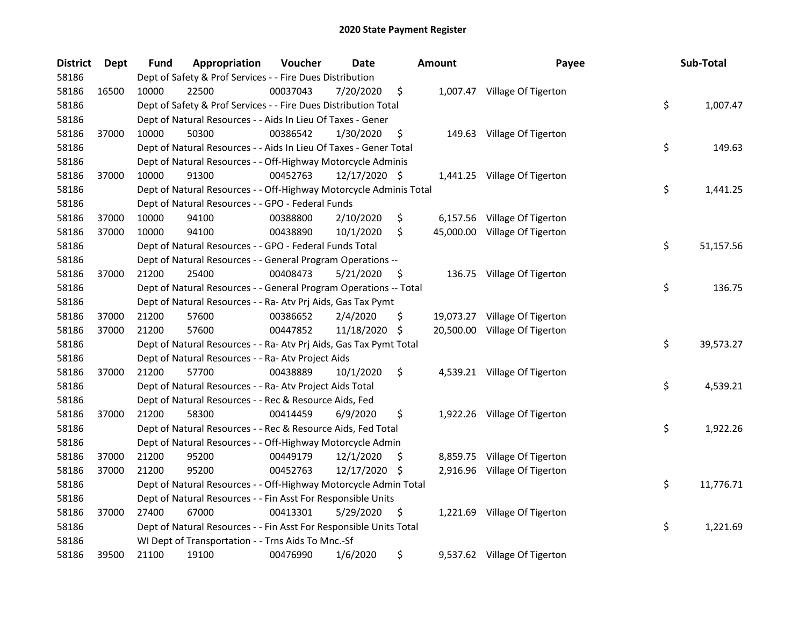| <b>District</b> | <b>Dept</b> | <b>Fund</b> | Appropriation                                                      | Voucher  | Date          |     | <b>Amount</b> | Payee                         | Sub-Total       |
|-----------------|-------------|-------------|--------------------------------------------------------------------|----------|---------------|-----|---------------|-------------------------------|-----------------|
| 58186           |             |             | Dept of Safety & Prof Services - - Fire Dues Distribution          |          |               |     |               |                               |                 |
| 58186           | 16500       | 10000       | 22500                                                              | 00037043 | 7/20/2020     | \$  |               | 1,007.47 Village Of Tigerton  |                 |
| 58186           |             |             | Dept of Safety & Prof Services - - Fire Dues Distribution Total    |          |               |     |               |                               | \$<br>1,007.47  |
| 58186           |             |             | Dept of Natural Resources - - Aids In Lieu Of Taxes - Gener        |          |               |     |               |                               |                 |
| 58186           | 37000       | 10000       | 50300                                                              | 00386542 | 1/30/2020     | \$  |               | 149.63 Village Of Tigerton    |                 |
| 58186           |             |             | Dept of Natural Resources - - Aids In Lieu Of Taxes - Gener Total  |          |               |     |               |                               | \$<br>149.63    |
| 58186           |             |             | Dept of Natural Resources - - Off-Highway Motorcycle Adminis       |          |               |     |               |                               |                 |
| 58186           | 37000       | 10000       | 91300                                                              | 00452763 | 12/17/2020 \$ |     |               | 1,441.25 Village Of Tigerton  |                 |
| 58186           |             |             | Dept of Natural Resources - - Off-Highway Motorcycle Adminis Total |          |               |     |               |                               | \$<br>1,441.25  |
| 58186           |             |             | Dept of Natural Resources - - GPO - Federal Funds                  |          |               |     |               |                               |                 |
| 58186           | 37000       | 10000       | 94100                                                              | 00388800 | 2/10/2020     | \$  |               | 6,157.56 Village Of Tigerton  |                 |
| 58186           | 37000       | 10000       | 94100                                                              | 00438890 | 10/1/2020     | \$  |               | 45,000.00 Village Of Tigerton |                 |
| 58186           |             |             | Dept of Natural Resources - - GPO - Federal Funds Total            |          |               |     |               |                               | \$<br>51,157.56 |
| 58186           |             |             | Dept of Natural Resources - - General Program Operations --        |          |               |     |               |                               |                 |
| 58186           | 37000       | 21200       | 25400                                                              | 00408473 | 5/21/2020     | \$. |               | 136.75 Village Of Tigerton    |                 |
| 58186           |             |             | Dept of Natural Resources - - General Program Operations -- Total  |          |               |     |               |                               | \$<br>136.75    |
| 58186           |             |             | Dept of Natural Resources - - Ra- Atv Prj Aids, Gas Tax Pymt       |          |               |     |               |                               |                 |
| 58186           | 37000       | 21200       | 57600                                                              | 00386652 | 2/4/2020      | \$  | 19,073.27     | Village Of Tigerton           |                 |
| 58186           | 37000       | 21200       | 57600                                                              | 00447852 | 11/18/2020    | \$  |               | 20,500.00 Village Of Tigerton |                 |
| 58186           |             |             | Dept of Natural Resources - - Ra- Atv Prj Aids, Gas Tax Pymt Total |          |               |     |               |                               | \$<br>39,573.27 |
| 58186           |             |             | Dept of Natural Resources - - Ra- Atv Project Aids                 |          |               |     |               |                               |                 |
| 58186           | 37000       | 21200       | 57700                                                              | 00438889 | 10/1/2020     | \$  |               | 4,539.21 Village Of Tigerton  |                 |
| 58186           |             |             | Dept of Natural Resources - - Ra- Atv Project Aids Total           |          |               |     |               |                               | \$<br>4,539.21  |
| 58186           |             |             | Dept of Natural Resources - - Rec & Resource Aids, Fed             |          |               |     |               |                               |                 |
| 58186           | 37000       | 21200       | 58300                                                              | 00414459 | 6/9/2020      | \$  |               | 1,922.26 Village Of Tigerton  |                 |
| 58186           |             |             | Dept of Natural Resources - - Rec & Resource Aids, Fed Total       |          |               |     |               |                               | \$<br>1,922.26  |
| 58186           |             |             | Dept of Natural Resources - - Off-Highway Motorcycle Admin         |          |               |     |               |                               |                 |
| 58186           | 37000       | 21200       | 95200                                                              | 00449179 | 12/1/2020     | S   |               | 8,859.75 Village Of Tigerton  |                 |
| 58186           | 37000       | 21200       | 95200                                                              | 00452763 | 12/17/2020    | S   |               | 2,916.96 Village Of Tigerton  |                 |
| 58186           |             |             | Dept of Natural Resources - - Off-Highway Motorcycle Admin Total   |          |               |     |               |                               | \$<br>11,776.71 |
| 58186           |             |             | Dept of Natural Resources - - Fin Asst For Responsible Units       |          |               |     |               |                               |                 |
| 58186           | 37000       | 27400       | 67000                                                              | 00413301 | 5/29/2020     | \$  |               | 1,221.69 Village Of Tigerton  |                 |
| 58186           |             |             | Dept of Natural Resources - - Fin Asst For Responsible Units Total |          |               |     |               |                               | \$<br>1,221.69  |
| 58186           |             |             | WI Dept of Transportation - - Trns Aids To Mnc.-Sf                 |          |               |     |               |                               |                 |
| 58186           | 39500       | 21100       | 19100                                                              | 00476990 | 1/6/2020      | \$  |               | 9,537.62 Village Of Tigerton  |                 |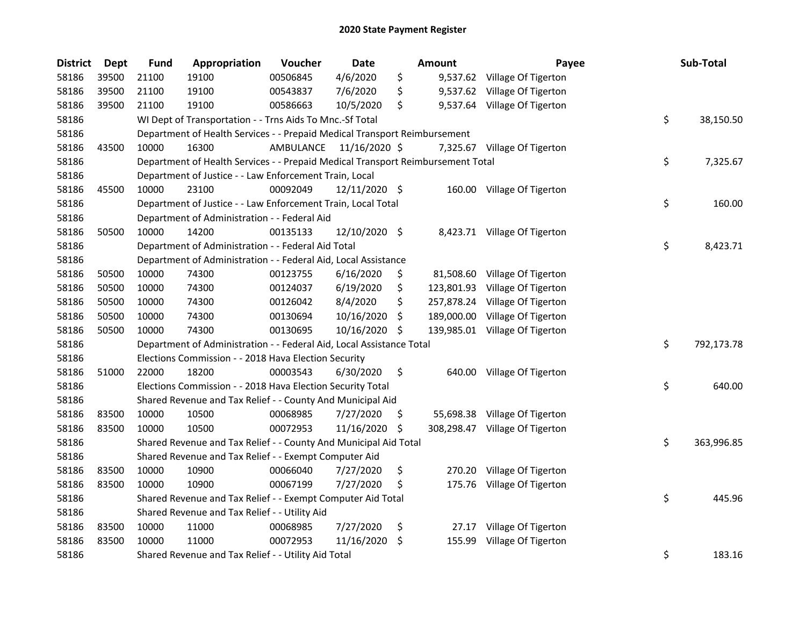| <b>District</b> | <b>Dept</b> | <b>Fund</b> | Appropriation                                                                   | Voucher                 | Date            |     | <b>Amount</b> | Payee                          | Sub-Total        |
|-----------------|-------------|-------------|---------------------------------------------------------------------------------|-------------------------|-----------------|-----|---------------|--------------------------------|------------------|
| 58186           | 39500       | 21100       | 19100                                                                           | 00506845                | 4/6/2020        | \$  |               | 9,537.62 Village Of Tigerton   |                  |
| 58186           | 39500       | 21100       | 19100                                                                           | 00543837                | 7/6/2020        | \$  |               | 9,537.62 Village Of Tigerton   |                  |
| 58186           | 39500       | 21100       | 19100                                                                           | 00586663                | 10/5/2020       | \$  |               | 9,537.64 Village Of Tigerton   |                  |
| 58186           |             |             | WI Dept of Transportation - - Trns Aids To Mnc.-Sf Total                        |                         |                 |     |               |                                | \$<br>38,150.50  |
| 58186           |             |             | Department of Health Services - - Prepaid Medical Transport Reimbursement       |                         |                 |     |               |                                |                  |
| 58186           | 43500       | 10000       | 16300                                                                           | AMBULANCE 11/16/2020 \$ |                 |     |               | 7,325.67 Village Of Tigerton   |                  |
| 58186           |             |             | Department of Health Services - - Prepaid Medical Transport Reimbursement Total |                         |                 |     |               |                                | \$<br>7,325.67   |
| 58186           |             |             | Department of Justice - - Law Enforcement Train, Local                          |                         |                 |     |               |                                |                  |
| 58186           | 45500       | 10000       | 23100                                                                           | 00092049                | $12/11/2020$ \$ |     |               | 160.00 Village Of Tigerton     |                  |
| 58186           |             |             | Department of Justice - - Law Enforcement Train, Local Total                    |                         |                 |     |               |                                | \$<br>160.00     |
| 58186           |             |             | Department of Administration - - Federal Aid                                    |                         |                 |     |               |                                |                  |
| 58186           | 50500       | 10000       | 14200                                                                           | 00135133                | 12/10/2020 \$   |     |               | 8,423.71 Village Of Tigerton   |                  |
| 58186           |             |             | Department of Administration - - Federal Aid Total                              |                         |                 |     |               |                                | \$<br>8,423.71   |
| 58186           |             |             | Department of Administration - - Federal Aid, Local Assistance                  |                         |                 |     |               |                                |                  |
| 58186           | 50500       | 10000       | 74300                                                                           | 00123755                | 6/16/2020       | \$  | 81,508.60     | Village Of Tigerton            |                  |
| 58186           | 50500       | 10000       | 74300                                                                           | 00124037                | 6/19/2020       | \$  | 123,801.93    | Village Of Tigerton            |                  |
| 58186           | 50500       | 10000       | 74300                                                                           | 00126042                | 8/4/2020        | \$  | 257,878.24    | Village Of Tigerton            |                  |
| 58186           | 50500       | 10000       | 74300                                                                           | 00130694                | 10/16/2020      | \$  | 189,000.00    | Village Of Tigerton            |                  |
| 58186           | 50500       | 10000       | 74300                                                                           | 00130695                | 10/16/2020      | \$  |               | 139,985.01 Village Of Tigerton |                  |
| 58186           |             |             | Department of Administration - - Federal Aid, Local Assistance Total            |                         |                 |     |               |                                | \$<br>792,173.78 |
| 58186           |             |             | Elections Commission - - 2018 Hava Election Security                            |                         |                 |     |               |                                |                  |
| 58186           | 51000       | 22000       | 18200                                                                           | 00003543                | 6/30/2020       | \$  | 640.00        | Village Of Tigerton            |                  |
| 58186           |             |             | Elections Commission - - 2018 Hava Election Security Total                      |                         |                 |     |               |                                | \$<br>640.00     |
| 58186           |             |             | Shared Revenue and Tax Relief - - County And Municipal Aid                      |                         |                 |     |               |                                |                  |
| 58186           | 83500       | 10000       | 10500                                                                           | 00068985                | 7/27/2020       | Ş.  |               | 55,698.38 Village Of Tigerton  |                  |
| 58186           | 83500       | 10000       | 10500                                                                           | 00072953                | 11/16/2020 \$   |     |               | 308,298.47 Village Of Tigerton |                  |
| 58186           |             |             | Shared Revenue and Tax Relief - - County And Municipal Aid Total                |                         |                 |     |               |                                | \$<br>363,996.85 |
| 58186           |             |             | Shared Revenue and Tax Relief - - Exempt Computer Aid                           |                         |                 |     |               |                                |                  |
| 58186           | 83500       | 10000       | 10900                                                                           | 00066040                | 7/27/2020       | \$  | 270.20        | Village Of Tigerton            |                  |
| 58186           | 83500       | 10000       | 10900                                                                           | 00067199                | 7/27/2020       | \$  |               | 175.76 Village Of Tigerton     |                  |
| 58186           |             |             | Shared Revenue and Tax Relief - - Exempt Computer Aid Total                     |                         |                 |     |               |                                | \$<br>445.96     |
| 58186           |             |             | Shared Revenue and Tax Relief - - Utility Aid                                   |                         |                 |     |               |                                |                  |
| 58186           | 83500       | 10000       | 11000                                                                           | 00068985                | 7/27/2020       | \$  | 27.17         | Village Of Tigerton            |                  |
| 58186           | 83500       | 10000       | 11000                                                                           | 00072953                | 11/16/2020      | \$. | 155.99        | Village Of Tigerton            |                  |
| 58186           |             |             | Shared Revenue and Tax Relief - - Utility Aid Total                             |                         |                 |     |               |                                | \$<br>183.16     |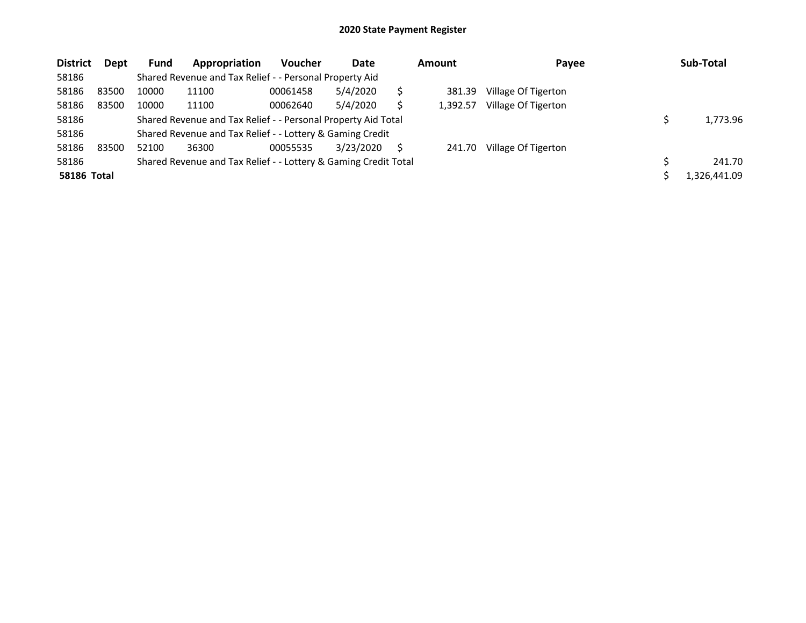| <b>District</b>    | Dept  | Fund  | Appropriation                                                   | <b>Voucher</b> | Date      |   | <b>Amount</b> | Payee               | Sub-Total    |
|--------------------|-------|-------|-----------------------------------------------------------------|----------------|-----------|---|---------------|---------------------|--------------|
| 58186              |       |       | Shared Revenue and Tax Relief - - Personal Property Aid         |                |           |   |               |                     |              |
| 58186              | 83500 | 10000 | 11100                                                           | 00061458       | 5/4/2020  |   | 381.39        | Village Of Tigerton |              |
| 58186              | 83500 | 10000 | 11100                                                           | 00062640       | 5/4/2020  |   | 1.392.57      | Village Of Tigerton |              |
| 58186              |       |       | Shared Revenue and Tax Relief - - Personal Property Aid Total   |                |           |   |               |                     | 1,773.96     |
| 58186              |       |       | Shared Revenue and Tax Relief - - Lottery & Gaming Credit       |                |           |   |               |                     |              |
| 58186              | 83500 | 52100 | 36300                                                           | 00055535       | 3/23/2020 | S | 241.70        | Village Of Tigerton |              |
| 58186              |       |       | Shared Revenue and Tax Relief - - Lottery & Gaming Credit Total |                |           |   |               |                     | 241.70       |
| <b>58186 Total</b> |       |       |                                                                 |                |           |   |               |                     | 1,326,441.09 |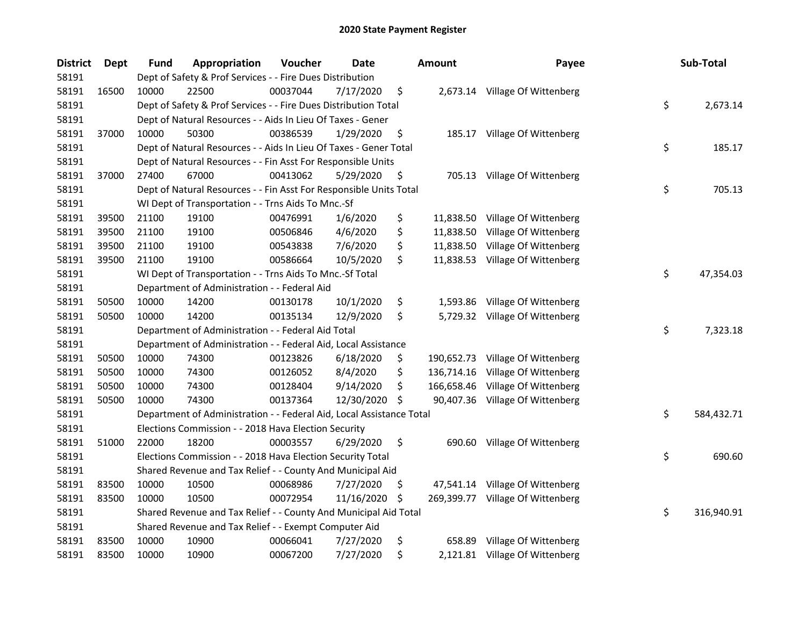| <b>District</b> | <b>Dept</b> | Fund  | Appropriation                                                        | Voucher  | Date       |     | <b>Amount</b> | Payee                           | Sub-Total        |
|-----------------|-------------|-------|----------------------------------------------------------------------|----------|------------|-----|---------------|---------------------------------|------------------|
| 58191           |             |       | Dept of Safety & Prof Services - - Fire Dues Distribution            |          |            |     |               |                                 |                  |
| 58191           | 16500       | 10000 | 22500                                                                | 00037044 | 7/17/2020  | \$  |               | 2,673.14 Village Of Wittenberg  |                  |
| 58191           |             |       | Dept of Safety & Prof Services - - Fire Dues Distribution Total      |          |            |     |               |                                 | \$<br>2,673.14   |
| 58191           |             |       | Dept of Natural Resources - - Aids In Lieu Of Taxes - Gener          |          |            |     |               |                                 |                  |
| 58191           | 37000       | 10000 | 50300                                                                | 00386539 | 1/29/2020  | \$  |               | 185.17 Village Of Wittenberg    |                  |
| 58191           |             |       | Dept of Natural Resources - - Aids In Lieu Of Taxes - Gener Total    |          |            |     |               |                                 | \$<br>185.17     |
| 58191           |             |       | Dept of Natural Resources - - Fin Asst For Responsible Units         |          |            |     |               |                                 |                  |
| 58191           | 37000       | 27400 | 67000                                                                | 00413062 | 5/29/2020  | \$  |               | 705.13 Village Of Wittenberg    |                  |
| 58191           |             |       | Dept of Natural Resources - - Fin Asst For Responsible Units Total   |          |            |     |               |                                 | \$<br>705.13     |
| 58191           |             |       | WI Dept of Transportation - - Trns Aids To Mnc.-Sf                   |          |            |     |               |                                 |                  |
| 58191           | 39500       | 21100 | 19100                                                                | 00476991 | 1/6/2020   | \$  |               | 11,838.50 Village Of Wittenberg |                  |
| 58191           | 39500       | 21100 | 19100                                                                | 00506846 | 4/6/2020   | \$  | 11,838.50     | Village Of Wittenberg           |                  |
| 58191           | 39500       | 21100 | 19100                                                                | 00543838 | 7/6/2020   | \$  | 11,838.50     | Village Of Wittenberg           |                  |
| 58191           | 39500       | 21100 | 19100                                                                | 00586664 | 10/5/2020  | \$  |               | 11,838.53 Village Of Wittenberg |                  |
| 58191           |             |       | WI Dept of Transportation - - Trns Aids To Mnc.-Sf Total             |          |            |     |               |                                 | \$<br>47,354.03  |
| 58191           |             |       | Department of Administration - - Federal Aid                         |          |            |     |               |                                 |                  |
| 58191           | 50500       | 10000 | 14200                                                                | 00130178 | 10/1/2020  | \$  | 1,593.86      | Village Of Wittenberg           |                  |
| 58191           | 50500       | 10000 | 14200                                                                | 00135134 | 12/9/2020  | \$  |               | 5,729.32 Village Of Wittenberg  |                  |
| 58191           |             |       | Department of Administration - - Federal Aid Total                   |          |            |     |               |                                 | \$<br>7,323.18   |
| 58191           |             |       | Department of Administration - - Federal Aid, Local Assistance       |          |            |     |               |                                 |                  |
| 58191           | 50500       | 10000 | 74300                                                                | 00123826 | 6/18/2020  | \$  | 190,652.73    | Village Of Wittenberg           |                  |
| 58191           | 50500       | 10000 | 74300                                                                | 00126052 | 8/4/2020   | \$  | 136,714.16    | Village Of Wittenberg           |                  |
| 58191           | 50500       | 10000 | 74300                                                                | 00128404 | 9/14/2020  | \$  | 166,658.46    | Village Of Wittenberg           |                  |
| 58191           | 50500       | 10000 | 74300                                                                | 00137364 | 12/30/2020 | \$  |               | 90,407.36 Village Of Wittenberg |                  |
| 58191           |             |       | Department of Administration - - Federal Aid, Local Assistance Total |          |            |     |               |                                 | \$<br>584,432.71 |
| 58191           |             |       | Elections Commission - - 2018 Hava Election Security                 |          |            |     |               |                                 |                  |
| 58191           | 51000       | 22000 | 18200                                                                | 00003557 | 6/29/2020  | \$  |               | 690.60 Village Of Wittenberg    |                  |
| 58191           |             |       | Elections Commission - - 2018 Hava Election Security Total           |          |            |     |               |                                 | \$<br>690.60     |
| 58191           |             |       | Shared Revenue and Tax Relief - - County And Municipal Aid           |          |            |     |               |                                 |                  |
| 58191           | 83500       | 10000 | 10500                                                                | 00068986 | 7/27/2020  | \$  |               | 47,541.14 Village Of Wittenberg |                  |
| 58191           | 83500       | 10000 | 10500                                                                | 00072954 | 11/16/2020 | -\$ | 269,399.77    | Village Of Wittenberg           |                  |
| 58191           |             |       | Shared Revenue and Tax Relief - - County And Municipal Aid Total     |          |            |     |               |                                 | \$<br>316,940.91 |
| 58191           |             |       | Shared Revenue and Tax Relief - - Exempt Computer Aid                |          |            |     |               |                                 |                  |
| 58191           | 83500       | 10000 | 10900                                                                | 00066041 | 7/27/2020  | \$  |               | 658.89 Village Of Wittenberg    |                  |
| 58191           | 83500       | 10000 | 10900                                                                | 00067200 | 7/27/2020  | \$  |               | 2,121.81 Village Of Wittenberg  |                  |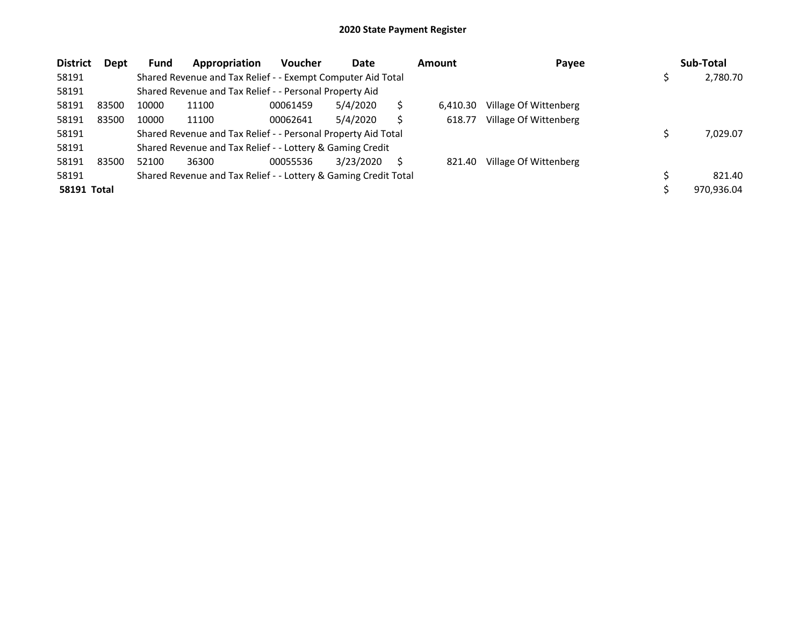| <b>District</b>    | <b>Dept</b> | <b>Fund</b>                                                   | Appropriation                                                   | <b>Voucher</b> | Date      |  | <b>Amount</b> | Payee                 | Sub-Total  |
|--------------------|-------------|---------------------------------------------------------------|-----------------------------------------------------------------|----------------|-----------|--|---------------|-----------------------|------------|
| 58191              |             |                                                               | Shared Revenue and Tax Relief - - Exempt Computer Aid Total     |                |           |  |               |                       | 2,780.70   |
| 58191              |             |                                                               | Shared Revenue and Tax Relief - - Personal Property Aid         |                |           |  |               |                       |            |
| 58191              | 83500       | 10000                                                         | 11100                                                           | 00061459       | 5/4/2020  |  | 6.410.30      | Village Of Wittenberg |            |
| 58191              | 83500       | 10000                                                         | 11100                                                           | 00062641       | 5/4/2020  |  | 618.77        | Village Of Wittenberg |            |
| 58191              |             | Shared Revenue and Tax Relief - - Personal Property Aid Total |                                                                 |                |           |  |               |                       | 7,029.07   |
| 58191              |             |                                                               | Shared Revenue and Tax Relief - - Lottery & Gaming Credit       |                |           |  |               |                       |            |
| 58191              | 83500       | 52100                                                         | 36300                                                           | 00055536       | 3/23/2020 |  | 821.40        | Village Of Wittenberg |            |
| 58191              |             |                                                               | Shared Revenue and Tax Relief - - Lottery & Gaming Credit Total |                |           |  |               |                       | 821.40     |
| <b>58191 Total</b> |             |                                                               |                                                                 |                |           |  |               |                       | 970.936.04 |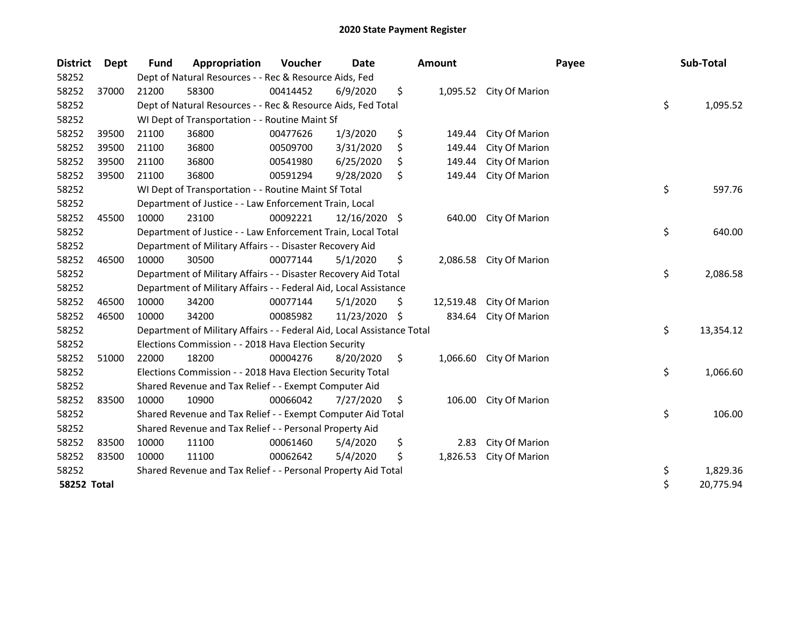| <b>District</b>    | Dept  | <b>Fund</b> | Appropriation                                                          | Voucher  | Date          |     | <b>Amount</b> | Payee          |    | Sub-Total |
|--------------------|-------|-------------|------------------------------------------------------------------------|----------|---------------|-----|---------------|----------------|----|-----------|
| 58252              |       |             | Dept of Natural Resources - - Rec & Resource Aids, Fed                 |          |               |     |               |                |    |           |
| 58252              | 37000 | 21200       | 58300                                                                  | 00414452 | 6/9/2020      | \$  | 1,095.52      | City Of Marion |    |           |
| 58252              |       |             | Dept of Natural Resources - - Rec & Resource Aids, Fed Total           |          |               |     |               |                | \$ | 1,095.52  |
| 58252              |       |             | WI Dept of Transportation - - Routine Maint Sf                         |          |               |     |               |                |    |           |
| 58252              | 39500 | 21100       | 36800                                                                  | 00477626 | 1/3/2020      | \$  | 149.44        | City Of Marion |    |           |
| 58252              | 39500 | 21100       | 36800                                                                  | 00509700 | 3/31/2020     | \$  | 149.44        | City Of Marion |    |           |
| 58252              | 39500 | 21100       | 36800                                                                  | 00541980 | 6/25/2020     | Ś   | 149.44        | City Of Marion |    |           |
| 58252              | 39500 | 21100       | 36800                                                                  | 00591294 | 9/28/2020     | \$  | 149.44        | City Of Marion |    |           |
| 58252              |       |             | WI Dept of Transportation - - Routine Maint Sf Total                   |          |               |     |               |                | \$ | 597.76    |
| 58252              |       |             | Department of Justice - - Law Enforcement Train, Local                 |          |               |     |               |                |    |           |
| 58252              | 45500 | 10000       | 23100                                                                  | 00092221 | 12/16/2020 \$ |     | 640.00        | City Of Marion |    |           |
| 58252              |       |             | Department of Justice - - Law Enforcement Train, Local Total           |          |               |     |               |                | \$ | 640.00    |
| 58252              |       |             | Department of Military Affairs - - Disaster Recovery Aid               |          |               |     |               |                |    |           |
| 58252              | 46500 | 10000       | 30500                                                                  | 00077144 | 5/1/2020      | \$  | 2,086.58      | City Of Marion |    |           |
| 58252              |       |             | Department of Military Affairs - - Disaster Recovery Aid Total         |          |               |     |               |                | \$ | 2,086.58  |
| 58252              |       |             | Department of Military Affairs - - Federal Aid, Local Assistance       |          |               |     |               |                |    |           |
| 58252              | 46500 | 10000       | 34200                                                                  | 00077144 | 5/1/2020      | \$  | 12,519.48     | City Of Marion |    |           |
| 58252              | 46500 | 10000       | 34200                                                                  | 00085982 | 11/23/2020    | S   | 834.64        | City Of Marion |    |           |
| 58252              |       |             | Department of Military Affairs - - Federal Aid, Local Assistance Total |          |               |     |               |                | \$ | 13,354.12 |
| 58252              |       |             | Elections Commission - - 2018 Hava Election Security                   |          |               |     |               |                |    |           |
| 58252              | 51000 | 22000       | 18200                                                                  | 00004276 | 8/20/2020     | \$  | 1,066.60      | City Of Marion |    |           |
| 58252              |       |             | Elections Commission - - 2018 Hava Election Security Total             |          |               |     |               |                | \$ | 1,066.60  |
| 58252              |       |             | Shared Revenue and Tax Relief - - Exempt Computer Aid                  |          |               |     |               |                |    |           |
| 58252              | 83500 | 10000       | 10900                                                                  | 00066042 | 7/27/2020     | \$. | 106.00        | City Of Marion |    |           |
| 58252              |       |             | Shared Revenue and Tax Relief - - Exempt Computer Aid Total            |          |               |     |               |                | \$ | 106.00    |
| 58252              |       |             | Shared Revenue and Tax Relief - - Personal Property Aid                |          |               |     |               |                |    |           |
| 58252              | 83500 | 10000       | 11100                                                                  | 00061460 | 5/4/2020      | \$  | 2.83          | City Of Marion |    |           |
| 58252              | 83500 | 10000       | 11100                                                                  | 00062642 | 5/4/2020      | \$  | 1,826.53      | City Of Marion |    |           |
| 58252              |       |             | Shared Revenue and Tax Relief - - Personal Property Aid Total          |          |               |     |               |                | \$ | 1,829.36  |
| <b>58252 Total</b> |       |             |                                                                        |          |               |     |               |                | \$ | 20,775.94 |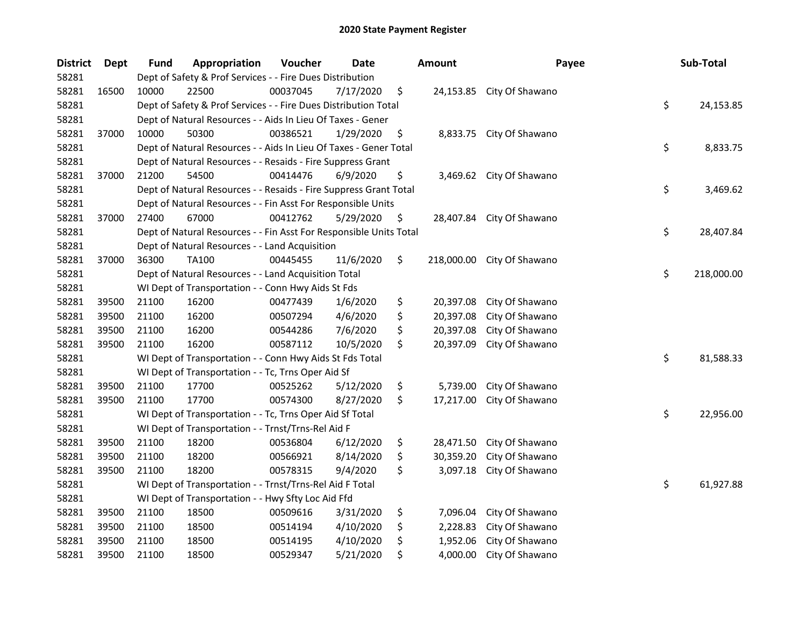| <b>District</b> | <b>Dept</b> | <b>Fund</b> | Appropriation                                                      | Voucher  | Date      | <b>Amount</b>    | Payee                     | Sub-Total        |
|-----------------|-------------|-------------|--------------------------------------------------------------------|----------|-----------|------------------|---------------------------|------------------|
| 58281           |             |             | Dept of Safety & Prof Services - - Fire Dues Distribution          |          |           |                  |                           |                  |
| 58281           | 16500       | 10000       | 22500                                                              | 00037045 | 7/17/2020 | \$               | 24,153.85 City Of Shawano |                  |
| 58281           |             |             | Dept of Safety & Prof Services - - Fire Dues Distribution Total    |          |           |                  |                           | \$<br>24,153.85  |
| 58281           |             |             | Dept of Natural Resources - - Aids In Lieu Of Taxes - Gener        |          |           |                  |                           |                  |
| 58281           | 37000       | 10000       | 50300                                                              | 00386521 | 1/29/2020 | \$               | 8,833.75 City Of Shawano  |                  |
| 58281           |             |             | Dept of Natural Resources - - Aids In Lieu Of Taxes - Gener Total  |          |           |                  |                           | \$<br>8,833.75   |
| 58281           |             |             | Dept of Natural Resources - - Resaids - Fire Suppress Grant        |          |           |                  |                           |                  |
| 58281           | 37000       | 21200       | 54500                                                              | 00414476 | 6/9/2020  | \$               | 3,469.62 City Of Shawano  |                  |
| 58281           |             |             | Dept of Natural Resources - - Resaids - Fire Suppress Grant Total  |          |           |                  |                           | \$<br>3,469.62   |
| 58281           |             |             | Dept of Natural Resources - - Fin Asst For Responsible Units       |          |           |                  |                           |                  |
| 58281           | 37000       | 27400       | 67000                                                              | 00412762 | 5/29/2020 | \$               | 28,407.84 City Of Shawano |                  |
| 58281           |             |             | Dept of Natural Resources - - Fin Asst For Responsible Units Total |          |           |                  |                           | \$<br>28,407.84  |
| 58281           |             |             | Dept of Natural Resources - - Land Acquisition                     |          |           |                  |                           |                  |
| 58281           | 37000       | 36300       | <b>TA100</b>                                                       | 00445455 | 11/6/2020 | \$<br>218,000.00 | City Of Shawano           |                  |
| 58281           |             |             | Dept of Natural Resources - - Land Acquisition Total               |          |           |                  |                           | \$<br>218,000.00 |
| 58281           |             |             | WI Dept of Transportation - - Conn Hwy Aids St Fds                 |          |           |                  |                           |                  |
| 58281           | 39500       | 21100       | 16200                                                              | 00477439 | 1/6/2020  | \$<br>20,397.08  | City Of Shawano           |                  |
| 58281           | 39500       | 21100       | 16200                                                              | 00507294 | 4/6/2020  | \$<br>20,397.08  | City Of Shawano           |                  |
| 58281           | 39500       | 21100       | 16200                                                              | 00544286 | 7/6/2020  | \$<br>20,397.08  | City Of Shawano           |                  |
| 58281           | 39500       | 21100       | 16200                                                              | 00587112 | 10/5/2020 | \$<br>20,397.09  | City Of Shawano           |                  |
| 58281           |             |             | WI Dept of Transportation - - Conn Hwy Aids St Fds Total           |          |           |                  |                           | \$<br>81,588.33  |
| 58281           |             |             | WI Dept of Transportation - - Tc, Trns Oper Aid Sf                 |          |           |                  |                           |                  |
| 58281           | 39500       | 21100       | 17700                                                              | 00525262 | 5/12/2020 | \$<br>5,739.00   | City Of Shawano           |                  |
| 58281           | 39500       | 21100       | 17700                                                              | 00574300 | 8/27/2020 | \$<br>17,217.00  | City Of Shawano           |                  |
| 58281           |             |             | WI Dept of Transportation - - Tc, Trns Oper Aid Sf Total           |          |           |                  |                           | \$<br>22,956.00  |
| 58281           |             |             | WI Dept of Transportation - - Trnst/Trns-Rel Aid F                 |          |           |                  |                           |                  |
| 58281           | 39500       | 21100       | 18200                                                              | 00536804 | 6/12/2020 | \$<br>28,471.50  | City Of Shawano           |                  |
| 58281           | 39500       | 21100       | 18200                                                              | 00566921 | 8/14/2020 | \$<br>30,359.20  | City Of Shawano           |                  |
| 58281           | 39500       | 21100       | 18200                                                              | 00578315 | 9/4/2020  | \$<br>3,097.18   | City Of Shawano           |                  |
| 58281           |             |             | WI Dept of Transportation - - Trnst/Trns-Rel Aid F Total           |          |           |                  |                           | \$<br>61,927.88  |
| 58281           |             |             | WI Dept of Transportation - - Hwy Sfty Loc Aid Ffd                 |          |           |                  |                           |                  |
| 58281           | 39500       | 21100       | 18500                                                              | 00509616 | 3/31/2020 | \$<br>7,096.04   | City Of Shawano           |                  |
| 58281           | 39500       | 21100       | 18500                                                              | 00514194 | 4/10/2020 | \$<br>2,228.83   | City Of Shawano           |                  |
| 58281           | 39500       | 21100       | 18500                                                              | 00514195 | 4/10/2020 | \$<br>1,952.06   | City Of Shawano           |                  |
| 58281           | 39500       | 21100       | 18500                                                              | 00529347 | 5/21/2020 | \$<br>4,000.00   | City Of Shawano           |                  |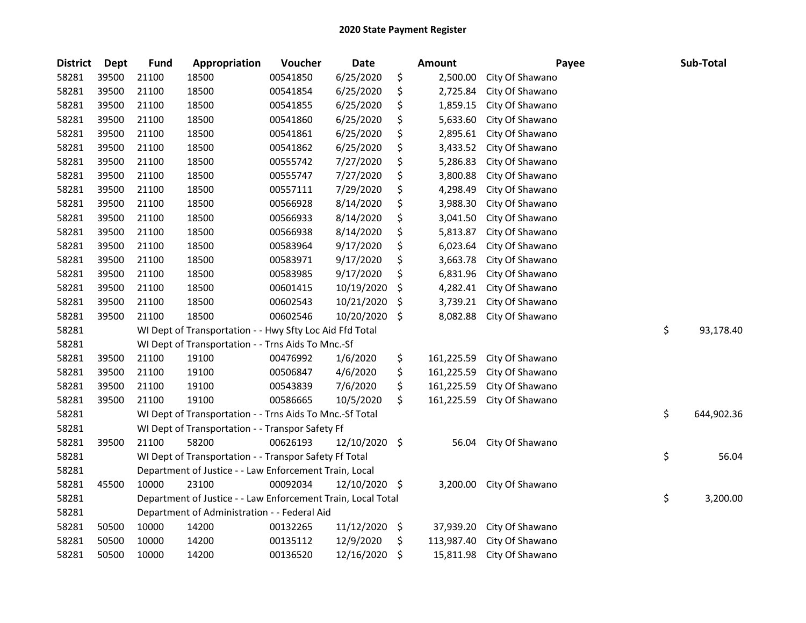| <b>District</b> | <b>Dept</b> | <b>Fund</b> | Appropriation                                                | Voucher  | <b>Date</b> |     | <b>Amount</b> | Payee           | Sub-Total        |
|-----------------|-------------|-------------|--------------------------------------------------------------|----------|-------------|-----|---------------|-----------------|------------------|
| 58281           | 39500       | 21100       | 18500                                                        | 00541850 | 6/25/2020   | \$  | 2,500.00      | City Of Shawano |                  |
| 58281           | 39500       | 21100       | 18500                                                        | 00541854 | 6/25/2020   | \$  | 2,725.84      | City Of Shawano |                  |
| 58281           | 39500       | 21100       | 18500                                                        | 00541855 | 6/25/2020   | \$  | 1,859.15      | City Of Shawano |                  |
| 58281           | 39500       | 21100       | 18500                                                        | 00541860 | 6/25/2020   | \$  | 5,633.60      | City Of Shawano |                  |
| 58281           | 39500       | 21100       | 18500                                                        | 00541861 | 6/25/2020   | \$  | 2,895.61      | City Of Shawano |                  |
| 58281           | 39500       | 21100       | 18500                                                        | 00541862 | 6/25/2020   | \$  | 3,433.52      | City Of Shawano |                  |
| 58281           | 39500       | 21100       | 18500                                                        | 00555742 | 7/27/2020   | \$  | 5,286.83      | City Of Shawano |                  |
| 58281           | 39500       | 21100       | 18500                                                        | 00555747 | 7/27/2020   | \$  | 3,800.88      | City Of Shawano |                  |
| 58281           | 39500       | 21100       | 18500                                                        | 00557111 | 7/29/2020   | \$  | 4,298.49      | City Of Shawano |                  |
| 58281           | 39500       | 21100       | 18500                                                        | 00566928 | 8/14/2020   | \$  | 3,988.30      | City Of Shawano |                  |
| 58281           | 39500       | 21100       | 18500                                                        | 00566933 | 8/14/2020   | \$  | 3,041.50      | City Of Shawano |                  |
| 58281           | 39500       | 21100       | 18500                                                        | 00566938 | 8/14/2020   | \$  | 5,813.87      | City Of Shawano |                  |
| 58281           | 39500       | 21100       | 18500                                                        | 00583964 | 9/17/2020   | \$  | 6,023.64      | City Of Shawano |                  |
| 58281           | 39500       | 21100       | 18500                                                        | 00583971 | 9/17/2020   | \$  | 3,663.78      | City Of Shawano |                  |
| 58281           | 39500       | 21100       | 18500                                                        | 00583985 | 9/17/2020   | \$  | 6,831.96      | City Of Shawano |                  |
| 58281           | 39500       | 21100       | 18500                                                        | 00601415 | 10/19/2020  | \$  | 4,282.41      | City Of Shawano |                  |
| 58281           | 39500       | 21100       | 18500                                                        | 00602543 | 10/21/2020  | \$  | 3,739.21      | City Of Shawano |                  |
| 58281           | 39500       | 21100       | 18500                                                        | 00602546 | 10/20/2020  | \$, | 8,082.88      | City Of Shawano |                  |
| 58281           |             |             | WI Dept of Transportation - - Hwy Sfty Loc Aid Ffd Total     |          |             |     |               |                 | \$<br>93,178.40  |
| 58281           |             |             | WI Dept of Transportation - - Trns Aids To Mnc.-Sf           |          |             |     |               |                 |                  |
| 58281           | 39500       | 21100       | 19100                                                        | 00476992 | 1/6/2020    | \$  | 161,225.59    | City Of Shawano |                  |
| 58281           | 39500       | 21100       | 19100                                                        | 00506847 | 4/6/2020    | \$  | 161,225.59    | City Of Shawano |                  |
| 58281           | 39500       | 21100       | 19100                                                        | 00543839 | 7/6/2020    | \$  | 161,225.59    | City Of Shawano |                  |
| 58281           | 39500       | 21100       | 19100                                                        | 00586665 | 10/5/2020   | \$  | 161,225.59    | City Of Shawano |                  |
| 58281           |             |             | WI Dept of Transportation - - Trns Aids To Mnc.-Sf Total     |          |             |     |               |                 | \$<br>644,902.36 |
| 58281           |             |             | WI Dept of Transportation - - Transpor Safety Ff             |          |             |     |               |                 |                  |
| 58281           | 39500       | 21100       | 58200                                                        | 00626193 | 12/10/2020  | \$  | 56.04         | City Of Shawano |                  |
| 58281           |             |             | WI Dept of Transportation - - Transpor Safety Ff Total       |          |             |     |               |                 | \$<br>56.04      |
| 58281           |             |             | Department of Justice - - Law Enforcement Train, Local       |          |             |     |               |                 |                  |
| 58281           | 45500       | 10000       | 23100                                                        | 00092034 | 12/10/2020  | \$  | 3,200.00      | City Of Shawano |                  |
| 58281           |             |             | Department of Justice - - Law Enforcement Train, Local Total |          |             |     |               |                 | \$<br>3,200.00   |
| 58281           |             |             | Department of Administration - - Federal Aid                 |          |             |     |               |                 |                  |
| 58281           | 50500       | 10000       | 14200                                                        | 00132265 | 11/12/2020  | \$  | 37,939.20     | City Of Shawano |                  |
| 58281           | 50500       | 10000       | 14200                                                        | 00135112 | 12/9/2020   | \$  | 113,987.40    | City Of Shawano |                  |
| 58281           | 50500       | 10000       | 14200                                                        | 00136520 | 12/16/2020  | \$  | 15,811.98     | City Of Shawano |                  |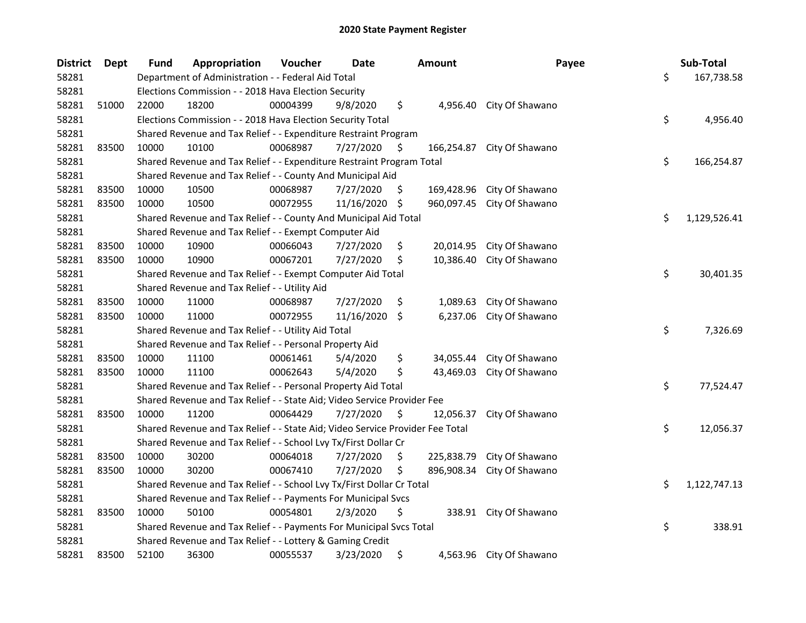| <b>District</b> | <b>Dept</b> | <b>Fund</b> | Appropriation                                                                 | Voucher  | Date       |     | <b>Amount</b> | Payee                    | Sub-Total          |
|-----------------|-------------|-------------|-------------------------------------------------------------------------------|----------|------------|-----|---------------|--------------------------|--------------------|
| 58281           |             |             | Department of Administration - - Federal Aid Total                            |          |            |     |               |                          | \$<br>167,738.58   |
| 58281           |             |             | Elections Commission - - 2018 Hava Election Security                          |          |            |     |               |                          |                    |
| 58281           | 51000       | 22000       | 18200                                                                         | 00004399 | 9/8/2020   | \$  | 4.956.40      | City Of Shawano          |                    |
| 58281           |             |             | Elections Commission - - 2018 Hava Election Security Total                    |          |            |     |               |                          | \$<br>4,956.40     |
| 58281           |             |             | Shared Revenue and Tax Relief - - Expenditure Restraint Program               |          |            |     |               |                          |                    |
| 58281           | 83500       | 10000       | 10100                                                                         | 00068987 | 7/27/2020  | \$  | 166,254.87    | City Of Shawano          |                    |
| 58281           |             |             | Shared Revenue and Tax Relief - - Expenditure Restraint Program Total         |          |            |     |               |                          | \$<br>166,254.87   |
| 58281           |             |             | Shared Revenue and Tax Relief - - County And Municipal Aid                    |          |            |     |               |                          |                    |
| 58281           | 83500       | 10000       | 10500                                                                         | 00068987 | 7/27/2020  | \$  | 169,428.96    | City Of Shawano          |                    |
| 58281           | 83500       | 10000       | 10500                                                                         | 00072955 | 11/16/2020 | -\$ | 960,097.45    | City Of Shawano          |                    |
| 58281           |             |             | Shared Revenue and Tax Relief - - County And Municipal Aid Total              |          |            |     |               |                          | \$<br>1,129,526.41 |
| 58281           |             |             | Shared Revenue and Tax Relief - - Exempt Computer Aid                         |          |            |     |               |                          |                    |
| 58281           | 83500       | 10000       | 10900                                                                         | 00066043 | 7/27/2020  | \$  | 20,014.95     | City Of Shawano          |                    |
| 58281           | 83500       | 10000       | 10900                                                                         | 00067201 | 7/27/2020  | \$  | 10,386.40     | City Of Shawano          |                    |
| 58281           |             |             | Shared Revenue and Tax Relief - - Exempt Computer Aid Total                   |          |            |     |               |                          | \$<br>30,401.35    |
| 58281           |             |             | Shared Revenue and Tax Relief - - Utility Aid                                 |          |            |     |               |                          |                    |
| 58281           | 83500       | 10000       | 11000                                                                         | 00068987 | 7/27/2020  | \$  | 1,089.63      | City Of Shawano          |                    |
| 58281           | 83500       | 10000       | 11000                                                                         | 00072955 | 11/16/2020 | \$  | 6,237.06      | City Of Shawano          |                    |
| 58281           |             |             | Shared Revenue and Tax Relief - - Utility Aid Total                           |          |            |     |               |                          | \$<br>7,326.69     |
| 58281           |             |             | Shared Revenue and Tax Relief - - Personal Property Aid                       |          |            |     |               |                          |                    |
| 58281           | 83500       | 10000       | 11100                                                                         | 00061461 | 5/4/2020   | \$  | 34,055.44     | City Of Shawano          |                    |
| 58281           | 83500       | 10000       | 11100                                                                         | 00062643 | 5/4/2020   | \$  | 43,469.03     | City Of Shawano          |                    |
| 58281           |             |             | Shared Revenue and Tax Relief - - Personal Property Aid Total                 |          |            |     |               |                          | \$<br>77,524.47    |
| 58281           |             |             | Shared Revenue and Tax Relief - - State Aid; Video Service Provider Fee       |          |            |     |               |                          |                    |
| 58281           | 83500       | 10000       | 11200                                                                         | 00064429 | 7/27/2020  | \$  | 12,056.37     | City Of Shawano          |                    |
| 58281           |             |             | Shared Revenue and Tax Relief - - State Aid; Video Service Provider Fee Total |          |            |     |               |                          | \$<br>12,056.37    |
| 58281           |             |             | Shared Revenue and Tax Relief - - School Lvy Tx/First Dollar Cr               |          |            |     |               |                          |                    |
| 58281           | 83500       | 10000       | 30200                                                                         | 00064018 | 7/27/2020  | \$  | 225,838.79    | City Of Shawano          |                    |
| 58281           | 83500       | 10000       | 30200                                                                         | 00067410 | 7/27/2020  | \$  | 896,908.34    | City Of Shawano          |                    |
| 58281           |             |             | Shared Revenue and Tax Relief - - School Lvy Tx/First Dollar Cr Total         |          |            |     |               |                          | \$<br>1,122,747.13 |
| 58281           |             |             | Shared Revenue and Tax Relief - - Payments For Municipal Svcs                 |          |            |     |               |                          |                    |
| 58281           | 83500       | 10000       | 50100                                                                         | 00054801 | 2/3/2020   | \$  |               | 338.91 City Of Shawano   |                    |
| 58281           |             |             | Shared Revenue and Tax Relief - - Payments For Municipal Svcs Total           |          |            |     |               |                          | \$<br>338.91       |
| 58281           |             |             | Shared Revenue and Tax Relief - - Lottery & Gaming Credit                     |          |            |     |               |                          |                    |
| 58281           | 83500       | 52100       | 36300                                                                         | 00055537 | 3/23/2020  | \$  |               | 4,563.96 City Of Shawano |                    |